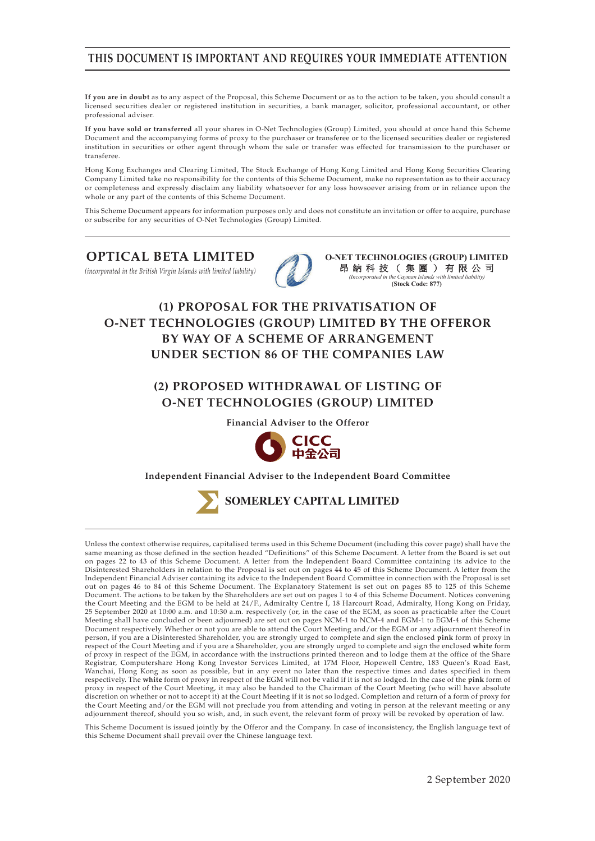### **THIS DOCUMENT IS IMPORTANT AND REQUIRES YOUR IMMEDIATE ATTENTION**

**If you are in doubt** as to any aspect of the Proposal, this Scheme Document or as to the action to be taken, you should consult a licensed securities dealer or registered institution in securities, a bank manager, solicitor, professional accountant, or other professional adviser.

**If you have sold or transferred** all your shares in O-Net Technologies (Group) Limited, you should at once hand this Scheme Document and the accompanying forms of proxy to the purchaser or transferee or to the licensed securities dealer or registered institution in securities or other agent through whom the sale or transfer was effected for transmission to the purchaser or transferee.

Hong Kong Exchanges and Clearing Limited, The Stock Exchange of Hong Kong Limited and Hong Kong Securities Clearing Company Limited take no responsibility for the contents of this Scheme Document, make no representation as to their accuracy or completeness and expressly disclaim any liability whatsoever for any loss howsoever arising from or in reliance upon the whole or any part of the contents of this Scheme Document.

This Scheme Document appears for information purposes only and does not constitute an invitation or offer to acquire, purchase or subscribe for any securities of O-Net Technologies (Group) Limited.

#### **OPTICAL BETA LIMITED**

*(incorporated in the British Virgin Islands with limited liability)*



**O-NET TECHNOLOGIES (GROUP) LIMITED**  昂納科技(集團)有限公司 *(Incorporated in the Cayman Islands with limited liability)*  **(Stock Code: 877)**

# **(1) PROPOSAL FOR THE PRIVATISATION OF O-NET TECHNOLOGIES (GROUP) LIMITED BY THE OFFEROR BY WAY OF A SCHEME OF ARRANGEMENT UNDER SECTION 86 OF THE COMPANIES LAW**

### **(2) PROPOSED WITHDRAWAL OF LISTING OF O-NET TECHNOLOGIES (GROUP) LIMITED**

**Financial Adviser to the Offeror**



#### **Independent Financial Adviser to the Independent Board Committee**



Unless the context otherwise requires, capitalised terms used in this Scheme Document (including this cover page) shall have the same meaning as those defined in the section headed "Definitions" of this Scheme Document. A letter from the Board is set out on pages 22 to 43 of this Scheme Document. A letter from the Independent Board Committee containing its advice to the Disinterested Shareholders in relation to the Proposal is set out on pages 44 to 45 of this Scheme Document. A letter from the Independent Financial Adviser containing its advice to the Independent Board Committee in connection with the Proposal is set out on pages 46 to 84 of this Scheme Document. The Explanatory Statement is set out on pages 85 to 125 of this Scheme Document. The actions to be taken by the Shareholders are set out on pages 1 to 4 of this Scheme Document. Notices convening the Court Meeting and the EGM to be held at 24/F., Admiralty Centre I, 18 Harcourt Road, Admiralty, Hong Kong on Friday, 25 September 2020 at 10:00 a.m. and 10:30 a.m. respectively (or, in the case of the EGM, as soon as practicable after the Court Meeting shall have concluded or been adjourned) are set out on pages NCM-1 to NCM-4 and EGM-1 to EGM-4 of this Scheme Document respectively. Whether or not you are able to attend the Court Meeting and/or the EGM or any adjournment thereof in person, if you are a Disinterested Shareholder, you are strongly urged to complete and sign the enclosed **pink** form of proxy in respect of the Court Meeting and if you are a Shareholder, you are strongly urged to complete and sign the enclosed **white** form of proxy in respect of the EGM, in accordance with the instructions printed thereon and to lodge them at the office of the Share Registrar, Computershare Hong Kong Investor Services Limited, at 17M Floor, Hopewell Centre, 183 Queen's Road East, Wanchai, Hong Kong as soon as possible, but in any event no later than the respective times and dates specified in them respectively. The **white** form of proxy in respect of the EGM will not be valid if it is not so lodged. In the case of the **pink** form of proxy in respect of the Court Meeting, it may also be handed to the Chairman of the Court Meeting (who will have absolute discretion on whether or not to accept it) at the Court Meeting if it is not so lodged. Completion and return of a form of proxy for the Court Meeting and/or the EGM will not preclude you from attending and voting in person at the relevant meeting or any adjournment thereof, should you so wish, and, in such event, the relevant form of proxy will be revoked by operation of law.

This Scheme Document is issued jointly by the Offeror and the Company. In case of inconsistency, the English language text of this Scheme Document shall prevail over the Chinese language text.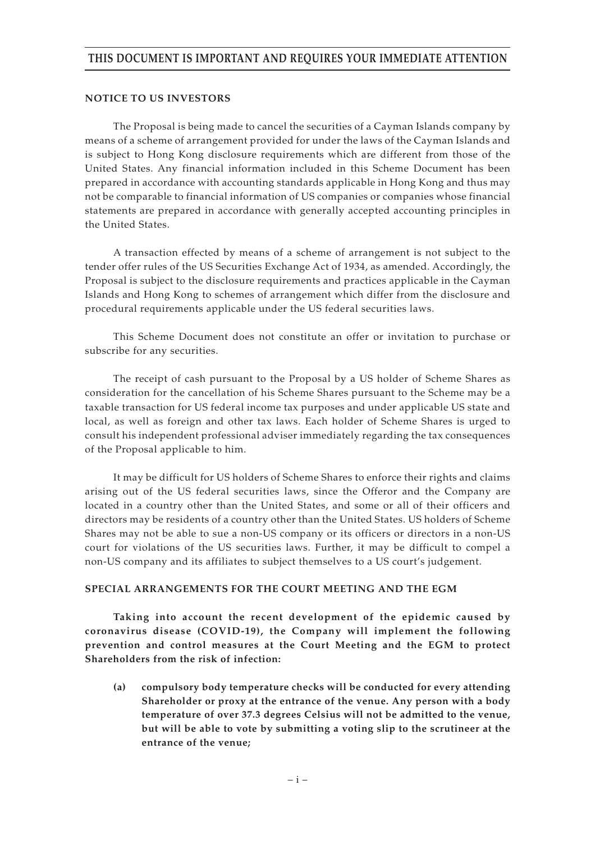### **THIS DOCUMENT IS IMPORTANT AND REQUIRES YOUR IMMEDIATE ATTENTION**

#### **NOTICE TO US INVESTORS**

The Proposal is being made to cancel the securities of a Cayman Islands company by means of a scheme of arrangement provided for under the laws of the Cayman Islands and is subject to Hong Kong disclosure requirements which are different from those of the United States. Any financial information included in this Scheme Document has been prepared in accordance with accounting standards applicable in Hong Kong and thus may not be comparable to financial information of US companies or companies whose financial statements are prepared in accordance with generally accepted accounting principles in the United States.

A transaction effected by means of a scheme of arrangement is not subject to the tender offer rules of the US Securities Exchange Act of 1934, as amended. Accordingly, the Proposal is subject to the disclosure requirements and practices applicable in the Cayman Islands and Hong Kong to schemes of arrangement which differ from the disclosure and procedural requirements applicable under the US federal securities laws.

This Scheme Document does not constitute an offer or invitation to purchase or subscribe for any securities.

The receipt of cash pursuant to the Proposal by a US holder of Scheme Shares as consideration for the cancellation of his Scheme Shares pursuant to the Scheme may be a taxable transaction for US federal income tax purposes and under applicable US state and local, as well as foreign and other tax laws. Each holder of Scheme Shares is urged to consult his independent professional adviser immediately regarding the tax consequences of the Proposal applicable to him.

It may be difficult for US holders of Scheme Shares to enforce their rights and claims arising out of the US federal securities laws, since the Offeror and the Company are located in a country other than the United States, and some or all of their officers and directors may be residents of a country other than the United States. US holders of Scheme Shares may not be able to sue a non-US company or its officers or directors in a non-US court for violations of the US securities laws. Further, it may be difficult to compel a non-US company and its affiliates to subject themselves to a US court's judgement.

#### **SPECIAL ARRANGEMENTS FOR THE COURT MEETING AND THE EGM**

**Taking into account the recent development of the epidemic caused by coronavirus disease (COVID-19), the Company will implement the following prevention and control measures at the Court Meeting and the EGM to protect Shareholders from the risk of infection:**

**(a) compulsory body temperature checks will be conducted for every attending Shareholder or proxy at the entrance of the venue. Any person with a body temperature of over 37.3 degrees Celsius will not be admitted to the venue, but will be able to vote by submitting a voting slip to the scrutineer at the entrance of the venue;**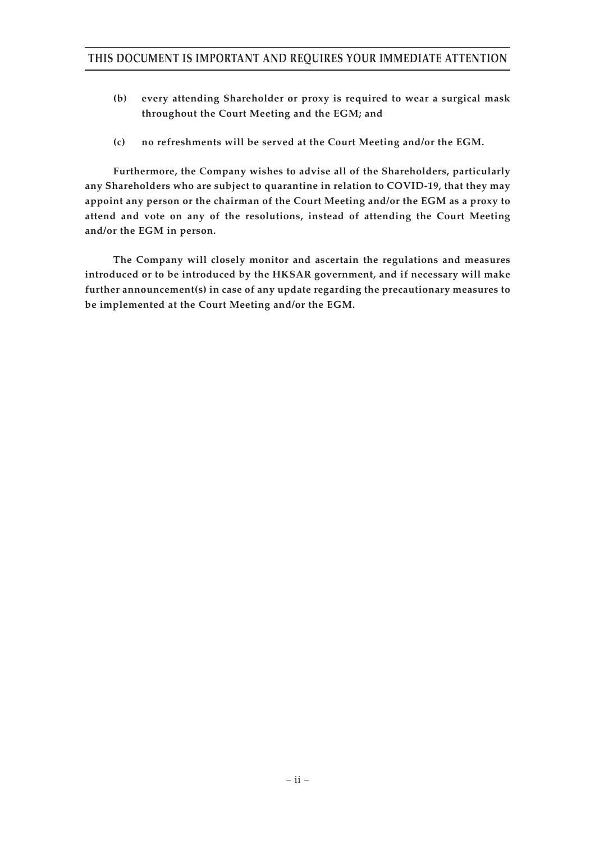- **(b) every attending Shareholder or proxy is required to wear a surgical mask throughout the Court Meeting and the EGM; and**
- **(c) no refreshments will be served at the Court Meeting and/or the EGM.**

**Furthermore, the Company wishes to advise all of the Shareholders, particularly any Shareholders who are subject to quarantine in relation to COVID-19, that they may appoint any person or the chairman of the Court Meeting and/or the EGM as a proxy to attend and vote on any of the resolutions, instead of attending the Court Meeting and/or the EGM in person.**

**The Company will closely monitor and ascertain the regulations and measures introduced or to be introduced by the HKSAR government, and if necessary will make further announcement(s) in case of any update regarding the precautionary measures to be implemented at the Court Meeting and/or the EGM.**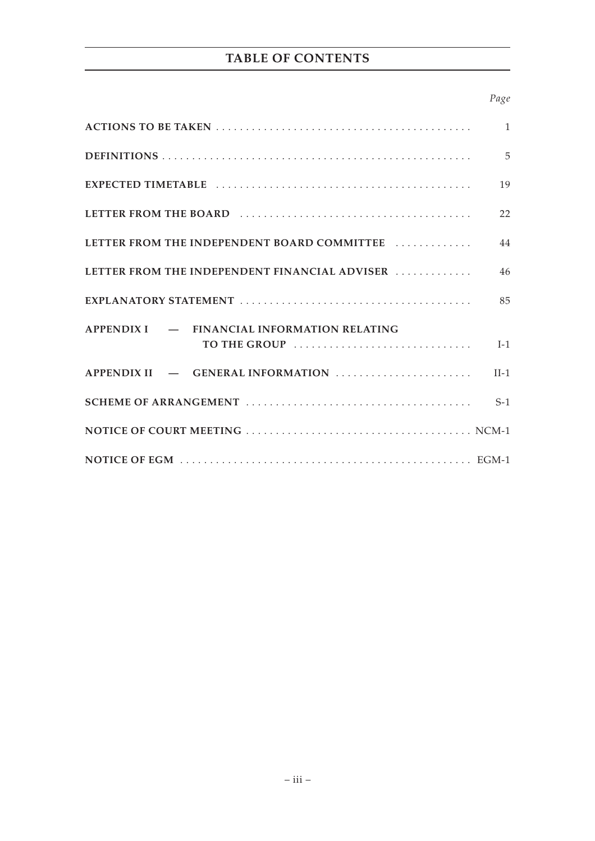# **TABLE OF CONTENTS**

#### *Page*

|                                               | $\overline{1}$ |
|-----------------------------------------------|----------------|
|                                               | $\overline{5}$ |
|                                               | 19             |
|                                               | 22             |
| LETTER FROM THE INDEPENDENT BOARD COMMITTEE   | 44             |
| LETTER FROM THE INDEPENDENT FINANCIAL ADVISER | 46             |
|                                               | 85             |
| APPENDIX I – FINANCIAL INFORMATION RELATING   |                |
| TO THE GROUP                                  | $I-1$          |
| APPENDIX II - GENERAL INFORMATION             | $II-1$         |
|                                               | $S-1$          |
|                                               |                |
|                                               |                |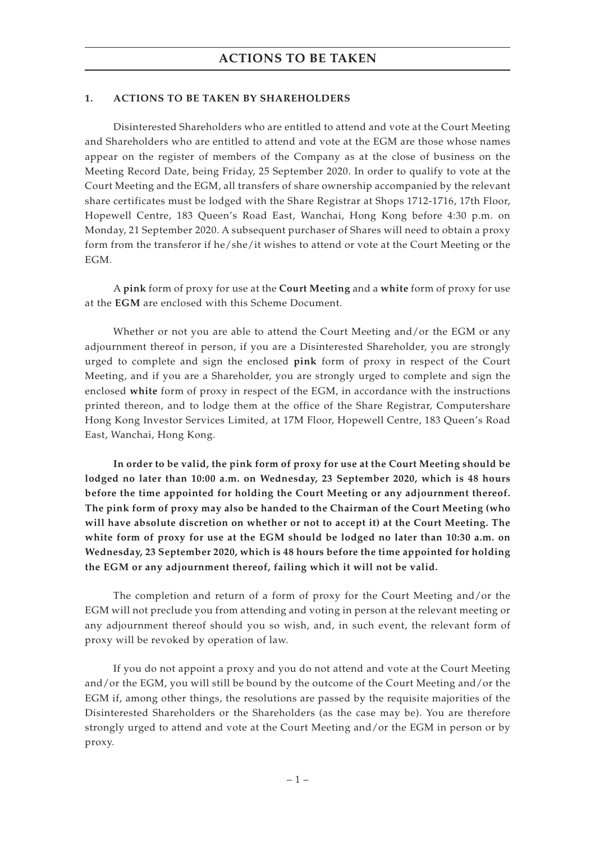#### **1. ACTIONS TO BE TAKEN BY SHAREHOLDERS**

Disinterested Shareholders who are entitled to attend and vote at the Court Meeting and Shareholders who are entitled to attend and vote at the EGM are those whose names appear on the register of members of the Company as at the close of business on the Meeting Record Date, being Friday, 25 September 2020. In order to qualify to vote at the Court Meeting and the EGM, all transfers of share ownership accompanied by the relevant share certificates must be lodged with the Share Registrar at Shops 1712-1716, 17th Floor, Hopewell Centre, 183 Queen's Road East, Wanchai, Hong Kong before 4:30 p.m. on Monday, 21 September 2020. A subsequent purchaser of Shares will need to obtain a proxy form from the transferor if he/she/it wishes to attend or vote at the Court Meeting or the EGM.

A **pink** form of proxy for use at the **Court Meeting** and a **white** form of proxy for use at the **EGM** are enclosed with this Scheme Document.

Whether or not you are able to attend the Court Meeting and/or the EGM or any adjournment thereof in person, if you are a Disinterested Shareholder, you are strongly urged to complete and sign the enclosed **pink** form of proxy in respect of the Court Meeting, and if you are a Shareholder, you are strongly urged to complete and sign the enclosed **white** form of proxy in respect of the EGM, in accordance with the instructions printed thereon, and to lodge them at the office of the Share Registrar, Computershare Hong Kong Investor Services Limited, at 17M Floor, Hopewell Centre, 183 Queen's Road East, Wanchai, Hong Kong.

**In order to be valid, the pink form of proxy for use at the Court Meeting should be lodged no later than 10:00 a.m. on Wednesday, 23 September 2020, which is 48 hours before the time appointed for holding the Court Meeting or any adjournment thereof. The pink form of proxy may also be handed to the Chairman of the Court Meeting (who will have absolute discretion on whether or not to accept it) at the Court Meeting. The white form of proxy for use at the EGM should be lodged no later than 10:30 a.m. on Wednesday, 23 September 2020, which is 48 hours before the time appointed for holding the EGM or any adjournment thereof, failing which it will not be valid.**

The completion and return of a form of proxy for the Court Meeting and/or the EGM will not preclude you from attending and voting in person at the relevant meeting or any adjournment thereof should you so wish, and, in such event, the relevant form of proxy will be revoked by operation of law.

If you do not appoint a proxy and you do not attend and vote at the Court Meeting and/or the EGM, you will still be bound by the outcome of the Court Meeting and/or the EGM if, among other things, the resolutions are passed by the requisite majorities of the Disinterested Shareholders or the Shareholders (as the case may be). You are therefore strongly urged to attend and vote at the Court Meeting and/or the EGM in person or by proxy.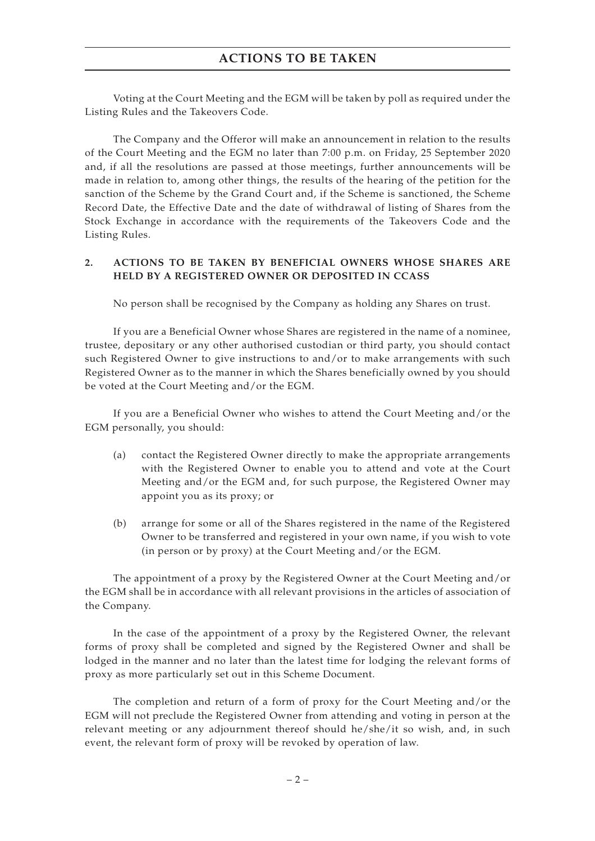### **ACTIONS TO BE TAKEN**

Voting at the Court Meeting and the EGM will be taken by poll as required under the Listing Rules and the Takeovers Code.

The Company and the Offeror will make an announcement in relation to the results of the Court Meeting and the EGM no later than 7:00 p.m. on Friday, 25 September 2020 and, if all the resolutions are passed at those meetings, further announcements will be made in relation to, among other things, the results of the hearing of the petition for the sanction of the Scheme by the Grand Court and, if the Scheme is sanctioned, the Scheme Record Date, the Effective Date and the date of withdrawal of listing of Shares from the Stock Exchange in accordance with the requirements of the Takeovers Code and the Listing Rules.

#### **2. ACTIONS TO BE TAKEN BY BENEFICIAL OWNERS WHOSE SHARES ARE HELD BY A REGISTERED OWNER OR DEPOSITED IN CCASS**

No person shall be recognised by the Company as holding any Shares on trust.

If you are a Beneficial Owner whose Shares are registered in the name of a nominee, trustee, depositary or any other authorised custodian or third party, you should contact such Registered Owner to give instructions to and/or to make arrangements with such Registered Owner as to the manner in which the Shares beneficially owned by you should be voted at the Court Meeting and/or the EGM.

If you are a Beneficial Owner who wishes to attend the Court Meeting and/or the EGM personally, you should:

- (a) contact the Registered Owner directly to make the appropriate arrangements with the Registered Owner to enable you to attend and vote at the Court Meeting and/or the EGM and, for such purpose, the Registered Owner may appoint you as its proxy; or
- (b) arrange for some or all of the Shares registered in the name of the Registered Owner to be transferred and registered in your own name, if you wish to vote (in person or by proxy) at the Court Meeting and/or the EGM.

The appointment of a proxy by the Registered Owner at the Court Meeting and/or the EGM shall be in accordance with all relevant provisions in the articles of association of the Company.

In the case of the appointment of a proxy by the Registered Owner, the relevant forms of proxy shall be completed and signed by the Registered Owner and shall be lodged in the manner and no later than the latest time for lodging the relevant forms of proxy as more particularly set out in this Scheme Document.

The completion and return of a form of proxy for the Court Meeting and/or the EGM will not preclude the Registered Owner from attending and voting in person at the relevant meeting or any adjournment thereof should he/she/it so wish, and, in such event, the relevant form of proxy will be revoked by operation of law.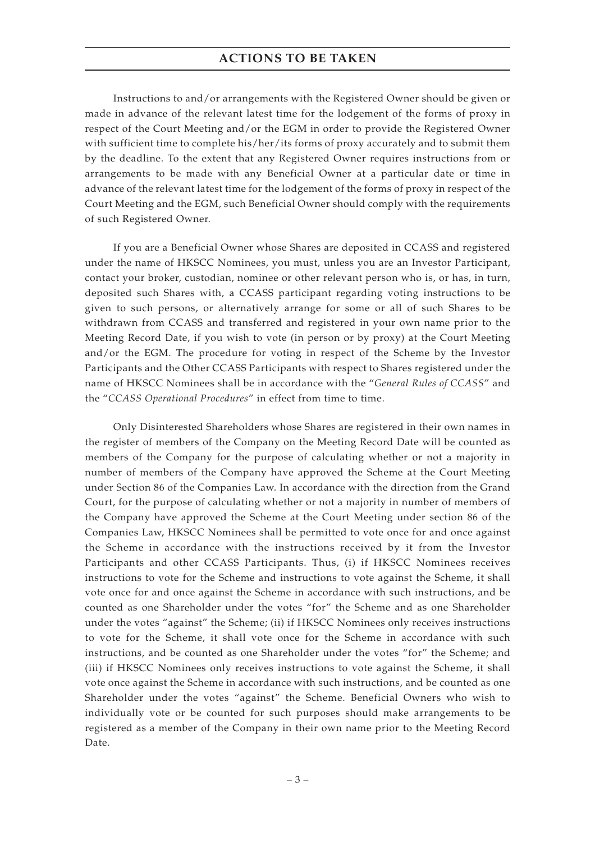### **ACTIONS TO BE TAKEN**

Instructions to and/or arrangements with the Registered Owner should be given or made in advance of the relevant latest time for the lodgement of the forms of proxy in respect of the Court Meeting and/or the EGM in order to provide the Registered Owner with sufficient time to complete his/her/its forms of proxy accurately and to submit them by the deadline. To the extent that any Registered Owner requires instructions from or arrangements to be made with any Beneficial Owner at a particular date or time in advance of the relevant latest time for the lodgement of the forms of proxy in respect of the Court Meeting and the EGM, such Beneficial Owner should comply with the requirements of such Registered Owner.

If you are a Beneficial Owner whose Shares are deposited in CCASS and registered under the name of HKSCC Nominees, you must, unless you are an Investor Participant, contact your broker, custodian, nominee or other relevant person who is, or has, in turn, deposited such Shares with, a CCASS participant regarding voting instructions to be given to such persons, or alternatively arrange for some or all of such Shares to be withdrawn from CCASS and transferred and registered in your own name prior to the Meeting Record Date, if you wish to vote (in person or by proxy) at the Court Meeting and/or the EGM. The procedure for voting in respect of the Scheme by the Investor Participants and the Other CCASS Participants with respect to Shares registered under the name of HKSCC Nominees shall be in accordance with the "*General Rules of CCASS*" and the "*CCASS Operational Procedures*" in effect from time to time.

Only Disinterested Shareholders whose Shares are registered in their own names in the register of members of the Company on the Meeting Record Date will be counted as members of the Company for the purpose of calculating whether or not a majority in number of members of the Company have approved the Scheme at the Court Meeting under Section 86 of the Companies Law. In accordance with the direction from the Grand Court, for the purpose of calculating whether or not a majority in number of members of the Company have approved the Scheme at the Court Meeting under section 86 of the Companies Law, HKSCC Nominees shall be permitted to vote once for and once against the Scheme in accordance with the instructions received by it from the Investor Participants and other CCASS Participants. Thus, (i) if HKSCC Nominees receives instructions to vote for the Scheme and instructions to vote against the Scheme, it shall vote once for and once against the Scheme in accordance with such instructions, and be counted as one Shareholder under the votes "for" the Scheme and as one Shareholder under the votes "against" the Scheme; (ii) if HKSCC Nominees only receives instructions to vote for the Scheme, it shall vote once for the Scheme in accordance with such instructions, and be counted as one Shareholder under the votes "for" the Scheme; and (iii) if HKSCC Nominees only receives instructions to vote against the Scheme, it shall vote once against the Scheme in accordance with such instructions, and be counted as one Shareholder under the votes "against" the Scheme. Beneficial Owners who wish to individually vote or be counted for such purposes should make arrangements to be registered as a member of the Company in their own name prior to the Meeting Record Date.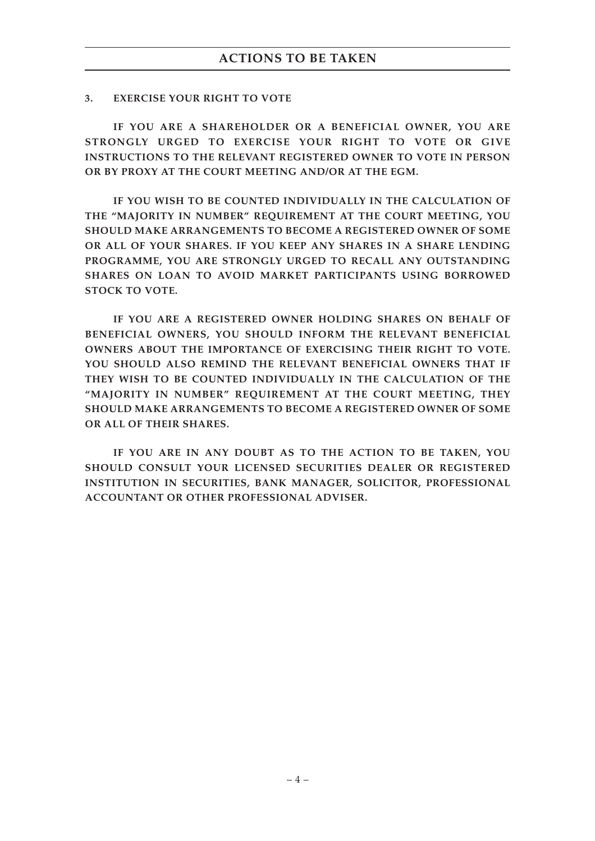#### **3. EXERCISE YOUR RIGHT TO VOTE**

**IF YOU ARE A SHAREHOLDER OR A BENEFICIAL OWNER, YOU ARE STRONGLY URGED TO EXERCISE YOUR RIGHT TO VOTE OR GIVE INSTRUCTIONS TO THE RELEVANT REGISTERED OWNER TO VOTE IN PERSON OR BY PROXY AT THE COURT MEETING AND/OR AT THE EGM.**

**IF YOU WISH TO BE COUNTED INDIVIDUALLY IN THE CALCULATION OF THE "MAJORITY IN NUMBER" REQUIREMENT AT THE COURT MEETING, YOU SHOULD MAKE ARRANGEMENTS TO BECOME A REGISTERED OWNER OF SOME OR ALL OF YOUR SHARES. IF YOU KEEP ANY SHARES IN A SHARE LENDING PROGRAMME, YOU ARE STRONGLY URGED TO RECALL ANY OUTSTANDING SHARES ON LOAN TO AVOID MARKET PARTICIPANTS USING BORROWED STOCK TO VOTE.**

**IF YOU ARE A REGISTERED OWNER HOLDING SHARES ON BEHALF OF BENEFICIAL OWNERS, YOU SHOULD INFORM THE RELEVANT BENEFICIAL OWNERS ABOUT THE IMPORTANCE OF EXERCISING THEIR RIGHT TO VOTE. YOU SHOULD ALSO REMIND THE RELEVANT BENEFICIAL OWNERS THAT IF THEY WISH TO BE COUNTED INDIVIDUALLY IN THE CALCULATION OF THE "MAJORITY IN NUMBER" REQUIREMENT AT THE COURT MEETING, THEY SHOULD MAKE ARRANGEMENTS TO BECOME A REGISTERED OWNER OF SOME OR ALL OF THEIR SHARES.**

**IF YOU ARE IN ANY DOUBT AS TO THE ACTION TO BE TAKEN, YOU SHOULD CONSULT YOUR LICENSED SECURITIES DEALER OR REGISTERED INSTITUTION IN SECURITIES, BANK MANAGER, SOLICITOR, PROFESSIONAL ACCOUNTANT OR OTHER PROFESSIONAL ADVISER.**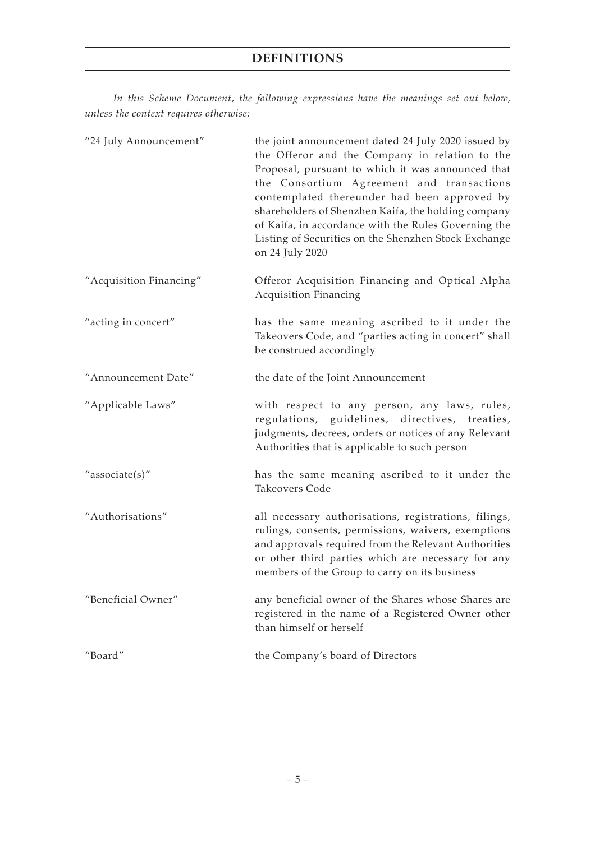*In this Scheme Document, the following expressions have the meanings set out below, unless the context requires otherwise:*

| "24 July Announcement"  | the joint announcement dated 24 July 2020 issued by<br>the Offeror and the Company in relation to the<br>Proposal, pursuant to which it was announced that<br>the Consortium Agreement and transactions<br>contemplated thereunder had been approved by<br>shareholders of Shenzhen Kaifa, the holding company<br>of Kaifa, in accordance with the Rules Governing the<br>Listing of Securities on the Shenzhen Stock Exchange<br>on 24 July 2020 |
|-------------------------|---------------------------------------------------------------------------------------------------------------------------------------------------------------------------------------------------------------------------------------------------------------------------------------------------------------------------------------------------------------------------------------------------------------------------------------------------|
| "Acquisition Financing" | Offeror Acquisition Financing and Optical Alpha<br><b>Acquisition Financing</b>                                                                                                                                                                                                                                                                                                                                                                   |
| "acting in concert"     | has the same meaning ascribed to it under the<br>Takeovers Code, and "parties acting in concert" shall<br>be construed accordingly                                                                                                                                                                                                                                                                                                                |
| "Announcement Date"     | the date of the Joint Announcement                                                                                                                                                                                                                                                                                                                                                                                                                |
| "Applicable Laws"       | with respect to any person, any laws, rules,<br>regulations, guidelines, directives, treaties,<br>judgments, decrees, orders or notices of any Relevant<br>Authorities that is applicable to such person                                                                                                                                                                                                                                          |
| "associate(s)"          | has the same meaning ascribed to it under the<br>Takeovers Code                                                                                                                                                                                                                                                                                                                                                                                   |
| "Authorisations"        | all necessary authorisations, registrations, filings,<br>rulings, consents, permissions, waivers, exemptions<br>and approvals required from the Relevant Authorities<br>or other third parties which are necessary for any<br>members of the Group to carry on its business                                                                                                                                                                       |
| "Beneficial Owner"      | any beneficial owner of the Shares whose Shares are<br>registered in the name of a Registered Owner other<br>than himself or herself                                                                                                                                                                                                                                                                                                              |
| "Board"                 | the Company's board of Directors                                                                                                                                                                                                                                                                                                                                                                                                                  |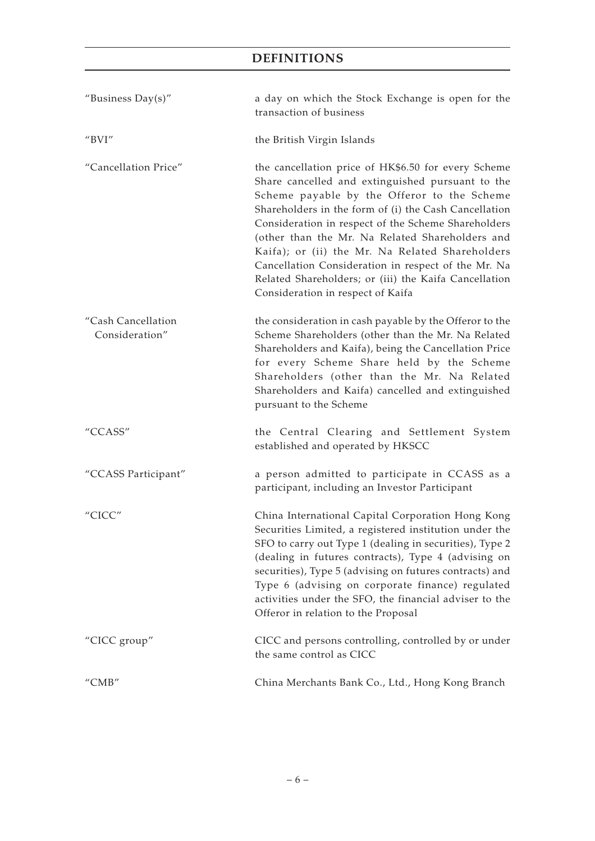| "Business Day(s)"                       | a day on which the Stock Exchange is open for the<br>transaction of business                                                                                                                                                                                                                                                                                                                                                                                                                                                      |
|-----------------------------------------|-----------------------------------------------------------------------------------------------------------------------------------------------------------------------------------------------------------------------------------------------------------------------------------------------------------------------------------------------------------------------------------------------------------------------------------------------------------------------------------------------------------------------------------|
| " $BVI"$                                | the British Virgin Islands                                                                                                                                                                                                                                                                                                                                                                                                                                                                                                        |
| "Cancellation Price"                    | the cancellation price of HK\$6.50 for every Scheme<br>Share cancelled and extinguished pursuant to the<br>Scheme payable by the Offeror to the Scheme<br>Shareholders in the form of (i) the Cash Cancellation<br>Consideration in respect of the Scheme Shareholders<br>(other than the Mr. Na Related Shareholders and<br>Kaifa); or (ii) the Mr. Na Related Shareholders<br>Cancellation Consideration in respect of the Mr. Na<br>Related Shareholders; or (iii) the Kaifa Cancellation<br>Consideration in respect of Kaifa |
| "Cash Cancellation<br>Consideration"    | the consideration in cash payable by the Offeror to the<br>Scheme Shareholders (other than the Mr. Na Related<br>Shareholders and Kaifa), being the Cancellation Price<br>for every Scheme Share held by the Scheme<br>Shareholders (other than the Mr. Na Related<br>Shareholders and Kaifa) cancelled and extinguished<br>pursuant to the Scheme                                                                                                                                                                                |
| "CCASS"                                 | the Central Clearing and Settlement System<br>established and operated by HKSCC                                                                                                                                                                                                                                                                                                                                                                                                                                                   |
| "CCASS Participant"                     | a person admitted to participate in CCASS as a<br>participant, including an Investor Participant                                                                                                                                                                                                                                                                                                                                                                                                                                  |
| "CICC"                                  | China International Capital Corporation Hong Kong<br>Securities Limited, a registered institution under the<br>SFO to carry out Type 1 (dealing in securities), Type 2<br>(dealing in futures contracts), Type 4 (advising on<br>securities), Type 5 (advising on futures contracts) and<br>Type 6 (advising on corporate finance) regulated<br>activities under the SFO, the financial adviser to the<br>Offeror in relation to the Proposal                                                                                     |
| "CICC group"                            | CICC and persons controlling, controlled by or under<br>the same control as CICC                                                                                                                                                                                                                                                                                                                                                                                                                                                  |
| $^{\prime\prime}$ CMB $^{\prime\prime}$ | China Merchants Bank Co., Ltd., Hong Kong Branch                                                                                                                                                                                                                                                                                                                                                                                                                                                                                  |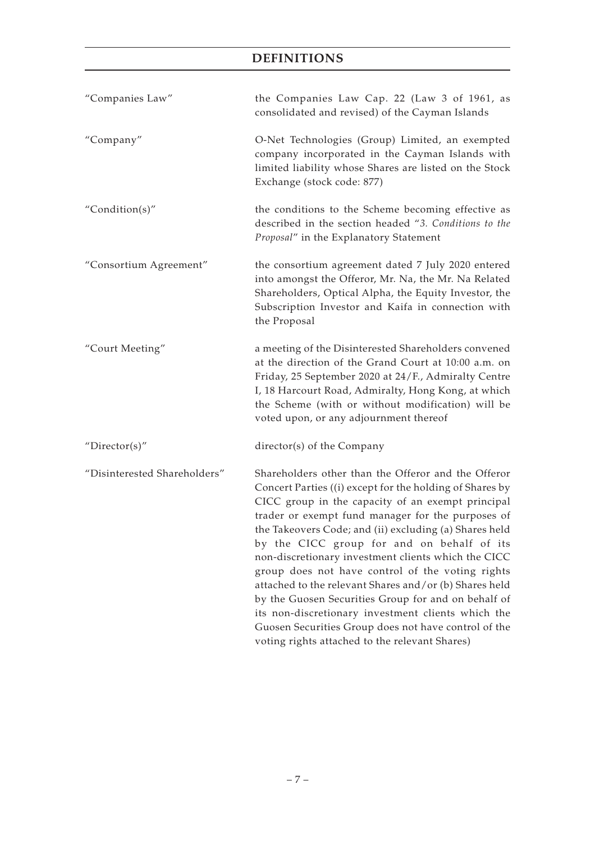| "Companies Law"              | the Companies Law Cap. 22 (Law 3 of 1961, as<br>consolidated and revised) of the Cayman Islands                                                                                                                                                                                                                                                                                                                                                                                                                                                                                                                                                                                                                               |
|------------------------------|-------------------------------------------------------------------------------------------------------------------------------------------------------------------------------------------------------------------------------------------------------------------------------------------------------------------------------------------------------------------------------------------------------------------------------------------------------------------------------------------------------------------------------------------------------------------------------------------------------------------------------------------------------------------------------------------------------------------------------|
| "Company"                    | O-Net Technologies (Group) Limited, an exempted<br>company incorporated in the Cayman Islands with<br>limited liability whose Shares are listed on the Stock<br>Exchange (stock code: 877)                                                                                                                                                                                                                                                                                                                                                                                                                                                                                                                                    |
| "Condition(s)"               | the conditions to the Scheme becoming effective as<br>described in the section headed "3. Conditions to the<br>Proposal" in the Explanatory Statement                                                                                                                                                                                                                                                                                                                                                                                                                                                                                                                                                                         |
| "Consortium Agreement"       | the consortium agreement dated 7 July 2020 entered<br>into amongst the Offeror, Mr. Na, the Mr. Na Related<br>Shareholders, Optical Alpha, the Equity Investor, the<br>Subscription Investor and Kaifa in connection with<br>the Proposal                                                                                                                                                                                                                                                                                                                                                                                                                                                                                     |
| "Court Meeting"              | a meeting of the Disinterested Shareholders convened<br>at the direction of the Grand Court at 10:00 a.m. on<br>Friday, 25 September 2020 at 24/F., Admiralty Centre<br>I, 18 Harcourt Road, Admiralty, Hong Kong, at which<br>the Scheme (with or without modification) will be<br>voted upon, or any adjournment thereof                                                                                                                                                                                                                                                                                                                                                                                                    |
| " $Directory$                | director(s) of the Company                                                                                                                                                                                                                                                                                                                                                                                                                                                                                                                                                                                                                                                                                                    |
| "Disinterested Shareholders" | Shareholders other than the Offeror and the Offeror<br>Concert Parties ((i) except for the holding of Shares by<br>CICC group in the capacity of an exempt principal<br>trader or exempt fund manager for the purposes of<br>the Takeovers Code; and (ii) excluding (a) Shares held<br>by the CICC group for and on behalf of its<br>non-discretionary investment clients which the CICC<br>group does not have control of the voting rights<br>attached to the relevant Shares and/or (b) Shares held<br>by the Guosen Securities Group for and on behalf of<br>its non-discretionary investment clients which the<br>Guosen Securities Group does not have control of the<br>voting rights attached to the relevant Shares) |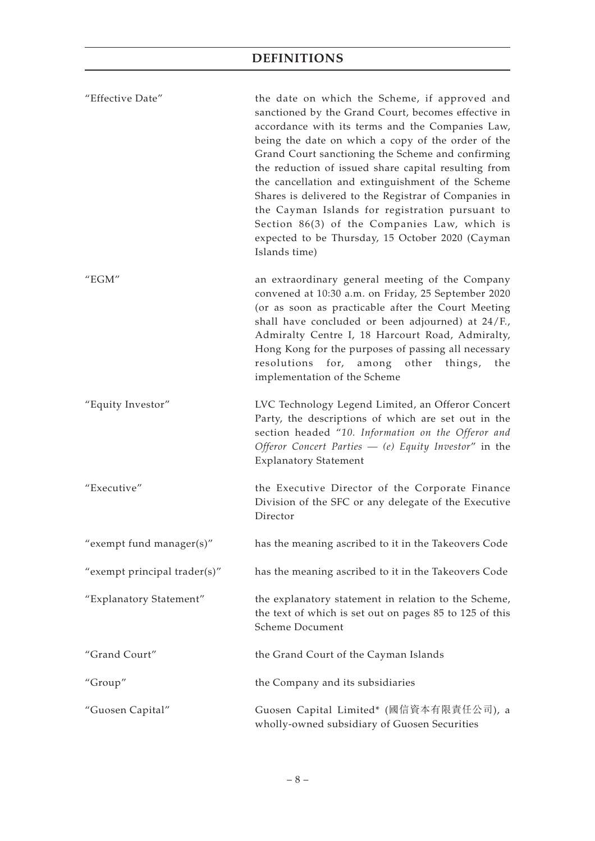| "Effective Date"                        | the date on which the Scheme, if approved and<br>sanctioned by the Grand Court, becomes effective in<br>accordance with its terms and the Companies Law,<br>being the date on which a copy of the order of the<br>Grand Court sanctioning the Scheme and confirming<br>the reduction of issued share capital resulting from<br>the cancellation and extinguishment of the Scheme<br>Shares is delivered to the Registrar of Companies in<br>the Cayman Islands for registration pursuant to<br>Section 86(3) of the Companies Law, which is<br>expected to be Thursday, 15 October 2020 (Cayman<br>Islands time) |
|-----------------------------------------|------------------------------------------------------------------------------------------------------------------------------------------------------------------------------------------------------------------------------------------------------------------------------------------------------------------------------------------------------------------------------------------------------------------------------------------------------------------------------------------------------------------------------------------------------------------------------------------------------------------|
| $^{\prime\prime}$ EGM $^{\prime\prime}$ | an extraordinary general meeting of the Company<br>convened at 10:30 a.m. on Friday, 25 September 2020<br>(or as soon as practicable after the Court Meeting<br>shall have concluded or been adjourned) at 24/F.,<br>Admiralty Centre I, 18 Harcourt Road, Admiralty,<br>Hong Kong for the purposes of passing all necessary<br>resolutions for, among other things, the<br>implementation of the Scheme                                                                                                                                                                                                         |
| "Equity Investor"                       | LVC Technology Legend Limited, an Offeror Concert<br>Party, the descriptions of which are set out in the<br>section headed "10. Information on the Offeror and<br>Offeror Concert Parties $-$ (e) Equity Investor" in the<br><b>Explanatory Statement</b>                                                                                                                                                                                                                                                                                                                                                        |
| "Executive"                             | the Executive Director of the Corporate Finance<br>Division of the SFC or any delegate of the Executive<br>Director                                                                                                                                                                                                                                                                                                                                                                                                                                                                                              |
| "exempt fund manager(s)"                | has the meaning ascribed to it in the Takeovers Code                                                                                                                                                                                                                                                                                                                                                                                                                                                                                                                                                             |
| "exempt principal trader(s)"            | has the meaning ascribed to it in the Takeovers Code                                                                                                                                                                                                                                                                                                                                                                                                                                                                                                                                                             |
| "Explanatory Statement"                 | the explanatory statement in relation to the Scheme,<br>the text of which is set out on pages 85 to 125 of this<br>Scheme Document                                                                                                                                                                                                                                                                                                                                                                                                                                                                               |
| "Grand Court"                           | the Grand Court of the Cayman Islands                                                                                                                                                                                                                                                                                                                                                                                                                                                                                                                                                                            |
| "Group"                                 | the Company and its subsidiaries                                                                                                                                                                                                                                                                                                                                                                                                                                                                                                                                                                                 |
| "Guosen Capital"                        | Guosen Capital Limited* (國信資本有限責任公司), a<br>wholly-owned subsidiary of Guosen Securities                                                                                                                                                                                                                                                                                                                                                                                                                                                                                                                          |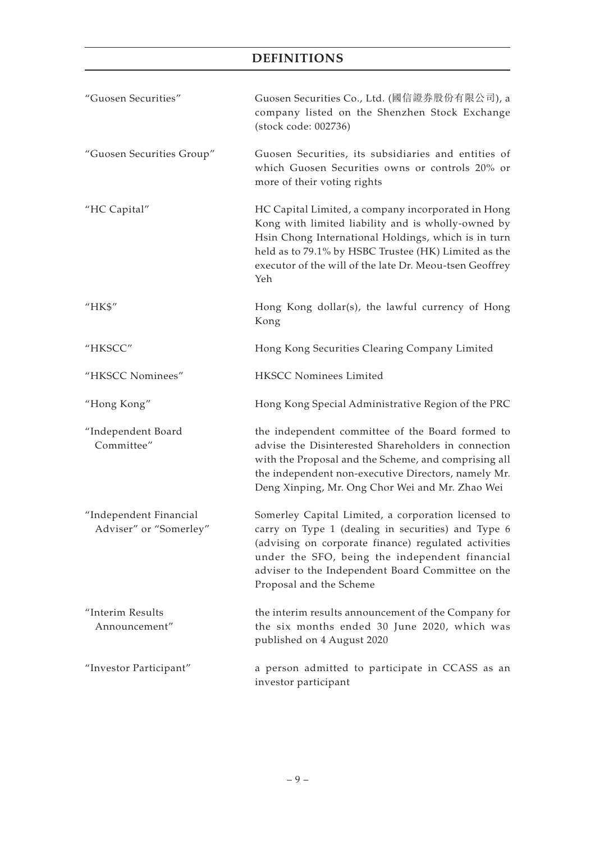| "Guosen Securities"                              | Guosen Securities Co., Ltd. (國信證券股份有限公司), a<br>company listed on the Shenzhen Stock Exchange<br>(stock code: 002736)                                                                                                                                                                                |
|--------------------------------------------------|-----------------------------------------------------------------------------------------------------------------------------------------------------------------------------------------------------------------------------------------------------------------------------------------------------|
| "Guosen Securities Group"                        | Guosen Securities, its subsidiaries and entities of<br>which Guosen Securities owns or controls 20% or<br>more of their voting rights                                                                                                                                                               |
| "HC Capital"                                     | HC Capital Limited, a company incorporated in Hong<br>Kong with limited liability and is wholly-owned by<br>Hsin Chong International Holdings, which is in turn<br>held as to 79.1% by HSBC Trustee (HK) Limited as the<br>executor of the will of the late Dr. Meou-tsen Geoffrey<br>Yeh           |
| "HK\$"                                           | Hong Kong dollar(s), the lawful currency of Hong<br>Kong                                                                                                                                                                                                                                            |
| "HKSCC"                                          | Hong Kong Securities Clearing Company Limited                                                                                                                                                                                                                                                       |
| "HKSCC Nominees"                                 | HKSCC Nominees Limited                                                                                                                                                                                                                                                                              |
| "Hong Kong"                                      | Hong Kong Special Administrative Region of the PRC                                                                                                                                                                                                                                                  |
| "Independent Board<br>Committee"                 | the independent committee of the Board formed to<br>advise the Disinterested Shareholders in connection<br>with the Proposal and the Scheme, and comprising all<br>the independent non-executive Directors, namely Mr.<br>Deng Xinping, Mr. Ong Chor Wei and Mr. Zhao Wei                           |
| "Independent Financial<br>Adviser" or "Somerley" | Somerley Capital Limited, a corporation licensed to<br>carry on Type 1 (dealing in securities) and Type 6<br>(advising on corporate finance) regulated activities<br>under the SFO, being the independent financial<br>adviser to the Independent Board Committee on the<br>Proposal and the Scheme |
| "Interim Results<br>Announcement"                | the interim results announcement of the Company for<br>the six months ended 30 June 2020, which was<br>published on 4 August 2020                                                                                                                                                                   |
| "Investor Participant"                           | a person admitted to participate in CCASS as an<br>investor participant                                                                                                                                                                                                                             |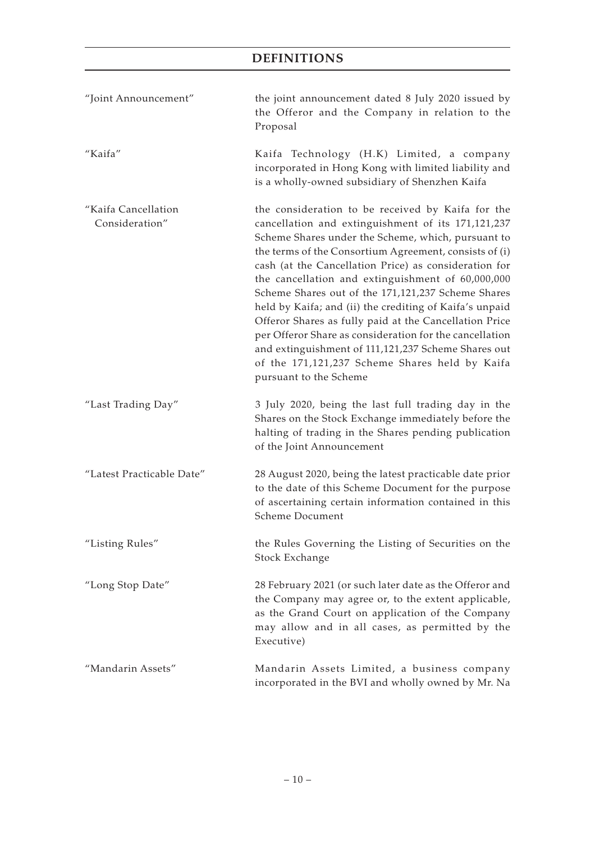| "Joint Announcement"                  | the joint announcement dated 8 July 2020 issued by<br>the Offeror and the Company in relation to the<br>Proposal                                                                                                                                                                                                                                                                                                                                                                                                                                                                                                                                                                                               |
|---------------------------------------|----------------------------------------------------------------------------------------------------------------------------------------------------------------------------------------------------------------------------------------------------------------------------------------------------------------------------------------------------------------------------------------------------------------------------------------------------------------------------------------------------------------------------------------------------------------------------------------------------------------------------------------------------------------------------------------------------------------|
| "Kaifa"                               | Kaifa Technology (H.K) Limited, a company<br>incorporated in Hong Kong with limited liability and<br>is a wholly-owned subsidiary of Shenzhen Kaifa                                                                                                                                                                                                                                                                                                                                                                                                                                                                                                                                                            |
| "Kaifa Cancellation<br>Consideration" | the consideration to be received by Kaifa for the<br>cancellation and extinguishment of its 171,121,237<br>Scheme Shares under the Scheme, which, pursuant to<br>the terms of the Consortium Agreement, consists of (i)<br>cash (at the Cancellation Price) as consideration for<br>the cancellation and extinguishment of 60,000,000<br>Scheme Shares out of the 171,121,237 Scheme Shares<br>held by Kaifa; and (ii) the crediting of Kaifa's unpaid<br>Offeror Shares as fully paid at the Cancellation Price<br>per Offeror Share as consideration for the cancellation<br>and extinguishment of 111,121,237 Scheme Shares out<br>of the 171,121,237 Scheme Shares held by Kaifa<br>pursuant to the Scheme |
| "Last Trading Day"                    | 3 July 2020, being the last full trading day in the<br>Shares on the Stock Exchange immediately before the<br>halting of trading in the Shares pending publication<br>of the Joint Announcement                                                                                                                                                                                                                                                                                                                                                                                                                                                                                                                |
| "Latest Practicable Date"             | 28 August 2020, being the latest practicable date prior<br>to the date of this Scheme Document for the purpose<br>of ascertaining certain information contained in this<br><b>Scheme Document</b>                                                                                                                                                                                                                                                                                                                                                                                                                                                                                                              |
| "Listing Rules"                       | the Rules Governing the Listing of Securities on the<br>Stock Exchange                                                                                                                                                                                                                                                                                                                                                                                                                                                                                                                                                                                                                                         |
| "Long Stop Date"                      | 28 February 2021 (or such later date as the Offeror and<br>the Company may agree or, to the extent applicable,<br>as the Grand Court on application of the Company<br>may allow and in all cases, as permitted by the<br>Executive)                                                                                                                                                                                                                                                                                                                                                                                                                                                                            |
| "Mandarin Assets"                     | Mandarin Assets Limited, a business company<br>incorporated in the BVI and wholly owned by Mr. Na                                                                                                                                                                                                                                                                                                                                                                                                                                                                                                                                                                                                              |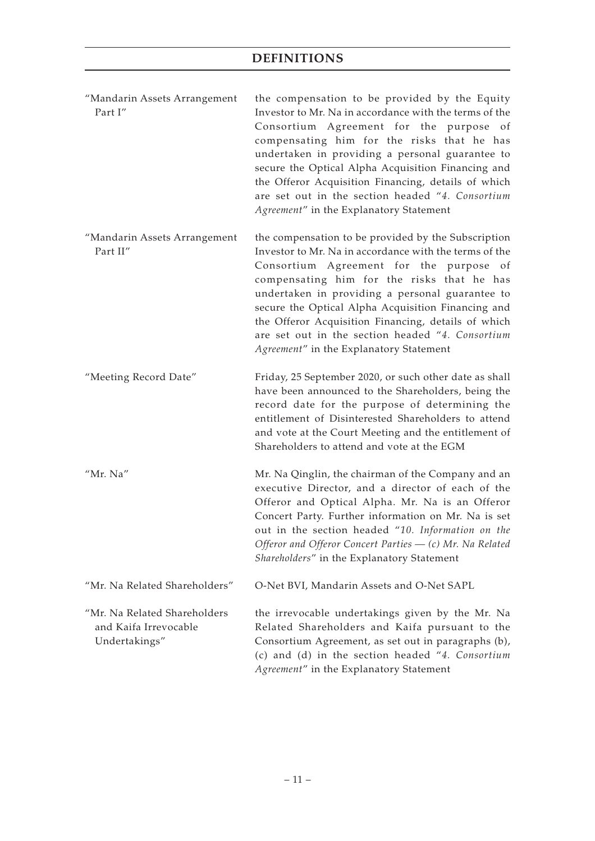| "Mandarin Assets Arrangement | the compensation to be provided by the Equity          |
|------------------------------|--------------------------------------------------------|
| Part I"                      | Investor to Mr. Na in accordance with the terms of the |
|                              | Consortium Agreement for the purpose of                |
|                              | compensating him for the risks that he has             |
|                              | undertaken in providing a personal guarantee to        |
|                              | secure the Optical Alpha Acquisition Financing and     |
|                              | the Offeror Acquisition Financing, details of which    |
|                              | are set out in the section headed "4. Consortium       |
|                              | Agreement" in the Explanatory Statement                |

- "Mandarin Assets Arrangement Part II" the compensation to be provided by the Subscription Investor to Mr. Na in accordance with the terms of the Consortium Agreement for the purpose of compensating him for the risks that he has undertaken in providing a personal guarantee to secure the Optical Alpha Acquisition Financing and the Offeror Acquisition Financing, details of which are set out in the section headed "*4. Consortium Agreement*" in the Explanatory Statement
- "Meeting Record Date" Friday, 25 September 2020, or such other date as shall have been announced to the Shareholders, being the record date for the purpose of determining the entitlement of Disinterested Shareholders to attend and vote at the Court Meeting and the entitlement of Shareholders to attend and vote at the EGM
- "Mr. Na" Mr. Na Qinglin, the chairman of the Company and an executive Director, and a director of each of the Offeror and Optical Alpha. Mr. Na is an Offeror Concert Party. Further information on Mr. Na is set out in the section headed "*10. Information on the Offeror and Offeror Concert Parties — (c) Mr. Na Related Shareholders*" in the Explanatory Statement "Mr. Na Related Shareholders" O-Net BVI, Mandarin Assets and O-Net SAPL

"Mr. Na Related Shareholders and Kaifa Irrevocable Undertakings" the irrevocable undertakings given by the Mr. Na Related Shareholders and Kaifa pursuant to the Consortium Agreement, as set out in paragraphs (b), (c) and (d) in the section headed "*4. Consortium Agreement*" in the Explanatory Statement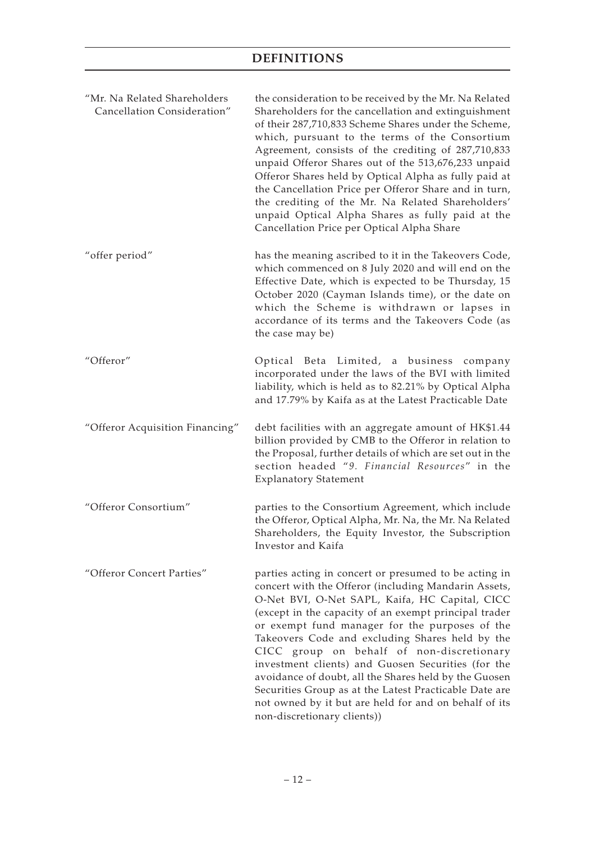| "Mr. Na Related Shareholders<br>Cancellation Consideration" | the consideration to be received by the Mr. Na Related<br>Shareholders for the cancellation and extinguishment<br>of their 287,710,833 Scheme Shares under the Scheme,<br>which, pursuant to the terms of the Consortium<br>Agreement, consists of the crediting of 287,710,833<br>unpaid Offeror Shares out of the 513,676,233 unpaid<br>Offeror Shares held by Optical Alpha as fully paid at<br>the Cancellation Price per Offeror Share and in turn,<br>the crediting of the Mr. Na Related Shareholders'<br>unpaid Optical Alpha Shares as fully paid at the<br>Cancellation Price per Optical Alpha Share                             |
|-------------------------------------------------------------|---------------------------------------------------------------------------------------------------------------------------------------------------------------------------------------------------------------------------------------------------------------------------------------------------------------------------------------------------------------------------------------------------------------------------------------------------------------------------------------------------------------------------------------------------------------------------------------------------------------------------------------------|
| "offer period"                                              | has the meaning ascribed to it in the Takeovers Code,<br>which commenced on 8 July 2020 and will end on the<br>Effective Date, which is expected to be Thursday, 15<br>October 2020 (Cayman Islands time), or the date on<br>which the Scheme is withdrawn or lapses in<br>accordance of its terms and the Takeovers Code (as<br>the case may be)                                                                                                                                                                                                                                                                                           |
| "Offeror"                                                   | Optical Beta Limited, a business company<br>incorporated under the laws of the BVI with limited<br>liability, which is held as to 82.21% by Optical Alpha<br>and 17.79% by Kaifa as at the Latest Practicable Date                                                                                                                                                                                                                                                                                                                                                                                                                          |
| "Offeror Acquisition Financing"                             | debt facilities with an aggregate amount of HK\$1.44<br>billion provided by CMB to the Offeror in relation to<br>the Proposal, further details of which are set out in the<br>section headed "9. Financial Resources" in the<br><b>Explanatory Statement</b>                                                                                                                                                                                                                                                                                                                                                                                |
| "Offeror Consortium"                                        | parties to the Consortium Agreement, which include<br>the Offeror, Optical Alpha, Mr. Na, the Mr. Na Related<br>Shareholders, the Equity Investor, the Subscription<br>Investor and Kaifa                                                                                                                                                                                                                                                                                                                                                                                                                                                   |
| "Offeror Concert Parties"                                   | parties acting in concert or presumed to be acting in<br>concert with the Offeror (including Mandarin Assets,<br>O-Net BVI, O-Net SAPL, Kaifa, HC Capital, CICC<br>(except in the capacity of an exempt principal trader<br>or exempt fund manager for the purposes of the<br>Takeovers Code and excluding Shares held by the<br>CICC group on behalf of non-discretionary<br>investment clients) and Guosen Securities (for the<br>avoidance of doubt, all the Shares held by the Guosen<br>Securities Group as at the Latest Practicable Date are<br>not owned by it but are held for and on behalf of its<br>non-discretionary clients)) |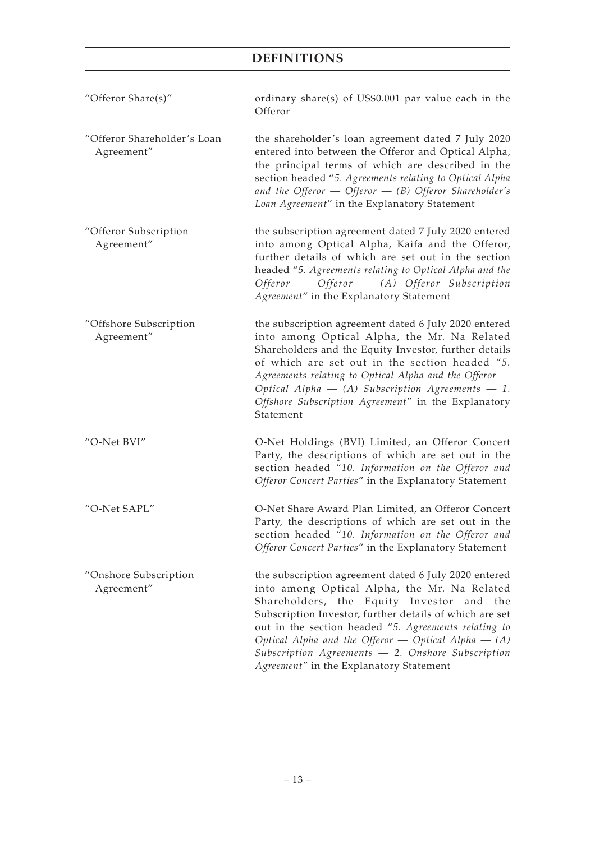| "Offeror Share(s)"                        | ordinary share(s) of US\$0.001 par value each in the<br>Offeror                                                                                                                                                                                                                                                                                                                                                                   |
|-------------------------------------------|-----------------------------------------------------------------------------------------------------------------------------------------------------------------------------------------------------------------------------------------------------------------------------------------------------------------------------------------------------------------------------------------------------------------------------------|
| "Offeror Shareholder's Loan<br>Agreement" | the shareholder's loan agreement dated 7 July 2020<br>entered into between the Offeror and Optical Alpha,<br>the principal terms of which are described in the<br>section headed "5. Agreements relating to Optical Alpha<br>and the Offeror $-$ Offeror $-$ (B) Offeror Shareholder's<br>Loan Agreement" in the Explanatory Statement                                                                                            |
| "Offeror Subscription<br>Agreement"       | the subscription agreement dated 7 July 2020 entered<br>into among Optical Alpha, Kaifa and the Offeror,<br>further details of which are set out in the section<br>headed "5. Agreements relating to Optical Alpha and the<br>Offeror - Offeror - (A) Offeror Subscription<br>Agreement" in the Explanatory Statement                                                                                                             |
| "Offshore Subscription<br>Agreement"      | the subscription agreement dated 6 July 2020 entered<br>into among Optical Alpha, the Mr. Na Related<br>Shareholders and the Equity Investor, further details<br>of which are set out in the section headed "5.<br>Agreements relating to Optical Alpha and the Offeror -<br>Optical Alpha $-$ (A) Subscription Agreements $-1$ .<br>Offshore Subscription Agreement" in the Explanatory<br>Statement                             |
| "O-Net BVI"                               | O-Net Holdings (BVI) Limited, an Offeror Concert<br>Party, the descriptions of which are set out in the<br>section headed "10. Information on the Offeror and<br>Offeror Concert Parties" in the Explanatory Statement                                                                                                                                                                                                            |
| "O-Net SAPL"                              | O-Net Share Award Plan Limited, an Offeror Concert<br>Party, the descriptions of which are set out in the<br>section headed "10. Information on the Offeror and<br>Offeror Concert Parties" in the Explanatory Statement                                                                                                                                                                                                          |
| "Onshore Subscription<br>Agreement"       | the subscription agreement dated 6 July 2020 entered<br>into among Optical Alpha, the Mr. Na Related<br>Shareholders, the Equity Investor and the<br>Subscription Investor, further details of which are set<br>out in the section headed "5. Agreements relating to<br>Optical Alpha and the Offeror $-$ Optical Alpha $-$ (A)<br>Subscription Agreements $-$ 2. Onshore Subscription<br>Agreement" in the Explanatory Statement |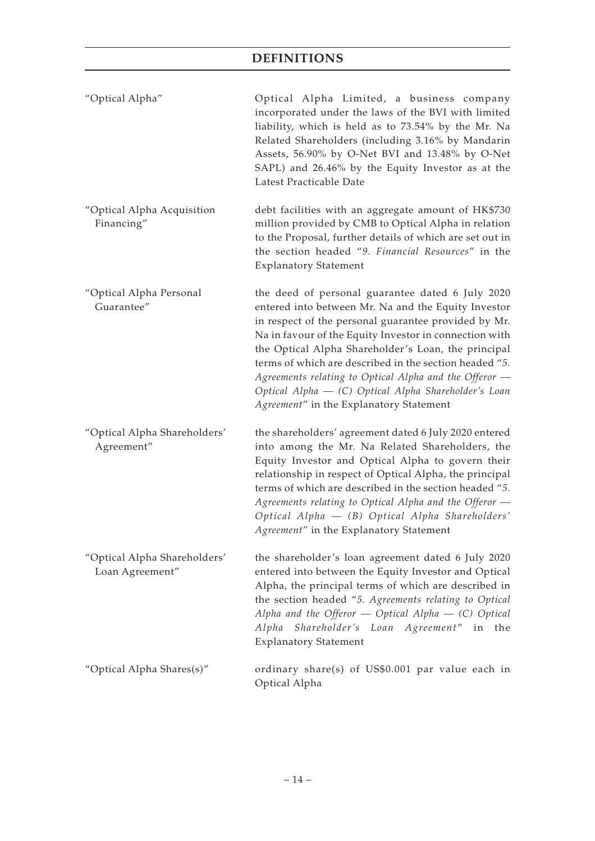| "Optical Alpha"                                 | Optical Alpha Limited, a business company<br>incorporated under the laws of the BVI with limited<br>liability, which is held as to 73.54% by the Mr. Na<br>Related Shareholders (including 3.16% by Mandarin<br>Assets, 56.90% by O-Net BVI and 13.48% by O-Net<br>SAPL) and 26.46% by the Equity Investor as at the<br>Latest Practicable Date                                                                                                                                                         |
|-------------------------------------------------|---------------------------------------------------------------------------------------------------------------------------------------------------------------------------------------------------------------------------------------------------------------------------------------------------------------------------------------------------------------------------------------------------------------------------------------------------------------------------------------------------------|
| "Optical Alpha Acquisition<br>Financing"        | debt facilities with an aggregate amount of HK\$730<br>million provided by CMB to Optical Alpha in relation<br>to the Proposal, further details of which are set out in<br>the section headed "9. Financial Resources" in the<br><b>Explanatory Statement</b>                                                                                                                                                                                                                                           |
| "Optical Alpha Personal<br>Guarantee"           | the deed of personal guarantee dated 6 July 2020<br>entered into between Mr. Na and the Equity Investor<br>in respect of the personal guarantee provided by Mr.<br>Na in favour of the Equity Investor in connection with<br>the Optical Alpha Shareholder's Loan, the principal<br>terms of which are described in the section headed "5.<br>Agreements relating to Optical Alpha and the Offeror –<br>Optical Alpha – (C) Optical Alpha Shareholder's Loan<br>Agreement" in the Explanatory Statement |
| "Optical Alpha Shareholders'<br>Agreement"      | the shareholders' agreement dated 6 July 2020 entered<br>into among the Mr. Na Related Shareholders, the<br>Equity Investor and Optical Alpha to govern their<br>relationship in respect of Optical Alpha, the principal<br>terms of which are described in the section headed "5.<br>Agreements relating to Optical Alpha and the Offeror -<br>Optical Alpha - (B) Optical Alpha Shareholders'<br>Agreement" in the Explanatory Statement                                                              |
| "Optical Alpha Shareholders'<br>Loan Agreement" | the shareholder's loan agreement dated 6 July 2020<br>entered into between the Equity Investor and Optical<br>Alpha, the principal terms of which are described in<br>the section headed "5. Agreements relating to Optical<br>Alpha and the Offeror $-$ Optical Alpha $-$ (C) Optical<br>Alpha Shareholder's Loan Agreement" in the<br><b>Explanatory Statement</b>                                                                                                                                    |
| "Optical Alpha Shares(s)"                       | ordinary share(s) of US\$0.001 par value each in<br>Optical Alpha                                                                                                                                                                                                                                                                                                                                                                                                                                       |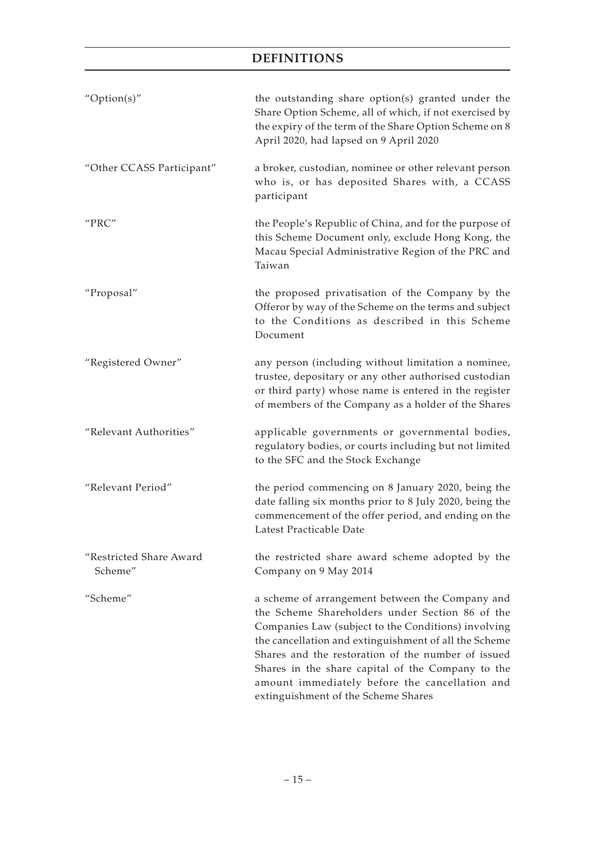| " $Option(s)$ "                            | the outstanding share option(s) granted under the<br>Share Option Scheme, all of which, if not exercised by<br>the expiry of the term of the Share Option Scheme on 8<br>April 2020, had lapsed on 9 April 2020                                                                                                                                                                                                        |
|--------------------------------------------|------------------------------------------------------------------------------------------------------------------------------------------------------------------------------------------------------------------------------------------------------------------------------------------------------------------------------------------------------------------------------------------------------------------------|
| "Other CCASS Participant"                  | a broker, custodian, nominee or other relevant person<br>who is, or has deposited Shares with, a CCASS<br>participant                                                                                                                                                                                                                                                                                                  |
| $^{\prime\prime}\text{PRC}^{\prime\prime}$ | the People's Republic of China, and for the purpose of<br>this Scheme Document only, exclude Hong Kong, the<br>Macau Special Administrative Region of the PRC and<br>Taiwan                                                                                                                                                                                                                                            |
| "Proposal"                                 | the proposed privatisation of the Company by the<br>Offeror by way of the Scheme on the terms and subject<br>to the Conditions as described in this Scheme<br>Document                                                                                                                                                                                                                                                 |
| "Registered Owner"                         | any person (including without limitation a nominee,<br>trustee, depositary or any other authorised custodian<br>or third party) whose name is entered in the register<br>of members of the Company as a holder of the Shares                                                                                                                                                                                           |
| "Relevant Authorities"                     | applicable governments or governmental bodies,<br>regulatory bodies, or courts including but not limited<br>to the SFC and the Stock Exchange                                                                                                                                                                                                                                                                          |
| "Relevant Period"                          | the period commencing on 8 January 2020, being the<br>date falling six months prior to 8 July 2020, being the<br>commencement of the offer period, and ending on the<br>Latest Practicable Date                                                                                                                                                                                                                        |
| "Restricted Share Award<br>Scheme"         | the restricted share award scheme adopted by the<br>Company on 9 May 2014                                                                                                                                                                                                                                                                                                                                              |
| "Scheme"                                   | a scheme of arrangement between the Company and<br>the Scheme Shareholders under Section 86 of the<br>Companies Law (subject to the Conditions) involving<br>the cancellation and extinguishment of all the Scheme<br>Shares and the restoration of the number of issued<br>Shares in the share capital of the Company to the<br>amount immediately before the cancellation and<br>extinguishment of the Scheme Shares |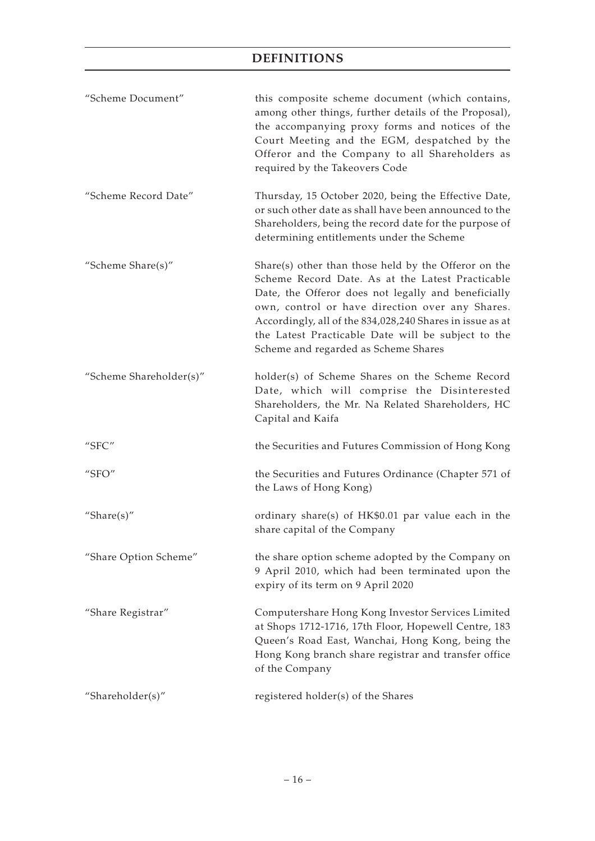| "Scheme Document"                       | this composite scheme document (which contains,<br>among other things, further details of the Proposal),<br>the accompanying proxy forms and notices of the<br>Court Meeting and the EGM, despatched by the<br>Offeror and the Company to all Shareholders as<br>required by the Takeovers Code                                                                               |
|-----------------------------------------|-------------------------------------------------------------------------------------------------------------------------------------------------------------------------------------------------------------------------------------------------------------------------------------------------------------------------------------------------------------------------------|
| "Scheme Record Date"                    | Thursday, 15 October 2020, being the Effective Date,<br>or such other date as shall have been announced to the<br>Shareholders, being the record date for the purpose of<br>determining entitlements under the Scheme                                                                                                                                                         |
| "Scheme Share(s)"                       | Share(s) other than those held by the Offeror on the<br>Scheme Record Date. As at the Latest Practicable<br>Date, the Offeror does not legally and beneficially<br>own, control or have direction over any Shares.<br>Accordingly, all of the 834,028,240 Shares in issue as at<br>the Latest Practicable Date will be subject to the<br>Scheme and regarded as Scheme Shares |
| "Scheme Shareholder(s)"                 | holder(s) of Scheme Shares on the Scheme Record<br>Date, which will comprise the Disinterested<br>Shareholders, the Mr. Na Related Shareholders, HC<br>Capital and Kaifa                                                                                                                                                                                                      |
| "SFC"                                   | the Securities and Futures Commission of Hong Kong                                                                                                                                                                                                                                                                                                                            |
| $^{\prime\prime}$ SFO $^{\prime\prime}$ | the Securities and Futures Ordinance (Chapter 571 of<br>the Laws of Hong Kong)                                                                                                                                                                                                                                                                                                |
| "Share $(s)$ "                          | ordinary share(s) of HK\$0.01 par value each in the<br>share capital of the Company                                                                                                                                                                                                                                                                                           |
| "Share Option Scheme"                   | the share option scheme adopted by the Company on<br>9 April 2010, which had been terminated upon the<br>expiry of its term on 9 April 2020                                                                                                                                                                                                                                   |
| "Share Registrar"                       | Computershare Hong Kong Investor Services Limited<br>at Shops 1712-1716, 17th Floor, Hopewell Centre, 183<br>Queen's Road East, Wanchai, Hong Kong, being the<br>Hong Kong branch share registrar and transfer office<br>of the Company                                                                                                                                       |
| "Shareholder(s)"                        | registered holder(s) of the Shares                                                                                                                                                                                                                                                                                                                                            |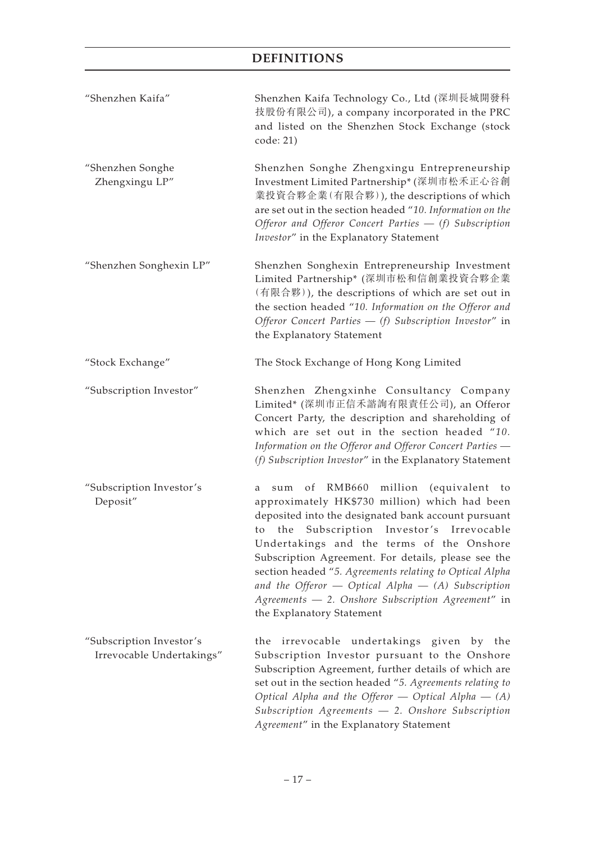| "Shenzhen Kaifa"                                      | Shenzhen Kaifa Technology Co., Ltd (深圳長城開發科<br>技股份有限公司), a company incorporated in the PRC<br>and listed on the Shenzhen Stock Exchange (stock<br>code: 21)                                                                                                                                                                                                                                                                                                                                                                |
|-------------------------------------------------------|----------------------------------------------------------------------------------------------------------------------------------------------------------------------------------------------------------------------------------------------------------------------------------------------------------------------------------------------------------------------------------------------------------------------------------------------------------------------------------------------------------------------------|
| "Shenzhen Songhe<br>Zhengxingu LP"                    | Shenzhen Songhe Zhengxingu Entrepreneurship<br>Investment Limited Partnership* (深圳市松禾正心谷創<br>業投資合夥企業(有限合夥)), the descriptions of which<br>are set out in the section headed "10. Information on the<br>Offeror and Offeror Concert Parties - (f) Subscription<br>Investor" in the Explanatory Statement                                                                                                                                                                                                                    |
| "Shenzhen Songhexin LP"                               | Shenzhen Songhexin Entrepreneurship Investment<br>Limited Partnership* (深圳市松和信創業投資合夥企業<br>(有限合夥)), the descriptions of which are set out in<br>the section headed "10. Information on the Offeror and<br>Offeror Concert Parties $-$ (f) Subscription Investor" in<br>the Explanatory Statement                                                                                                                                                                                                                            |
| "Stock Exchange"                                      | The Stock Exchange of Hong Kong Limited                                                                                                                                                                                                                                                                                                                                                                                                                                                                                    |
| "Subscription Investor"                               | Shenzhen Zhengxinhe Consultancy Company<br>Limited* (深圳市正信禾諮詢有限責任公司), an Offeror<br>Concert Party, the description and shareholding of<br>which are set out in the section headed "10.<br>Information on the Offeror and Offeror Concert Parties -<br>(f) Subscription Investor" in the Explanatory Statement                                                                                                                                                                                                              |
| "Subscription Investor's<br>Deposit"                  | million<br>RMB660<br>(equivalent to<br>of<br>sum<br>a<br>approximately HK\$730 million) which had been<br>deposited into the designated bank account pursuant<br>the Subscription Investor's Irrevocable<br>to<br>Undertakings and the terms of the Onshore<br>Subscription Agreement. For details, please see the<br>section headed "5. Agreements relating to Optical Alpha<br>and the Offeror $-$ Optical Alpha $-$ (A) Subscription<br>Agreements - 2. Onshore Subscription Agreement" in<br>the Explanatory Statement |
| "Subscription Investor's<br>Irrevocable Undertakings" | irrevocable undertakings given by the<br>the<br>Subscription Investor pursuant to the Onshore<br>Subscription Agreement, further details of which are<br>set out in the section headed "5. Agreements relating to<br>Optical Alpha and the Offeror $-$ Optical Alpha $-$ (A)<br>Subscription Agreements - 2. Onshore Subscription<br>Agreement" in the Explanatory Statement                                                                                                                                               |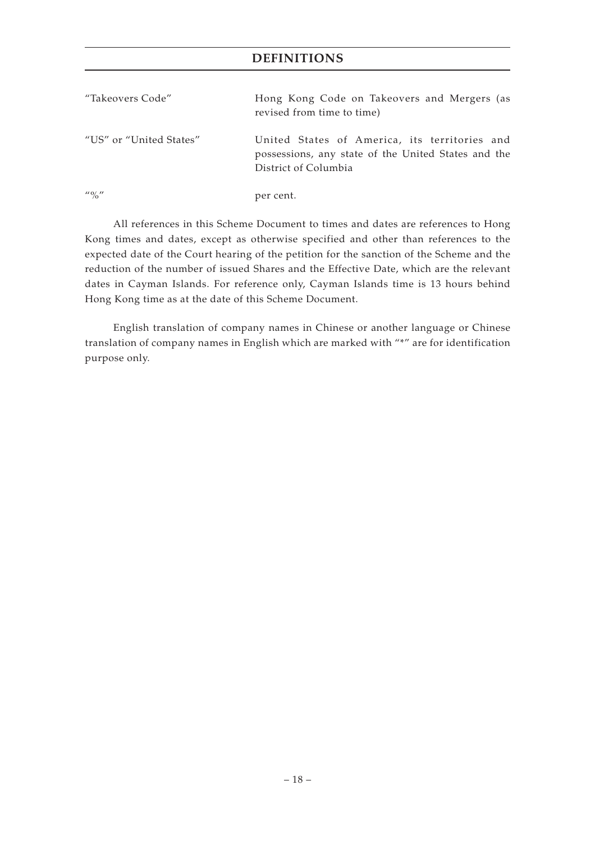| "Takeovers Code"                      | Hong Kong Code on Takeovers and Mergers (as<br>revised from time to time)                                                    |
|---------------------------------------|------------------------------------------------------------------------------------------------------------------------------|
| "US" or "United States"               | United States of America, its territories and<br>possessions, any state of the United States and the<br>District of Columbia |
| $^{\prime\prime}$ ( $^{\prime\prime}$ | per cent.                                                                                                                    |

All references in this Scheme Document to times and dates are references to Hong Kong times and dates, except as otherwise specified and other than references to the expected date of the Court hearing of the petition for the sanction of the Scheme and the reduction of the number of issued Shares and the Effective Date, which are the relevant dates in Cayman Islands. For reference only, Cayman Islands time is 13 hours behind Hong Kong time as at the date of this Scheme Document.

English translation of company names in Chinese or another language or Chinese translation of company names in English which are marked with "\*" are for identification purpose only.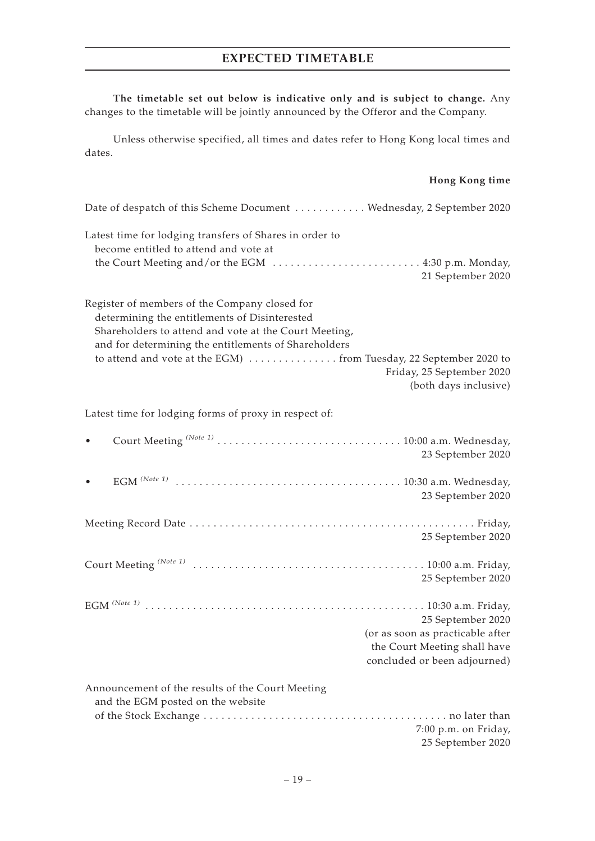# **EXPECTED TIMETABLE**

**The timetable set out below is indicative only and is subject to change.** Any changes to the timetable will be jointly announced by the Offeror and the Company.

Unless otherwise specified, all times and dates refer to Hong Kong local times and dates.

#### **Hong Kong time**

| Date of despatch of this Scheme Document  Wednesday, 2 September 2020                                                                                                                                           |
|-----------------------------------------------------------------------------------------------------------------------------------------------------------------------------------------------------------------|
| Latest time for lodging transfers of Shares in order to<br>become entitled to attend and vote at                                                                                                                |
| the Court Meeting and/or the EGM  4:30 p.m. Monday,<br>21 September 2020                                                                                                                                        |
| Register of members of the Company closed for<br>determining the entitlements of Disinterested<br>Shareholders to attend and vote at the Court Meeting,<br>and for determining the entitlements of Shareholders |
| Friday, 25 September 2020<br>(both days inclusive)                                                                                                                                                              |
| Latest time for lodging forms of proxy in respect of:                                                                                                                                                           |
| 23 September 2020                                                                                                                                                                                               |
| 23 September 2020                                                                                                                                                                                               |
| 25 September 2020                                                                                                                                                                                               |
| 25 September 2020                                                                                                                                                                                               |
| 25 September 2020<br>(or as soon as practicable after<br>the Court Meeting shall have<br>concluded or been adjourned)                                                                                           |
| Announcement of the results of the Court Meeting<br>and the EGM posted on the website                                                                                                                           |
| 7:00 p.m. on Friday,                                                                                                                                                                                            |
| 25 September 2020                                                                                                                                                                                               |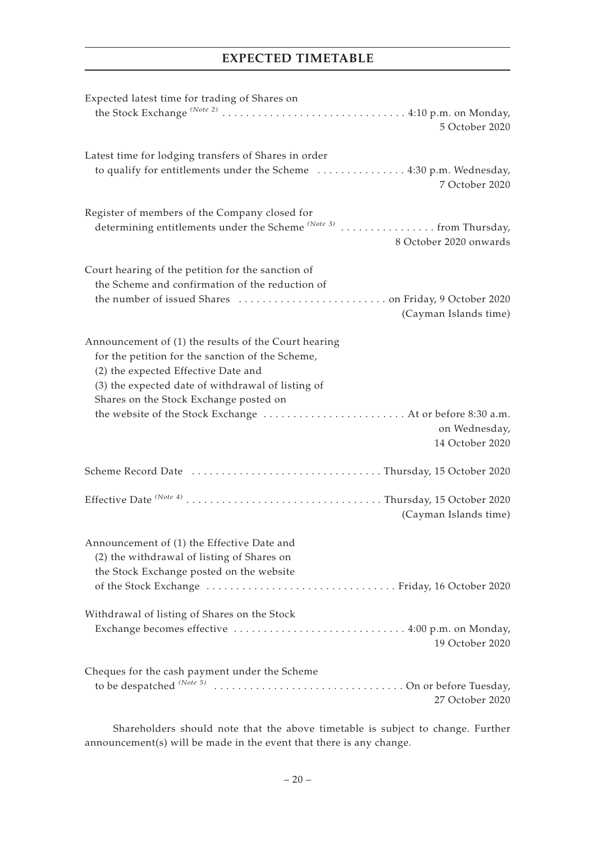## **EXPECTED TIMETABLE**

| Expected latest time for trading of Shares on                                                                                                     |
|---------------------------------------------------------------------------------------------------------------------------------------------------|
| 5 October 2020                                                                                                                                    |
| Latest time for lodging transfers of Shares in order                                                                                              |
| to qualify for entitlements under the Scheme  4:30 p.m. Wednesday,<br>7 October 2020                                                              |
| Register of members of the Company closed for<br>determining entitlements under the Scheme $^{(Note 3)}$ from Thursday,<br>8 October 2020 onwards |
| Court hearing of the petition for the sanction of                                                                                                 |
| the Scheme and confirmation of the reduction of                                                                                                   |
| (Cayman Islands time)                                                                                                                             |
| Announcement of (1) the results of the Court hearing                                                                                              |
| for the petition for the sanction of the Scheme,                                                                                                  |
| (2) the expected Effective Date and                                                                                                               |
| (3) the expected date of withdrawal of listing of                                                                                                 |
| Shares on the Stock Exchange posted on                                                                                                            |
| on Wednesday,<br>14 October 2020                                                                                                                  |
|                                                                                                                                                   |
| (Cayman Islands time)                                                                                                                             |
|                                                                                                                                                   |
| Announcement of (1) the Effective Date and                                                                                                        |
| (2) the withdrawal of listing of Shares on                                                                                                        |
| the Stock Exchange posted on the website                                                                                                          |
|                                                                                                                                                   |
| Withdrawal of listing of Shares on the Stock                                                                                                      |
| 19 October 2020                                                                                                                                   |
| Cheques for the cash payment under the Scheme                                                                                                     |
| 27 October 2020                                                                                                                                   |

Shareholders should note that the above timetable is subject to change. Further announcement(s) will be made in the event that there is any change.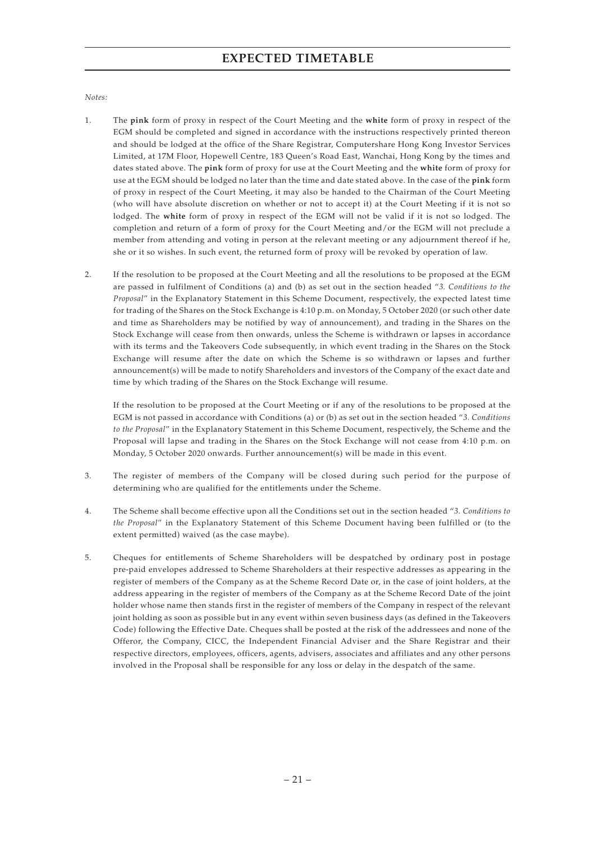### **EXPECTED TIMETABLE**

#### *Notes:*

- 1. The **pink** form of proxy in respect of the Court Meeting and the **white** form of proxy in respect of the EGM should be completed and signed in accordance with the instructions respectively printed thereon and should be lodged at the office of the Share Registrar, Computershare Hong Kong Investor Services Limited, at 17M Floor, Hopewell Centre, 183 Queen's Road East, Wanchai, Hong Kong by the times and dates stated above. The **pink** form of proxy for use at the Court Meeting and the **white** form of proxy for use at the EGM should be lodged no later than the time and date stated above. In the case of the **pink** form of proxy in respect of the Court Meeting, it may also be handed to the Chairman of the Court Meeting (who will have absolute discretion on whether or not to accept it) at the Court Meeting if it is not so lodged. The **white** form of proxy in respect of the EGM will not be valid if it is not so lodged. The completion and return of a form of proxy for the Court Meeting and/or the EGM will not preclude a member from attending and voting in person at the relevant meeting or any adjournment thereof if he, she or it so wishes. In such event, the returned form of proxy will be revoked by operation of law.
- 2. If the resolution to be proposed at the Court Meeting and all the resolutions to be proposed at the EGM are passed in fulfilment of Conditions (a) and (b) as set out in the section headed "*3. Conditions to the Proposal*" in the Explanatory Statement in this Scheme Document, respectively, the expected latest time for trading of the Shares on the Stock Exchange is 4:10 p.m. on Monday, 5 October 2020 (or such other date and time as Shareholders may be notified by way of announcement), and trading in the Shares on the Stock Exchange will cease from then onwards, unless the Scheme is withdrawn or lapses in accordance with its terms and the Takeovers Code subsequently, in which event trading in the Shares on the Stock Exchange will resume after the date on which the Scheme is so withdrawn or lapses and further announcement(s) will be made to notify Shareholders and investors of the Company of the exact date and time by which trading of the Shares on the Stock Exchange will resume.

If the resolution to be proposed at the Court Meeting or if any of the resolutions to be proposed at the EGM is not passed in accordance with Conditions (a) or (b) as set out in the section headed "*3. Conditions to the Proposal*" in the Explanatory Statement in this Scheme Document, respectively, the Scheme and the Proposal will lapse and trading in the Shares on the Stock Exchange will not cease from 4:10 p.m. on Monday, 5 October 2020 onwards. Further announcement(s) will be made in this event.

- 3. The register of members of the Company will be closed during such period for the purpose of determining who are qualified for the entitlements under the Scheme.
- 4. The Scheme shall become effective upon all the Conditions set out in the section headed "*3. Conditions to the Proposal*" in the Explanatory Statement of this Scheme Document having been fulfilled or (to the extent permitted) waived (as the case maybe).
- 5. Cheques for entitlements of Scheme Shareholders will be despatched by ordinary post in postage pre-paid envelopes addressed to Scheme Shareholders at their respective addresses as appearing in the register of members of the Company as at the Scheme Record Date or, in the case of joint holders, at the address appearing in the register of members of the Company as at the Scheme Record Date of the joint holder whose name then stands first in the register of members of the Company in respect of the relevant joint holding as soon as possible but in any event within seven business days (as defined in the Takeovers Code) following the Effective Date. Cheques shall be posted at the risk of the addressees and none of the Offeror, the Company, CICC, the Independent Financial Adviser and the Share Registrar and their respective directors, employees, officers, agents, advisers, associates and affiliates and any other persons involved in the Proposal shall be responsible for any loss or delay in the despatch of the same.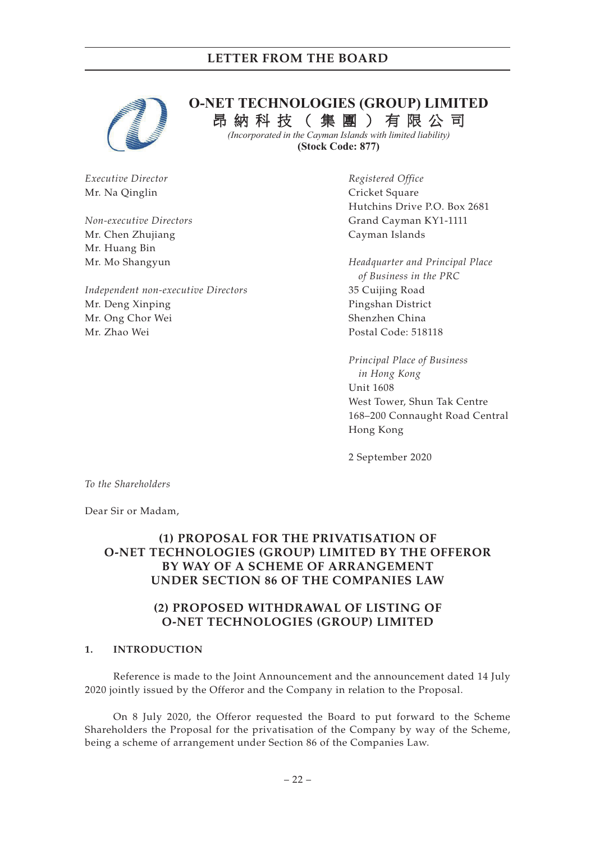

## **O-NET TECHNOLOGIES (GROUP) LIMITED**  昂 納 科 技 ( 集 團 ) 有 限 公 司

*(Incorporated in the Cayman Islands with limited liability)*  **(Stock Code: 877)**

*Executive Director* Mr. Na Qinglin

*Non-executive Directors* Mr. Chen Zhujiang Mr. Huang Bin Mr. Mo Shangyun

*Independent non-executive Directors* Mr. Deng Xinping Mr. Ong Chor Wei Mr. Zhao Wei

*Registered Office* Cricket Square Hutchins Drive P.O. Box 2681 Grand Cayman KY1-1111 Cayman Islands

*Headquarter and Principal Place of Business in the PRC* 35 Cuijing Road Pingshan District Shenzhen China Postal Code: 518118

*Principal Place of Business in Hong Kong* Unit 1608 West Tower, Shun Tak Centre 168–200 Connaught Road Central Hong Kong

2 September 2020

*To the Shareholders*

Dear Sir or Madam,

### **(1) PROPOSAL FOR THE PRIVATISATION OF O-NET TECHNOLOGIES (GROUP) LIMITED BY THE OFFEROR BY WAY OF A SCHEME OF ARRANGEMENT UNDER SECTION 86 OF THE COMPANIES LAW**

#### **(2) PROPOSED WITHDRAWAL OF LISTING OF O-NET TECHNOLOGIES (GROUP) LIMITED**

#### **1. INTRODUCTION**

Reference is made to the Joint Announcement and the announcement dated 14 July 2020 jointly issued by the Offeror and the Company in relation to the Proposal.

On 8 July 2020, the Offeror requested the Board to put forward to the Scheme Shareholders the Proposal for the privatisation of the Company by way of the Scheme, being a scheme of arrangement under Section 86 of the Companies Law.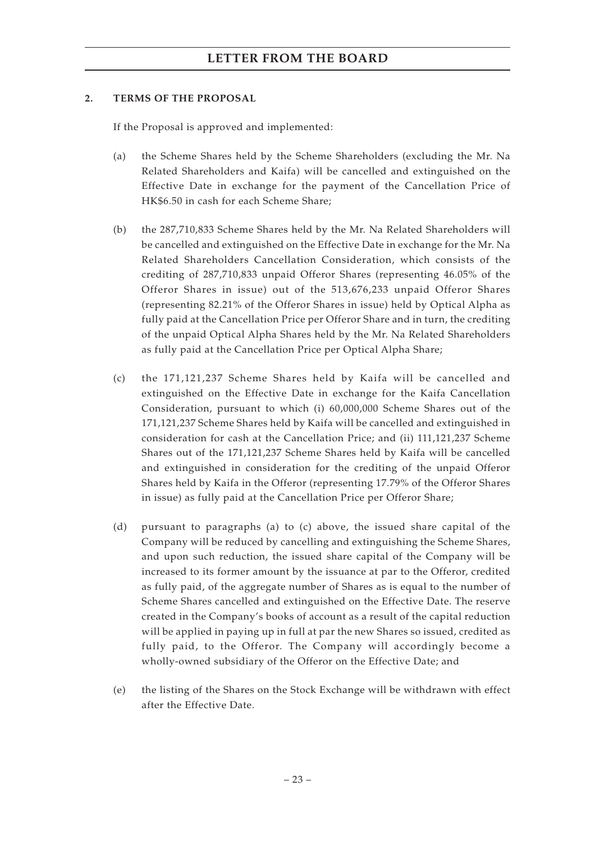#### **2. TERMS OF THE PROPOSAL**

If the Proposal is approved and implemented:

- (a) the Scheme Shares held by the Scheme Shareholders (excluding the Mr. Na Related Shareholders and Kaifa) will be cancelled and extinguished on the Effective Date in exchange for the payment of the Cancellation Price of HK\$6.50 in cash for each Scheme Share;
- (b) the 287,710,833 Scheme Shares held by the Mr. Na Related Shareholders will be cancelled and extinguished on the Effective Date in exchange for the Mr. Na Related Shareholders Cancellation Consideration, which consists of the crediting of 287,710,833 unpaid Offeror Shares (representing 46.05% of the Offeror Shares in issue) out of the 513,676,233 unpaid Offeror Shares (representing 82.21% of the Offeror Shares in issue) held by Optical Alpha as fully paid at the Cancellation Price per Offeror Share and in turn, the crediting of the unpaid Optical Alpha Shares held by the Mr. Na Related Shareholders as fully paid at the Cancellation Price per Optical Alpha Share;
- (c) the 171,121,237 Scheme Shares held by Kaifa will be cancelled and extinguished on the Effective Date in exchange for the Kaifa Cancellation Consideration, pursuant to which (i) 60,000,000 Scheme Shares out of the 171,121,237 Scheme Shares held by Kaifa will be cancelled and extinguished in consideration for cash at the Cancellation Price; and (ii) 111,121,237 Scheme Shares out of the 171,121,237 Scheme Shares held by Kaifa will be cancelled and extinguished in consideration for the crediting of the unpaid Offeror Shares held by Kaifa in the Offeror (representing 17.79% of the Offeror Shares in issue) as fully paid at the Cancellation Price per Offeror Share;
- (d) pursuant to paragraphs (a) to (c) above, the issued share capital of the Company will be reduced by cancelling and extinguishing the Scheme Shares, and upon such reduction, the issued share capital of the Company will be increased to its former amount by the issuance at par to the Offeror, credited as fully paid, of the aggregate number of Shares as is equal to the number of Scheme Shares cancelled and extinguished on the Effective Date. The reserve created in the Company's books of account as a result of the capital reduction will be applied in paying up in full at par the new Shares so issued, credited as fully paid, to the Offeror. The Company will accordingly become a wholly-owned subsidiary of the Offeror on the Effective Date; and
- (e) the listing of the Shares on the Stock Exchange will be withdrawn with effect after the Effective Date.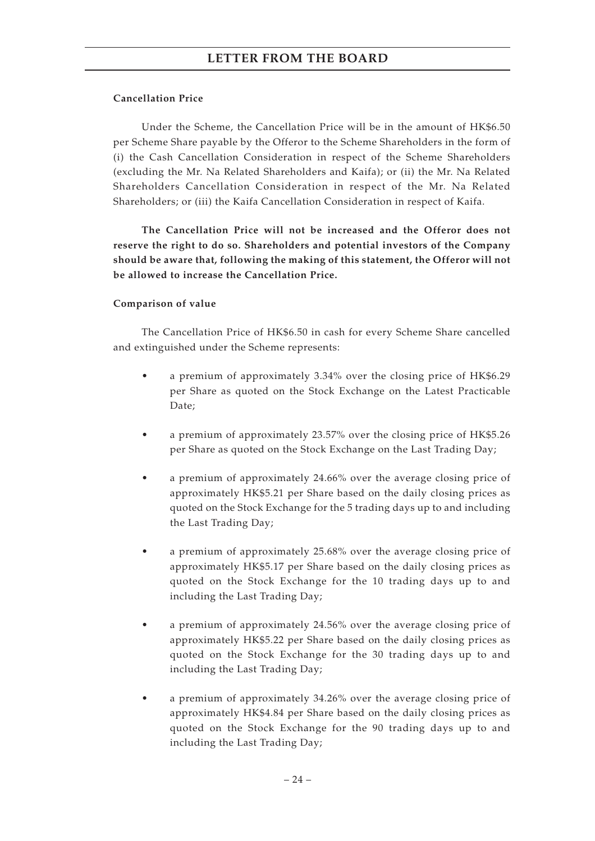#### **Cancellation Price**

Under the Scheme, the Cancellation Price will be in the amount of HK\$6.50 per Scheme Share payable by the Offeror to the Scheme Shareholders in the form of (i) the Cash Cancellation Consideration in respect of the Scheme Shareholders (excluding the Mr. Na Related Shareholders and Kaifa); or (ii) the Mr. Na Related Shareholders Cancellation Consideration in respect of the Mr. Na Related Shareholders; or (iii) the Kaifa Cancellation Consideration in respect of Kaifa.

**The Cancellation Price will not be increased and the Offeror does not reserve the right to do so. Shareholders and potential investors of the Company should be aware that, following the making of this statement, the Offeror will not be allowed to increase the Cancellation Price.**

#### **Comparison of value**

The Cancellation Price of HK\$6.50 in cash for every Scheme Share cancelled and extinguished under the Scheme represents:

- a premium of approximately 3.34% over the closing price of HK\$6.29 per Share as quoted on the Stock Exchange on the Latest Practicable Date;
- a premium of approximately 23.57% over the closing price of HK\$5.26 per Share as quoted on the Stock Exchange on the Last Trading Day;
- a premium of approximately 24.66% over the average closing price of approximately HK\$5.21 per Share based on the daily closing prices as quoted on the Stock Exchange for the 5 trading days up to and including the Last Trading Day;
- a premium of approximately 25.68% over the average closing price of approximately HK\$5.17 per Share based on the daily closing prices as quoted on the Stock Exchange for the 10 trading days up to and including the Last Trading Day;
- a premium of approximately 24.56% over the average closing price of approximately HK\$5.22 per Share based on the daily closing prices as quoted on the Stock Exchange for the 30 trading days up to and including the Last Trading Day;
- a premium of approximately 34.26% over the average closing price of approximately HK\$4.84 per Share based on the daily closing prices as quoted on the Stock Exchange for the 90 trading days up to and including the Last Trading Day;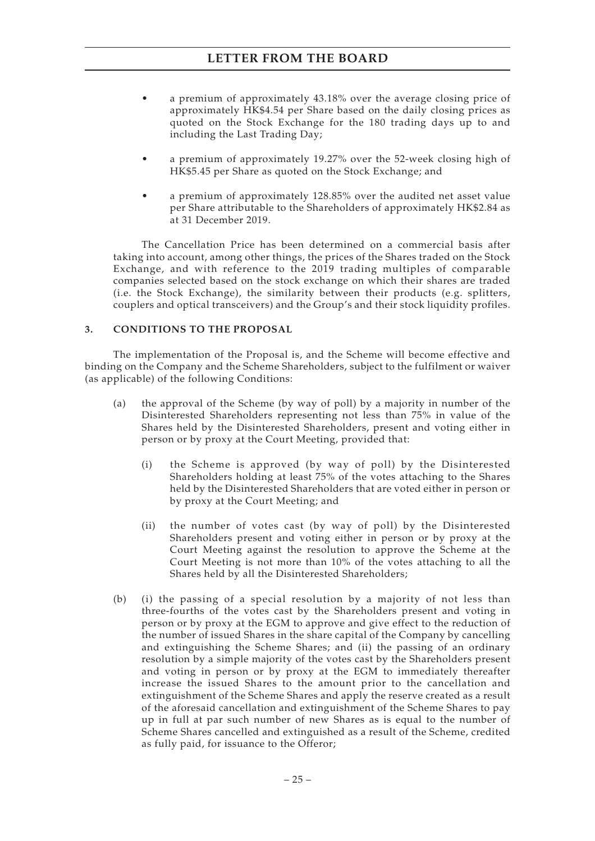- a premium of approximately 43.18% over the average closing price of approximately HK\$4.54 per Share based on the daily closing prices as quoted on the Stock Exchange for the 180 trading days up to and including the Last Trading Day;
- a premium of approximately 19.27% over the 52-week closing high of HK\$5.45 per Share as quoted on the Stock Exchange; and
- a premium of approximately 128.85% over the audited net asset value per Share attributable to the Shareholders of approximately HK\$2.84 as at 31 December 2019.

The Cancellation Price has been determined on a commercial basis after taking into account, among other things, the prices of the Shares traded on the Stock Exchange, and with reference to the 2019 trading multiples of comparable companies selected based on the stock exchange on which their shares are traded (i.e. the Stock Exchange), the similarity between their products (e.g. splitters, couplers and optical transceivers) and the Group's and their stock liquidity profiles.

#### **3. CONDITIONS TO THE PROPOSAL**

The implementation of the Proposal is, and the Scheme will become effective and binding on the Company and the Scheme Shareholders, subject to the fulfilment or waiver (as applicable) of the following Conditions:

- (a) the approval of the Scheme (by way of poll) by a majority in number of the Disinterested Shareholders representing not less than 75% in value of the Shares held by the Disinterested Shareholders, present and voting either in person or by proxy at the Court Meeting, provided that:
	- (i) the Scheme is approved (by way of poll) by the Disinterested Shareholders holding at least 75% of the votes attaching to the Shares held by the Disinterested Shareholders that are voted either in person or by proxy at the Court Meeting; and
	- (ii) the number of votes cast (by way of poll) by the Disinterested Shareholders present and voting either in person or by proxy at the Court Meeting against the resolution to approve the Scheme at the Court Meeting is not more than 10% of the votes attaching to all the Shares held by all the Disinterested Shareholders;
- (b) (i) the passing of a special resolution by a majority of not less than three-fourths of the votes cast by the Shareholders present and voting in person or by proxy at the EGM to approve and give effect to the reduction of the number of issued Shares in the share capital of the Company by cancelling and extinguishing the Scheme Shares; and (ii) the passing of an ordinary resolution by a simple majority of the votes cast by the Shareholders present and voting in person or by proxy at the EGM to immediately thereafter increase the issued Shares to the amount prior to the cancellation and extinguishment of the Scheme Shares and apply the reserve created as a result of the aforesaid cancellation and extinguishment of the Scheme Shares to pay up in full at par such number of new Shares as is equal to the number of Scheme Shares cancelled and extinguished as a result of the Scheme, credited as fully paid, for issuance to the Offeror;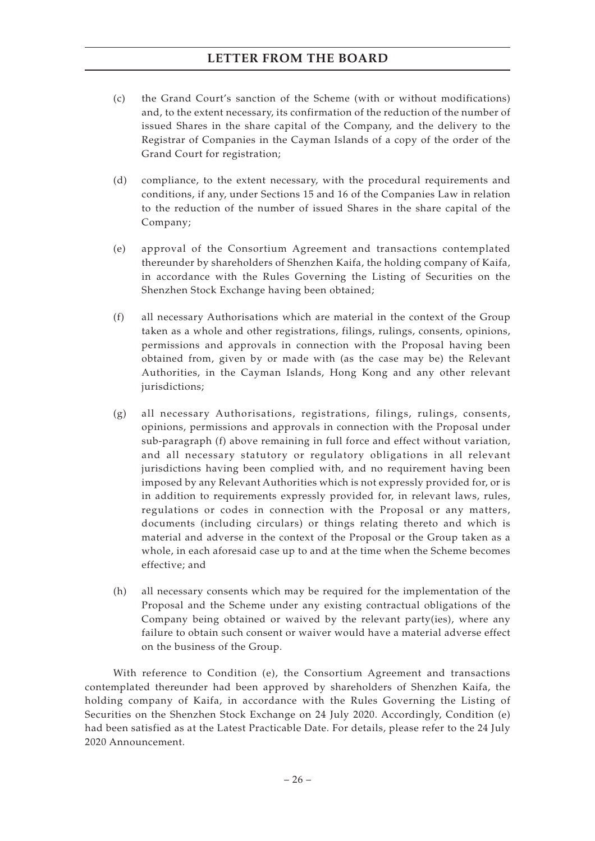- (c) the Grand Court's sanction of the Scheme (with or without modifications) and, to the extent necessary, its confirmation of the reduction of the number of issued Shares in the share capital of the Company, and the delivery to the Registrar of Companies in the Cayman Islands of a copy of the order of the Grand Court for registration;
- (d) compliance, to the extent necessary, with the procedural requirements and conditions, if any, under Sections 15 and 16 of the Companies Law in relation to the reduction of the number of issued Shares in the share capital of the Company;
- (e) approval of the Consortium Agreement and transactions contemplated thereunder by shareholders of Shenzhen Kaifa, the holding company of Kaifa, in accordance with the Rules Governing the Listing of Securities on the Shenzhen Stock Exchange having been obtained;
- (f) all necessary Authorisations which are material in the context of the Group taken as a whole and other registrations, filings, rulings, consents, opinions, permissions and approvals in connection with the Proposal having been obtained from, given by or made with (as the case may be) the Relevant Authorities, in the Cayman Islands, Hong Kong and any other relevant jurisdictions;
- (g) all necessary Authorisations, registrations, filings, rulings, consents, opinions, permissions and approvals in connection with the Proposal under sub-paragraph (f) above remaining in full force and effect without variation, and all necessary statutory or regulatory obligations in all relevant jurisdictions having been complied with, and no requirement having been imposed by any Relevant Authorities which is not expressly provided for, or is in addition to requirements expressly provided for, in relevant laws, rules, regulations or codes in connection with the Proposal or any matters, documents (including circulars) or things relating thereto and which is material and adverse in the context of the Proposal or the Group taken as a whole, in each aforesaid case up to and at the time when the Scheme becomes effective; and
- (h) all necessary consents which may be required for the implementation of the Proposal and the Scheme under any existing contractual obligations of the Company being obtained or waived by the relevant party(ies), where any failure to obtain such consent or waiver would have a material adverse effect on the business of the Group.

With reference to Condition (e), the Consortium Agreement and transactions contemplated thereunder had been approved by shareholders of Shenzhen Kaifa, the holding company of Kaifa, in accordance with the Rules Governing the Listing of Securities on the Shenzhen Stock Exchange on 24 July 2020. Accordingly, Condition (e) had been satisfied as at the Latest Practicable Date. For details, please refer to the 24 July 2020 Announcement.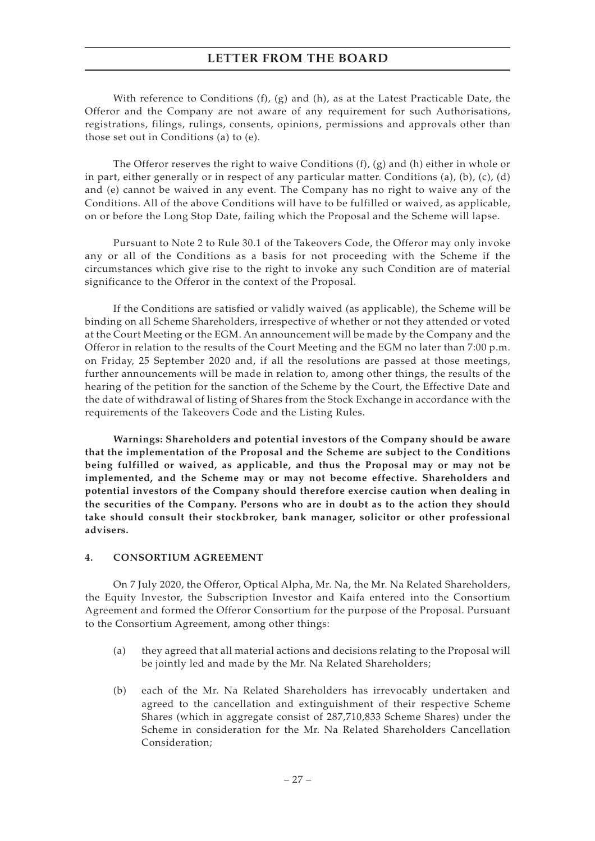With reference to Conditions  $(f)$ ,  $(g)$  and  $(h)$ , as at the Latest Practicable Date, the Offeror and the Company are not aware of any requirement for such Authorisations, registrations, filings, rulings, consents, opinions, permissions and approvals other than those set out in Conditions (a) to (e).

The Offeror reserves the right to waive Conditions  $(f)$ ,  $(g)$  and  $(h)$  either in whole or in part, either generally or in respect of any particular matter. Conditions (a), (b), (c), (d) and (e) cannot be waived in any event. The Company has no right to waive any of the Conditions. All of the above Conditions will have to be fulfilled or waived, as applicable, on or before the Long Stop Date, failing which the Proposal and the Scheme will lapse.

Pursuant to Note 2 to Rule 30.1 of the Takeovers Code, the Offeror may only invoke any or all of the Conditions as a basis for not proceeding with the Scheme if the circumstances which give rise to the right to invoke any such Condition are of material significance to the Offeror in the context of the Proposal.

If the Conditions are satisfied or validly waived (as applicable), the Scheme will be binding on all Scheme Shareholders, irrespective of whether or not they attended or voted at the Court Meeting or the EGM. An announcement will be made by the Company and the Offeror in relation to the results of the Court Meeting and the EGM no later than 7:00 p.m. on Friday, 25 September 2020 and, if all the resolutions are passed at those meetings, further announcements will be made in relation to, among other things, the results of the hearing of the petition for the sanction of the Scheme by the Court, the Effective Date and the date of withdrawal of listing of Shares from the Stock Exchange in accordance with the requirements of the Takeovers Code and the Listing Rules.

**Warnings: Shareholders and potential investors of the Company should be aware that the implementation of the Proposal and the Scheme are subject to the Conditions being fulfilled or waived, as applicable, and thus the Proposal may or may not be implemented, and the Scheme may or may not become effective. Shareholders and potential investors of the Company should therefore exercise caution when dealing in the securities of the Company. Persons who are in doubt as to the action they should take should consult their stockbroker, bank manager, solicitor or other professional advisers.**

#### **4. CONSORTIUM AGREEMENT**

On 7 July 2020, the Offeror, Optical Alpha, Mr. Na, the Mr. Na Related Shareholders, the Equity Investor, the Subscription Investor and Kaifa entered into the Consortium Agreement and formed the Offeror Consortium for the purpose of the Proposal. Pursuant to the Consortium Agreement, among other things:

- (a) they agreed that all material actions and decisions relating to the Proposal will be jointly led and made by the Mr. Na Related Shareholders;
- (b) each of the Mr. Na Related Shareholders has irrevocably undertaken and agreed to the cancellation and extinguishment of their respective Scheme Shares (which in aggregate consist of 287,710,833 Scheme Shares) under the Scheme in consideration for the Mr. Na Related Shareholders Cancellation Consideration;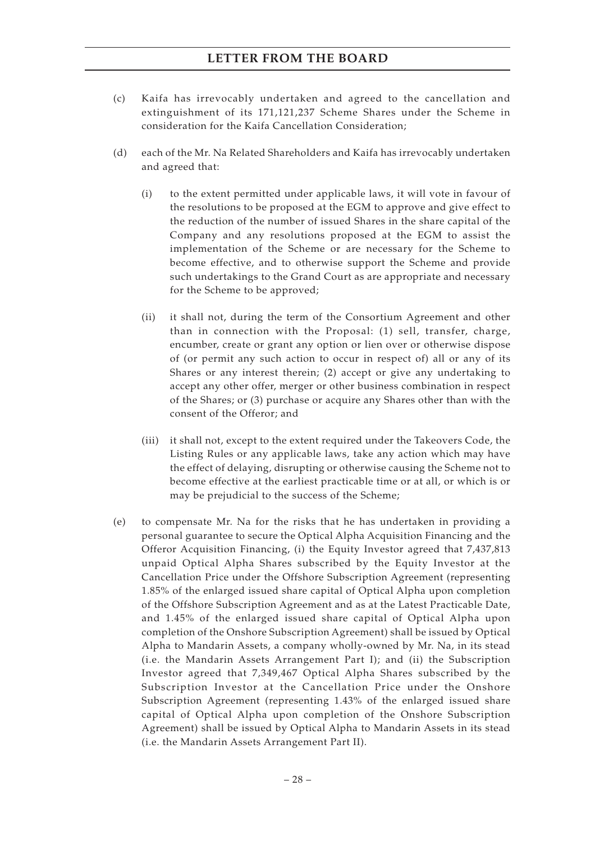- (c) Kaifa has irrevocably undertaken and agreed to the cancellation and extinguishment of its 171,121,237 Scheme Shares under the Scheme in consideration for the Kaifa Cancellation Consideration;
- (d) each of the Mr. Na Related Shareholders and Kaifa has irrevocably undertaken and agreed that:
	- (i) to the extent permitted under applicable laws, it will vote in favour of the resolutions to be proposed at the EGM to approve and give effect to the reduction of the number of issued Shares in the share capital of the Company and any resolutions proposed at the EGM to assist the implementation of the Scheme or are necessary for the Scheme to become effective, and to otherwise support the Scheme and provide such undertakings to the Grand Court as are appropriate and necessary for the Scheme to be approved;
	- (ii) it shall not, during the term of the Consortium Agreement and other than in connection with the Proposal: (1) sell, transfer, charge, encumber, create or grant any option or lien over or otherwise dispose of (or permit any such action to occur in respect of) all or any of its Shares or any interest therein; (2) accept or give any undertaking to accept any other offer, merger or other business combination in respect of the Shares; or (3) purchase or acquire any Shares other than with the consent of the Offeror; and
	- (iii) it shall not, except to the extent required under the Takeovers Code, the Listing Rules or any applicable laws, take any action which may have the effect of delaying, disrupting or otherwise causing the Scheme not to become effective at the earliest practicable time or at all, or which is or may be prejudicial to the success of the Scheme;
- (e) to compensate Mr. Na for the risks that he has undertaken in providing a personal guarantee to secure the Optical Alpha Acquisition Financing and the Offeror Acquisition Financing, (i) the Equity Investor agreed that 7,437,813 unpaid Optical Alpha Shares subscribed by the Equity Investor at the Cancellation Price under the Offshore Subscription Agreement (representing 1.85% of the enlarged issued share capital of Optical Alpha upon completion of the Offshore Subscription Agreement and as at the Latest Practicable Date, and 1.45% of the enlarged issued share capital of Optical Alpha upon completion of the Onshore Subscription Agreement) shall be issued by Optical Alpha to Mandarin Assets, a company wholly-owned by Mr. Na, in its stead (i.e. the Mandarin Assets Arrangement Part I); and (ii) the Subscription Investor agreed that 7,349,467 Optical Alpha Shares subscribed by the Subscription Investor at the Cancellation Price under the Onshore Subscription Agreement (representing 1.43% of the enlarged issued share capital of Optical Alpha upon completion of the Onshore Subscription Agreement) shall be issued by Optical Alpha to Mandarin Assets in its stead (i.e. the Mandarin Assets Arrangement Part II).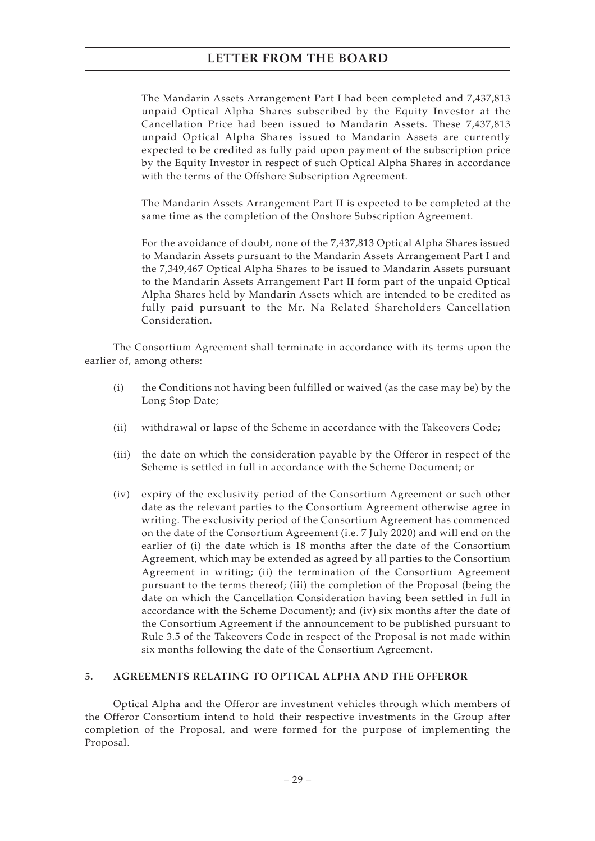The Mandarin Assets Arrangement Part I had been completed and 7,437,813 unpaid Optical Alpha Shares subscribed by the Equity Investor at the Cancellation Price had been issued to Mandarin Assets. These 7,437,813 unpaid Optical Alpha Shares issued to Mandarin Assets are currently expected to be credited as fully paid upon payment of the subscription price by the Equity Investor in respect of such Optical Alpha Shares in accordance with the terms of the Offshore Subscription Agreement.

The Mandarin Assets Arrangement Part II is expected to be completed at the same time as the completion of the Onshore Subscription Agreement.

For the avoidance of doubt, none of the 7,437,813 Optical Alpha Shares issued to Mandarin Assets pursuant to the Mandarin Assets Arrangement Part I and the 7,349,467 Optical Alpha Shares to be issued to Mandarin Assets pursuant to the Mandarin Assets Arrangement Part II form part of the unpaid Optical Alpha Shares held by Mandarin Assets which are intended to be credited as fully paid pursuant to the Mr. Na Related Shareholders Cancellation Consideration.

The Consortium Agreement shall terminate in accordance with its terms upon the earlier of, among others:

- (i) the Conditions not having been fulfilled or waived (as the case may be) by the Long Stop Date;
- (ii) withdrawal or lapse of the Scheme in accordance with the Takeovers Code;
- (iii) the date on which the consideration payable by the Offeror in respect of the Scheme is settled in full in accordance with the Scheme Document; or
- (iv) expiry of the exclusivity period of the Consortium Agreement or such other date as the relevant parties to the Consortium Agreement otherwise agree in writing. The exclusivity period of the Consortium Agreement has commenced on the date of the Consortium Agreement (i.e. 7 July 2020) and will end on the earlier of (i) the date which is 18 months after the date of the Consortium Agreement, which may be extended as agreed by all parties to the Consortium Agreement in writing; (ii) the termination of the Consortium Agreement pursuant to the terms thereof; (iii) the completion of the Proposal (being the date on which the Cancellation Consideration having been settled in full in accordance with the Scheme Document); and (iv) six months after the date of the Consortium Agreement if the announcement to be published pursuant to Rule 3.5 of the Takeovers Code in respect of the Proposal is not made within six months following the date of the Consortium Agreement.

#### **5. AGREEMENTS RELATING TO OPTICAL ALPHA AND THE OFFEROR**

Optical Alpha and the Offeror are investment vehicles through which members of the Offeror Consortium intend to hold their respective investments in the Group after completion of the Proposal, and were formed for the purpose of implementing the Proposal.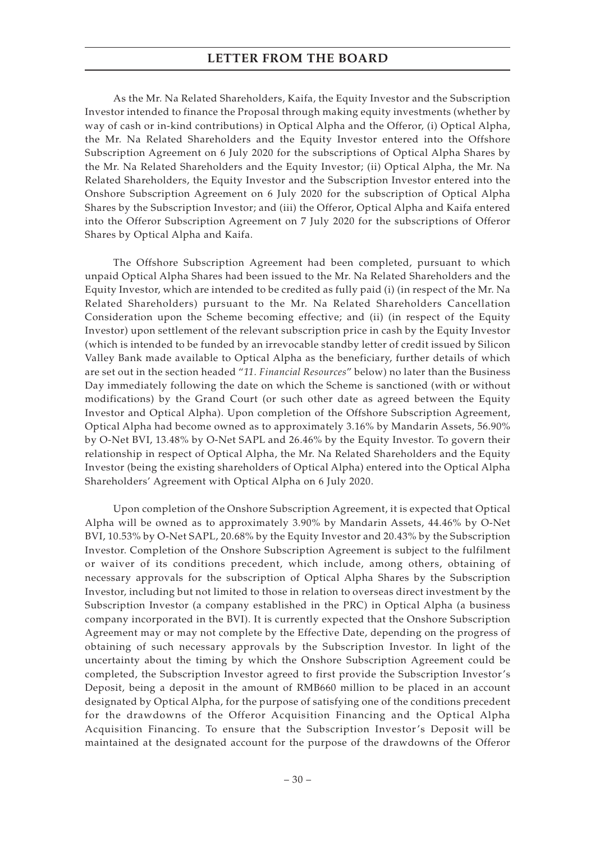As the Mr. Na Related Shareholders, Kaifa, the Equity Investor and the Subscription Investor intended to finance the Proposal through making equity investments (whether by way of cash or in-kind contributions) in Optical Alpha and the Offeror, (i) Optical Alpha, the Mr. Na Related Shareholders and the Equity Investor entered into the Offshore Subscription Agreement on 6 July 2020 for the subscriptions of Optical Alpha Shares by the Mr. Na Related Shareholders and the Equity Investor; (ii) Optical Alpha, the Mr. Na Related Shareholders, the Equity Investor and the Subscription Investor entered into the Onshore Subscription Agreement on 6 July 2020 for the subscription of Optical Alpha Shares by the Subscription Investor; and (iii) the Offeror, Optical Alpha and Kaifa entered into the Offeror Subscription Agreement on 7 July 2020 for the subscriptions of Offeror Shares by Optical Alpha and Kaifa.

The Offshore Subscription Agreement had been completed, pursuant to which unpaid Optical Alpha Shares had been issued to the Mr. Na Related Shareholders and the Equity Investor, which are intended to be credited as fully paid (i) (in respect of the Mr. Na Related Shareholders) pursuant to the Mr. Na Related Shareholders Cancellation Consideration upon the Scheme becoming effective; and (ii) (in respect of the Equity Investor) upon settlement of the relevant subscription price in cash by the Equity Investor (which is intended to be funded by an irrevocable standby letter of credit issued by Silicon Valley Bank made available to Optical Alpha as the beneficiary, further details of which are set out in the section headed "*11. Financial Resources*" below) no later than the Business Day immediately following the date on which the Scheme is sanctioned (with or without modifications) by the Grand Court (or such other date as agreed between the Equity Investor and Optical Alpha). Upon completion of the Offshore Subscription Agreement, Optical Alpha had become owned as to approximately 3.16% by Mandarin Assets, 56.90% by O-Net BVI, 13.48% by O-Net SAPL and 26.46% by the Equity Investor. To govern their relationship in respect of Optical Alpha, the Mr. Na Related Shareholders and the Equity Investor (being the existing shareholders of Optical Alpha) entered into the Optical Alpha Shareholders' Agreement with Optical Alpha on 6 July 2020.

Upon completion of the Onshore Subscription Agreement, it is expected that Optical Alpha will be owned as to approximately 3.90% by Mandarin Assets, 44.46% by O-Net BVI, 10.53% by O-Net SAPL, 20.68% by the Equity Investor and 20.43% by the Subscription Investor. Completion of the Onshore Subscription Agreement is subject to the fulfilment or waiver of its conditions precedent, which include, among others, obtaining of necessary approvals for the subscription of Optical Alpha Shares by the Subscription Investor, including but not limited to those in relation to overseas direct investment by the Subscription Investor (a company established in the PRC) in Optical Alpha (a business company incorporated in the BVI). It is currently expected that the Onshore Subscription Agreement may or may not complete by the Effective Date, depending on the progress of obtaining of such necessary approvals by the Subscription Investor. In light of the uncertainty about the timing by which the Onshore Subscription Agreement could be completed, the Subscription Investor agreed to first provide the Subscription Investor's Deposit, being a deposit in the amount of RMB660 million to be placed in an account designated by Optical Alpha, for the purpose of satisfying one of the conditions precedent for the drawdowns of the Offeror Acquisition Financing and the Optical Alpha Acquisition Financing. To ensure that the Subscription Investor 's Deposit will be maintained at the designated account for the purpose of the drawdowns of the Offeror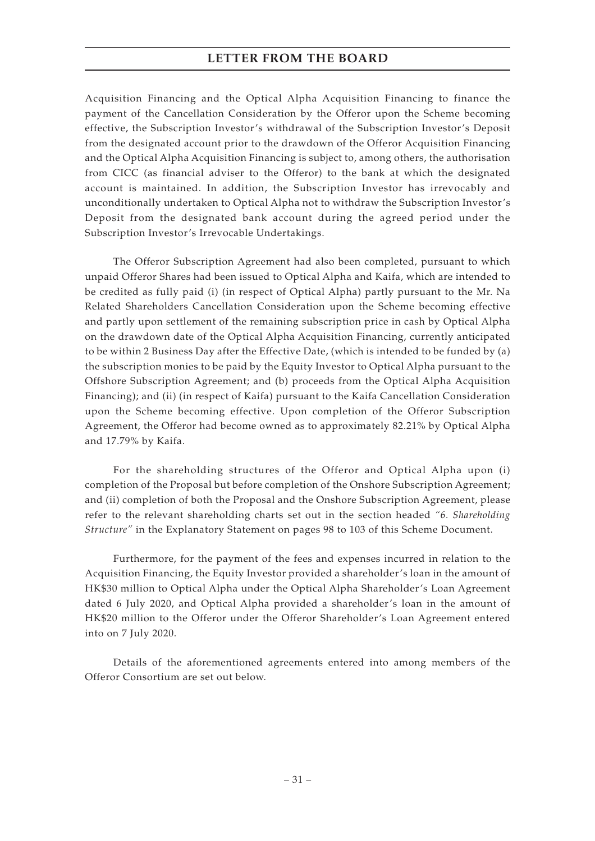Acquisition Financing and the Optical Alpha Acquisition Financing to finance the payment of the Cancellation Consideration by the Offeror upon the Scheme becoming effective, the Subscription Investor's withdrawal of the Subscription Investor's Deposit from the designated account prior to the drawdown of the Offeror Acquisition Financing and the Optical Alpha Acquisition Financing is subject to, among others, the authorisation from CICC (as financial adviser to the Offeror) to the bank at which the designated account is maintained. In addition, the Subscription Investor has irrevocably and unconditionally undertaken to Optical Alpha not to withdraw the Subscription Investor's Deposit from the designated bank account during the agreed period under the Subscription Investor's Irrevocable Undertakings.

The Offeror Subscription Agreement had also been completed, pursuant to which unpaid Offeror Shares had been issued to Optical Alpha and Kaifa, which are intended to be credited as fully paid (i) (in respect of Optical Alpha) partly pursuant to the Mr. Na Related Shareholders Cancellation Consideration upon the Scheme becoming effective and partly upon settlement of the remaining subscription price in cash by Optical Alpha on the drawdown date of the Optical Alpha Acquisition Financing, currently anticipated to be within 2 Business Day after the Effective Date, (which is intended to be funded by (a) the subscription monies to be paid by the Equity Investor to Optical Alpha pursuant to the Offshore Subscription Agreement; and (b) proceeds from the Optical Alpha Acquisition Financing); and (ii) (in respect of Kaifa) pursuant to the Kaifa Cancellation Consideration upon the Scheme becoming effective. Upon completion of the Offeror Subscription Agreement, the Offeror had become owned as to approximately 82.21% by Optical Alpha and 17.79% by Kaifa.

For the shareholding structures of the Offeror and Optical Alpha upon (i) completion of the Proposal but before completion of the Onshore Subscription Agreement; and (ii) completion of both the Proposal and the Onshore Subscription Agreement, please refer to the relevant shareholding charts set out in the section headed *"6. Shareholding Structure"* in the Explanatory Statement on pages 98 to 103 of this Scheme Document.

Furthermore, for the payment of the fees and expenses incurred in relation to the Acquisition Financing, the Equity Investor provided a shareholder's loan in the amount of HK\$30 million to Optical Alpha under the Optical Alpha Shareholder's Loan Agreement dated 6 July 2020, and Optical Alpha provided a shareholder's loan in the amount of HK\$20 million to the Offeror under the Offeror Shareholder's Loan Agreement entered into on 7 July 2020.

Details of the aforementioned agreements entered into among members of the Offeror Consortium are set out below.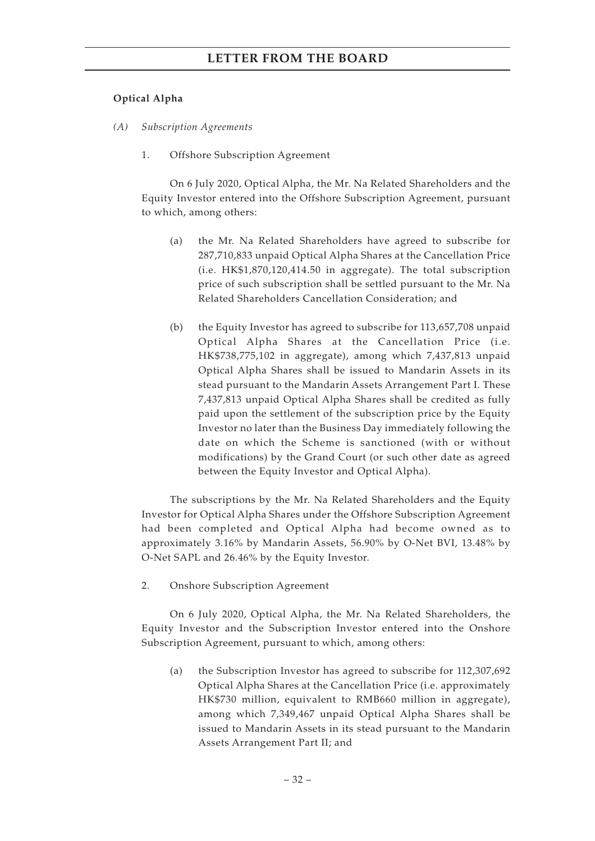#### **Optical Alpha**

- *(A) Subscription Agreements*
	- 1. Offshore Subscription Agreement

On 6 July 2020, Optical Alpha, the Mr. Na Related Shareholders and the Equity Investor entered into the Offshore Subscription Agreement, pursuant to which, among others:

- (a) the Mr. Na Related Shareholders have agreed to subscribe for 287,710,833 unpaid Optical Alpha Shares at the Cancellation Price (i.e. HK\$1,870,120,414.50 in aggregate). The total subscription price of such subscription shall be settled pursuant to the Mr. Na Related Shareholders Cancellation Consideration; and
- (b) the Equity Investor has agreed to subscribe for 113,657,708 unpaid Optical Alpha Shares at the Cancellation Price (i.e. HK\$738,775,102 in aggregate), among which 7,437,813 unpaid Optical Alpha Shares shall be issued to Mandarin Assets in its stead pursuant to the Mandarin Assets Arrangement Part I. These 7,437,813 unpaid Optical Alpha Shares shall be credited as fully paid upon the settlement of the subscription price by the Equity Investor no later than the Business Day immediately following the date on which the Scheme is sanctioned (with or without modifications) by the Grand Court (or such other date as agreed between the Equity Investor and Optical Alpha).

The subscriptions by the Mr. Na Related Shareholders and the Equity Investor for Optical Alpha Shares under the Offshore Subscription Agreement had been completed and Optical Alpha had become owned as to approximately 3.16% by Mandarin Assets, 56.90% by O-Net BVI, 13.48% by O-Net SAPL and 26.46% by the Equity Investor.

2. Onshore Subscription Agreement

On 6 July 2020, Optical Alpha, the Mr. Na Related Shareholders, the Equity Investor and the Subscription Investor entered into the Onshore Subscription Agreement, pursuant to which, among others:

(a) the Subscription Investor has agreed to subscribe for 112,307,692 Optical Alpha Shares at the Cancellation Price (i.e. approximately HK\$730 million, equivalent to RMB660 million in aggregate), among which 7,349,467 unpaid Optical Alpha Shares shall be issued to Mandarin Assets in its stead pursuant to the Mandarin Assets Arrangement Part II; and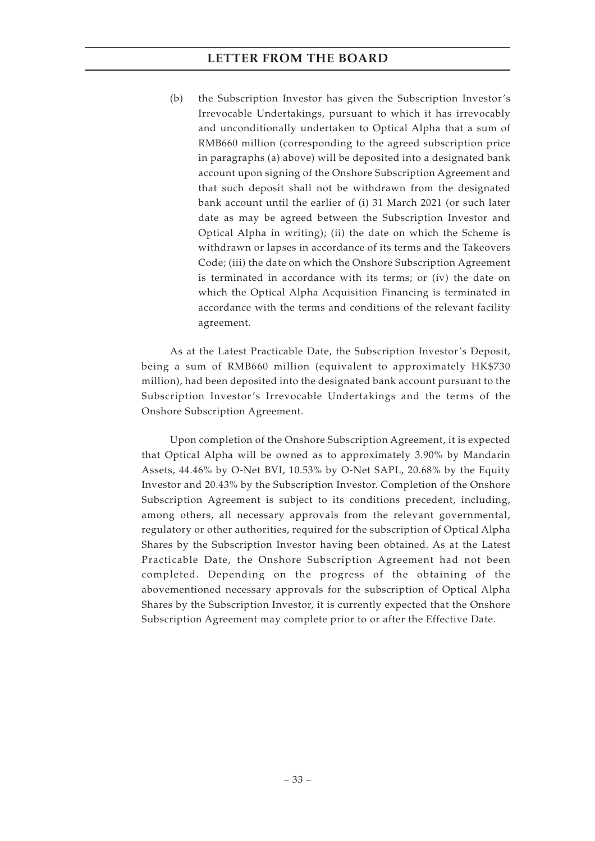(b) the Subscription Investor has given the Subscription Investor's Irrevocable Undertakings, pursuant to which it has irrevocably and unconditionally undertaken to Optical Alpha that a sum of RMB660 million (corresponding to the agreed subscription price in paragraphs (a) above) will be deposited into a designated bank account upon signing of the Onshore Subscription Agreement and that such deposit shall not be withdrawn from the designated bank account until the earlier of (i) 31 March 2021 (or such later date as may be agreed between the Subscription Investor and Optical Alpha in writing); (ii) the date on which the Scheme is withdrawn or lapses in accordance of its terms and the Takeovers Code; (iii) the date on which the Onshore Subscription Agreement is terminated in accordance with its terms; or (iv) the date on which the Optical Alpha Acquisition Financing is terminated in accordance with the terms and conditions of the relevant facility agreement.

As at the Latest Practicable Date, the Subscription Investor's Deposit, being a sum of RMB660 million (equivalent to approximately HK\$730 million), had been deposited into the designated bank account pursuant to the Subscription Investor's Irrevocable Undertakings and the terms of the Onshore Subscription Agreement.

Upon completion of the Onshore Subscription Agreement, it is expected that Optical Alpha will be owned as to approximately 3.90% by Mandarin Assets, 44.46% by O-Net BVI, 10.53% by O-Net SAPL, 20.68% by the Equity Investor and 20.43% by the Subscription Investor. Completion of the Onshore Subscription Agreement is subject to its conditions precedent, including, among others, all necessary approvals from the relevant governmental, regulatory or other authorities, required for the subscription of Optical Alpha Shares by the Subscription Investor having been obtained. As at the Latest Practicable Date, the Onshore Subscription Agreement had not been completed. Depending on the progress of the obtaining of the abovementioned necessary approvals for the subscription of Optical Alpha Shares by the Subscription Investor, it is currently expected that the Onshore Subscription Agreement may complete prior to or after the Effective Date.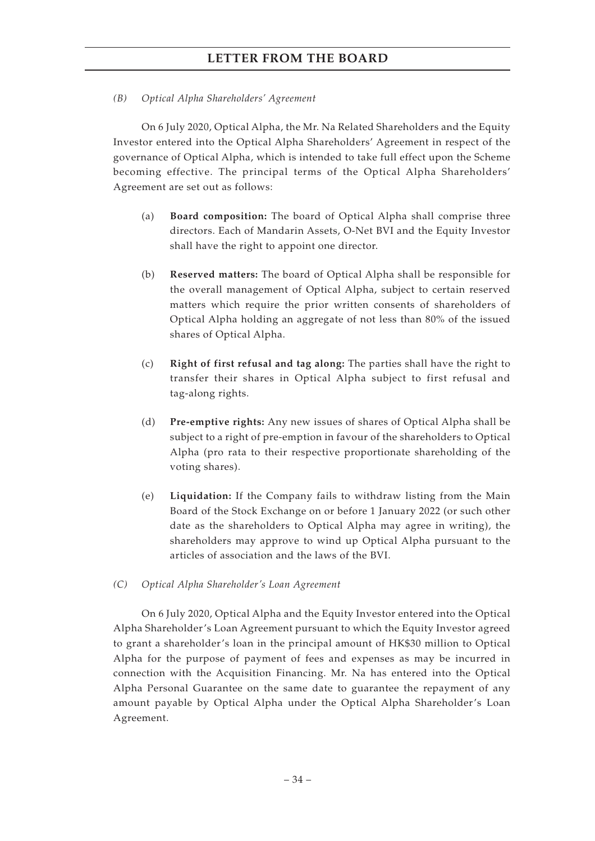### *(B) Optical Alpha Shareholders' Agreement*

On 6 July 2020, Optical Alpha, the Mr. Na Related Shareholders and the Equity Investor entered into the Optical Alpha Shareholders' Agreement in respect of the governance of Optical Alpha, which is intended to take full effect upon the Scheme becoming effective. The principal terms of the Optical Alpha Shareholders' Agreement are set out as follows:

- (a) **Board composition:** The board of Optical Alpha shall comprise three directors. Each of Mandarin Assets, O-Net BVI and the Equity Investor shall have the right to appoint one director.
- (b) **Reserved matters:** The board of Optical Alpha shall be responsible for the overall management of Optical Alpha, subject to certain reserved matters which require the prior written consents of shareholders of Optical Alpha holding an aggregate of not less than 80% of the issued shares of Optical Alpha.
- (c) **Right of first refusal and tag along:** The parties shall have the right to transfer their shares in Optical Alpha subject to first refusal and tag-along rights.
- (d) **Pre-emptive rights:** Any new issues of shares of Optical Alpha shall be subject to a right of pre-emption in favour of the shareholders to Optical Alpha (pro rata to their respective proportionate shareholding of the voting shares).
- (e) **Liquidation:** If the Company fails to withdraw listing from the Main Board of the Stock Exchange on or before 1 January 2022 (or such other date as the shareholders to Optical Alpha may agree in writing), the shareholders may approve to wind up Optical Alpha pursuant to the articles of association and the laws of the BVI.
- *(C) Optical Alpha Shareholder's Loan Agreement*

On 6 July 2020, Optical Alpha and the Equity Investor entered into the Optical Alpha Shareholder's Loan Agreement pursuant to which the Equity Investor agreed to grant a shareholder's loan in the principal amount of HK\$30 million to Optical Alpha for the purpose of payment of fees and expenses as may be incurred in connection with the Acquisition Financing. Mr. Na has entered into the Optical Alpha Personal Guarantee on the same date to guarantee the repayment of any amount payable by Optical Alpha under the Optical Alpha Shareholder's Loan Agreement.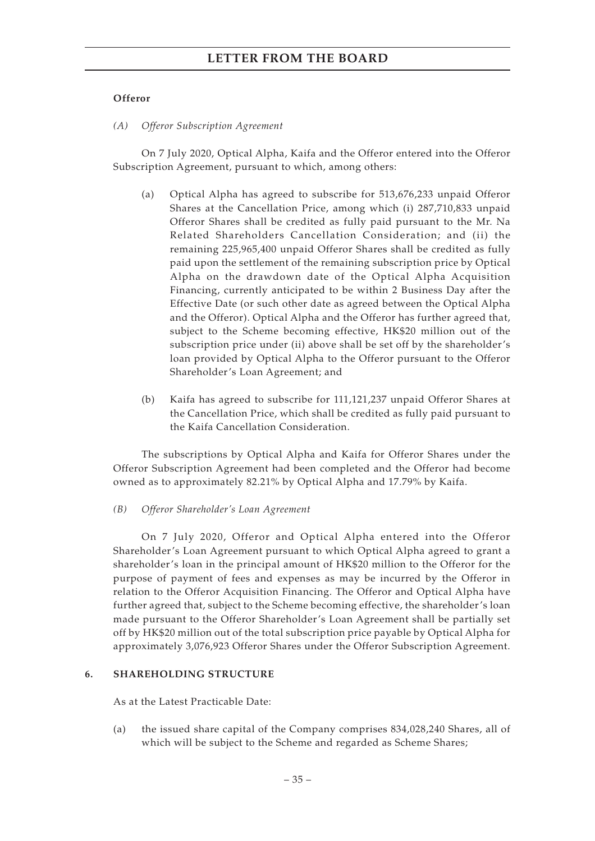### **Offeror**

*(A) Offeror Subscription Agreement*

On 7 July 2020, Optical Alpha, Kaifa and the Offeror entered into the Offeror Subscription Agreement, pursuant to which, among others:

- (a) Optical Alpha has agreed to subscribe for 513,676,233 unpaid Offeror Shares at the Cancellation Price, among which (i) 287,710,833 unpaid Offeror Shares shall be credited as fully paid pursuant to the Mr. Na Related Shareholders Cancellation Consideration; and (ii) the remaining 225,965,400 unpaid Offeror Shares shall be credited as fully paid upon the settlement of the remaining subscription price by Optical Alpha on the drawdown date of the Optical Alpha Acquisition Financing, currently anticipated to be within 2 Business Day after the Effective Date (or such other date as agreed between the Optical Alpha and the Offeror). Optical Alpha and the Offeror has further agreed that, subject to the Scheme becoming effective, HK\$20 million out of the subscription price under (ii) above shall be set off by the shareholder's loan provided by Optical Alpha to the Offeror pursuant to the Offeror Shareholder's Loan Agreement; and
- (b) Kaifa has agreed to subscribe for 111,121,237 unpaid Offeror Shares at the Cancellation Price, which shall be credited as fully paid pursuant to the Kaifa Cancellation Consideration.

The subscriptions by Optical Alpha and Kaifa for Offeror Shares under the Offeror Subscription Agreement had been completed and the Offeror had become owned as to approximately 82.21% by Optical Alpha and 17.79% by Kaifa.

*(B) Offeror Shareholder's Loan Agreement*

On 7 July 2020, Offeror and Optical Alpha entered into the Offeror Shareholder's Loan Agreement pursuant to which Optical Alpha agreed to grant a shareholder's loan in the principal amount of HK\$20 million to the Offeror for the purpose of payment of fees and expenses as may be incurred by the Offeror in relation to the Offeror Acquisition Financing. The Offeror and Optical Alpha have further agreed that, subject to the Scheme becoming effective, the shareholder's loan made pursuant to the Offeror Shareholder's Loan Agreement shall be partially set off by HK\$20 million out of the total subscription price payable by Optical Alpha for approximately 3,076,923 Offeror Shares under the Offeror Subscription Agreement.

### **6. SHAREHOLDING STRUCTURE**

As at the Latest Practicable Date:

(a) the issued share capital of the Company comprises 834,028,240 Shares, all of which will be subject to the Scheme and regarded as Scheme Shares;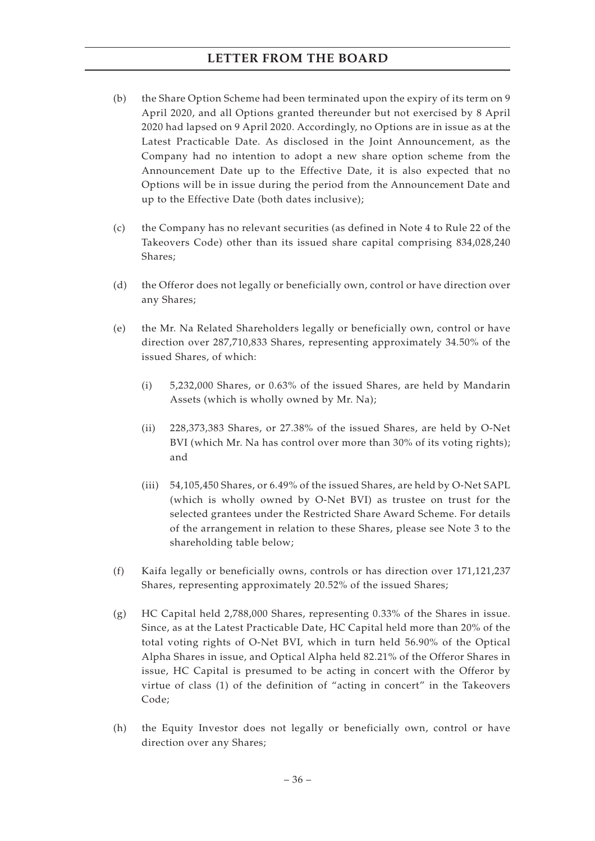- (b) the Share Option Scheme had been terminated upon the expiry of its term on 9 April 2020, and all Options granted thereunder but not exercised by 8 April 2020 had lapsed on 9 April 2020. Accordingly, no Options are in issue as at the Latest Practicable Date. As disclosed in the Joint Announcement, as the Company had no intention to adopt a new share option scheme from the Announcement Date up to the Effective Date, it is also expected that no Options will be in issue during the period from the Announcement Date and up to the Effective Date (both dates inclusive);
- (c) the Company has no relevant securities (as defined in Note 4 to Rule 22 of the Takeovers Code) other than its issued share capital comprising 834,028,240 Shares;
- (d) the Offeror does not legally or beneficially own, control or have direction over any Shares;
- (e) the Mr. Na Related Shareholders legally or beneficially own, control or have direction over 287,710,833 Shares, representing approximately 34.50% of the issued Shares, of which:
	- (i) 5,232,000 Shares, or 0.63% of the issued Shares, are held by Mandarin Assets (which is wholly owned by Mr. Na);
	- (ii) 228,373,383 Shares, or 27.38% of the issued Shares, are held by O-Net BVI (which Mr. Na has control over more than 30% of its voting rights); and
	- (iii) 54,105,450 Shares, or 6.49% of the issued Shares, are held by O-Net SAPL (which is wholly owned by O-Net BVI) as trustee on trust for the selected grantees under the Restricted Share Award Scheme. For details of the arrangement in relation to these Shares, please see Note 3 to the shareholding table below;
- (f) Kaifa legally or beneficially owns, controls or has direction over 171,121,237 Shares, representing approximately 20.52% of the issued Shares;
- (g) HC Capital held 2,788,000 Shares, representing 0.33% of the Shares in issue. Since, as at the Latest Practicable Date, HC Capital held more than 20% of the total voting rights of O-Net BVI, which in turn held 56.90% of the Optical Alpha Shares in issue, and Optical Alpha held 82.21% of the Offeror Shares in issue, HC Capital is presumed to be acting in concert with the Offeror by virtue of class (1) of the definition of "acting in concert" in the Takeovers Code;
- (h) the Equity Investor does not legally or beneficially own, control or have direction over any Shares;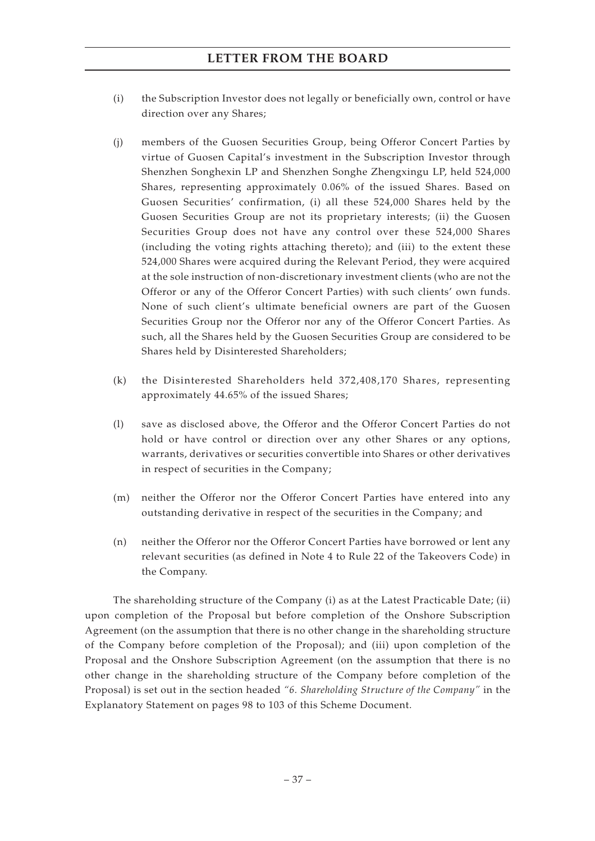- (i) the Subscription Investor does not legally or beneficially own, control or have direction over any Shares;
- (j) members of the Guosen Securities Group, being Offeror Concert Parties by virtue of Guosen Capital's investment in the Subscription Investor through Shenzhen Songhexin LP and Shenzhen Songhe Zhengxingu LP, held 524,000 Shares, representing approximately 0.06% of the issued Shares. Based on Guosen Securities' confirmation, (i) all these 524,000 Shares held by the Guosen Securities Group are not its proprietary interests; (ii) the Guosen Securities Group does not have any control over these 524,000 Shares (including the voting rights attaching thereto); and (iii) to the extent these 524,000 Shares were acquired during the Relevant Period, they were acquired at the sole instruction of non-discretionary investment clients (who are not the Offeror or any of the Offeror Concert Parties) with such clients' own funds. None of such client's ultimate beneficial owners are part of the Guosen Securities Group nor the Offeror nor any of the Offeror Concert Parties. As such, all the Shares held by the Guosen Securities Group are considered to be Shares held by Disinterested Shareholders;
- (k) the Disinterested Shareholders held 372,408,170 Shares, representing approximately 44.65% of the issued Shares;
- (l) save as disclosed above, the Offeror and the Offeror Concert Parties do not hold or have control or direction over any other Shares or any options, warrants, derivatives or securities convertible into Shares or other derivatives in respect of securities in the Company;
- (m) neither the Offeror nor the Offeror Concert Parties have entered into any outstanding derivative in respect of the securities in the Company; and
- (n) neither the Offeror nor the Offeror Concert Parties have borrowed or lent any relevant securities (as defined in Note 4 to Rule 22 of the Takeovers Code) in the Company.

The shareholding structure of the Company (i) as at the Latest Practicable Date; (ii) upon completion of the Proposal but before completion of the Onshore Subscription Agreement (on the assumption that there is no other change in the shareholding structure of the Company before completion of the Proposal); and (iii) upon completion of the Proposal and the Onshore Subscription Agreement (on the assumption that there is no other change in the shareholding structure of the Company before completion of the Proposal) is set out in the section headed *"6. Shareholding Structure of the Company"* in the Explanatory Statement on pages 98 to 103 of this Scheme Document.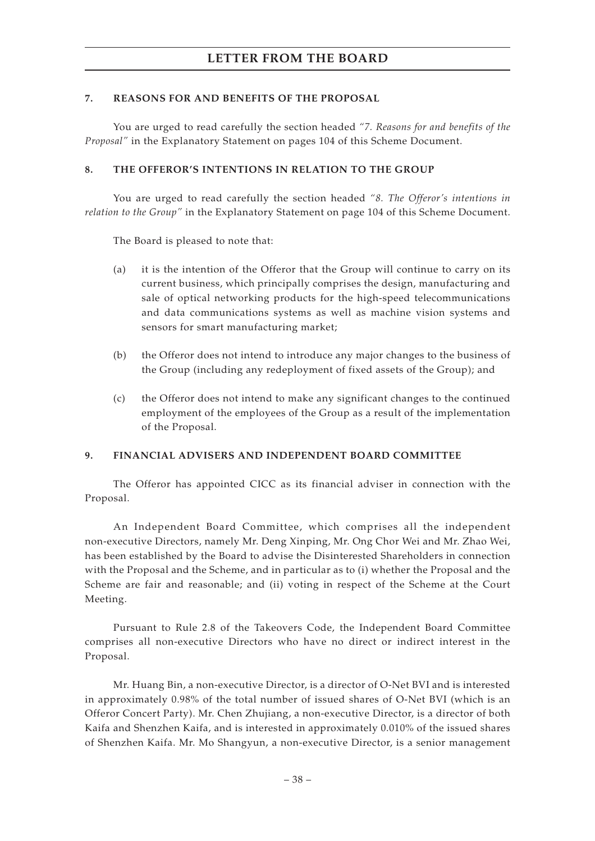### **7. REASONS FOR AND BENEFITS OF THE PROPOSAL**

You are urged to read carefully the section headed *"7. Reasons for and benefits of the Proposal"* in the Explanatory Statement on pages 104 of this Scheme Document.

### **8. THE OFFEROR'S INTENTIONS IN RELATION TO THE GROUP**

You are urged to read carefully the section headed *"8. The Offeror's intentions in relation to the Group"* in the Explanatory Statement on page 104 of this Scheme Document.

The Board is pleased to note that:

- (a) it is the intention of the Offeror that the Group will continue to carry on its current business, which principally comprises the design, manufacturing and sale of optical networking products for the high-speed telecommunications and data communications systems as well as machine vision systems and sensors for smart manufacturing market;
- (b) the Offeror does not intend to introduce any major changes to the business of the Group (including any redeployment of fixed assets of the Group); and
- (c) the Offeror does not intend to make any significant changes to the continued employment of the employees of the Group as a result of the implementation of the Proposal.

### **9. FINANCIAL ADVISERS AND INDEPENDENT BOARD COMMITTEE**

The Offeror has appointed CICC as its financial adviser in connection with the Proposal.

An Independent Board Committee, which comprises all the independent non-executive Directors, namely Mr. Deng Xinping, Mr. Ong Chor Wei and Mr. Zhao Wei, has been established by the Board to advise the Disinterested Shareholders in connection with the Proposal and the Scheme, and in particular as to (i) whether the Proposal and the Scheme are fair and reasonable; and (ii) voting in respect of the Scheme at the Court Meeting.

Pursuant to Rule 2.8 of the Takeovers Code, the Independent Board Committee comprises all non-executive Directors who have no direct or indirect interest in the Proposal.

Mr. Huang Bin, a non-executive Director, is a director of O-Net BVI and is interested in approximately 0.98% of the total number of issued shares of O-Net BVI (which is an Offeror Concert Party). Mr. Chen Zhujiang, a non-executive Director, is a director of both Kaifa and Shenzhen Kaifa, and is interested in approximately 0.010% of the issued shares of Shenzhen Kaifa. Mr. Mo Shangyun, a non-executive Director, is a senior management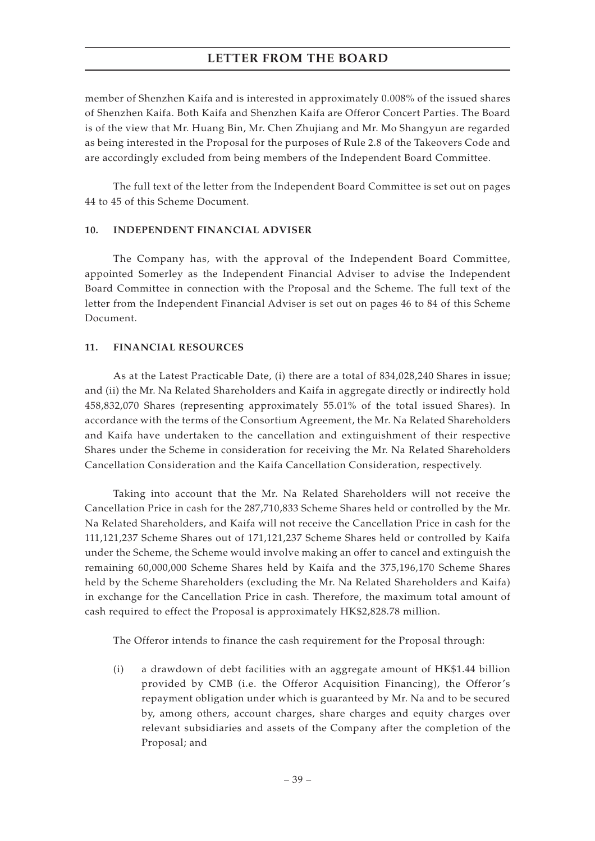member of Shenzhen Kaifa and is interested in approximately 0.008% of the issued shares of Shenzhen Kaifa. Both Kaifa and Shenzhen Kaifa are Offeror Concert Parties. The Board is of the view that Mr. Huang Bin, Mr. Chen Zhujiang and Mr. Mo Shangyun are regarded as being interested in the Proposal for the purposes of Rule 2.8 of the Takeovers Code and are accordingly excluded from being members of the Independent Board Committee.

The full text of the letter from the Independent Board Committee is set out on pages 44 to 45 of this Scheme Document.

### **10. INDEPENDENT FINANCIAL ADVISER**

The Company has, with the approval of the Independent Board Committee, appointed Somerley as the Independent Financial Adviser to advise the Independent Board Committee in connection with the Proposal and the Scheme. The full text of the letter from the Independent Financial Adviser is set out on pages 46 to 84 of this Scheme Document.

### **11. FINANCIAL RESOURCES**

As at the Latest Practicable Date, (i) there are a total of 834,028,240 Shares in issue; and (ii) the Mr. Na Related Shareholders and Kaifa in aggregate directly or indirectly hold 458,832,070 Shares (representing approximately 55.01% of the total issued Shares). In accordance with the terms of the Consortium Agreement, the Mr. Na Related Shareholders and Kaifa have undertaken to the cancellation and extinguishment of their respective Shares under the Scheme in consideration for receiving the Mr. Na Related Shareholders Cancellation Consideration and the Kaifa Cancellation Consideration, respectively.

Taking into account that the Mr. Na Related Shareholders will not receive the Cancellation Price in cash for the 287,710,833 Scheme Shares held or controlled by the Mr. Na Related Shareholders, and Kaifa will not receive the Cancellation Price in cash for the 111,121,237 Scheme Shares out of 171,121,237 Scheme Shares held or controlled by Kaifa under the Scheme, the Scheme would involve making an offer to cancel and extinguish the remaining 60,000,000 Scheme Shares held by Kaifa and the 375,196,170 Scheme Shares held by the Scheme Shareholders (excluding the Mr. Na Related Shareholders and Kaifa) in exchange for the Cancellation Price in cash. Therefore, the maximum total amount of cash required to effect the Proposal is approximately HK\$2,828.78 million.

The Offeror intends to finance the cash requirement for the Proposal through:

(i) a drawdown of debt facilities with an aggregate amount of HK\$1.44 billion provided by CMB (i.e. the Offeror Acquisition Financing), the Offeror's repayment obligation under which is guaranteed by Mr. Na and to be secured by, among others, account charges, share charges and equity charges over relevant subsidiaries and assets of the Company after the completion of the Proposal; and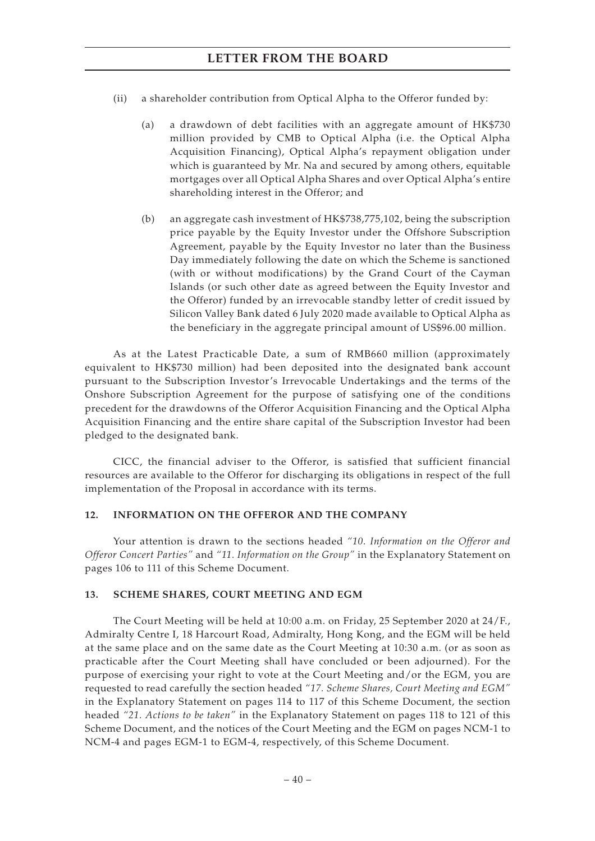- (ii) a shareholder contribution from Optical Alpha to the Offeror funded by:
	- (a) a drawdown of debt facilities with an aggregate amount of HK\$730 million provided by CMB to Optical Alpha (i.e. the Optical Alpha Acquisition Financing), Optical Alpha's repayment obligation under which is guaranteed by Mr. Na and secured by among others, equitable mortgages over all Optical Alpha Shares and over Optical Alpha's entire shareholding interest in the Offeror; and
	- (b) an aggregate cash investment of HK\$738,775,102, being the subscription price payable by the Equity Investor under the Offshore Subscription Agreement, payable by the Equity Investor no later than the Business Day immediately following the date on which the Scheme is sanctioned (with or without modifications) by the Grand Court of the Cayman Islands (or such other date as agreed between the Equity Investor and the Offeror) funded by an irrevocable standby letter of credit issued by Silicon Valley Bank dated 6 July 2020 made available to Optical Alpha as the beneficiary in the aggregate principal amount of US\$96.00 million.

As at the Latest Practicable Date, a sum of RMB660 million (approximately equivalent to HK\$730 million) had been deposited into the designated bank account pursuant to the Subscription Investor's Irrevocable Undertakings and the terms of the Onshore Subscription Agreement for the purpose of satisfying one of the conditions precedent for the drawdowns of the Offeror Acquisition Financing and the Optical Alpha Acquisition Financing and the entire share capital of the Subscription Investor had been pledged to the designated bank.

CICC, the financial adviser to the Offeror, is satisfied that sufficient financial resources are available to the Offeror for discharging its obligations in respect of the full implementation of the Proposal in accordance with its terms.

#### **12. INFORMATION ON THE OFFEROR AND THE COMPANY**

Your attention is drawn to the sections headed *"10. Information on the Offeror and Offeror Concert Parties"* and *"11. Information on the Group"* in the Explanatory Statement on pages 106 to 111 of this Scheme Document.

#### **13. SCHEME SHARES, COURT MEETING AND EGM**

The Court Meeting will be held at 10:00 a.m. on Friday, 25 September 2020 at 24/F., Admiralty Centre I, 18 Harcourt Road, Admiralty, Hong Kong, and the EGM will be held at the same place and on the same date as the Court Meeting at 10:30 a.m. (or as soon as practicable after the Court Meeting shall have concluded or been adjourned). For the purpose of exercising your right to vote at the Court Meeting and/or the EGM, you are requested to read carefully the section headed *"17. Scheme Shares, Court Meeting and EGM"* in the Explanatory Statement on pages 114 to 117 of this Scheme Document, the section headed *"21. Actions to be taken"* in the Explanatory Statement on pages 118 to 121 of this Scheme Document, and the notices of the Court Meeting and the EGM on pages NCM-1 to NCM-4 and pages EGM-1 to EGM-4, respectively, of this Scheme Document.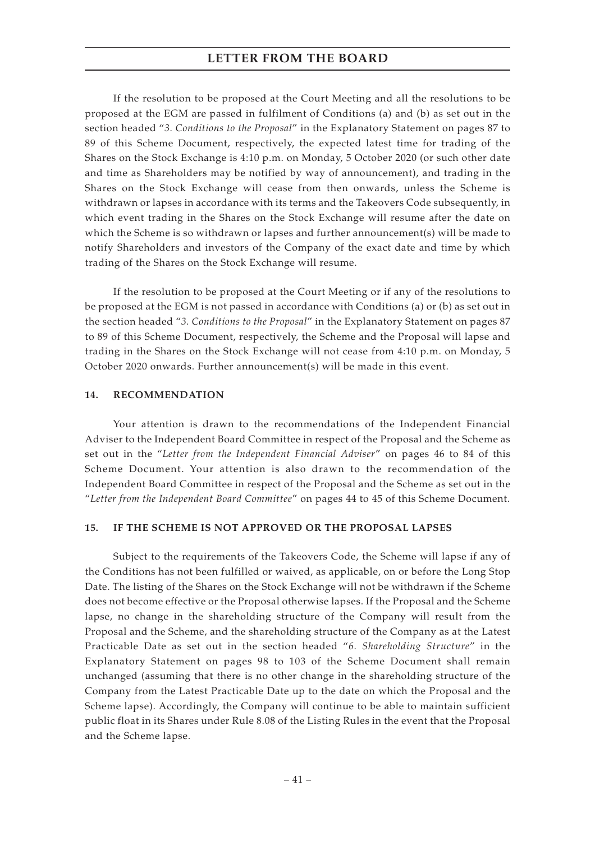If the resolution to be proposed at the Court Meeting and all the resolutions to be proposed at the EGM are passed in fulfilment of Conditions (a) and (b) as set out in the section headed "*3. Conditions to the Proposal*" in the Explanatory Statement on pages 87 to 89 of this Scheme Document, respectively, the expected latest time for trading of the Shares on the Stock Exchange is 4:10 p.m. on Monday, 5 October 2020 (or such other date and time as Shareholders may be notified by way of announcement), and trading in the Shares on the Stock Exchange will cease from then onwards, unless the Scheme is withdrawn or lapses in accordance with its terms and the Takeovers Code subsequently, in which event trading in the Shares on the Stock Exchange will resume after the date on which the Scheme is so withdrawn or lapses and further announcement(s) will be made to notify Shareholders and investors of the Company of the exact date and time by which trading of the Shares on the Stock Exchange will resume.

If the resolution to be proposed at the Court Meeting or if any of the resolutions to be proposed at the EGM is not passed in accordance with Conditions (a) or (b) as set out in the section headed "*3. Conditions to the Proposal*" in the Explanatory Statement on pages 87 to 89 of this Scheme Document, respectively, the Scheme and the Proposal will lapse and trading in the Shares on the Stock Exchange will not cease from 4:10 p.m. on Monday, 5 October 2020 onwards. Further announcement(s) will be made in this event.

#### **14. RECOMMENDATION**

Your attention is drawn to the recommendations of the Independent Financial Adviser to the Independent Board Committee in respect of the Proposal and the Scheme as set out in the "*Letter from the Independent Financial Adviser*" on pages 46 to 84 of this Scheme Document. Your attention is also drawn to the recommendation of the Independent Board Committee in respect of the Proposal and the Scheme as set out in the "*Letter from the Independent Board Committee*" on pages 44 to 45 of this Scheme Document.

#### **15. IF THE SCHEME IS NOT APPROVED OR THE PROPOSAL LAPSES**

Subject to the requirements of the Takeovers Code, the Scheme will lapse if any of the Conditions has not been fulfilled or waived, as applicable, on or before the Long Stop Date. The listing of the Shares on the Stock Exchange will not be withdrawn if the Scheme does not become effective or the Proposal otherwise lapses. If the Proposal and the Scheme lapse, no change in the shareholding structure of the Company will result from the Proposal and the Scheme, and the shareholding structure of the Company as at the Latest Practicable Date as set out in the section headed "*6. Shareholding Structure*" in the Explanatory Statement on pages 98 to 103 of the Scheme Document shall remain unchanged (assuming that there is no other change in the shareholding structure of the Company from the Latest Practicable Date up to the date on which the Proposal and the Scheme lapse). Accordingly, the Company will continue to be able to maintain sufficient public float in its Shares under Rule 8.08 of the Listing Rules in the event that the Proposal and the Scheme lapse.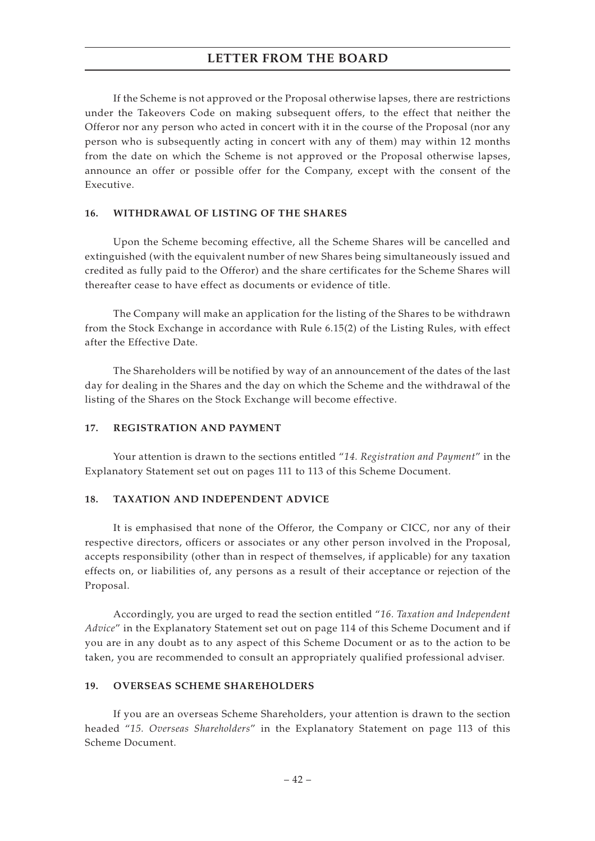If the Scheme is not approved or the Proposal otherwise lapses, there are restrictions under the Takeovers Code on making subsequent offers, to the effect that neither the Offeror nor any person who acted in concert with it in the course of the Proposal (nor any person who is subsequently acting in concert with any of them) may within 12 months from the date on which the Scheme is not approved or the Proposal otherwise lapses, announce an offer or possible offer for the Company, except with the consent of the Executive.

#### **16. WITHDRAWAL OF LISTING OF THE SHARES**

Upon the Scheme becoming effective, all the Scheme Shares will be cancelled and extinguished (with the equivalent number of new Shares being simultaneously issued and credited as fully paid to the Offeror) and the share certificates for the Scheme Shares will thereafter cease to have effect as documents or evidence of title.

The Company will make an application for the listing of the Shares to be withdrawn from the Stock Exchange in accordance with Rule 6.15(2) of the Listing Rules, with effect after the Effective Date.

The Shareholders will be notified by way of an announcement of the dates of the last day for dealing in the Shares and the day on which the Scheme and the withdrawal of the listing of the Shares on the Stock Exchange will become effective.

#### **17. REGISTRATION AND PAYMENT**

Your attention is drawn to the sections entitled "*14. Registration and Payment*" in the Explanatory Statement set out on pages 111 to 113 of this Scheme Document.

### **18. TAXATION AND INDEPENDENT ADVICE**

It is emphasised that none of the Offeror, the Company or CICC, nor any of their respective directors, officers or associates or any other person involved in the Proposal, accepts responsibility (other than in respect of themselves, if applicable) for any taxation effects on, or liabilities of, any persons as a result of their acceptance or rejection of the Proposal.

Accordingly, you are urged to read the section entitled "*16. Taxation and Independent Advice*" in the Explanatory Statement set out on page 114 of this Scheme Document and if you are in any doubt as to any aspect of this Scheme Document or as to the action to be taken, you are recommended to consult an appropriately qualified professional adviser.

#### **19. OVERSEAS SCHEME SHAREHOLDERS**

If you are an overseas Scheme Shareholders, your attention is drawn to the section headed "*15. Overseas Shareholders*" in the Explanatory Statement on page 113 of this Scheme Document.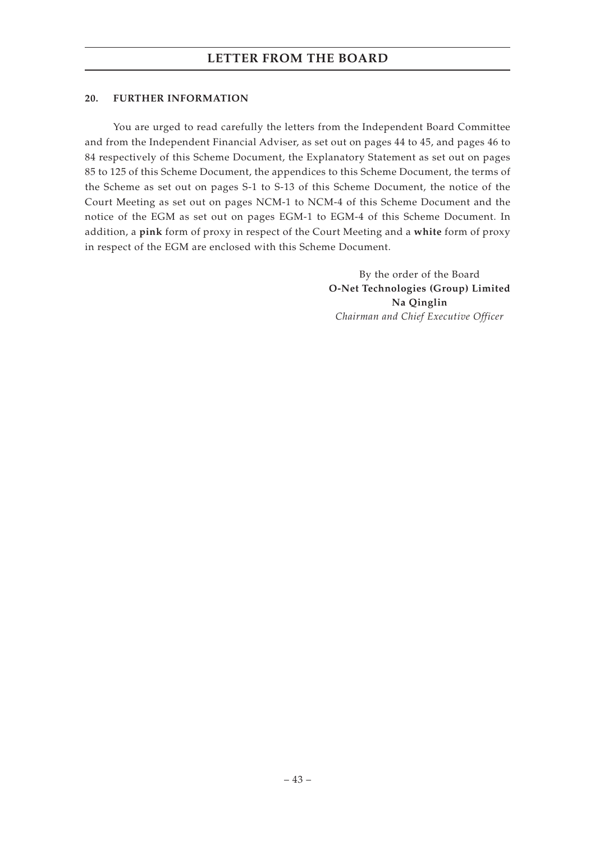### **20. FURTHER INFORMATION**

You are urged to read carefully the letters from the Independent Board Committee and from the Independent Financial Adviser, as set out on pages 44 to 45, and pages 46 to 84 respectively of this Scheme Document, the Explanatory Statement as set out on pages 85 to 125 of this Scheme Document, the appendices to this Scheme Document, the terms of the Scheme as set out on pages S-1 to S-13 of this Scheme Document, the notice of the Court Meeting as set out on pages NCM-1 to NCM-4 of this Scheme Document and the notice of the EGM as set out on pages EGM-1 to EGM-4 of this Scheme Document. In addition, a **pink** form of proxy in respect of the Court Meeting and a **white** form of proxy in respect of the EGM are enclosed with this Scheme Document.

> By the order of the Board **O-Net Technologies (Group) Limited Na Qinglin** *Chairman and Chief Executive Officer*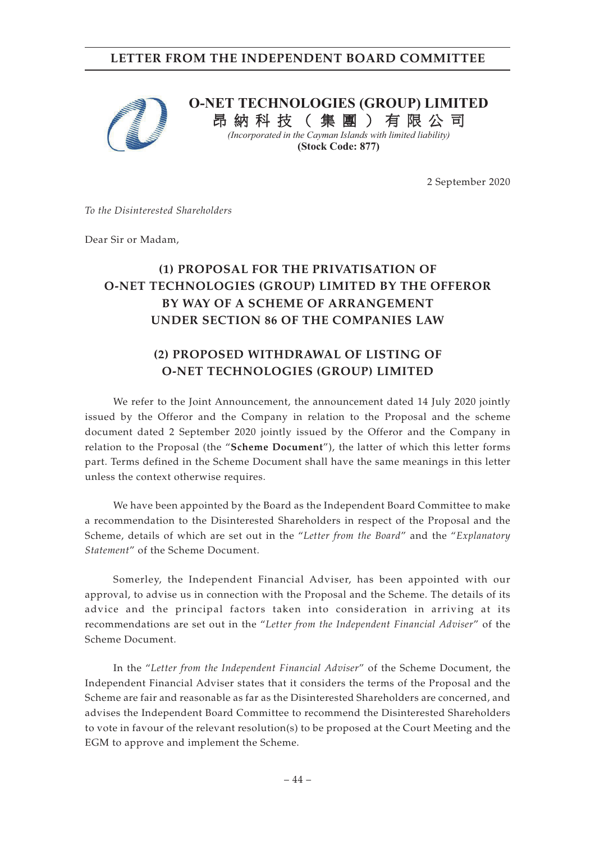# **LETTER FROM THE INDEPENDENT BOARD COMMITTEE**



# **O-NET TECHNOLOGIES (GROUP) LIMITED**

昂 納 科 技 ( 集 團 ) 有 限 公 司 *(Incorporated in the Cayman Islands with limited liability)*  **(Stock Code: 877)**

2 September 2020

*To the Disinterested Shareholders*

Dear Sir or Madam,

# **(1) PROPOSAL FOR THE PRIVATISATION OF O-NET TECHNOLOGIES (GROUP) LIMITED BY THE OFFEROR BY WAY OF A SCHEME OF ARRANGEMENT UNDER SECTION 86 OF THE COMPANIES LAW**

# **(2) PROPOSED WITHDRAWAL OF LISTING OF O-NET TECHNOLOGIES (GROUP) LIMITED**

We refer to the Joint Announcement, the announcement dated 14 July 2020 jointly issued by the Offeror and the Company in relation to the Proposal and the scheme document dated 2 September 2020 jointly issued by the Offeror and the Company in relation to the Proposal (the "**Scheme Document**"), the latter of which this letter forms part. Terms defined in the Scheme Document shall have the same meanings in this letter unless the context otherwise requires.

We have been appointed by the Board as the Independent Board Committee to make a recommendation to the Disinterested Shareholders in respect of the Proposal and the Scheme, details of which are set out in the "*Letter from the Board*" and the "*Explanatory Statement*" of the Scheme Document.

Somerley, the Independent Financial Adviser, has been appointed with our approval, to advise us in connection with the Proposal and the Scheme. The details of its advice and the principal factors taken into consideration in arriving at its recommendations are set out in the "*Letter from the Independent Financial Adviser*" of the Scheme Document.

In the "*Letter from the Independent Financial Adviser*" of the Scheme Document, the Independent Financial Adviser states that it considers the terms of the Proposal and the Scheme are fair and reasonable as far as the Disinterested Shareholders are concerned, and advises the Independent Board Committee to recommend the Disinterested Shareholders to vote in favour of the relevant resolution(s) to be proposed at the Court Meeting and the EGM to approve and implement the Scheme.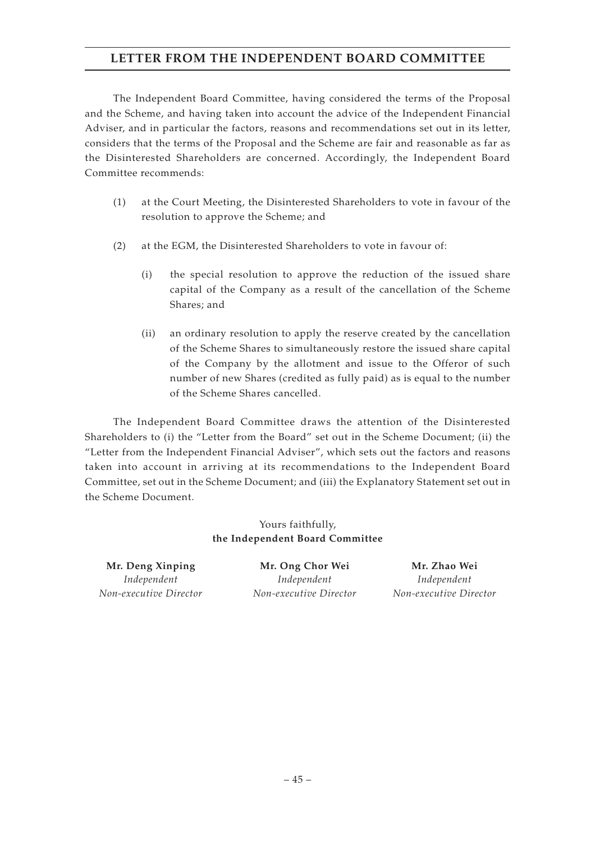# **LETTER FROM THE INDEPENDENT BOARD COMMITTEE**

The Independent Board Committee, having considered the terms of the Proposal and the Scheme, and having taken into account the advice of the Independent Financial Adviser, and in particular the factors, reasons and recommendations set out in its letter, considers that the terms of the Proposal and the Scheme are fair and reasonable as far as the Disinterested Shareholders are concerned. Accordingly, the Independent Board Committee recommends:

- (1) at the Court Meeting, the Disinterested Shareholders to vote in favour of the resolution to approve the Scheme; and
- (2) at the EGM, the Disinterested Shareholders to vote in favour of:
	- (i) the special resolution to approve the reduction of the issued share capital of the Company as a result of the cancellation of the Scheme Shares; and
	- (ii) an ordinary resolution to apply the reserve created by the cancellation of the Scheme Shares to simultaneously restore the issued share capital of the Company by the allotment and issue to the Offeror of such number of new Shares (credited as fully paid) as is equal to the number of the Scheme Shares cancelled.

The Independent Board Committee draws the attention of the Disinterested Shareholders to (i) the "Letter from the Board" set out in the Scheme Document; (ii) the "Letter from the Independent Financial Adviser", which sets out the factors and reasons taken into account in arriving at its recommendations to the Independent Board Committee, set out in the Scheme Document; and (iii) the Explanatory Statement set out in the Scheme Document.

> Yours faithfully, **the Independent Board Committee**

*Independent Non-executive Director*

**Mr. Deng Xinping Mr. Ong Chor Wei Mr. Zhao Wei** *Independent Non-executive Director*

*Independent Non-executive Director*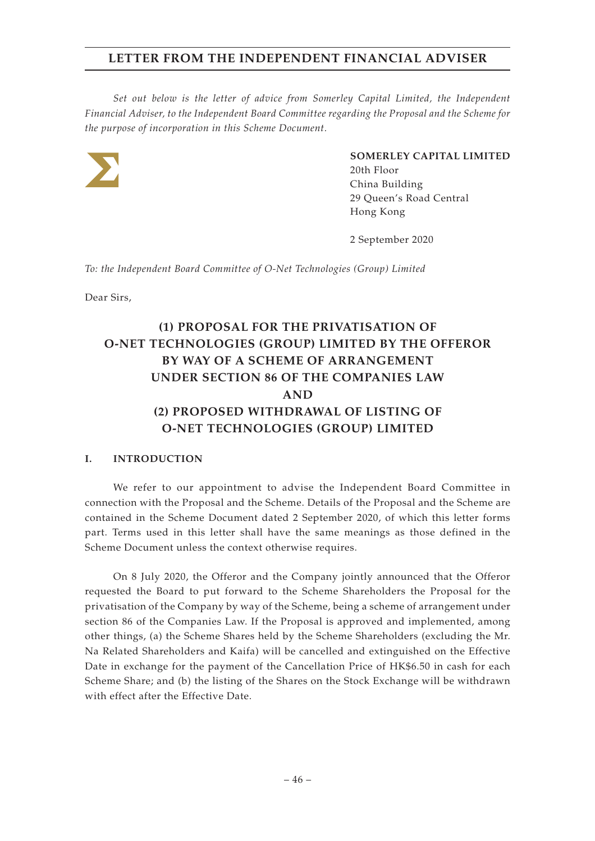*Set out below is the letter of advice from Somerley Capital Limited, the Independent Financial Adviser, to the Independent Board Committee regarding the Proposal and the Scheme for the purpose of incorporation in this Scheme Document.*



### **SOMERLEY CAPITAL LIMITED**

20th Floor China Building 29 Queen's Road Central Hong Kong

2 September 2020

*To: the Independent Board Committee of O-Net Technologies (Group) Limited*

Dear Sirs,

# **(1) PROPOSAL FOR THE PRIVATISATION OF O-NET TECHNOLOGIES (GROUP) LIMITED BY THE OFFEROR BY WAY OF A SCHEME OF ARRANGEMENT UNDER SECTION 86 OF THE COMPANIES LAW AND (2) PROPOSED WITHDRAWAL OF LISTING OF O-NET TECHNOLOGIES (GROUP) LIMITED**

### **I. INTRODUCTION**

We refer to our appointment to advise the Independent Board Committee in connection with the Proposal and the Scheme. Details of the Proposal and the Scheme are contained in the Scheme Document dated 2 September 2020, of which this letter forms part. Terms used in this letter shall have the same meanings as those defined in the Scheme Document unless the context otherwise requires.

On 8 July 2020, the Offeror and the Company jointly announced that the Offeror requested the Board to put forward to the Scheme Shareholders the Proposal for the privatisation of the Company by way of the Scheme, being a scheme of arrangement under section 86 of the Companies Law. If the Proposal is approved and implemented, among other things, (a) the Scheme Shares held by the Scheme Shareholders (excluding the Mr. Na Related Shareholders and Kaifa) will be cancelled and extinguished on the Effective Date in exchange for the payment of the Cancellation Price of HK\$6.50 in cash for each Scheme Share; and (b) the listing of the Shares on the Stock Exchange will be withdrawn with effect after the Effective Date.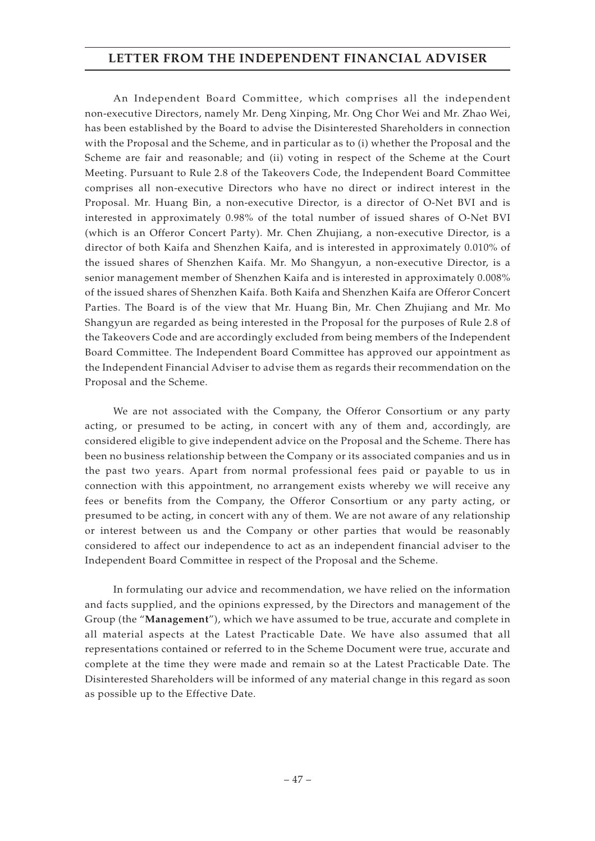An Independent Board Committee, which comprises all the independent non-executive Directors, namely Mr. Deng Xinping, Mr. Ong Chor Wei and Mr. Zhao Wei, has been established by the Board to advise the Disinterested Shareholders in connection with the Proposal and the Scheme, and in particular as to (i) whether the Proposal and the Scheme are fair and reasonable; and (ii) voting in respect of the Scheme at the Court Meeting. Pursuant to Rule 2.8 of the Takeovers Code, the Independent Board Committee comprises all non-executive Directors who have no direct or indirect interest in the Proposal. Mr. Huang Bin, a non-executive Director, is a director of O-Net BVI and is interested in approximately 0.98% of the total number of issued shares of O-Net BVI (which is an Offeror Concert Party). Mr. Chen Zhujiang, a non-executive Director, is a director of both Kaifa and Shenzhen Kaifa, and is interested in approximately 0.010% of the issued shares of Shenzhen Kaifa. Mr. Mo Shangyun, a non-executive Director, is a senior management member of Shenzhen Kaifa and is interested in approximately 0.008% of the issued shares of Shenzhen Kaifa. Both Kaifa and Shenzhen Kaifa are Offeror Concert Parties. The Board is of the view that Mr. Huang Bin, Mr. Chen Zhujiang and Mr. Mo Shangyun are regarded as being interested in the Proposal for the purposes of Rule 2.8 of the Takeovers Code and are accordingly excluded from being members of the Independent Board Committee. The Independent Board Committee has approved our appointment as the Independent Financial Adviser to advise them as regards their recommendation on the Proposal and the Scheme.

We are not associated with the Company, the Offeror Consortium or any party acting, or presumed to be acting, in concert with any of them and, accordingly, are considered eligible to give independent advice on the Proposal and the Scheme. There has been no business relationship between the Company or its associated companies and us in the past two years. Apart from normal professional fees paid or payable to us in connection with this appointment, no arrangement exists whereby we will receive any fees or benefits from the Company, the Offeror Consortium or any party acting, or presumed to be acting, in concert with any of them. We are not aware of any relationship or interest between us and the Company or other parties that would be reasonably considered to affect our independence to act as an independent financial adviser to the Independent Board Committee in respect of the Proposal and the Scheme.

In formulating our advice and recommendation, we have relied on the information and facts supplied, and the opinions expressed, by the Directors and management of the Group (the "**Management**"), which we have assumed to be true, accurate and complete in all material aspects at the Latest Practicable Date. We have also assumed that all representations contained or referred to in the Scheme Document were true, accurate and complete at the time they were made and remain so at the Latest Practicable Date. The Disinterested Shareholders will be informed of any material change in this regard as soon as possible up to the Effective Date.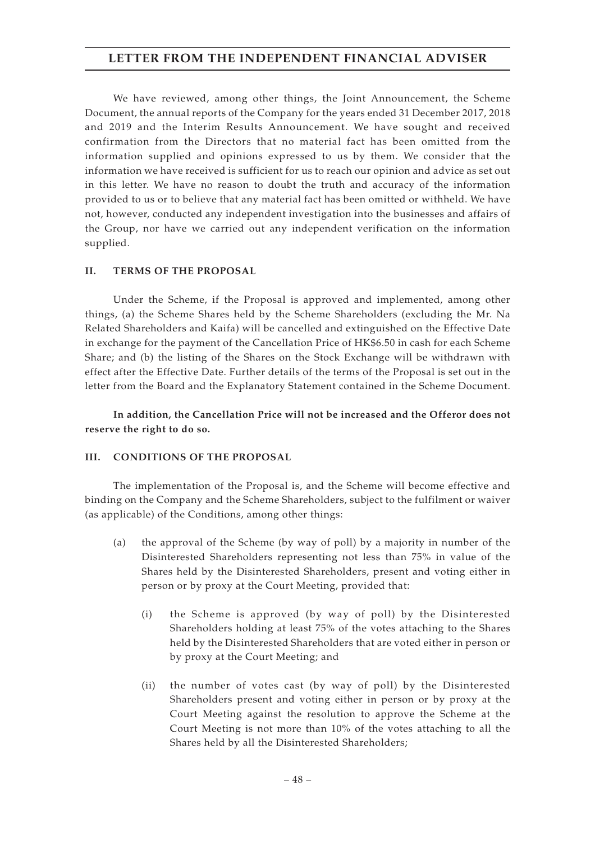We have reviewed, among other things, the Joint Announcement, the Scheme Document, the annual reports of the Company for the years ended 31 December 2017, 2018 and 2019 and the Interim Results Announcement. We have sought and received confirmation from the Directors that no material fact has been omitted from the information supplied and opinions expressed to us by them. We consider that the information we have received is sufficient for us to reach our opinion and advice as set out in this letter. We have no reason to doubt the truth and accuracy of the information provided to us or to believe that any material fact has been omitted or withheld. We have not, however, conducted any independent investigation into the businesses and affairs of the Group, nor have we carried out any independent verification on the information supplied.

### **II. TERMS OF THE PROPOSAL**

Under the Scheme, if the Proposal is approved and implemented, among other things, (a) the Scheme Shares held by the Scheme Shareholders (excluding the Mr. Na Related Shareholders and Kaifa) will be cancelled and extinguished on the Effective Date in exchange for the payment of the Cancellation Price of HK\$6.50 in cash for each Scheme Share; and (b) the listing of the Shares on the Stock Exchange will be withdrawn with effect after the Effective Date. Further details of the terms of the Proposal is set out in the letter from the Board and the Explanatory Statement contained in the Scheme Document.

**In addition, the Cancellation Price will not be increased and the Offeror does not reserve the right to do so.**

### **III. CONDITIONS OF THE PROPOSAL**

The implementation of the Proposal is, and the Scheme will become effective and binding on the Company and the Scheme Shareholders, subject to the fulfilment or waiver (as applicable) of the Conditions, among other things:

- (a) the approval of the Scheme (by way of poll) by a majority in number of the Disinterested Shareholders representing not less than 75% in value of the Shares held by the Disinterested Shareholders, present and voting either in person or by proxy at the Court Meeting, provided that:
	- (i) the Scheme is approved (by way of poll) by the Disinterested Shareholders holding at least 75% of the votes attaching to the Shares held by the Disinterested Shareholders that are voted either in person or by proxy at the Court Meeting; and
	- (ii) the number of votes cast (by way of poll) by the Disinterested Shareholders present and voting either in person or by proxy at the Court Meeting against the resolution to approve the Scheme at the Court Meeting is not more than 10% of the votes attaching to all the Shares held by all the Disinterested Shareholders;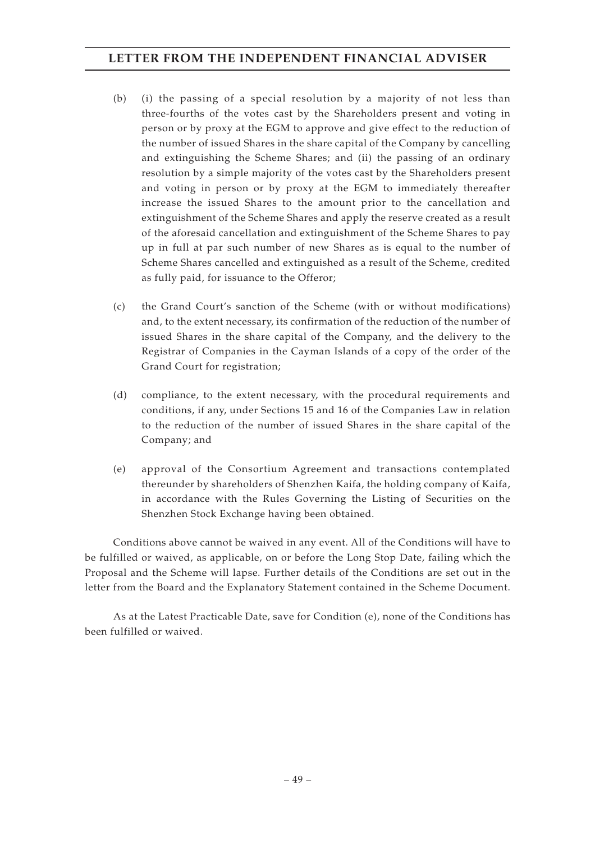- (b) (i) the passing of a special resolution by a majority of not less than three-fourths of the votes cast by the Shareholders present and voting in person or by proxy at the EGM to approve and give effect to the reduction of the number of issued Shares in the share capital of the Company by cancelling and extinguishing the Scheme Shares; and (ii) the passing of an ordinary resolution by a simple majority of the votes cast by the Shareholders present and voting in person or by proxy at the EGM to immediately thereafter increase the issued Shares to the amount prior to the cancellation and extinguishment of the Scheme Shares and apply the reserve created as a result of the aforesaid cancellation and extinguishment of the Scheme Shares to pay up in full at par such number of new Shares as is equal to the number of Scheme Shares cancelled and extinguished as a result of the Scheme, credited as fully paid, for issuance to the Offeror;
- (c) the Grand Court's sanction of the Scheme (with or without modifications) and, to the extent necessary, its confirmation of the reduction of the number of issued Shares in the share capital of the Company, and the delivery to the Registrar of Companies in the Cayman Islands of a copy of the order of the Grand Court for registration;
- (d) compliance, to the extent necessary, with the procedural requirements and conditions, if any, under Sections 15 and 16 of the Companies Law in relation to the reduction of the number of issued Shares in the share capital of the Company; and
- (e) approval of the Consortium Agreement and transactions contemplated thereunder by shareholders of Shenzhen Kaifa, the holding company of Kaifa, in accordance with the Rules Governing the Listing of Securities on the Shenzhen Stock Exchange having been obtained.

Conditions above cannot be waived in any event. All of the Conditions will have to be fulfilled or waived, as applicable, on or before the Long Stop Date, failing which the Proposal and the Scheme will lapse. Further details of the Conditions are set out in the letter from the Board and the Explanatory Statement contained in the Scheme Document.

As at the Latest Practicable Date, save for Condition (e), none of the Conditions has been fulfilled or waived.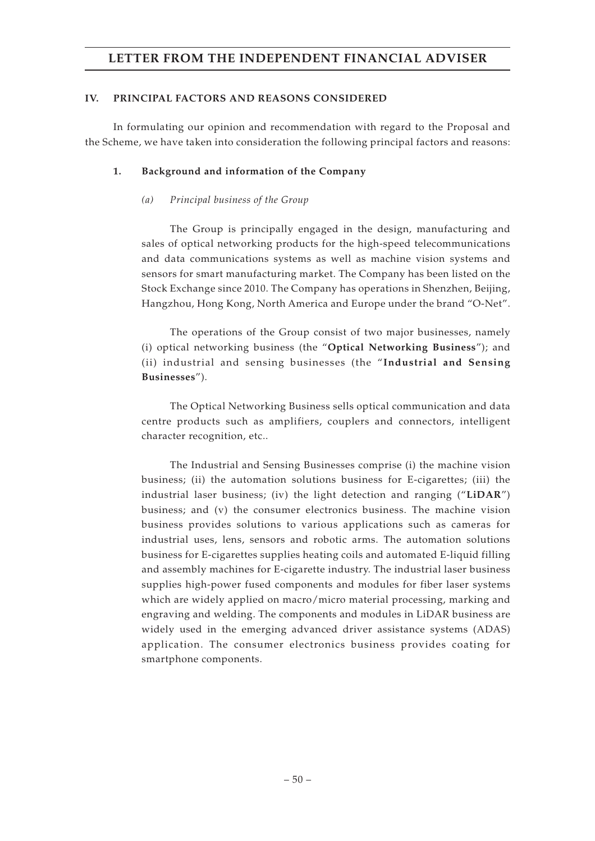### **IV. PRINCIPAL FACTORS AND REASONS CONSIDERED**

In formulating our opinion and recommendation with regard to the Proposal and the Scheme, we have taken into consideration the following principal factors and reasons:

### **1. Background and information of the Company**

### *(a) Principal business of the Group*

The Group is principally engaged in the design, manufacturing and sales of optical networking products for the high-speed telecommunications and data communications systems as well as machine vision systems and sensors for smart manufacturing market. The Company has been listed on the Stock Exchange since 2010. The Company has operations in Shenzhen, Beijing, Hangzhou, Hong Kong, North America and Europe under the brand "O-Net".

The operations of the Group consist of two major businesses, namely (i) optical networking business (the "**Optical Networking Business**"); and (ii) industrial and sensing businesses (the "**Industrial and Sensing Businesses**").

The Optical Networking Business sells optical communication and data centre products such as amplifiers, couplers and connectors, intelligent character recognition, etc..

The Industrial and Sensing Businesses comprise (i) the machine vision business; (ii) the automation solutions business for E-cigarettes; (iii) the industrial laser business; (iv) the light detection and ranging ("**LiDAR**") business; and (v) the consumer electronics business. The machine vision business provides solutions to various applications such as cameras for industrial uses, lens, sensors and robotic arms. The automation solutions business for E-cigarettes supplies heating coils and automated E-liquid filling and assembly machines for E-cigarette industry. The industrial laser business supplies high-power fused components and modules for fiber laser systems which are widely applied on macro/micro material processing, marking and engraving and welding. The components and modules in LiDAR business are widely used in the emerging advanced driver assistance systems (ADAS) application. The consumer electronics business provides coating for smartphone components.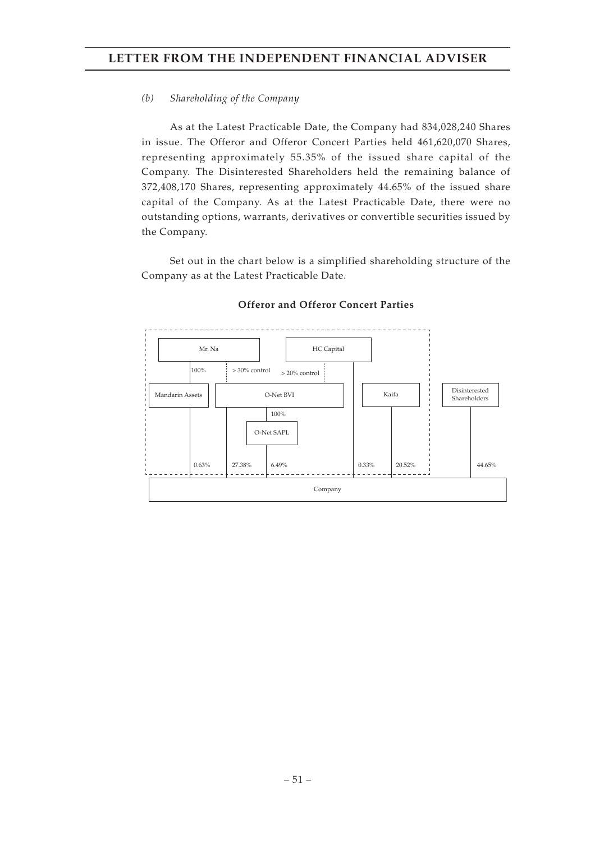### *(b) Shareholding of the Company*

As at the Latest Practicable Date, the Company had 834,028,240 Shares in issue. The Offeror and Offeror Concert Parties held 461,620,070 Shares, representing approximately 55.35% of the issued share capital of the Company. The Disinterested Shareholders held the remaining balance of 372,408,170 Shares, representing approximately 44.65% of the issued share capital of the Company. As at the Latest Practicable Date, there were no outstanding options, warrants, derivatives or convertible securities issued by the Company.

Set out in the chart below is a simplified shareholding structure of the Company as at the Latest Practicable Date.



### **Offeror and Offeror Concert Parties**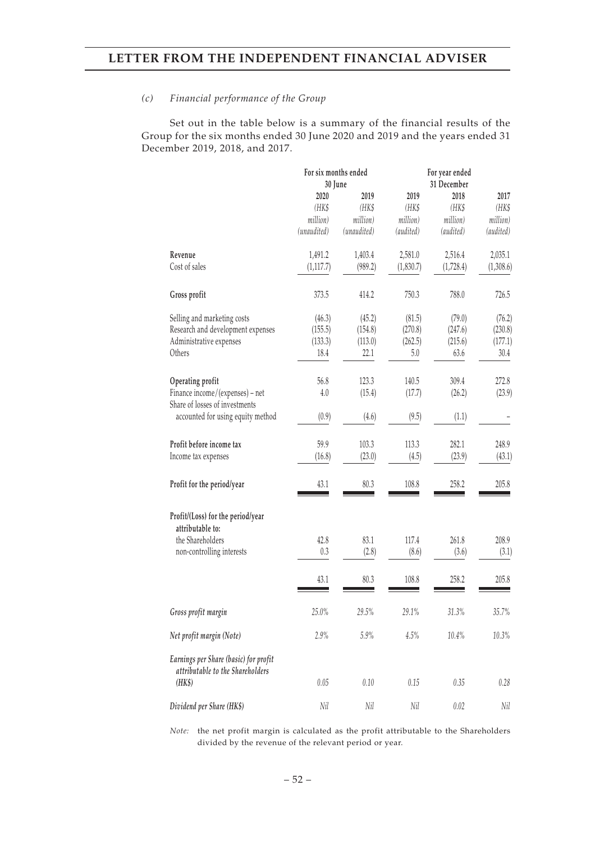#### *(c) Financial performance of the Group*

Set out in the table below is a summary of the financial results of the Group for the six months ended 30 June 2020 and 2019 and the years ended 31 December 2019, 2018, and 2017.

|                                                                           | For six months ended |             | For year ended |             |           |
|---------------------------------------------------------------------------|----------------------|-------------|----------------|-------------|-----------|
|                                                                           | 30 June              |             |                | 31 December |           |
|                                                                           | 2020                 | 2019        | 2019           | 2018        | 2017      |
|                                                                           | (HK\$                | (HK\$       | (HK\$          | (HK\$       | (HK\$     |
|                                                                           | million)             | million)    | million)       | million)    | million)  |
|                                                                           | (unaudited)          | (unaudited) | (audited)      | (audited)   | (audited) |
| Revenue                                                                   | 1,491.2              | 1,403.4     | 2,581.0        | 2,516.4     | 2,035.1   |
| Cost of sales                                                             | (1, 117.7)           | (989.2)     | (1,830.7)      | (1,728.4)   | (1,308.6) |
| Gross profit                                                              | 373.5                | 414.2       | 750.3          | 788.0       | 726.5     |
| Selling and marketing costs                                               | (46.3)               | (45.2)      | (81.5)         | (79.0)      | (76.2)    |
| Research and development expenses                                         | (155.5)              | (154.8)     | (270.8)        | (247.6)     | (230.8)   |
| Administrative expenses                                                   | (133.3)              | (113.0)     | (262.5)        | (215.6)     | (177.1)   |
| Others                                                                    | 18.4                 | 22.1        | 5.0            | 63.6        | 30.4      |
| Operating profit                                                          | 56.8                 | 123.3       | 140.5          | 309.4       | 272.8     |
| Finance income/(expenses) - net<br>Share of losses of investments         | 4.0                  | (15.4)      | (17.7)         | (26.2)      | (23.9)    |
| accounted for using equity method                                         | (0.9)                | (4.6)       | (9.5)          | (1.1)       |           |
| Profit before income tax                                                  | 59.9                 | 103.3       | 113.3          | 282.1       | 248.9     |
| Income tax expenses                                                       | (16.8)               | (23.0)      | (4.5)          | (23.9)      | (43.1)    |
| Profit for the period/year                                                | 43.1                 | 80.3        | 108.8          | 258.2       | 205.8     |
| Profit/(Loss) for the period/year<br>attributable to:                     |                      |             |                |             |           |
| the Shareholders                                                          | 42.8                 | 83.1        | 117.4          | 261.8       | 208.9     |
| non-controlling interests                                                 | 0.3                  | (2.8)       | (8.6)          | (3.6)       | (3.1)     |
|                                                                           | 43.1                 | 80.3        | 108.8          | 258.2       | 205.8     |
| Gross profit margin                                                       | 25.0%                | 29.5%       | 29.1%          | 31.3%       | 35.7%     |
| Net profit margin (Note)                                                  | 2.9%                 | 5.9%        | 4.5%           | 10.4%       | 10.3%     |
| Earnings per Share (basic) for profit<br>attributable to the Shareholders |                      |             |                |             |           |
| (HK\$)                                                                    | 0.05                 | 0.10        | 0.15           | 0.35        | 0.28      |
| Dividend per Share (HK\$)                                                 | Nil                  | Nil         | Nil            | 0.02        | Nil       |

*Note:* the net profit margin is calculated as the profit attributable to the Shareholders divided by the revenue of the relevant period or year.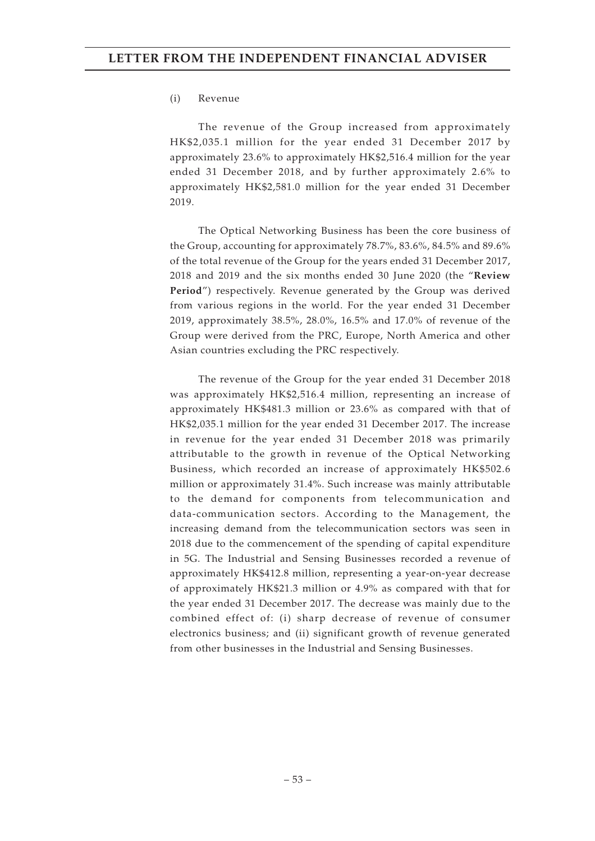#### (i) Revenue

The revenue of the Group increased from approximately HK\$2,035.1 million for the year ended 31 December 2017 by approximately 23.6% to approximately HK\$2,516.4 million for the year ended 31 December 2018, and by further approximately 2.6% to approximately HK\$2,581.0 million for the year ended 31 December 2019.

The Optical Networking Business has been the core business of the Group, accounting for approximately 78.7%, 83.6%, 84.5% and 89.6% of the total revenue of the Group for the years ended 31 December 2017, 2018 and 2019 and the six months ended 30 June 2020 (the "**Review Period**") respectively. Revenue generated by the Group was derived from various regions in the world. For the year ended 31 December 2019, approximately 38.5%, 28.0%, 16.5% and 17.0% of revenue of the Group were derived from the PRC, Europe, North America and other Asian countries excluding the PRC respectively.

The revenue of the Group for the year ended 31 December 2018 was approximately HK\$2,516.4 million, representing an increase of approximately HK\$481.3 million or 23.6% as compared with that of HK\$2,035.1 million for the year ended 31 December 2017. The increase in revenue for the year ended 31 December 2018 was primarily attributable to the growth in revenue of the Optical Networking Business, which recorded an increase of approximately HK\$502.6 million or approximately 31.4%. Such increase was mainly attributable to the demand for components from telecommunication and data-communication sectors. According to the Management, the increasing demand from the telecommunication sectors was seen in 2018 due to the commencement of the spending of capital expenditure in 5G. The Industrial and Sensing Businesses recorded a revenue of approximately HK\$412.8 million, representing a year-on-year decrease of approximately HK\$21.3 million or 4.9% as compared with that for the year ended 31 December 2017. The decrease was mainly due to the combined effect of: (i) sharp decrease of revenue of consumer electronics business; and (ii) significant growth of revenue generated from other businesses in the Industrial and Sensing Businesses.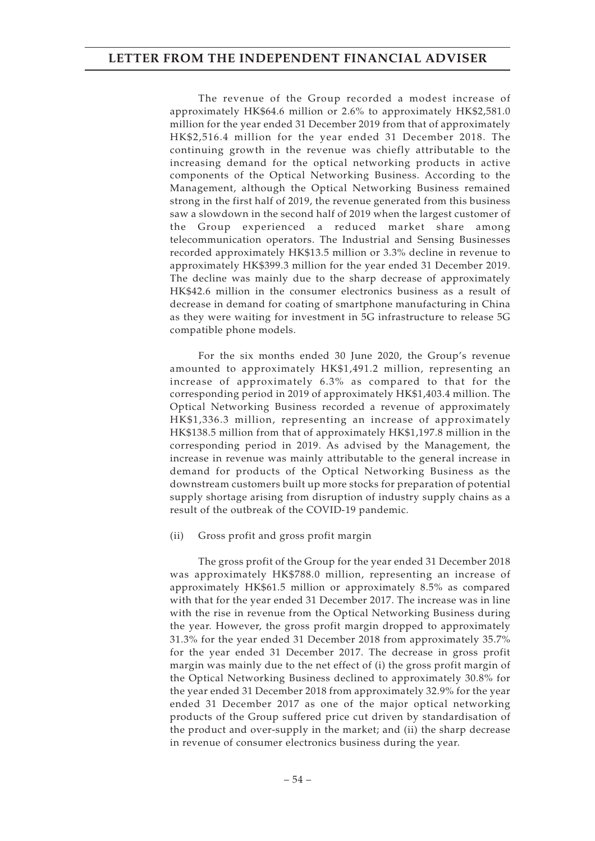The revenue of the Group recorded a modest increase of approximately HK\$64.6 million or 2.6% to approximately HK\$2,581.0 million for the year ended 31 December 2019 from that of approximately HK\$2,516.4 million for the year ended 31 December 2018. The continuing growth in the revenue was chiefly attributable to the increasing demand for the optical networking products in active components of the Optical Networking Business. According to the Management, although the Optical Networking Business remained strong in the first half of 2019, the revenue generated from this business saw a slowdown in the second half of 2019 when the largest customer of the Group experienced a reduced market share among telecommunication operators. The Industrial and Sensing Businesses recorded approximately HK\$13.5 million or 3.3% decline in revenue to approximately HK\$399.3 million for the year ended 31 December 2019. The decline was mainly due to the sharp decrease of approximately HK\$42.6 million in the consumer electronics business as a result of decrease in demand for coating of smartphone manufacturing in China as they were waiting for investment in 5G infrastructure to release 5G compatible phone models.

For the six months ended 30 June 2020, the Group's revenue amounted to approximately HK\$1,491.2 million, representing an increase of approximately 6.3% as compared to that for the corresponding period in 2019 of approximately HK\$1,403.4 million. The Optical Networking Business recorded a revenue of approximately HK\$1,336.3 million, representing an increase of approximately HK\$138.5 million from that of approximately HK\$1,197.8 million in the corresponding period in 2019. As advised by the Management, the increase in revenue was mainly attributable to the general increase in demand for products of the Optical Networking Business as the downstream customers built up more stocks for preparation of potential supply shortage arising from disruption of industry supply chains as a result of the outbreak of the COVID-19 pandemic.

### (ii) Gross profit and gross profit margin

The gross profit of the Group for the year ended 31 December 2018 was approximately HK\$788.0 million, representing an increase of approximately HK\$61.5 million or approximately 8.5% as compared with that for the year ended 31 December 2017. The increase was in line with the rise in revenue from the Optical Networking Business during the year. However, the gross profit margin dropped to approximately 31.3% for the year ended 31 December 2018 from approximately 35.7% for the year ended 31 December 2017. The decrease in gross profit margin was mainly due to the net effect of (i) the gross profit margin of the Optical Networking Business declined to approximately 30.8% for the year ended 31 December 2018 from approximately 32.9% for the year ended 31 December 2017 as one of the major optical networking products of the Group suffered price cut driven by standardisation of the product and over-supply in the market; and (ii) the sharp decrease in revenue of consumer electronics business during the year.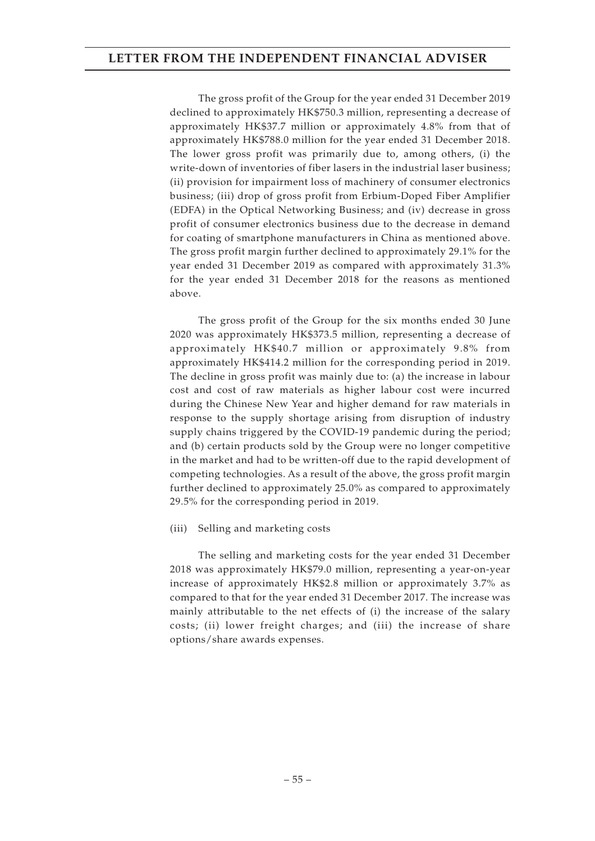The gross profit of the Group for the year ended 31 December 2019 declined to approximately HK\$750.3 million, representing a decrease of approximately HK\$37.7 million or approximately 4.8% from that of approximately HK\$788.0 million for the year ended 31 December 2018. The lower gross profit was primarily due to, among others, (i) the write-down of inventories of fiber lasers in the industrial laser business; (ii) provision for impairment loss of machinery of consumer electronics business; (iii) drop of gross profit from Erbium-Doped Fiber Amplifier (EDFA) in the Optical Networking Business; and (iv) decrease in gross profit of consumer electronics business due to the decrease in demand for coating of smartphone manufacturers in China as mentioned above. The gross profit margin further declined to approximately 29.1% for the year ended 31 December 2019 as compared with approximately 31.3% for the year ended 31 December 2018 for the reasons as mentioned above.

The gross profit of the Group for the six months ended 30 June 2020 was approximately HK\$373.5 million, representing a decrease of approximately HK\$40.7 million or approximately 9.8% from approximately HK\$414.2 million for the corresponding period in 2019. The decline in gross profit was mainly due to: (a) the increase in labour cost and cost of raw materials as higher labour cost were incurred during the Chinese New Year and higher demand for raw materials in response to the supply shortage arising from disruption of industry supply chains triggered by the COVID-19 pandemic during the period; and (b) certain products sold by the Group were no longer competitive in the market and had to be written-off due to the rapid development of competing technologies. As a result of the above, the gross profit margin further declined to approximately 25.0% as compared to approximately 29.5% for the corresponding period in 2019.

### (iii) Selling and marketing costs

The selling and marketing costs for the year ended 31 December 2018 was approximately HK\$79.0 million, representing a year-on-year increase of approximately HK\$2.8 million or approximately 3.7% as compared to that for the year ended 31 December 2017. The increase was mainly attributable to the net effects of (i) the increase of the salary costs; (ii) lower freight charges; and (iii) the increase of share options/share awards expenses.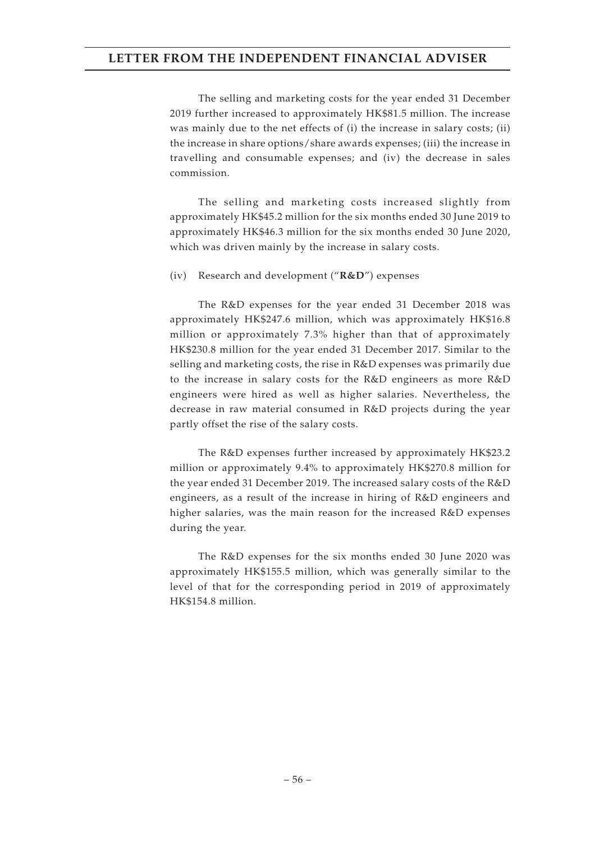The selling and marketing costs for the year ended 31 December 2019 further increased to approximately HK\$81.5 million. The increase was mainly due to the net effects of (i) the increase in salary costs; (ii) the increase in share options/share awards expenses; (iii) the increase in travelling and consumable expenses; and (iv) the decrease in sales commission.

The selling and marketing costs increased slightly from approximately HK\$45.2 million for the six months ended 30 June 2019 to approximately HK\$46.3 million for the six months ended 30 June 2020, which was driven mainly by the increase in salary costs.

(iv) Research and development ("**R&D**") expenses

The R&D expenses for the year ended 31 December 2018 was approximately HK\$247.6 million, which was approximately HK\$16.8 million or approximately 7.3% higher than that of approximately HK\$230.8 million for the year ended 31 December 2017. Similar to the selling and marketing costs, the rise in R&D expenses was primarily due to the increase in salary costs for the R&D engineers as more R&D engineers were hired as well as higher salaries. Nevertheless, the decrease in raw material consumed in R&D projects during the year partly offset the rise of the salary costs.

The R&D expenses further increased by approximately HK\$23.2 million or approximately 9.4% to approximately HK\$270.8 million for the year ended 31 December 2019. The increased salary costs of the R&D engineers, as a result of the increase in hiring of R&D engineers and higher salaries, was the main reason for the increased R&D expenses during the year.

The R&D expenses for the six months ended 30 June 2020 was approximately HK\$155.5 million, which was generally similar to the level of that for the corresponding period in 2019 of approximately HK\$154.8 million.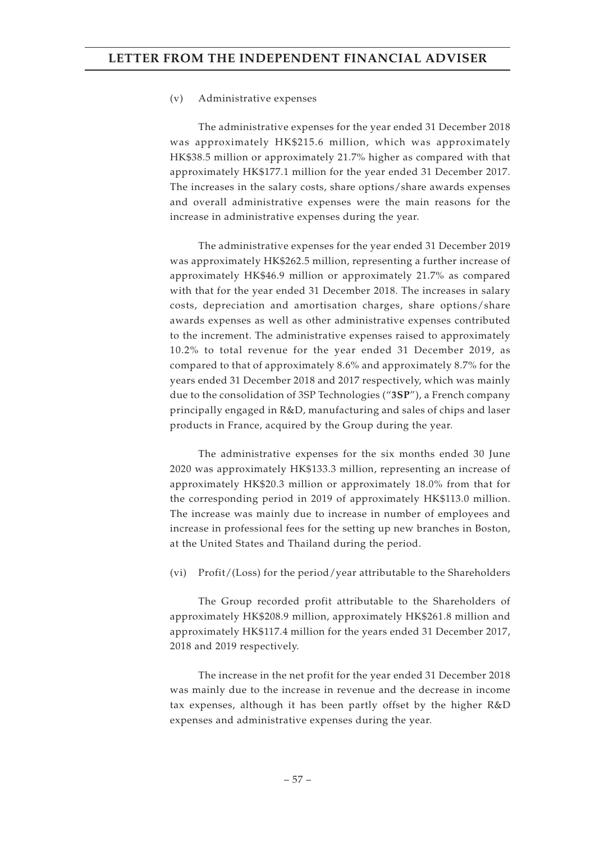#### (v) Administrative expenses

The administrative expenses for the year ended 31 December 2018 was approximately HK\$215.6 million, which was approximately HK\$38.5 million or approximately 21.7% higher as compared with that approximately HK\$177.1 million for the year ended 31 December 2017. The increases in the salary costs, share options/share awards expenses and overall administrative expenses were the main reasons for the increase in administrative expenses during the year.

The administrative expenses for the year ended 31 December 2019 was approximately HK\$262.5 million, representing a further increase of approximately HK\$46.9 million or approximately 21.7% as compared with that for the year ended 31 December 2018. The increases in salary costs, depreciation and amortisation charges, share options/share awards expenses as well as other administrative expenses contributed to the increment. The administrative expenses raised to approximately 10.2% to total revenue for the year ended 31 December 2019, as compared to that of approximately 8.6% and approximately 8.7% for the years ended 31 December 2018 and 2017 respectively, which was mainly due to the consolidation of 3SP Technologies ("**3SP**"), a French company principally engaged in R&D, manufacturing and sales of chips and laser products in France, acquired by the Group during the year.

The administrative expenses for the six months ended 30 June 2020 was approximately HK\$133.3 million, representing an increase of approximately HK\$20.3 million or approximately 18.0% from that for the corresponding period in 2019 of approximately HK\$113.0 million. The increase was mainly due to increase in number of employees and increase in professional fees for the setting up new branches in Boston, at the United States and Thailand during the period.

#### (vi) Profit/(Loss) for the period/year attributable to the Shareholders

The Group recorded profit attributable to the Shareholders of approximately HK\$208.9 million, approximately HK\$261.8 million and approximately HK\$117.4 million for the years ended 31 December 2017, 2018 and 2019 respectively.

The increase in the net profit for the year ended 31 December 2018 was mainly due to the increase in revenue and the decrease in income tax expenses, although it has been partly offset by the higher R&D expenses and administrative expenses during the year.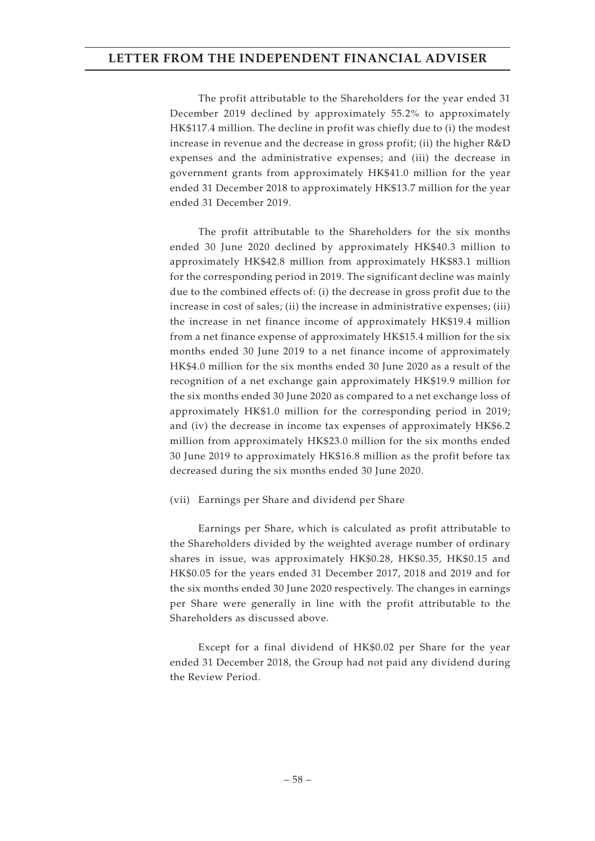The profit attributable to the Shareholders for the year ended 31 December 2019 declined by approximately 55.2% to approximately HK\$117.4 million. The decline in profit was chiefly due to (i) the modest increase in revenue and the decrease in gross profit; (ii) the higher R&D expenses and the administrative expenses; and (iii) the decrease in government grants from approximately HK\$41.0 million for the year ended 31 December 2018 to approximately HK\$13.7 million for the year ended 31 December 2019.

The profit attributable to the Shareholders for the six months ended 30 June 2020 declined by approximately HK\$40.3 million to approximately HK\$42.8 million from approximately HK\$83.1 million for the corresponding period in 2019. The significant decline was mainly due to the combined effects of: (i) the decrease in gross profit due to the increase in cost of sales; (ii) the increase in administrative expenses; (iii) the increase in net finance income of approximately HK\$19.4 million from a net finance expense of approximately HK\$15.4 million for the six months ended 30 June 2019 to a net finance income of approximately HK\$4.0 million for the six months ended 30 June 2020 as a result of the recognition of a net exchange gain approximately HK\$19.9 million for the six months ended 30 June 2020 as compared to a net exchange loss of approximately HK\$1.0 million for the corresponding period in 2019; and (iv) the decrease in income tax expenses of approximately HK\$6.2 million from approximately HK\$23.0 million for the six months ended 30 June 2019 to approximately HK\$16.8 million as the profit before tax decreased during the six months ended 30 June 2020.

### (vii) Earnings per Share and dividend per Share

Earnings per Share, which is calculated as profit attributable to the Shareholders divided by the weighted average number of ordinary shares in issue, was approximately HK\$0.28, HK\$0.35, HK\$0.15 and HK\$0.05 for the years ended 31 December 2017, 2018 and 2019 and for the six months ended 30 June 2020 respectively. The changes in earnings per Share were generally in line with the profit attributable to the Shareholders as discussed above.

Except for a final dividend of HK\$0.02 per Share for the year ended 31 December 2018, the Group had not paid any dividend during the Review Period.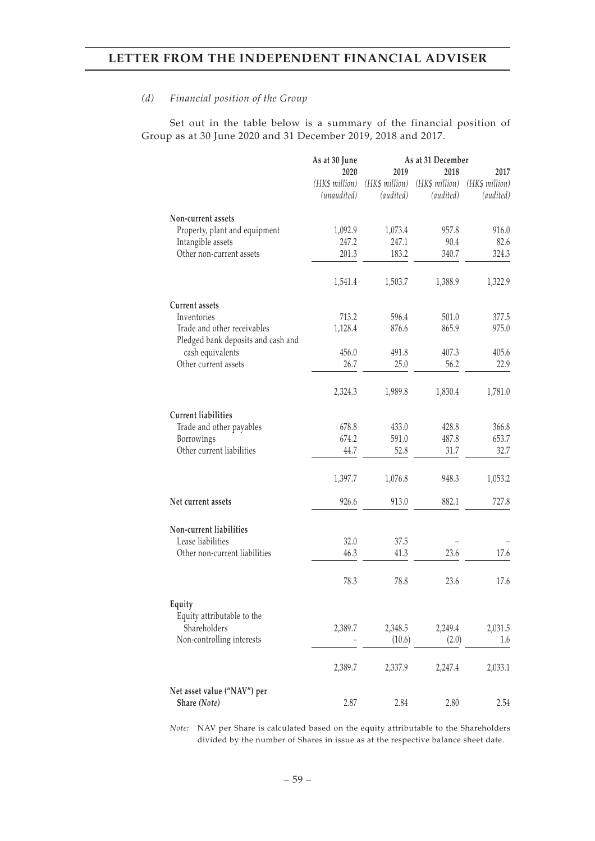#### *(d) Financial position of the Group*

Set out in the table below is a summary of the financial position of Group as at 30 June 2020 and 31 December 2019, 2018 and 2017.

|                                    | As at 30 June  |                | As at 31 December |                |
|------------------------------------|----------------|----------------|-------------------|----------------|
|                                    | 2020           | 2019           | 2018              | 2017           |
|                                    | (HK\$ million) | (HK\$ million) | (HK\$ million)    | (HK\$ million) |
|                                    | (unaudited)    | (audited)      | (audited)         | (audited)      |
| Non-current assets                 |                |                |                   |                |
| Property, plant and equipment      | 1,092.9        | 1,073.4        | 957.8             | 916.0          |
| Intangible assets                  | 247.2          | 247.1          | 90.4              | 82.6           |
| Other non-current assets           | 201.3          | 183.2          | 340.7             | 324.3          |
|                                    | 1,541.4        | 1,503.7        | 1,388.9           | 1,322.9        |
| <b>Current assets</b>              |                |                |                   |                |
| Inventories                        | 713.2          | 596.4          | 501.0             | 377.5          |
| Trade and other receivables        | 1,128.4        | 876.6          | 865.9             | 975.0          |
| Pledged bank deposits and cash and |                |                |                   |                |
| cash equivalents                   | 456.0          | 491.8          | 407.3             | 405.6          |
| Other current assets               | 26.7           | 25.0           | 56.2              | 22.9           |
|                                    | 2,324.3        | 1,989.8        | 1,830.4           | 1,781.0        |
| <b>Current liabilities</b>         |                |                |                   |                |
| Trade and other payables           | 678.8          | 433.0          | 428.8             | 366.8          |
| Borrowings                         | 674.2          | 591.0          | 487.8             | 653.7          |
| Other current liabilities          | 44.7           | 52.8           | 31.7              | 32.7           |
|                                    | 1,397.7        | 1,076.8        | 948.3             | 1,053.2        |
| Net current assets                 | 926.6          | 913.0          | 882.1             | 727.8          |
| Non-current liabilities            |                |                |                   |                |
| Lease liabilities                  | 32.0           | 37.5           |                   |                |
| Other non-current liabilities      | 46.3           | 41.3           | 23.6              | 17.6           |
|                                    | 78.3           | 78.8           | 23.6              | 17.6           |
| Equity                             |                |                |                   |                |
| Equity attributable to the         |                |                |                   |                |
| Shareholders                       | 2,389.7        | 2,348.5        | 2,249.4           | 2,031.5        |
| Non-controlling interests          |                | (10.6)         | (2.0)             | 1.6            |
|                                    | 2,389.7        | 2,337.9        | 2,247.4           | 2,033.1        |
| Net asset value ("NAV") per        |                |                |                   |                |
| Share (Note)                       | 2.87           | 2.84           | 2.80              | 2.54           |

*Note:* NAV per Share is calculated based on the equity attributable to the Shareholders divided by the number of Shares in issue as at the respective balance sheet date.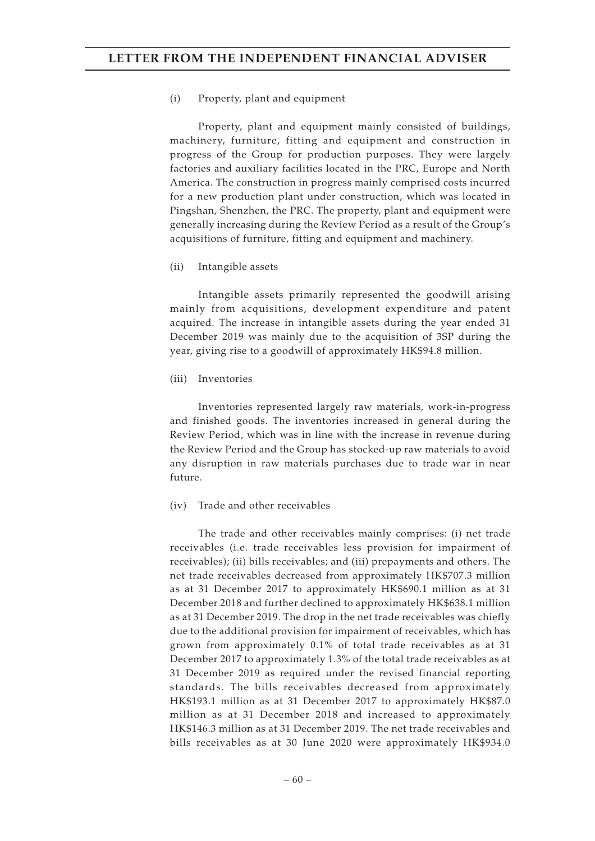#### (i) Property, plant and equipment

Property, plant and equipment mainly consisted of buildings, machinery, furniture, fitting and equipment and construction in progress of the Group for production purposes. They were largely factories and auxiliary facilities located in the PRC, Europe and North America. The construction in progress mainly comprised costs incurred for a new production plant under construction, which was located in Pingshan, Shenzhen, the PRC. The property, plant and equipment were generally increasing during the Review Period as a result of the Group's acquisitions of furniture, fitting and equipment and machinery.

#### (ii) Intangible assets

Intangible assets primarily represented the goodwill arising mainly from acquisitions, development expenditure and patent acquired. The increase in intangible assets during the year ended 31 December 2019 was mainly due to the acquisition of 3SP during the year, giving rise to a goodwill of approximately HK\$94.8 million.

#### (iii) Inventories

Inventories represented largely raw materials, work-in-progress and finished goods. The inventories increased in general during the Review Period, which was in line with the increase in revenue during the Review Period and the Group has stocked-up raw materials to avoid any disruption in raw materials purchases due to trade war in near future.

#### (iv) Trade and other receivables

The trade and other receivables mainly comprises: (i) net trade receivables (i.e. trade receivables less provision for impairment of receivables); (ii) bills receivables; and (iii) prepayments and others. The net trade receivables decreased from approximately HK\$707.3 million as at 31 December 2017 to approximately HK\$690.1 million as at 31 December 2018 and further declined to approximately HK\$638.1 million as at 31 December 2019. The drop in the net trade receivables was chiefly due to the additional provision for impairment of receivables, which has grown from approximately 0.1% of total trade receivables as at 31 December 2017 to approximately 1.3% of the total trade receivables as at 31 December 2019 as required under the revised financial reporting standards. The bills receivables decreased from approximately HK\$193.1 million as at 31 December 2017 to approximately HK\$87.0 million as at 31 December 2018 and increased to approximately HK\$146.3 million as at 31 December 2019. The net trade receivables and bills receivables as at 30 June 2020 were approximately HK\$934.0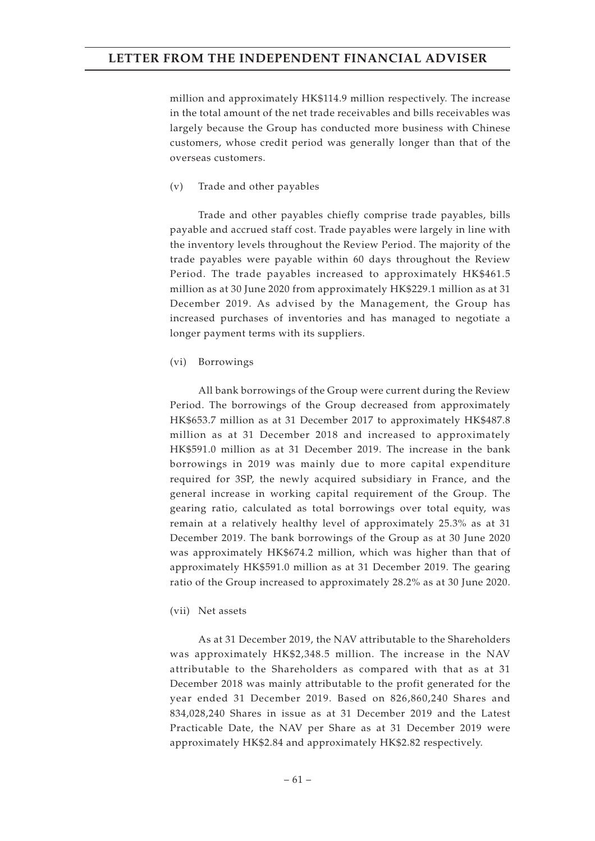million and approximately HK\$114.9 million respectively. The increase in the total amount of the net trade receivables and bills receivables was largely because the Group has conducted more business with Chinese customers, whose credit period was generally longer than that of the overseas customers.

(v) Trade and other payables

Trade and other payables chiefly comprise trade payables, bills payable and accrued staff cost. Trade payables were largely in line with the inventory levels throughout the Review Period. The majority of the trade payables were payable within 60 days throughout the Review Period. The trade payables increased to approximately HK\$461.5 million as at 30 June 2020 from approximately HK\$229.1 million as at 31 December 2019. As advised by the Management, the Group has increased purchases of inventories and has managed to negotiate a longer payment terms with its suppliers.

(vi) Borrowings

All bank borrowings of the Group were current during the Review Period. The borrowings of the Group decreased from approximately HK\$653.7 million as at 31 December 2017 to approximately HK\$487.8 million as at 31 December 2018 and increased to approximately HK\$591.0 million as at 31 December 2019. The increase in the bank borrowings in 2019 was mainly due to more capital expenditure required for 3SP, the newly acquired subsidiary in France, and the general increase in working capital requirement of the Group. The gearing ratio, calculated as total borrowings over total equity, was remain at a relatively healthy level of approximately 25.3% as at 31 December 2019. The bank borrowings of the Group as at 30 June 2020 was approximately HK\$674.2 million, which was higher than that of approximately HK\$591.0 million as at 31 December 2019. The gearing ratio of the Group increased to approximately 28.2% as at 30 June 2020.

(vii) Net assets

As at 31 December 2019, the NAV attributable to the Shareholders was approximately HK\$2,348.5 million. The increase in the NAV attributable to the Shareholders as compared with that as at 31 December 2018 was mainly attributable to the profit generated for the year ended 31 December 2019. Based on 826,860,240 Shares and 834,028,240 Shares in issue as at 31 December 2019 and the Latest Practicable Date, the NAV per Share as at 31 December 2019 were approximately HK\$2.84 and approximately HK\$2.82 respectively.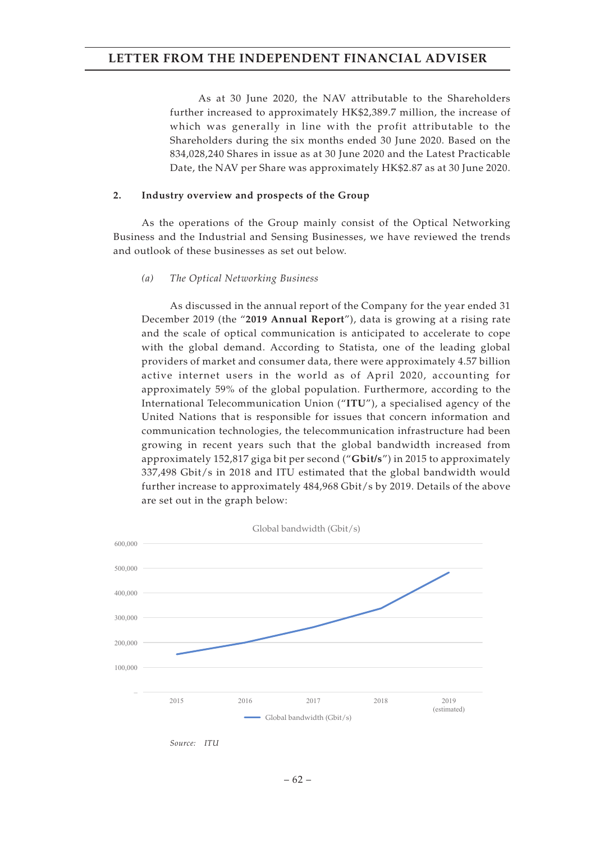As at 30 June 2020, the NAV attributable to the Shareholders further increased to approximately HK\$2,389.7 million, the increase of which was generally in line with the profit attributable to the Shareholders during the six months ended 30 June 2020. Based on the 834,028,240 Shares in issue as at 30 June 2020 and the Latest Practicable Date, the NAV per Share was approximately HK\$2.87 as at 30 June 2020.

#### **2. Industry overview and prospects of the Group**

As the operations of the Group mainly consist of the Optical Networking Business and the Industrial and Sensing Businesses, we have reviewed the trends and outlook of these businesses as set out below.

#### *(a) The Optical Networking Business*

As discussed in the annual report of the Company for the year ended 31 December 2019 (the "**2019 Annual Report**"), data is growing at a rising rate and the scale of optical communication is anticipated to accelerate to cope with the global demand. According to Statista, one of the leading global providers of market and consumer data, there were approximately 4.57 billion active internet users in the world as of April 2020, accounting for approximately 59% of the global population. Furthermore, according to the International Telecommunication Union ("**ITU**"), a specialised agency of the United Nations that is responsible for issues that concern information and communication technologies, the telecommunication infrastructure had been growing in recent years such that the global bandwidth increased from approximately 152,817 giga bit per second ("**Gbit/s**") in 2015 to approximately 337,498 Gbit/s in 2018 and ITU estimated that the global bandwidth would further increase to approximately 484,968 Gbit/s by 2019. Details of the above are set out in the graph below:



*Source: ITU*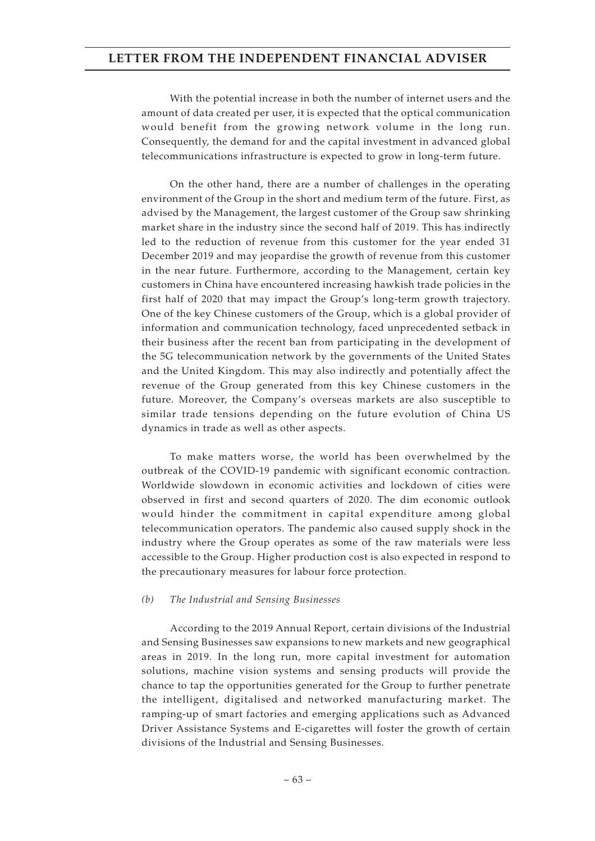With the potential increase in both the number of internet users and the amount of data created per user, it is expected that the optical communication would benefit from the growing network volume in the long run. Consequently, the demand for and the capital investment in advanced global telecommunications infrastructure is expected to grow in long-term future.

On the other hand, there are a number of challenges in the operating environment of the Group in the short and medium term of the future. First, as advised by the Management, the largest customer of the Group saw shrinking market share in the industry since the second half of 2019. This has indirectly led to the reduction of revenue from this customer for the year ended 31 December 2019 and may jeopardise the growth of revenue from this customer in the near future. Furthermore, according to the Management, certain key customers in China have encountered increasing hawkish trade policies in the first half of 2020 that may impact the Group's long-term growth trajectory. One of the key Chinese customers of the Group, which is a global provider of information and communication technology, faced unprecedented setback in their business after the recent ban from participating in the development of the 5G telecommunication network by the governments of the United States and the United Kingdom. This may also indirectly and potentially affect the revenue of the Group generated from this key Chinese customers in the future. Moreover, the Company's overseas markets are also susceptible to similar trade tensions depending on the future evolution of China US dynamics in trade as well as other aspects.

To make matters worse, the world has been overwhelmed by the outbreak of the COVID-19 pandemic with significant economic contraction. Worldwide slowdown in economic activities and lockdown of cities were observed in first and second quarters of 2020. The dim economic outlook would hinder the commitment in capital expenditure among global telecommunication operators. The pandemic also caused supply shock in the industry where the Group operates as some of the raw materials were less accessible to the Group. Higher production cost is also expected in respond to the precautionary measures for labour force protection.

#### *(b) The Industrial and Sensing Businesses*

According to the 2019 Annual Report, certain divisions of the Industrial and Sensing Businesses saw expansions to new markets and new geographical areas in 2019. In the long run, more capital investment for automation solutions, machine vision systems and sensing products will provide the chance to tap the opportunities generated for the Group to further penetrate the intelligent, digitalised and networked manufacturing market. The ramping-up of smart factories and emerging applications such as Advanced Driver Assistance Systems and E-cigarettes will foster the growth of certain divisions of the Industrial and Sensing Businesses.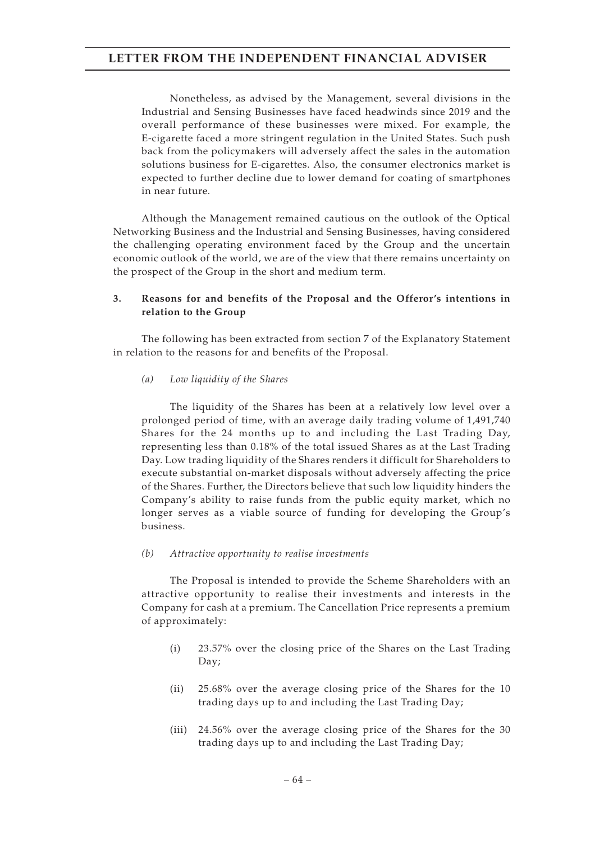Nonetheless, as advised by the Management, several divisions in the Industrial and Sensing Businesses have faced headwinds since 2019 and the overall performance of these businesses were mixed. For example, the E-cigarette faced a more stringent regulation in the United States. Such push back from the policymakers will adversely affect the sales in the automation solutions business for E-cigarettes. Also, the consumer electronics market is expected to further decline due to lower demand for coating of smartphones in near future.

Although the Management remained cautious on the outlook of the Optical Networking Business and the Industrial and Sensing Businesses, having considered the challenging operating environment faced by the Group and the uncertain economic outlook of the world, we are of the view that there remains uncertainty on the prospect of the Group in the short and medium term.

### **3. Reasons for and benefits of the Proposal and the Offeror's intentions in relation to the Group**

The following has been extracted from section 7 of the Explanatory Statement in relation to the reasons for and benefits of the Proposal.

#### *(a) Low liquidity of the Shares*

The liquidity of the Shares has been at a relatively low level over a prolonged period of time, with an average daily trading volume of 1,491,740 Shares for the 24 months up to and including the Last Trading Day, representing less than 0.18% of the total issued Shares as at the Last Trading Day. Low trading liquidity of the Shares renders it difficult for Shareholders to execute substantial on-market disposals without adversely affecting the price of the Shares. Further, the Directors believe that such low liquidity hinders the Company's ability to raise funds from the public equity market, which no longer serves as a viable source of funding for developing the Group's business.

#### *(b) Attractive opportunity to realise investments*

The Proposal is intended to provide the Scheme Shareholders with an attractive opportunity to realise their investments and interests in the Company for cash at a premium. The Cancellation Price represents a premium of approximately:

- (i) 23.57% over the closing price of the Shares on the Last Trading Day;
- (ii) 25.68% over the average closing price of the Shares for the 10 trading days up to and including the Last Trading Day;
- (iii) 24.56% over the average closing price of the Shares for the 30 trading days up to and including the Last Trading Day;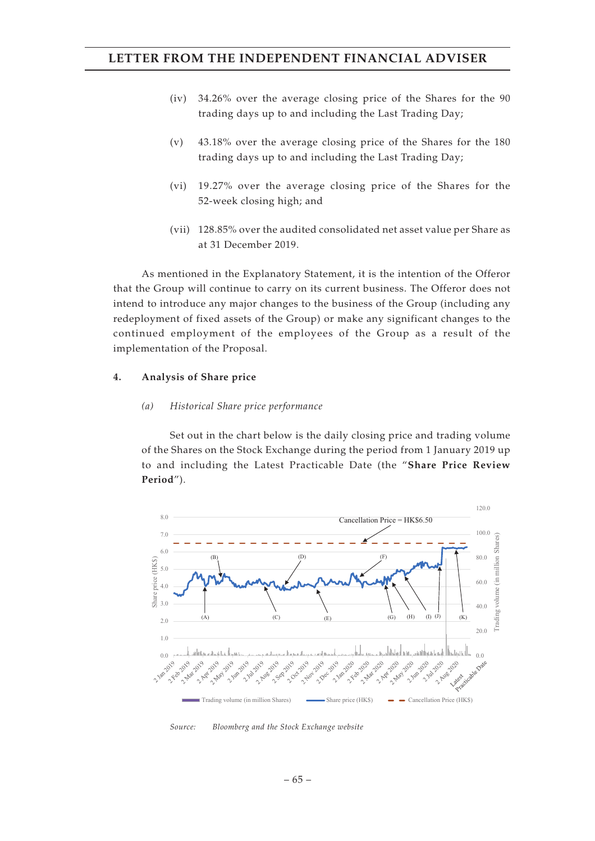- (iv) 34.26% over the average closing price of the Shares for the 90 trading days up to and including the Last Trading Day;
- (v) 43.18% over the average closing price of the Shares for the 180 trading days up to and including the Last Trading Day;
- (vi) 19.27% over the average closing price of the Shares for the 52-week closing high; and
- (vii) 128.85% over the audited consolidated net asset value per Share as at 31 December 2019.

As mentioned in the Explanatory Statement, it is the intention of the Offeror that the Group will continue to carry on its current business. The Offeror does not intend to introduce any major changes to the business of the Group (including any redeployment of fixed assets of the Group) or make any significant changes to the continued employment of the employees of the Group as a result of the implementation of the Proposal.

#### **4. Analysis of Share price**

#### *(a) Historical Share price performance*

Set out in the chart below is the daily closing price and trading volume of the Shares on the Stock Exchange during the period from 1 January 2019 up to and including the Latest Practicable Date (the "**Share Price Review Period**").



*Source: Bloomberg and the Stock Exchange website*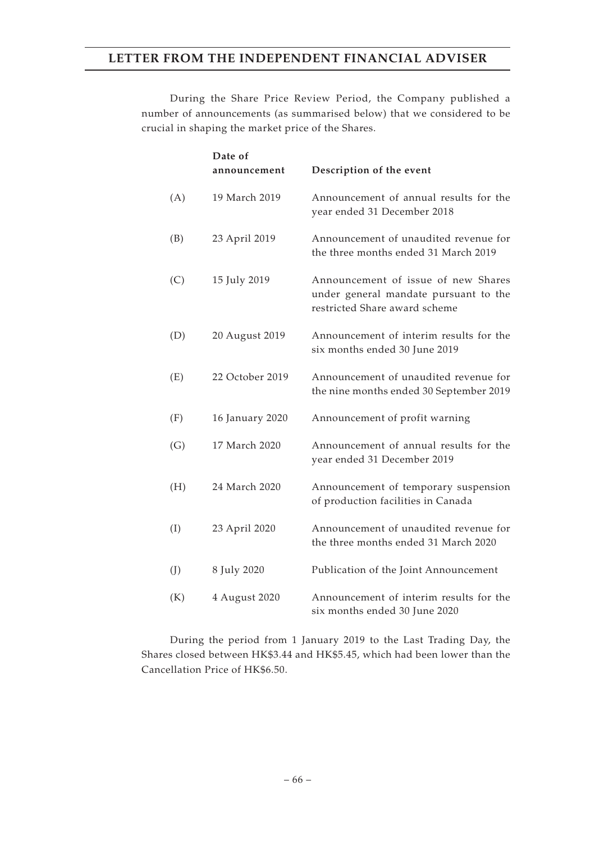During the Share Price Review Period, the Company published a number of announcements (as summarised below) that we considered to be crucial in shaping the market price of the Shares.

|     | Date of         |                                                                                                               |
|-----|-----------------|---------------------------------------------------------------------------------------------------------------|
|     | announcement    | Description of the event                                                                                      |
| (A) | 19 March 2019   | Announcement of annual results for the<br>year ended 31 December 2018                                         |
| (B) | 23 April 2019   | Announcement of unaudited revenue for<br>the three months ended 31 March 2019                                 |
| (C) | 15 July 2019    | Announcement of issue of new Shares<br>under general mandate pursuant to the<br>restricted Share award scheme |
| (D) | 20 August 2019  | Announcement of interim results for the<br>six months ended 30 June 2019                                      |
| (E) | 22 October 2019 | Announcement of unaudited revenue for<br>the nine months ended 30 September 2019                              |
| (F) | 16 January 2020 | Announcement of profit warning                                                                                |
| (G) | 17 March 2020   | Announcement of annual results for the<br>year ended 31 December 2019                                         |
| (H) | 24 March 2020   | Announcement of temporary suspension<br>of production facilities in Canada                                    |
| (I) | 23 April 2020   | Announcement of unaudited revenue for<br>the three months ended 31 March 2020                                 |
| (J) | 8 July 2020     | Publication of the Joint Announcement                                                                         |
| (K) | 4 August 2020   | Announcement of interim results for the<br>six months ended 30 June 2020                                      |

During the period from 1 January 2019 to the Last Trading Day, the Shares closed between HK\$3.44 and HK\$5.45, which had been lower than the Cancellation Price of HK\$6.50.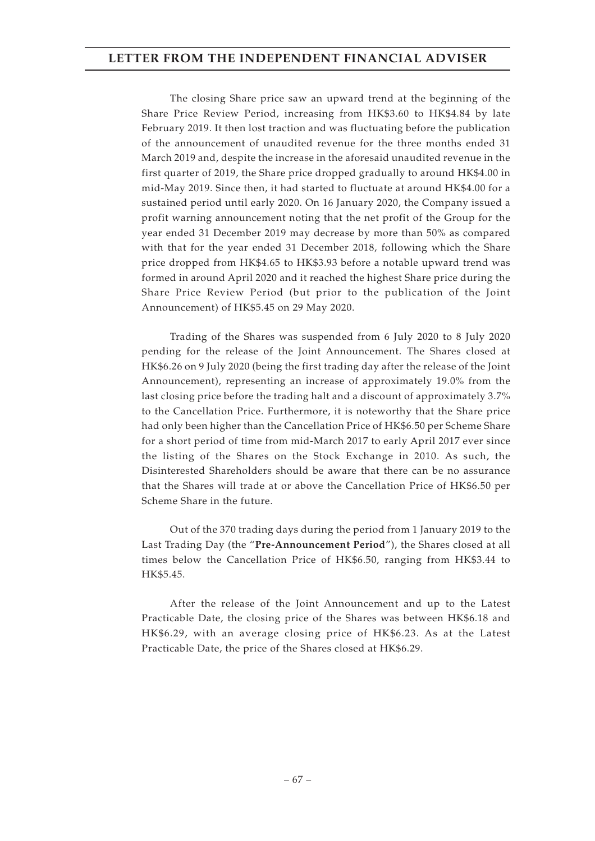The closing Share price saw an upward trend at the beginning of the Share Price Review Period, increasing from HK\$3.60 to HK\$4.84 by late February 2019. It then lost traction and was fluctuating before the publication of the announcement of unaudited revenue for the three months ended 31 March 2019 and, despite the increase in the aforesaid unaudited revenue in the first quarter of 2019, the Share price dropped gradually to around HK\$4.00 in mid-May 2019. Since then, it had started to fluctuate at around HK\$4.00 for a sustained period until early 2020. On 16 January 2020, the Company issued a profit warning announcement noting that the net profit of the Group for the year ended 31 December 2019 may decrease by more than 50% as compared with that for the year ended 31 December 2018, following which the Share price dropped from HK\$4.65 to HK\$3.93 before a notable upward trend was formed in around April 2020 and it reached the highest Share price during the Share Price Review Period (but prior to the publication of the Joint Announcement) of HK\$5.45 on 29 May 2020.

Trading of the Shares was suspended from 6 July 2020 to 8 July 2020 pending for the release of the Joint Announcement. The Shares closed at HK\$6.26 on 9 July 2020 (being the first trading day after the release of the Joint Announcement), representing an increase of approximately 19.0% from the last closing price before the trading halt and a discount of approximately 3.7% to the Cancellation Price. Furthermore, it is noteworthy that the Share price had only been higher than the Cancellation Price of HK\$6.50 per Scheme Share for a short period of time from mid-March 2017 to early April 2017 ever since the listing of the Shares on the Stock Exchange in 2010. As such, the Disinterested Shareholders should be aware that there can be no assurance that the Shares will trade at or above the Cancellation Price of HK\$6.50 per Scheme Share in the future.

Out of the 370 trading days during the period from 1 January 2019 to the Last Trading Day (the "**Pre-Announcement Period**"), the Shares closed at all times below the Cancellation Price of HK\$6.50, ranging from HK\$3.44 to HK\$5.45.

After the release of the Joint Announcement and up to the Latest Practicable Date, the closing price of the Shares was between HK\$6.18 and HK\$6.29, with an average closing price of HK\$6.23. As at the Latest Practicable Date, the price of the Shares closed at HK\$6.29.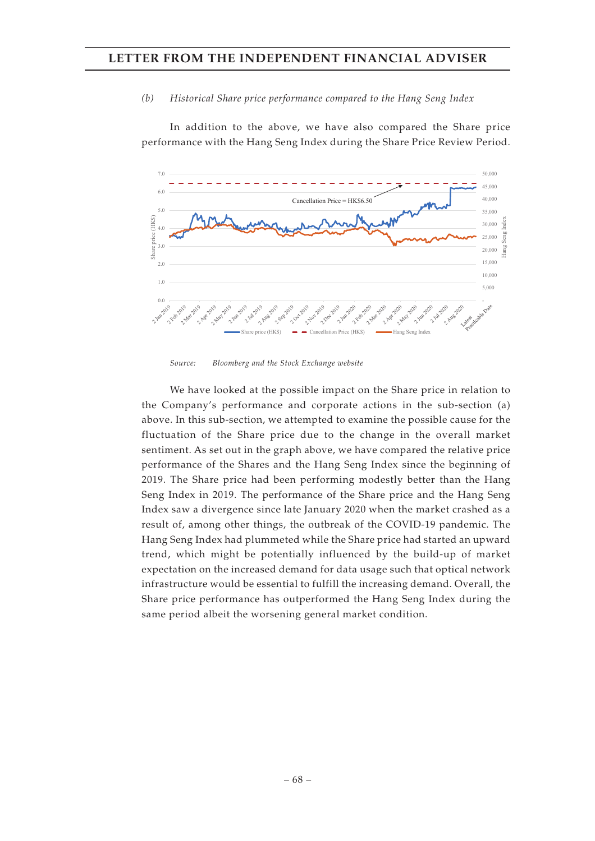#### *(b) Historical Share price performance compared to the Hang Seng Index*

In addition to the above, we have also compared the Share price performance with the Hang Seng Index during the Share Price Review Period.



*Source: Bloomberg and the Stock Exchange website*

We have looked at the possible impact on the Share price in relation to the Company's performance and corporate actions in the sub-section (a) above. In this sub-section, we attempted to examine the possible cause for the fluctuation of the Share price due to the change in the overall market sentiment. As set out in the graph above, we have compared the relative price performance of the Shares and the Hang Seng Index since the beginning of 2019. The Share price had been performing modestly better than the Hang Seng Index in 2019. The performance of the Share price and the Hang Seng Index saw a divergence since late January 2020 when the market crashed as a result of, among other things, the outbreak of the COVID-19 pandemic. The Hang Seng Index had plummeted while the Share price had started an upward trend, which might be potentially influenced by the build-up of market expectation on the increased demand for data usage such that optical network infrastructure would be essential to fulfill the increasing demand. Overall, the Share price performance has outperformed the Hang Seng Index during the same period albeit the worsening general market condition.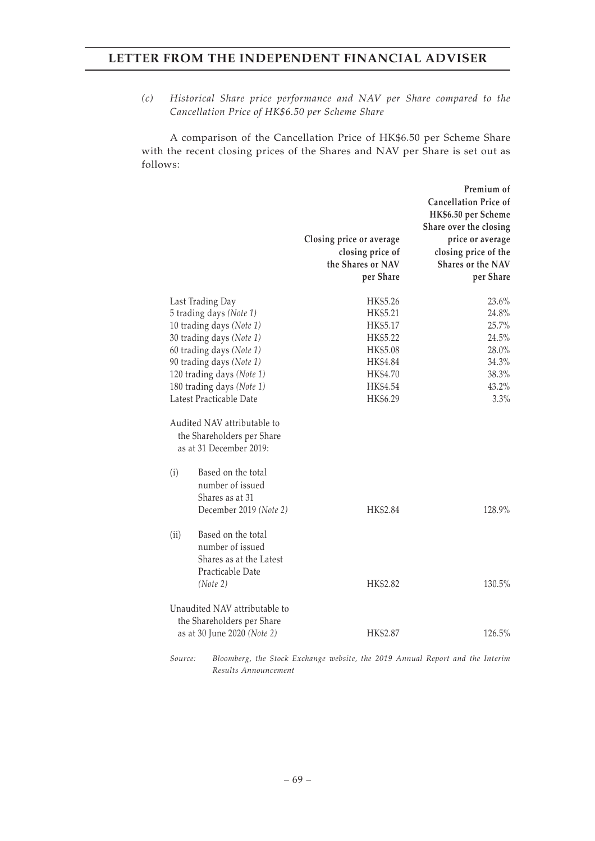*(c) Historical Share price performance and NAV per Share compared to the Cancellation Price of HK\$6.50 per Scheme Share*

A comparison of the Cancellation Price of HK\$6.50 per Scheme Share with the recent closing prices of the Shares and NAV per Share is set out as follows:

|                                                                                                           |                                                                   | Premium of<br><b>Cancellation Price of</b><br>HK\$6.50 per Scheme<br>Share over the closing |
|-----------------------------------------------------------------------------------------------------------|-------------------------------------------------------------------|---------------------------------------------------------------------------------------------|
|                                                                                                           | Closing price or average<br>closing price of<br>the Shares or NAV | price or average<br>closing price of the<br><b>Shares or the NAV</b>                        |
|                                                                                                           | per Share                                                         | per Share                                                                                   |
| Last Trading Day                                                                                          | HK\$5.26                                                          | 23.6%                                                                                       |
| 5 trading days (Note 1)                                                                                   | HK\$5.21                                                          | 24.8%                                                                                       |
| 10 trading days (Note 1)                                                                                  | HK\$5.17                                                          | 25.7%                                                                                       |
| 30 trading days (Note 1)                                                                                  | HK\$5.22                                                          | 24.5%                                                                                       |
| 60 trading days (Note 1)                                                                                  | HK\$5.08                                                          | 28.0%                                                                                       |
| 90 trading days (Note 1)                                                                                  | HK\$4.84                                                          | 34.3%                                                                                       |
| 120 trading days (Note 1)                                                                                 | HK\$4.70                                                          | 38.3%                                                                                       |
| 180 trading days (Note 1)                                                                                 | HK\$4.54                                                          | 43.2%                                                                                       |
| Latest Practicable Date                                                                                   | HK\$6.29                                                          | 3.3%                                                                                        |
| Audited NAV attributable to<br>the Shareholders per Share<br>as at 31 December 2019:                      |                                                                   |                                                                                             |
| Based on the total<br>(i)<br>number of issued<br>Shares as at 31<br>December 2019 (Note 2)                | HK\$2.84                                                          | 128.9%                                                                                      |
| Based on the total<br>(ii)<br>number of issued<br>Shares as at the Latest<br>Practicable Date<br>(Note 2) | HK\$2.82                                                          | 130.5%                                                                                      |
| Unaudited NAV attributable to<br>the Shareholders per Share                                               |                                                                   |                                                                                             |
| as at 30 June 2020 (Note 2)                                                                               | HK\$2.87                                                          | 126.5%                                                                                      |

*Source: Bloomberg, the Stock Exchange website, the 2019 Annual Report and the Interim Results Announcement*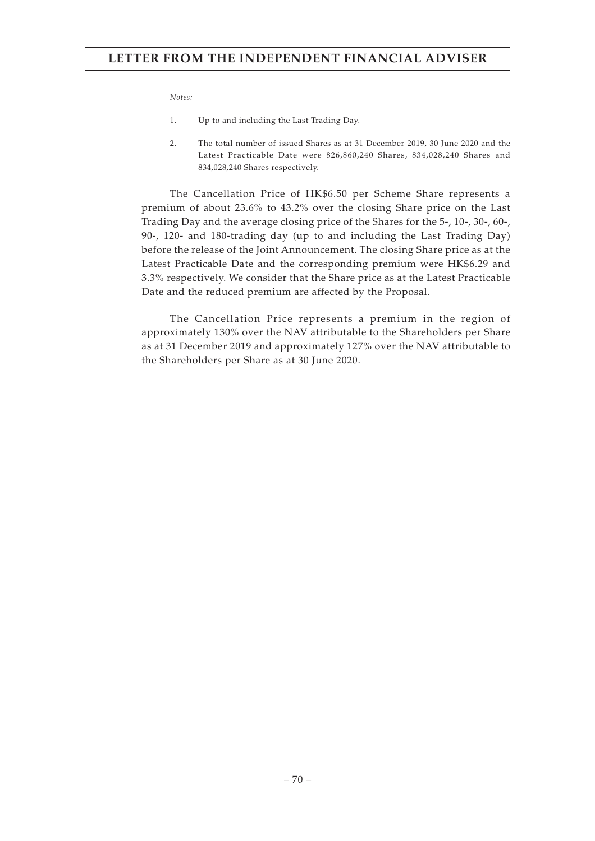#### *Notes:*

- 1. Up to and including the Last Trading Day.
- 2. The total number of issued Shares as at 31 December 2019, 30 June 2020 and the Latest Practicable Date were 826,860,240 Shares, 834,028,240 Shares and 834,028,240 Shares respectively.

The Cancellation Price of HK\$6.50 per Scheme Share represents a premium of about 23.6% to 43.2% over the closing Share price on the Last Trading Day and the average closing price of the Shares for the 5-, 10-, 30-, 60-, 90-, 120- and 180-trading day (up to and including the Last Trading Day) before the release of the Joint Announcement. The closing Share price as at the Latest Practicable Date and the corresponding premium were HK\$6.29 and 3.3% respectively. We consider that the Share price as at the Latest Practicable Date and the reduced premium are affected by the Proposal.

The Cancellation Price represents a premium in the region of approximately 130% over the NAV attributable to the Shareholders per Share as at 31 December 2019 and approximately 127% over the NAV attributable to the Shareholders per Share as at 30 June 2020.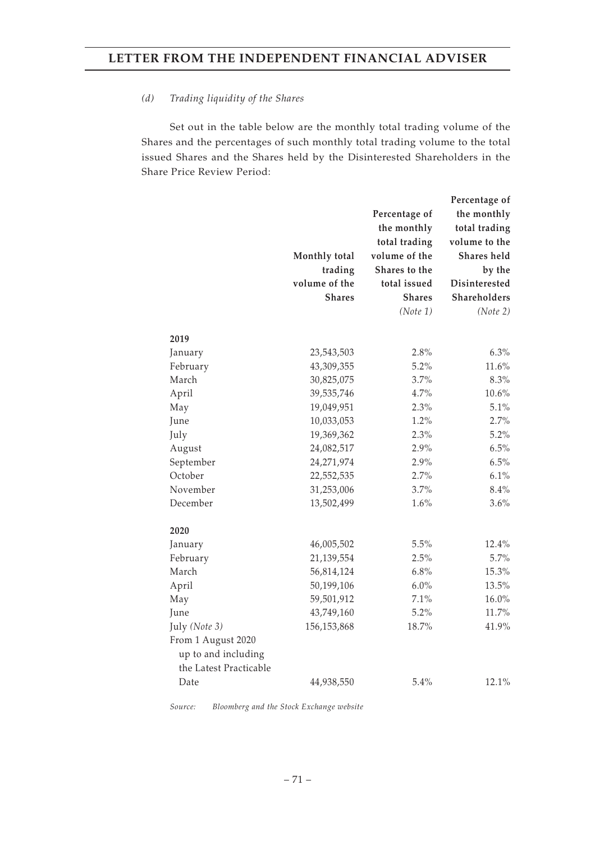#### *(d) Trading liquidity of the Shares*

Set out in the table below are the monthly total trading volume of the Shares and the percentages of such monthly total trading volume to the total issued Shares and the Shares held by the Disinterested Shareholders in the Share Price Review Period:

|                        |               |               | Percentage of |
|------------------------|---------------|---------------|---------------|
|                        |               | Percentage of | the monthly   |
|                        |               | the monthly   | total trading |
|                        |               | total trading | volume to the |
|                        | Monthly total | volume of the | Shares held   |
|                        | trading       | Shares to the | by the        |
|                        | volume of the | total issued  | Disinterested |
|                        | <b>Shares</b> | <b>Shares</b> | Shareholders  |
|                        |               | (Note 1)      | (Note 2)      |
| 2019                   |               |               |               |
| January                | 23,543,503    | 2.8%          | 6.3%          |
| February               | 43,309,355    | 5.2%          | 11.6%         |
| March                  | 30,825,075    | 3.7%          | 8.3%          |
| April                  | 39,535,746    | 4.7%          | $10.6\%$      |
| May                    | 19,049,951    | 2.3%          | 5.1%          |
| June                   | 10,033,053    | 1.2%          | 2.7%          |
| July                   | 19,369,362    | 2.3%          | 5.2%          |
| August                 | 24,082,517    | 2.9%          | 6.5%          |
| September              | 24,271,974    | 2.9%          | 6.5%          |
| October                | 22,552,535    | 2.7%          | 6.1%          |
| November               | 31,253,006    | 3.7%          | 8.4%          |
| December               | 13,502,499    | 1.6%          | 3.6%          |
| 2020                   |               |               |               |
| January                | 46,005,502    | 5.5%          | 12.4%         |
| February               | 21,139,554    | 2.5%          | 5.7%          |
| March                  | 56,814,124    | 6.8%          | 15.3%         |
| April                  | 50,199,106    | 6.0%          | 13.5%         |
| May                    | 59,501,912    | 7.1%          | $16.0\%$      |
| June                   | 43,749,160    | 5.2%          | 11.7%         |
| July (Note 3)          | 156,153,868   | 18.7%         | 41.9%         |
| From 1 August 2020     |               |               |               |
| up to and including    |               |               |               |
| the Latest Practicable |               |               |               |
| Date                   | 44,938,550    | 5.4%          | 12.1%         |

*Source: Bloomberg and the Stock Exchange website*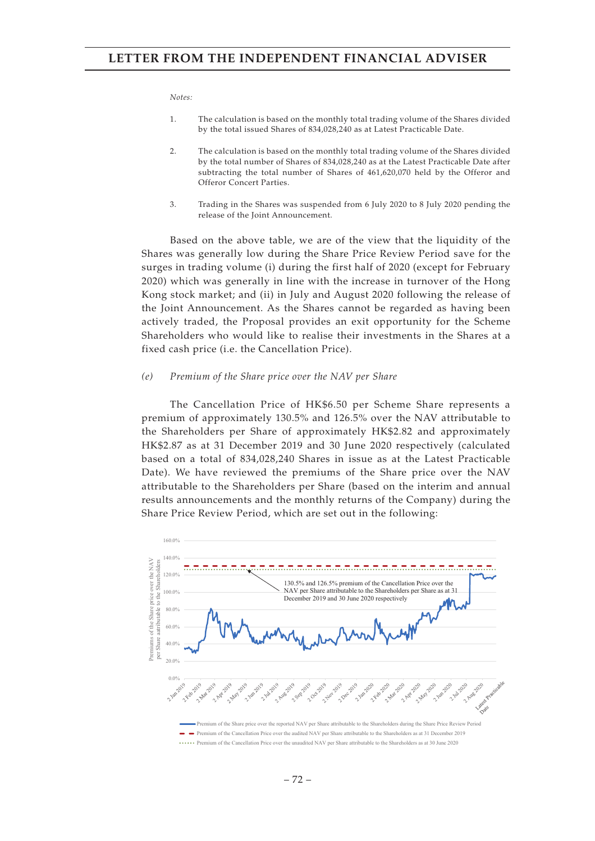#### *Notes:*

- 1. The calculation is based on the monthly total trading volume of the Shares divided by the total issued Shares of 834,028,240 as at Latest Practicable Date.
- 2. The calculation is based on the monthly total trading volume of the Shares divided by the total number of Shares of 834,028,240 as at the Latest Practicable Date after subtracting the total number of Shares of 461,620,070 held by the Offeror and Offeror Concert Parties.
- 3. Trading in the Shares was suspended from 6 July 2020 to 8 July 2020 pending the release of the Joint Announcement.

Based on the above table, we are of the view that the liquidity of the Shares was generally low during the Share Price Review Period save for the surges in trading volume (i) during the first half of 2020 (except for February 2020) which was generally in line with the increase in turnover of the Hong Kong stock market; and (ii) in July and August 2020 following the release of the Joint Announcement. As the Shares cannot be regarded as having been actively traded, the Proposal provides an exit opportunity for the Scheme Shareholders who would like to realise their investments in the Shares at a fixed cash price (i.e. the Cancellation Price).

#### *(e) Premium of the Share price over the NAV per Share*

The Cancellation Price of HK\$6.50 per Scheme Share represents a premium of approximately 130.5% and 126.5% over the NAV attributable to the Shareholders per Share of approximately HK\$2.82 and approximately HK\$2.87 as at 31 December 2019 and 30 June 2020 respectively (calculated based on a total of 834,028,240 Shares in issue as at the Latest Practicable Date). We have reviewed the premiums of the Share price over the NAV attributable to the Shareholders per Share (based on the interim and annual results announcements and the monthly returns of the Company) during the Share Price Review Period, which are set out in the following:

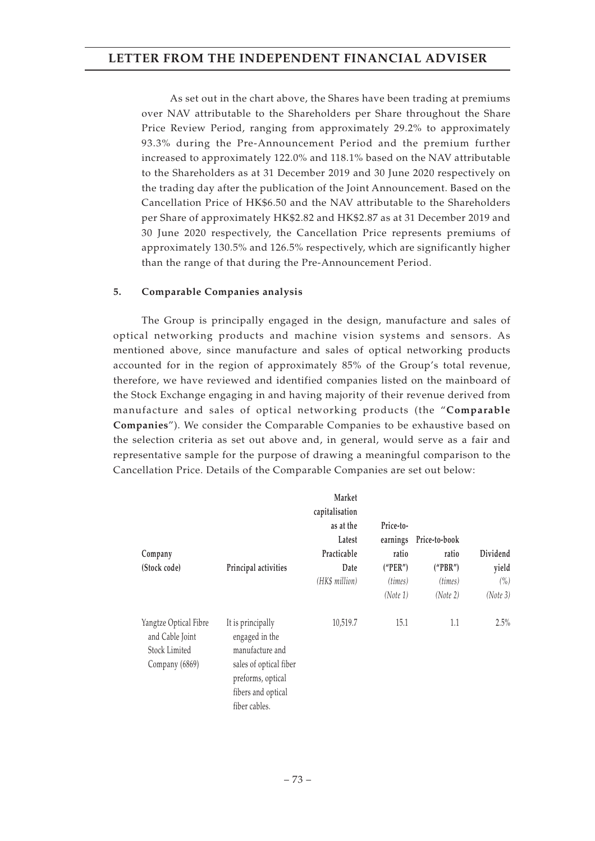As set out in the chart above, the Shares have been trading at premiums over NAV attributable to the Shareholders per Share throughout the Share Price Review Period, ranging from approximately 29.2% to approximately 93.3% during the Pre-Announcement Period and the premium further increased to approximately 122.0% and 118.1% based on the NAV attributable to the Shareholders as at 31 December 2019 and 30 June 2020 respectively on the trading day after the publication of the Joint Announcement. Based on the Cancellation Price of HK\$6.50 and the NAV attributable to the Shareholders per Share of approximately HK\$2.82 and HK\$2.87 as at 31 December 2019 and 30 June 2020 respectively, the Cancellation Price represents premiums of approximately 130.5% and 126.5% respectively, which are significantly higher than the range of that during the Pre-Announcement Period.

### **5. Comparable Companies analysis**

The Group is principally engaged in the design, manufacture and sales of optical networking products and machine vision systems and sensors. As mentioned above, since manufacture and sales of optical networking products accounted for in the region of approximately 85% of the Group's total revenue, therefore, we have reviewed and identified companies listed on the mainboard of the Stock Exchange engaging in and having majority of their revenue derived from manufacture and sales of optical networking products (the "**Comparable Companies**"). We consider the Comparable Companies to be exhaustive based on the selection criteria as set out above and, in general, would serve as a fair and representative sample for the purpose of drawing a meaningful comparison to the Cancellation Price. Details of the Comparable Companies are set out below:

| Company<br>(Stock code)                                                            | Principal activities                                                                                                                         | Market<br>capitalisation<br>as at the<br>Latest<br>Practicable<br>Date<br>(HK\$ million) | Price-to-<br>earnings<br>ratio<br>("PER")<br>(times)<br>(Note 1) | Price-to-book<br>ratio<br>("PBR")<br>(times)<br>(Note 2) | Dividend<br>yield<br>$(\% )$<br>(Note 3) |
|------------------------------------------------------------------------------------|----------------------------------------------------------------------------------------------------------------------------------------------|------------------------------------------------------------------------------------------|------------------------------------------------------------------|----------------------------------------------------------|------------------------------------------|
| Yangtze Optical Fibre<br>and Cable Joint<br><b>Stock Limited</b><br>Company (6869) | It is principally<br>engaged in the<br>manufacture and<br>sales of optical fiber<br>preforms, optical<br>fibers and optical<br>fiber cables. | 10,519.7                                                                                 | 15.1                                                             | 1.1                                                      | 2.5%                                     |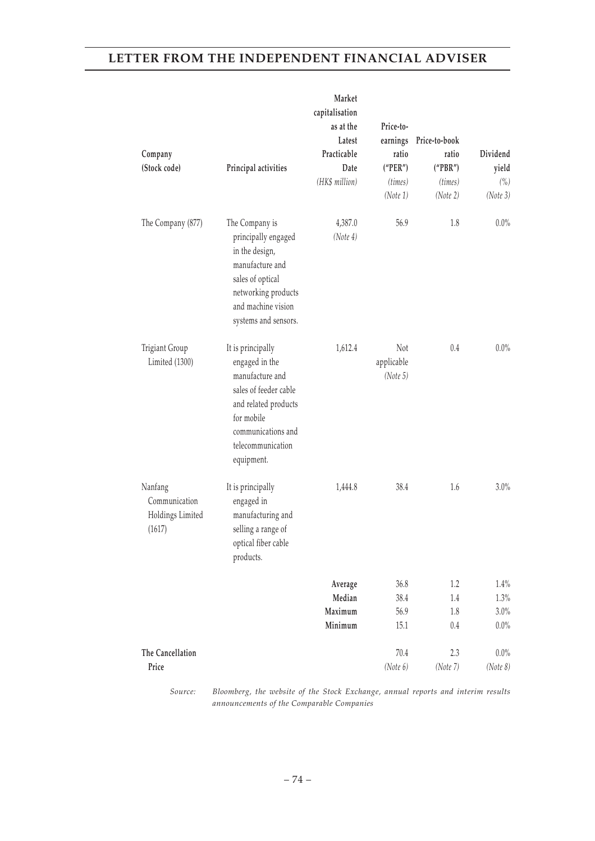| Company<br>(Stock code)                                | Principal activities                                                                                                                                                           | Market<br>capitalisation<br>as at the<br>Latest<br>Practicable<br>Date<br>(HK\$ million) | Price-to-<br>ratio<br>("PER")<br>(times)<br>(Note 1) | earnings Price-to-book<br>ratio<br>("PBR")<br>(times)<br>(Note 2) | Dividend<br>yield<br>(%)<br>(Note 3) |
|--------------------------------------------------------|--------------------------------------------------------------------------------------------------------------------------------------------------------------------------------|------------------------------------------------------------------------------------------|------------------------------------------------------|-------------------------------------------------------------------|--------------------------------------|
| The Company (877)                                      | The Company is<br>principally engaged<br>in the design,<br>manufacture and<br>sales of optical<br>networking products<br>and machine vision<br>systems and sensors.            | 4,387.0<br>(Note 4)                                                                      | 56.9                                                 | 1.8                                                               | $0.0\%$                              |
| Trigiant Group<br>Limited (1300)                       | It is principally<br>engaged in the<br>manufacture and<br>sales of feeder cable<br>and related products<br>for mobile<br>communications and<br>telecommunication<br>equipment. | 1,612.4                                                                                  | Not<br>applicable<br>(Note 5)                        | $0.4\,$                                                           | $0.0\%$                              |
| Nanfang<br>Communication<br>Holdings Limited<br>(1617) | It is principally<br>engaged in<br>manufacturing and<br>selling a range of<br>optical fiber cable<br>products.                                                                 | 1,444.8                                                                                  | 38.4                                                 | 1.6                                                               | 3.0%                                 |
|                                                        |                                                                                                                                                                                | Average                                                                                  | 36.8                                                 | 1.2                                                               | 1.4%                                 |
|                                                        |                                                                                                                                                                                | Median                                                                                   | 38.4                                                 | $1.4\,$                                                           | 1.3%                                 |
|                                                        |                                                                                                                                                                                | Maximum                                                                                  | 56.9                                                 | $1.8\,$                                                           | 3.0%                                 |
|                                                        |                                                                                                                                                                                | Minimum                                                                                  | 15.1                                                 | $0.4\,$                                                           | $0.0\%$                              |
| The Cancellation                                       |                                                                                                                                                                                |                                                                                          | 70.4                                                 | 2.3                                                               | $0.0\%$                              |
| Price                                                  |                                                                                                                                                                                |                                                                                          | (Note 6)                                             | (Note 7)                                                          | (Note 8)                             |
|                                                        |                                                                                                                                                                                |                                                                                          |                                                      |                                                                   |                                      |

*Source: Bloomberg, the website of the Stock Exchange, annual reports and interim results announcements of the Comparable Companies*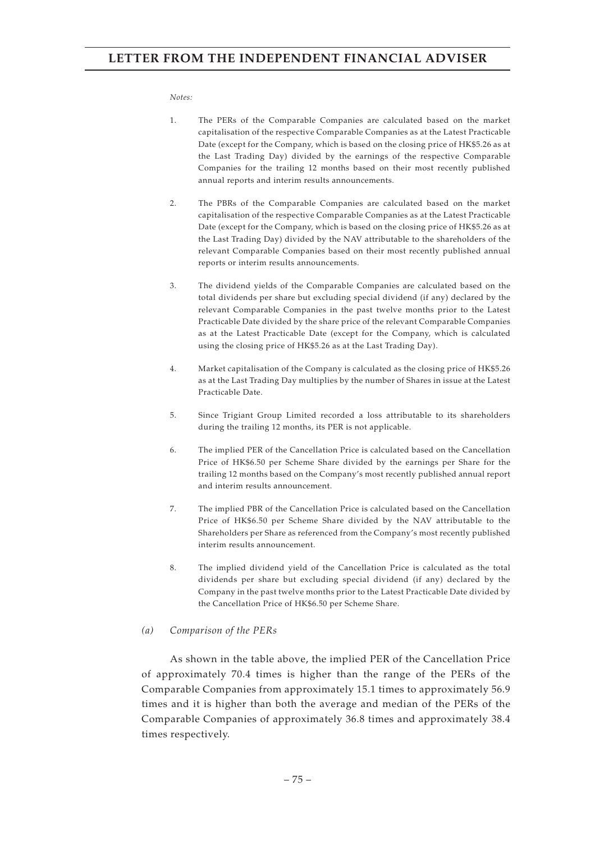#### *Notes:*

- 1. The PERs of the Comparable Companies are calculated based on the market capitalisation of the respective Comparable Companies as at the Latest Practicable Date (except for the Company, which is based on the closing price of HK\$5.26 as at the Last Trading Day) divided by the earnings of the respective Comparable Companies for the trailing 12 months based on their most recently published annual reports and interim results announcements.
- 2. The PBRs of the Comparable Companies are calculated based on the market capitalisation of the respective Comparable Companies as at the Latest Practicable Date (except for the Company, which is based on the closing price of HK\$5.26 as at the Last Trading Day) divided by the NAV attributable to the shareholders of the relevant Comparable Companies based on their most recently published annual reports or interim results announcements.
- 3. The dividend yields of the Comparable Companies are calculated based on the total dividends per share but excluding special dividend (if any) declared by the relevant Comparable Companies in the past twelve months prior to the Latest Practicable Date divided by the share price of the relevant Comparable Companies as at the Latest Practicable Date (except for the Company, which is calculated using the closing price of HK\$5.26 as at the Last Trading Day).
- 4. Market capitalisation of the Company is calculated as the closing price of HK\$5.26 as at the Last Trading Day multiplies by the number of Shares in issue at the Latest Practicable Date.
- 5. Since Trigiant Group Limited recorded a loss attributable to its shareholders during the trailing 12 months, its PER is not applicable.
- 6. The implied PER of the Cancellation Price is calculated based on the Cancellation Price of HK\$6.50 per Scheme Share divided by the earnings per Share for the trailing 12 months based on the Company's most recently published annual report and interim results announcement.
- 7. The implied PBR of the Cancellation Price is calculated based on the Cancellation Price of HK\$6.50 per Scheme Share divided by the NAV attributable to the Shareholders per Share as referenced from the Company's most recently published interim results announcement.
- 8. The implied dividend yield of the Cancellation Price is calculated as the total dividends per share but excluding special dividend (if any) declared by the Company in the past twelve months prior to the Latest Practicable Date divided by the Cancellation Price of HK\$6.50 per Scheme Share.

#### *(a) Comparison of the PERs*

As shown in the table above, the implied PER of the Cancellation Price of approximately 70.4 times is higher than the range of the PERs of the Comparable Companies from approximately 15.1 times to approximately 56.9 times and it is higher than both the average and median of the PERs of the Comparable Companies of approximately 36.8 times and approximately 38.4 times respectively.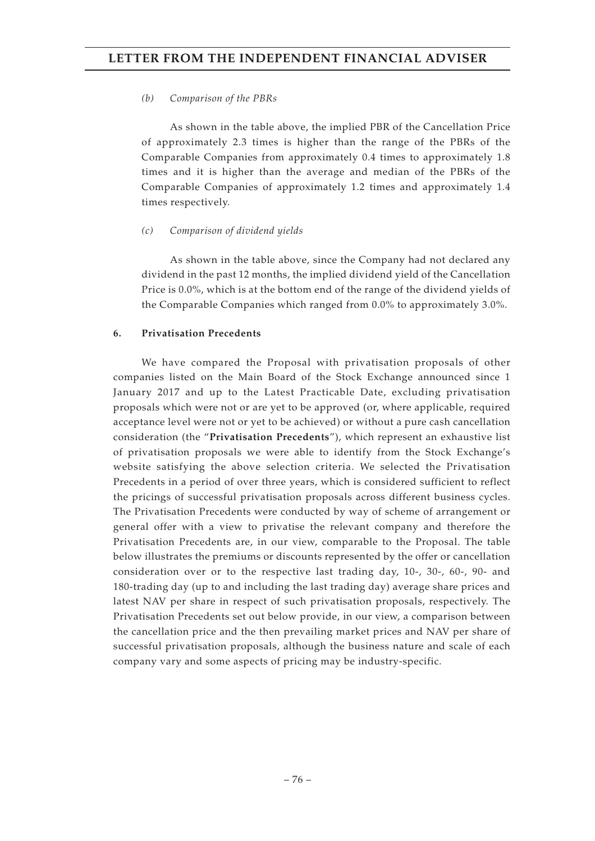### *(b) Comparison of the PBRs*

As shown in the table above, the implied PBR of the Cancellation Price of approximately 2.3 times is higher than the range of the PBRs of the Comparable Companies from approximately 0.4 times to approximately 1.8 times and it is higher than the average and median of the PBRs of the Comparable Companies of approximately 1.2 times and approximately 1.4 times respectively.

### *(c) Comparison of dividend yields*

As shown in the table above, since the Company had not declared any dividend in the past 12 months, the implied dividend yield of the Cancellation Price is 0.0%, which is at the bottom end of the range of the dividend yields of the Comparable Companies which ranged from 0.0% to approximately 3.0%.

### **6. Privatisation Precedents**

We have compared the Proposal with privatisation proposals of other companies listed on the Main Board of the Stock Exchange announced since 1 January 2017 and up to the Latest Practicable Date, excluding privatisation proposals which were not or are yet to be approved (or, where applicable, required acceptance level were not or yet to be achieved) or without a pure cash cancellation consideration (the "**Privatisation Precedents**"), which represent an exhaustive list of privatisation proposals we were able to identify from the Stock Exchange's website satisfying the above selection criteria. We selected the Privatisation Precedents in a period of over three years, which is considered sufficient to reflect the pricings of successful privatisation proposals across different business cycles. The Privatisation Precedents were conducted by way of scheme of arrangement or general offer with a view to privatise the relevant company and therefore the Privatisation Precedents are, in our view, comparable to the Proposal. The table below illustrates the premiums or discounts represented by the offer or cancellation consideration over or to the respective last trading day, 10-, 30-, 60-, 90- and 180-trading day (up to and including the last trading day) average share prices and latest NAV per share in respect of such privatisation proposals, respectively. The Privatisation Precedents set out below provide, in our view, a comparison between the cancellation price and the then prevailing market prices and NAV per share of successful privatisation proposals, although the business nature and scale of each company vary and some aspects of pricing may be industry-specific.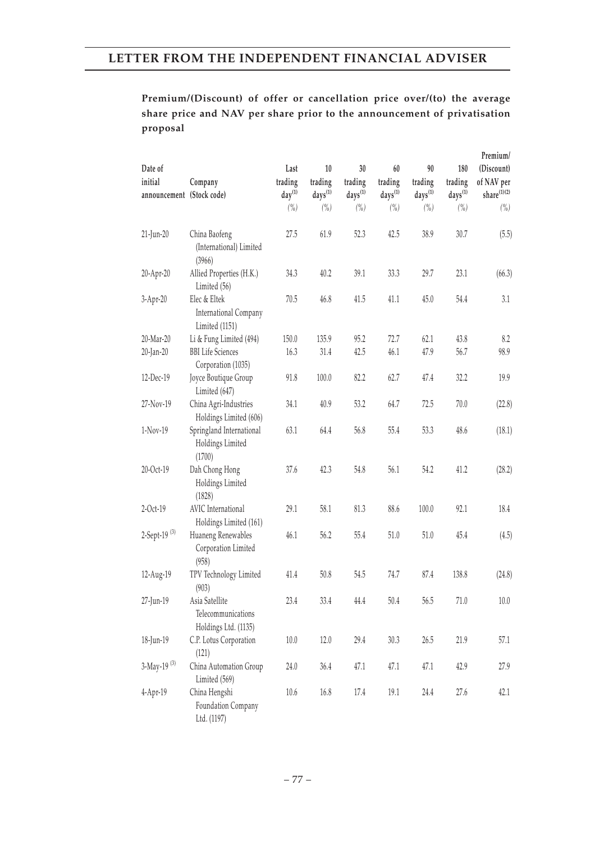## **Premium/(Discount) of offer or cancellation price over/(to) the average share price and NAV per share prior to the announcement of privatisation proposal**

| Date of                              |                                                              | Last                   | 10                      | 30                      | 60                      | 90                      | 180                            | Premium/<br>(Discount)           |
|--------------------------------------|--------------------------------------------------------------|------------------------|-------------------------|-------------------------|-------------------------|-------------------------|--------------------------------|----------------------------------|
| initial<br>announcement (Stock code) | Company                                                      | trading<br>$day^{(1)}$ | trading<br>$days^{(1)}$ | trading<br>$days^{(1)}$ | trading<br>$days^{(1)}$ | trading<br>$days^{(1)}$ | trading<br>days <sup>(1)</sup> | of NAV per<br>${share}^{(1)(2)}$ |
|                                      |                                                              | $($ %)                 | $\binom{0}{0}$          | (%)                     | $(\% )$                 | $\binom{0}{0}$          | (%)                            | $(\% )$                          |
| 21-Jun-20                            | China Baofeng<br>(International) Limited<br>(3966)           | 27.5                   | 61.9                    | 52.3                    | 42.5                    | 38.9                    | 30.7                           | (5.5)                            |
| 20-Apr-20                            | Allied Properties (H.K.)<br>Limited (56)                     | 34.3                   | 40.2                    | 39.1                    | 33.3                    | 29.7                    | 23.1                           | (66.3)                           |
| 3-Apr-20                             | Elec & Eltek<br>International Company<br>Limited (1151)      | 70.5                   | 46.8                    | 41.5                    | 41.1                    | 45.0                    | 54.4                           | 3.1                              |
| 20-Mar-20                            | Li & Fung Limited (494)                                      | 150.0                  | 135.9                   | 95.2                    | 72.7                    | 62.1                    | 43.8                           | 8.2                              |
| 20-Jan-20                            | <b>BBI</b> Life Sciences<br>Corporation (1035)               | 16.3                   | 31.4                    | 42.5                    | 46.1                    | 47.9                    | 56.7                           | 98.9                             |
| 12-Dec-19                            | Joyce Boutique Group<br>Limited (647)                        | 91.8                   | 100.0                   | 82.2                    | 62.7                    | 47.4                    | 32.2                           | 19.9                             |
| 27-Nov-19                            | China Agri-Industries<br>Holdings Limited (606)              | 34.1                   | 40.9                    | 53.2                    | 64.7                    | 72.5                    | 70.0                           | (22.8)                           |
| 1-Nov-19                             | Springland International<br>Holdings Limited<br>(1700)       | 63.1                   | 64.4                    | 56.8                    | 55.4                    | 53.3                    | 48.6                           | (18.1)                           |
| 20-Oct-19                            | Dah Chong Hong<br>Holdings Limited<br>(1828)                 | 37.6                   | 42.3                    | 54.8                    | 56.1                    | 54.2                    | 41.2                           | (28.2)                           |
| $2-Oct-19$                           | AVIC International<br>Holdings Limited (161)                 | 29.1                   | 58.1                    | 81.3                    | 88.6                    | 100.0                   | 92.1                           | 18.4                             |
| 2-Sept-19 <sup>(3)</sup>             | Huaneng Renewables<br>Corporation Limited<br>(958)           | 46.1                   | 56.2                    | 55.4                    | 51.0                    | 51.0                    | 45.4                           | (4.5)                            |
| 12-Aug-19                            | TPV Technology Limited<br>(903)                              | 41.4                   | 50.8                    | 54.5                    | 74.7                    | 87.4                    | 138.8                          | (24.8)                           |
| 27-Jun-19                            | Asia Satellite<br>Telecommunications<br>Holdings Ltd. (1135) | 23.4                   | 33.4                    | 44.4                    | 50.4                    | 56.5                    | 71.0                           | 10.0                             |
| 18-Jun-19                            | C.P. Lotus Corporation<br>(121)                              | $10.0$                 | 12.0                    | 29.4                    | 30.3                    | 26.5                    | 21.9                           | 57.1                             |
| 3-May-19 <sup>(3)</sup>              | China Automation Group<br>Limited (569)                      | 24.0                   | 36.4                    | 47.1                    | 47.1                    | 47.1                    | 42.9                           | 27.9                             |
| 4-Apr-19                             | China Hengshi<br>Foundation Company<br>Ltd. (1197)           | $10.6\,$               | 16.8                    | 17.4                    | 19.1                    | 24.4                    | 27.6                           | 42.1                             |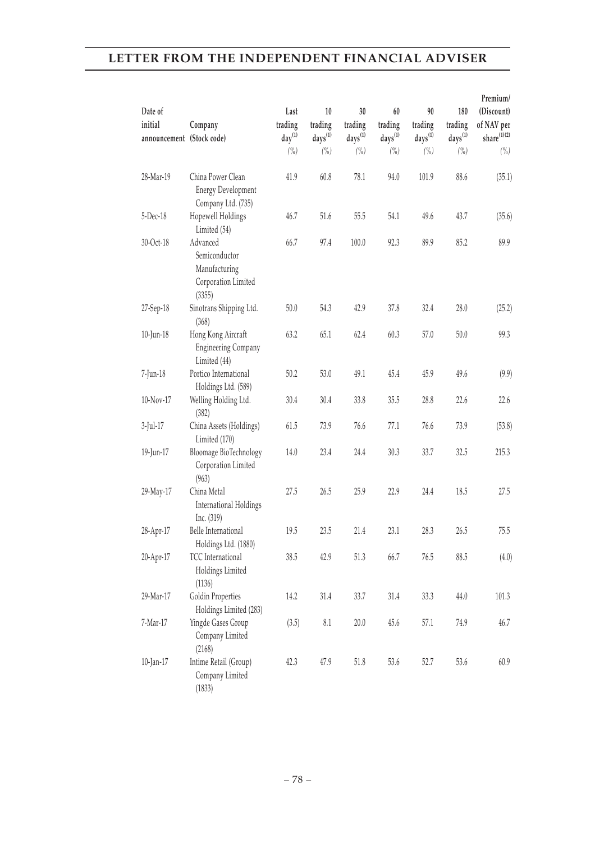|                           |                                                                             |                 |                     |                     |                     |               |                     | Premium/                 |
|---------------------------|-----------------------------------------------------------------------------|-----------------|---------------------|---------------------|---------------------|---------------|---------------------|--------------------------|
| Date of<br>initial        | Company                                                                     | Last<br>trading | 10<br>trading       | 30<br>trading       | 60<br>trading       | 90<br>trading | 180<br>trading      | (Discount)<br>of NAV per |
| announcement (Stock code) |                                                                             | $day^{(1)}$     | days <sup>(1)</sup> | days <sup>(1)</sup> | days <sup>(1)</sup> | $days^{(1)}$  | days <sup>(1)</sup> | share $^{(1)(2)}$        |
|                           |                                                                             | (%)             | (%)                 | (%)                 | (%)                 | (%)           | (%)                 | $($ %)                   |
| 28-Mar-19                 | China Power Clean<br><b>Energy Development</b><br>Company Ltd. (735)        | 41.9            | 60.8                | 78.1                | 94.0                | 101.9         | 88.6                | (35.1)                   |
| 5-Dec-18                  | Hopewell Holdings<br>Limited (54)                                           | 46.7            | 51.6                | 55.5                | 54.1                | 49.6          | 43.7                | (35.6)                   |
| 30-Oct-18                 | Advanced<br>Semiconductor<br>Manufacturing<br>Corporation Limited<br>(3355) | 66.7            | 97.4                | 100.0               | 92.3                | 89.9          | 85.2                | 89.9                     |
| 27-Sep-18                 | Sinotrans Shipping Ltd.<br>(368)                                            | 50.0            | 54.3                | 42.9                | 37.8                | 32.4          | 28.0                | (25.2)                   |
| 10-Jun-18                 | Hong Kong Aircraft<br><b>Engineering Company</b><br>Limited (44)            | 63.2            | 65.1                | 62.4                | 60.3                | 57.0          | 50.0                | 99.3                     |
| 7-Jun-18                  | Portico International<br>Holdings Ltd. (589)                                | 50.2            | 53.0                | 49.1                | 45.4                | 45.9          | 49.6                | (9.9)                    |
| 10-Nov-17                 | Welling Holding Ltd.<br>(382)                                               | 30.4            | 30.4                | 33.8                | 35.5                | 28.8          | 22.6                | 22.6                     |
| $3$ -Jul-17               | China Assets (Holdings)<br>Limited (170)                                    | 61.5            | 73.9                | 76.6                | 77.1                | 76.6          | 73.9                | (53.8)                   |
| 19-Jun-17                 | Bloomage BioTechnology<br>Corporation Limited<br>(963)                      | 14.0            | 23.4                | 24.4                | 30.3                | 33.7          | 32.5                | 215.3                    |
| 29-May-17                 | China Metal<br>International Holdings<br>Inc. (319)                         | 27.5            | 26.5                | 25.9                | 22.9                | 24.4          | 18.5                | 27.5                     |
| 28-Apr-17                 | Belle International<br>Holdings Ltd. (1880)                                 | 19.5            | 23.5                | 21.4                | 23.1                | 28.3          | 26.5                | 75.5                     |
| 20-Apr-17                 | TCC International<br>Holdings Limited<br>(1136)                             | 38.5            | 42.9                | 51.3                | 66.7                | 76.5          | 88.5                | (4.0)                    |
| 29-Mar-17                 | Goldin Properties<br>Holdings Limited (283)                                 | 14.2            | 31.4                | 33.7                | 31.4                | 33.3          | 44.0                | 101.3                    |
| 7-Mar-17                  | Yingde Gases Group<br>Company Limited<br>(2168)                             | (3.5)           | $\rm 8.1$           | $20.0$              | 45.6                | 57.1          | 74.9                | 46.7                     |
| 10-Jan-17                 | Intime Retail (Group)<br>Company Limited<br>(1833)                          | 42.3            | 47.9                | 51.8                | 53.6                | 52.7          | 53.6                | 60.9                     |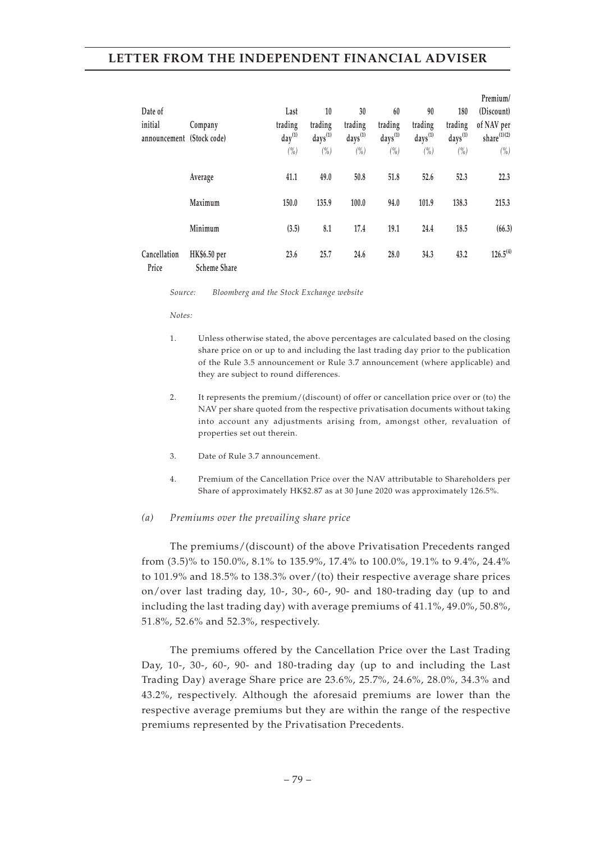| Date of<br>initial<br>announcement (Stock code) | Company                             | Last<br>trading<br>$day^{(1)}$<br>$(\%)$ | 10<br>trading<br>$days^{(1)}$<br>$(\%)$ | 30<br>trading<br>$days^{(1)}$<br>$(\%)$ | 60<br>trading<br>days <sup>(1)</sup><br>$(\%)$ | 90<br>trading<br>days <sup>(1)</sup><br>$(\%)$ | 180<br>trading<br>days <sup>(1)</sup><br>$(\%)$ | Premium/<br>(Discount)<br>of NAV per<br>share $(1)(2)$<br>$(\%)$ |
|-------------------------------------------------|-------------------------------------|------------------------------------------|-----------------------------------------|-----------------------------------------|------------------------------------------------|------------------------------------------------|-------------------------------------------------|------------------------------------------------------------------|
|                                                 | Average                             | 41.1                                     | 49.0                                    | 50.8                                    | 51.8                                           | 52.6                                           | 52.3                                            | 22.3                                                             |
|                                                 | Maximum                             | 150.0                                    | 135.9                                   | 100.0                                   | 94.0                                           | 101.9                                          | 138.3                                           | 215.3                                                            |
|                                                 | Minimum                             | (3.5)                                    | 8.1                                     | 17.4                                    | 19.1                                           | 24.4                                           | 18.5                                            | (66.3)                                                           |
| Cancellation<br>Price                           | HK\$6.50 per<br><b>Scheme Share</b> | 23.6                                     | 25.7                                    | 24.6                                    | 28.0                                           | 34.3                                           | 43.2                                            | $126.5^{(4)}$                                                    |

*Source: Bloomberg and the Stock Exchange website*

*Notes:*

- 1. Unless otherwise stated, the above percentages are calculated based on the closing share price on or up to and including the last trading day prior to the publication of the Rule 3.5 announcement or Rule 3.7 announcement (where applicable) and they are subject to round differences.
- 2. It represents the premium/(discount) of offer or cancellation price over or (to) the NAV per share quoted from the respective privatisation documents without taking into account any adjustments arising from, amongst other, revaluation of properties set out therein.
- 3. Date of Rule 3.7 announcement.
- 4. Premium of the Cancellation Price over the NAV attributable to Shareholders per Share of approximately HK\$2.87 as at 30 June 2020 was approximately 126.5%.

#### *(a) Premiums over the prevailing share price*

The premiums/(discount) of the above Privatisation Precedents ranged from (3.5)% to 150.0%, 8.1% to 135.9%, 17.4% to 100.0%, 19.1% to 9.4%, 24.4% to 101.9% and 18.5% to 138.3% over/(to) their respective average share prices on/over last trading day, 10-, 30-, 60-, 90- and 180-trading day (up to and including the last trading day) with average premiums of 41.1%, 49.0%, 50.8%, 51.8%, 52.6% and 52.3%, respectively.

The premiums offered by the Cancellation Price over the Last Trading Day, 10-, 30-, 60-, 90- and 180-trading day (up to and including the Last Trading Day) average Share price are 23.6%, 25.7%, 24.6%, 28.0%, 34.3% and 43.2%, respectively. Although the aforesaid premiums are lower than the respective average premiums but they are within the range of the respective premiums represented by the Privatisation Precedents.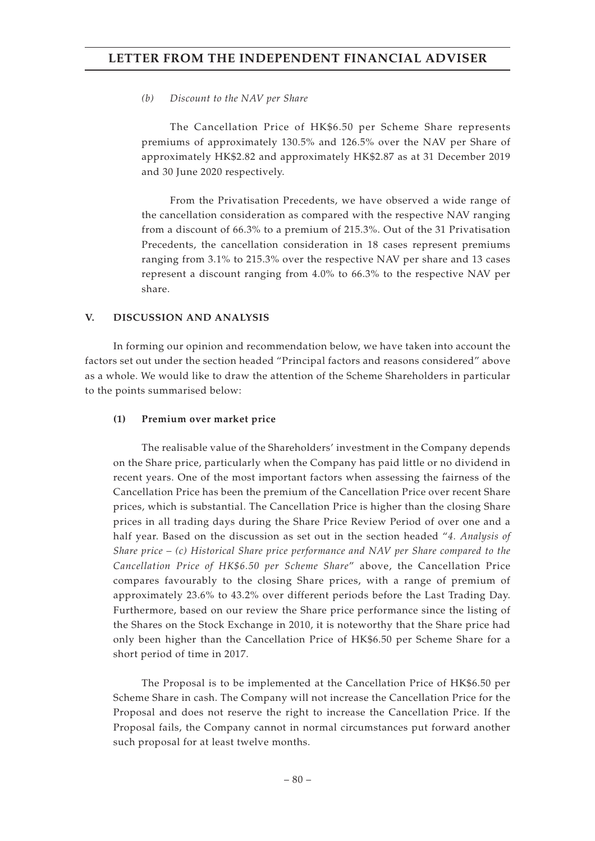### *(b) Discount to the NAV per Share*

The Cancellation Price of HK\$6.50 per Scheme Share represents premiums of approximately 130.5% and 126.5% over the NAV per Share of approximately HK\$2.82 and approximately HK\$2.87 as at 31 December 2019 and 30 June 2020 respectively.

From the Privatisation Precedents, we have observed a wide range of the cancellation consideration as compared with the respective NAV ranging from a discount of 66.3% to a premium of 215.3%. Out of the 31 Privatisation Precedents, the cancellation consideration in 18 cases represent premiums ranging from 3.1% to 215.3% over the respective NAV per share and 13 cases represent a discount ranging from 4.0% to 66.3% to the respective NAV per share.

### **V. DISCUSSION AND ANALYSIS**

In forming our opinion and recommendation below, we have taken into account the factors set out under the section headed "Principal factors and reasons considered" above as a whole. We would like to draw the attention of the Scheme Shareholders in particular to the points summarised below:

### **(1) Premium over market price**

The realisable value of the Shareholders' investment in the Company depends on the Share price, particularly when the Company has paid little or no dividend in recent years. One of the most important factors when assessing the fairness of the Cancellation Price has been the premium of the Cancellation Price over recent Share prices, which is substantial. The Cancellation Price is higher than the closing Share prices in all trading days during the Share Price Review Period of over one and a half year. Based on the discussion as set out in the section headed "*4. Analysis of Share price – (c) Historical Share price performance and NAV per Share compared to the Cancellation Price of HK\$6.50 per Scheme Share*" above, the Cancellation Price compares favourably to the closing Share prices, with a range of premium of approximately 23.6% to 43.2% over different periods before the Last Trading Day. Furthermore, based on our review the Share price performance since the listing of the Shares on the Stock Exchange in 2010, it is noteworthy that the Share price had only been higher than the Cancellation Price of HK\$6.50 per Scheme Share for a short period of time in 2017.

The Proposal is to be implemented at the Cancellation Price of HK\$6.50 per Scheme Share in cash. The Company will not increase the Cancellation Price for the Proposal and does not reserve the right to increase the Cancellation Price. If the Proposal fails, the Company cannot in normal circumstances put forward another such proposal for at least twelve months.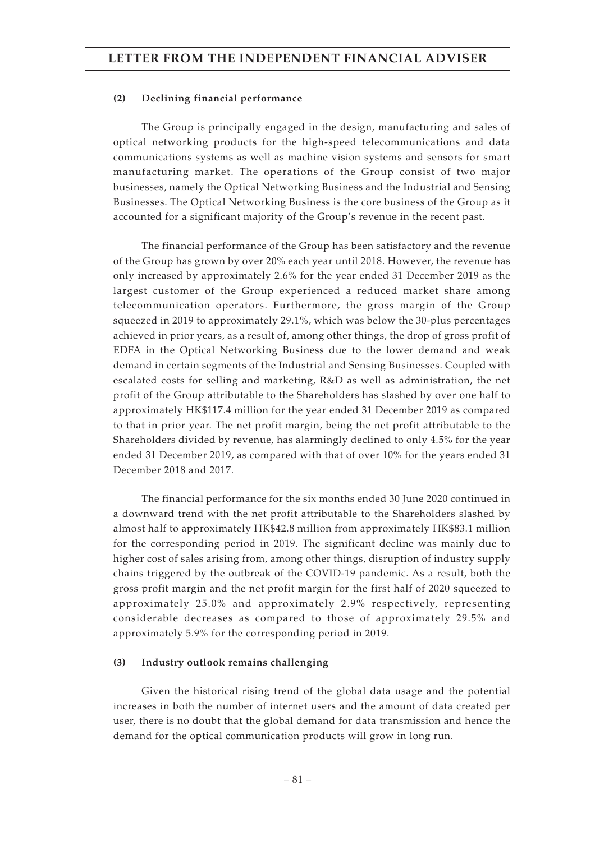#### **(2) Declining financial performance**

The Group is principally engaged in the design, manufacturing and sales of optical networking products for the high-speed telecommunications and data communications systems as well as machine vision systems and sensors for smart manufacturing market. The operations of the Group consist of two major businesses, namely the Optical Networking Business and the Industrial and Sensing Businesses. The Optical Networking Business is the core business of the Group as it accounted for a significant majority of the Group's revenue in the recent past.

The financial performance of the Group has been satisfactory and the revenue of the Group has grown by over 20% each year until 2018. However, the revenue has only increased by approximately 2.6% for the year ended 31 December 2019 as the largest customer of the Group experienced a reduced market share among telecommunication operators. Furthermore, the gross margin of the Group squeezed in 2019 to approximately 29.1%, which was below the 30-plus percentages achieved in prior years, as a result of, among other things, the drop of gross profit of EDFA in the Optical Networking Business due to the lower demand and weak demand in certain segments of the Industrial and Sensing Businesses. Coupled with escalated costs for selling and marketing, R&D as well as administration, the net profit of the Group attributable to the Shareholders has slashed by over one half to approximately HK\$117.4 million for the year ended 31 December 2019 as compared to that in prior year. The net profit margin, being the net profit attributable to the Shareholders divided by revenue, has alarmingly declined to only 4.5% for the year ended 31 December 2019, as compared with that of over 10% for the years ended 31 December 2018 and 2017.

The financial performance for the six months ended 30 June 2020 continued in a downward trend with the net profit attributable to the Shareholders slashed by almost half to approximately HK\$42.8 million from approximately HK\$83.1 million for the corresponding period in 2019. The significant decline was mainly due to higher cost of sales arising from, among other things, disruption of industry supply chains triggered by the outbreak of the COVID-19 pandemic. As a result, both the gross profit margin and the net profit margin for the first half of 2020 squeezed to approximately 25.0% and approximately 2.9% respectively, representing considerable decreases as compared to those of approximately 29.5% and approximately 5.9% for the corresponding period in 2019.

#### **(3) Industry outlook remains challenging**

Given the historical rising trend of the global data usage and the potential increases in both the number of internet users and the amount of data created per user, there is no doubt that the global demand for data transmission and hence the demand for the optical communication products will grow in long run.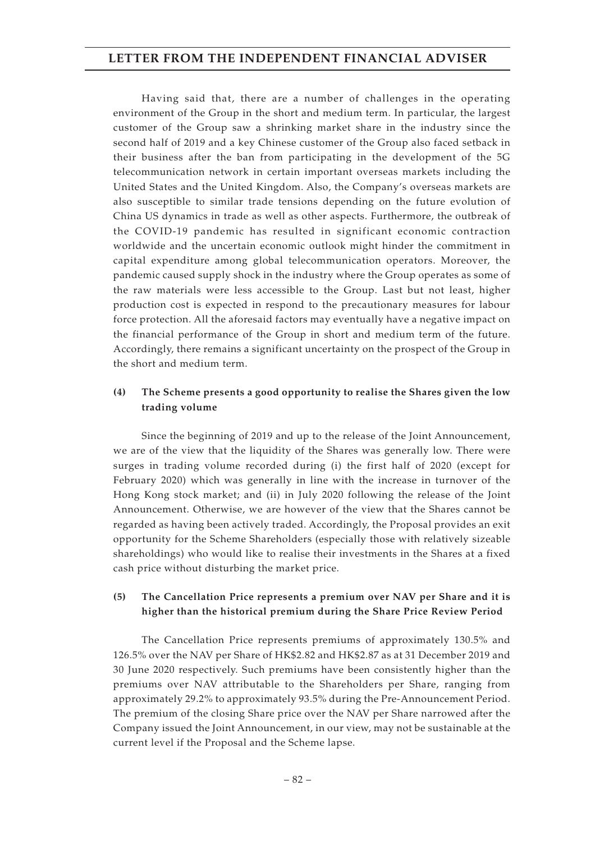Having said that, there are a number of challenges in the operating environment of the Group in the short and medium term. In particular, the largest customer of the Group saw a shrinking market share in the industry since the second half of 2019 and a key Chinese customer of the Group also faced setback in their business after the ban from participating in the development of the 5G telecommunication network in certain important overseas markets including the United States and the United Kingdom. Also, the Company's overseas markets are also susceptible to similar trade tensions depending on the future evolution of China US dynamics in trade as well as other aspects. Furthermore, the outbreak of the COVID-19 pandemic has resulted in significant economic contraction worldwide and the uncertain economic outlook might hinder the commitment in capital expenditure among global telecommunication operators. Moreover, the pandemic caused supply shock in the industry where the Group operates as some of the raw materials were less accessible to the Group. Last but not least, higher production cost is expected in respond to the precautionary measures for labour force protection. All the aforesaid factors may eventually have a negative impact on the financial performance of the Group in short and medium term of the future. Accordingly, there remains a significant uncertainty on the prospect of the Group in the short and medium term.

### **(4) The Scheme presents a good opportunity to realise the Shares given the low trading volume**

Since the beginning of 2019 and up to the release of the Joint Announcement, we are of the view that the liquidity of the Shares was generally low. There were surges in trading volume recorded during (i) the first half of 2020 (except for February 2020) which was generally in line with the increase in turnover of the Hong Kong stock market; and (ii) in July 2020 following the release of the Joint Announcement. Otherwise, we are however of the view that the Shares cannot be regarded as having been actively traded. Accordingly, the Proposal provides an exit opportunity for the Scheme Shareholders (especially those with relatively sizeable shareholdings) who would like to realise their investments in the Shares at a fixed cash price without disturbing the market price.

### **(5) The Cancellation Price represents a premium over NAV per Share and it is higher than the historical premium during the Share Price Review Period**

The Cancellation Price represents premiums of approximately 130.5% and 126.5% over the NAV per Share of HK\$2.82 and HK\$2.87 as at 31 December 2019 and 30 June 2020 respectively. Such premiums have been consistently higher than the premiums over NAV attributable to the Shareholders per Share, ranging from approximately 29.2% to approximately 93.5% during the Pre-Announcement Period. The premium of the closing Share price over the NAV per Share narrowed after the Company issued the Joint Announcement, in our view, may not be sustainable at the current level if the Proposal and the Scheme lapse.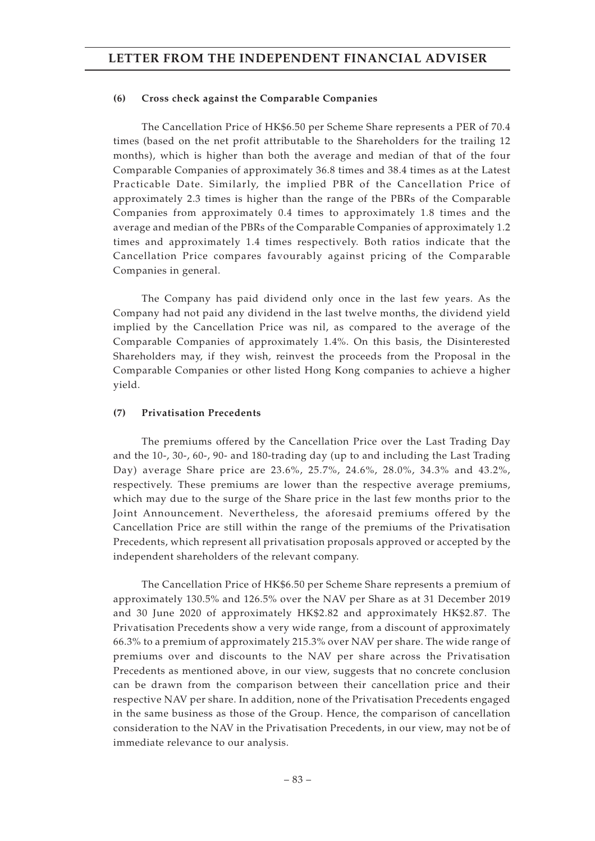#### **(6) Cross check against the Comparable Companies**

The Cancellation Price of HK\$6.50 per Scheme Share represents a PER of 70.4 times (based on the net profit attributable to the Shareholders for the trailing 12 months), which is higher than both the average and median of that of the four Comparable Companies of approximately 36.8 times and 38.4 times as at the Latest Practicable Date. Similarly, the implied PBR of the Cancellation Price of approximately 2.3 times is higher than the range of the PBRs of the Comparable Companies from approximately 0.4 times to approximately 1.8 times and the average and median of the PBRs of the Comparable Companies of approximately 1.2 times and approximately 1.4 times respectively. Both ratios indicate that the Cancellation Price compares favourably against pricing of the Comparable Companies in general.

The Company has paid dividend only once in the last few years. As the Company had not paid any dividend in the last twelve months, the dividend yield implied by the Cancellation Price was nil, as compared to the average of the Comparable Companies of approximately 1.4%. On this basis, the Disinterested Shareholders may, if they wish, reinvest the proceeds from the Proposal in the Comparable Companies or other listed Hong Kong companies to achieve a higher yield.

#### **(7) Privatisation Precedents**

The premiums offered by the Cancellation Price over the Last Trading Day and the 10-, 30-, 60-, 90- and 180-trading day (up to and including the Last Trading Day) average Share price are 23.6%, 25.7%, 24.6%, 28.0%, 34.3% and 43.2%, respectively. These premiums are lower than the respective average premiums, which may due to the surge of the Share price in the last few months prior to the Joint Announcement. Nevertheless, the aforesaid premiums offered by the Cancellation Price are still within the range of the premiums of the Privatisation Precedents, which represent all privatisation proposals approved or accepted by the independent shareholders of the relevant company.

The Cancellation Price of HK\$6.50 per Scheme Share represents a premium of approximately 130.5% and 126.5% over the NAV per Share as at 31 December 2019 and 30 June 2020 of approximately HK\$2.82 and approximately HK\$2.87. The Privatisation Precedents show a very wide range, from a discount of approximately 66.3% to a premium of approximately 215.3% over NAV per share. The wide range of premiums over and discounts to the NAV per share across the Privatisation Precedents as mentioned above, in our view, suggests that no concrete conclusion can be drawn from the comparison between their cancellation price and their respective NAV per share. In addition, none of the Privatisation Precedents engaged in the same business as those of the Group. Hence, the comparison of cancellation consideration to the NAV in the Privatisation Precedents, in our view, may not be of immediate relevance to our analysis.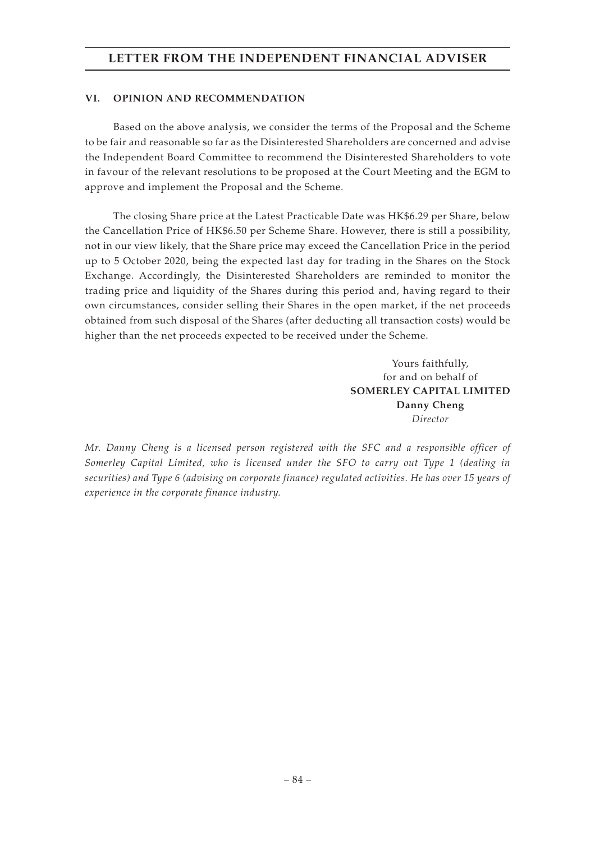#### **VI. OPINION AND RECOMMENDATION**

Based on the above analysis, we consider the terms of the Proposal and the Scheme to be fair and reasonable so far as the Disinterested Shareholders are concerned and advise the Independent Board Committee to recommend the Disinterested Shareholders to vote in favour of the relevant resolutions to be proposed at the Court Meeting and the EGM to approve and implement the Proposal and the Scheme.

The closing Share price at the Latest Practicable Date was HK\$6.29 per Share, below the Cancellation Price of HK\$6.50 per Scheme Share. However, there is still a possibility, not in our view likely, that the Share price may exceed the Cancellation Price in the period up to 5 October 2020, being the expected last day for trading in the Shares on the Stock Exchange. Accordingly, the Disinterested Shareholders are reminded to monitor the trading price and liquidity of the Shares during this period and, having regard to their own circumstances, consider selling their Shares in the open market, if the net proceeds obtained from such disposal of the Shares (after deducting all transaction costs) would be higher than the net proceeds expected to be received under the Scheme.

> Yours faithfully, for and on behalf of **SOMERLEY CAPITAL LIMITED Danny Cheng** *Director*

*Mr. Danny Cheng is a licensed person registered with the SFC and a responsible officer of Somerley Capital Limited, who is licensed under the SFO to carry out Type 1 (dealing in securities) and Type 6 (advising on corporate finance) regulated activities. He has over 15 years of experience in the corporate finance industry.*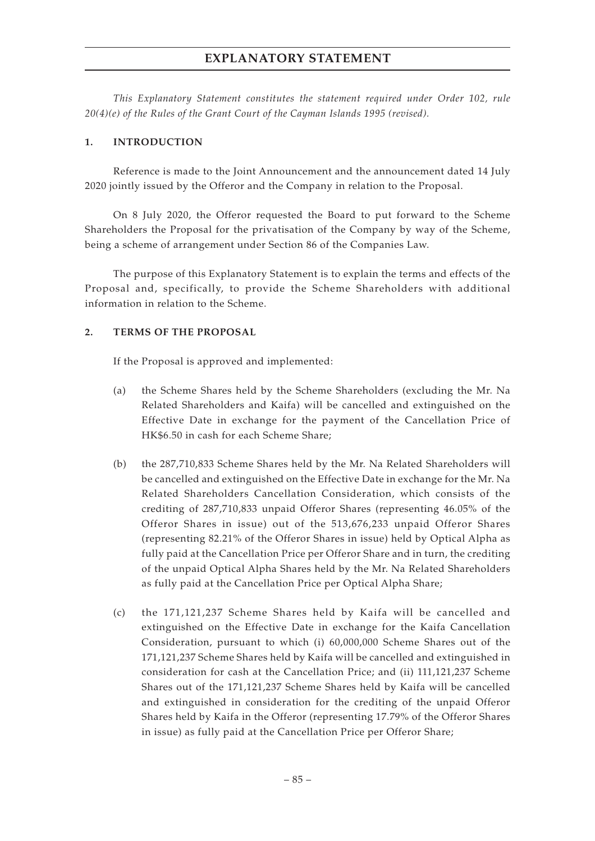*This Explanatory Statement constitutes the statement required under Order 102, rule 20(4)(e) of the Rules of the Grant Court of the Cayman Islands 1995 (revised).*

### **1. INTRODUCTION**

Reference is made to the Joint Announcement and the announcement dated 14 July 2020 jointly issued by the Offeror and the Company in relation to the Proposal.

On 8 July 2020, the Offeror requested the Board to put forward to the Scheme Shareholders the Proposal for the privatisation of the Company by way of the Scheme, being a scheme of arrangement under Section 86 of the Companies Law.

The purpose of this Explanatory Statement is to explain the terms and effects of the Proposal and, specifically, to provide the Scheme Shareholders with additional information in relation to the Scheme.

### **2. TERMS OF THE PROPOSAL**

If the Proposal is approved and implemented:

- (a) the Scheme Shares held by the Scheme Shareholders (excluding the Mr. Na Related Shareholders and Kaifa) will be cancelled and extinguished on the Effective Date in exchange for the payment of the Cancellation Price of HK\$6.50 in cash for each Scheme Share;
- (b) the 287,710,833 Scheme Shares held by the Mr. Na Related Shareholders will be cancelled and extinguished on the Effective Date in exchange for the Mr. Na Related Shareholders Cancellation Consideration, which consists of the crediting of 287,710,833 unpaid Offeror Shares (representing 46.05% of the Offeror Shares in issue) out of the 513,676,233 unpaid Offeror Shares (representing 82.21% of the Offeror Shares in issue) held by Optical Alpha as fully paid at the Cancellation Price per Offeror Share and in turn, the crediting of the unpaid Optical Alpha Shares held by the Mr. Na Related Shareholders as fully paid at the Cancellation Price per Optical Alpha Share;
- (c) the 171,121,237 Scheme Shares held by Kaifa will be cancelled and extinguished on the Effective Date in exchange for the Kaifa Cancellation Consideration, pursuant to which (i) 60,000,000 Scheme Shares out of the 171,121,237 Scheme Shares held by Kaifa will be cancelled and extinguished in consideration for cash at the Cancellation Price; and (ii) 111,121,237 Scheme Shares out of the 171,121,237 Scheme Shares held by Kaifa will be cancelled and extinguished in consideration for the crediting of the unpaid Offeror Shares held by Kaifa in the Offeror (representing 17.79% of the Offeror Shares in issue) as fully paid at the Cancellation Price per Offeror Share;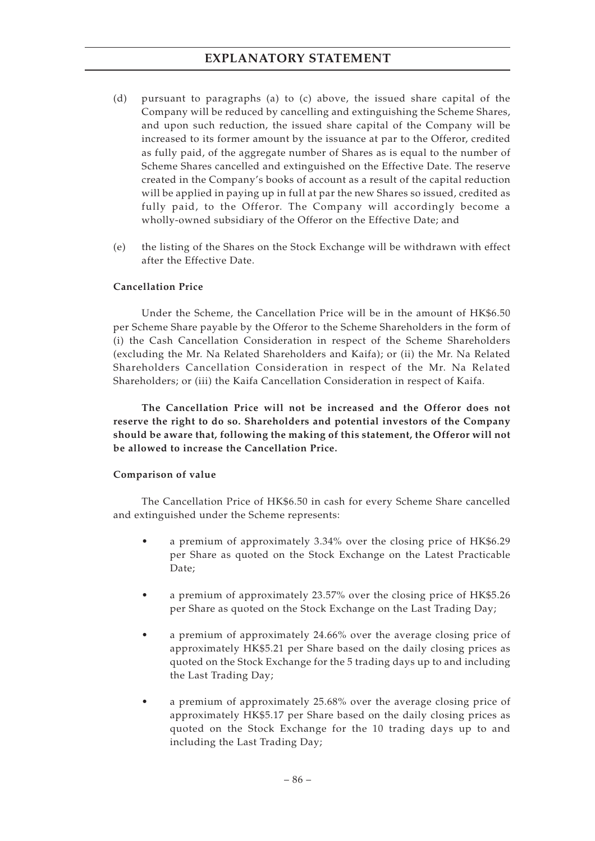- (d) pursuant to paragraphs (a) to (c) above, the issued share capital of the Company will be reduced by cancelling and extinguishing the Scheme Shares, and upon such reduction, the issued share capital of the Company will be increased to its former amount by the issuance at par to the Offeror, credited as fully paid, of the aggregate number of Shares as is equal to the number of Scheme Shares cancelled and extinguished on the Effective Date. The reserve created in the Company's books of account as a result of the capital reduction will be applied in paying up in full at par the new Shares so issued, credited as fully paid, to the Offeror. The Company will accordingly become a wholly-owned subsidiary of the Offeror on the Effective Date; and
- (e) the listing of the Shares on the Stock Exchange will be withdrawn with effect after the Effective Date.

### **Cancellation Price**

Under the Scheme, the Cancellation Price will be in the amount of HK\$6.50 per Scheme Share payable by the Offeror to the Scheme Shareholders in the form of (i) the Cash Cancellation Consideration in respect of the Scheme Shareholders (excluding the Mr. Na Related Shareholders and Kaifa); or (ii) the Mr. Na Related Shareholders Cancellation Consideration in respect of the Mr. Na Related Shareholders; or (iii) the Kaifa Cancellation Consideration in respect of Kaifa.

**The Cancellation Price will not be increased and the Offeror does not reserve the right to do so. Shareholders and potential investors of the Company should be aware that, following the making of this statement, the Offeror will not be allowed to increase the Cancellation Price.**

#### **Comparison of value**

The Cancellation Price of HK\$6.50 in cash for every Scheme Share cancelled and extinguished under the Scheme represents:

- a premium of approximately 3.34% over the closing price of HK\$6.29 per Share as quoted on the Stock Exchange on the Latest Practicable Date;
- a premium of approximately 23.57% over the closing price of HK\$5.26 per Share as quoted on the Stock Exchange on the Last Trading Day;
- a premium of approximately 24.66% over the average closing price of approximately HK\$5.21 per Share based on the daily closing prices as quoted on the Stock Exchange for the 5 trading days up to and including the Last Trading Day;
- a premium of approximately 25.68% over the average closing price of approximately HK\$5.17 per Share based on the daily closing prices as quoted on the Stock Exchange for the 10 trading days up to and including the Last Trading Day;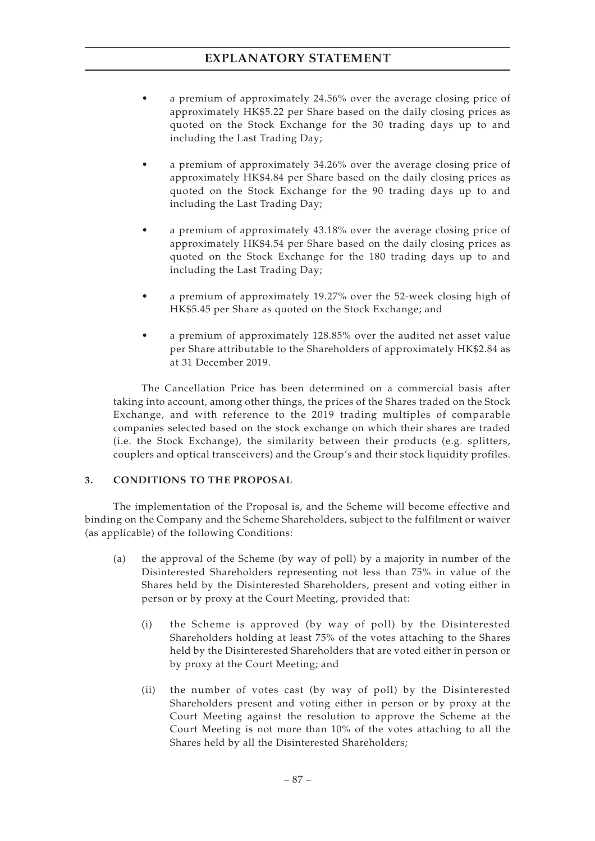- a premium of approximately 24.56% over the average closing price of approximately HK\$5.22 per Share based on the daily closing prices as quoted on the Stock Exchange for the 30 trading days up to and including the Last Trading Day;
- a premium of approximately 34.26% over the average closing price of approximately HK\$4.84 per Share based on the daily closing prices as quoted on the Stock Exchange for the 90 trading days up to and including the Last Trading Day;
- a premium of approximately 43.18% over the average closing price of approximately HK\$4.54 per Share based on the daily closing prices as quoted on the Stock Exchange for the 180 trading days up to and including the Last Trading Day;
- a premium of approximately 19.27% over the 52-week closing high of HK\$5.45 per Share as quoted on the Stock Exchange; and
- a premium of approximately 128.85% over the audited net asset value per Share attributable to the Shareholders of approximately HK\$2.84 as at 31 December 2019.

The Cancellation Price has been determined on a commercial basis after taking into account, among other things, the prices of the Shares traded on the Stock Exchange, and with reference to the 2019 trading multiples of comparable companies selected based on the stock exchange on which their shares are traded (i.e. the Stock Exchange), the similarity between their products (e.g. splitters, couplers and optical transceivers) and the Group's and their stock liquidity profiles.

### **3. CONDITIONS TO THE PROPOSAL**

The implementation of the Proposal is, and the Scheme will become effective and binding on the Company and the Scheme Shareholders, subject to the fulfilment or waiver (as applicable) of the following Conditions:

- (a) the approval of the Scheme (by way of poll) by a majority in number of the Disinterested Shareholders representing not less than 75% in value of the Shares held by the Disinterested Shareholders, present and voting either in person or by proxy at the Court Meeting, provided that:
	- (i) the Scheme is approved (by way of poll) by the Disinterested Shareholders holding at least 75% of the votes attaching to the Shares held by the Disinterested Shareholders that are voted either in person or by proxy at the Court Meeting; and
	- (ii) the number of votes cast (by way of poll) by the Disinterested Shareholders present and voting either in person or by proxy at the Court Meeting against the resolution to approve the Scheme at the Court Meeting is not more than 10% of the votes attaching to all the Shares held by all the Disinterested Shareholders;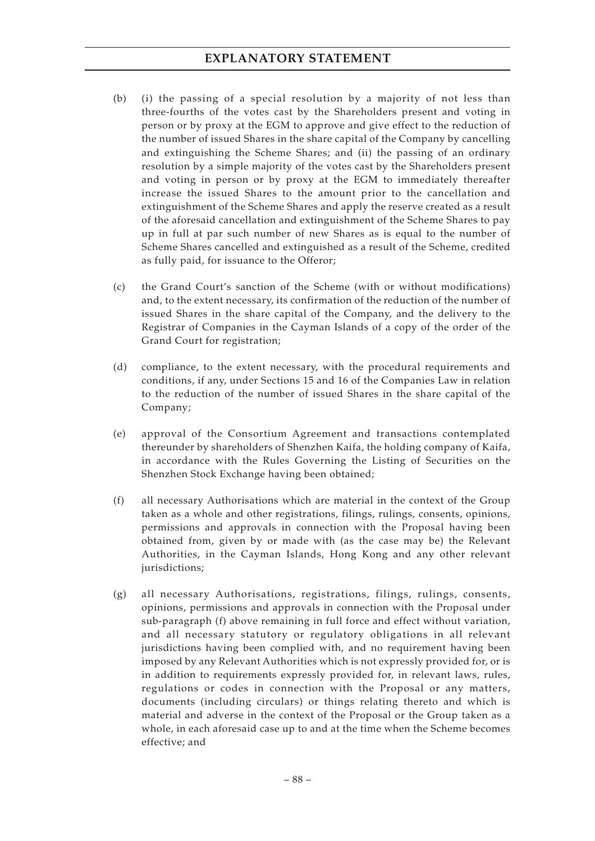- (b) (i) the passing of a special resolution by a majority of not less than three-fourths of the votes cast by the Shareholders present and voting in person or by proxy at the EGM to approve and give effect to the reduction of the number of issued Shares in the share capital of the Company by cancelling and extinguishing the Scheme Shares; and (ii) the passing of an ordinary resolution by a simple majority of the votes cast by the Shareholders present and voting in person or by proxy at the EGM to immediately thereafter increase the issued Shares to the amount prior to the cancellation and extinguishment of the Scheme Shares and apply the reserve created as a result of the aforesaid cancellation and extinguishment of the Scheme Shares to pay up in full at par such number of new Shares as is equal to the number of Scheme Shares cancelled and extinguished as a result of the Scheme, credited as fully paid, for issuance to the Offeror;
- (c) the Grand Court's sanction of the Scheme (with or without modifications) and, to the extent necessary, its confirmation of the reduction of the number of issued Shares in the share capital of the Company, and the delivery to the Registrar of Companies in the Cayman Islands of a copy of the order of the Grand Court for registration;
- (d) compliance, to the extent necessary, with the procedural requirements and conditions, if any, under Sections 15 and 16 of the Companies Law in relation to the reduction of the number of issued Shares in the share capital of the Company;
- (e) approval of the Consortium Agreement and transactions contemplated thereunder by shareholders of Shenzhen Kaifa, the holding company of Kaifa, in accordance with the Rules Governing the Listing of Securities on the Shenzhen Stock Exchange having been obtained;
- (f) all necessary Authorisations which are material in the context of the Group taken as a whole and other registrations, filings, rulings, consents, opinions, permissions and approvals in connection with the Proposal having been obtained from, given by or made with (as the case may be) the Relevant Authorities, in the Cayman Islands, Hong Kong and any other relevant jurisdictions;
- (g) all necessary Authorisations, registrations, filings, rulings, consents, opinions, permissions and approvals in connection with the Proposal under sub-paragraph (f) above remaining in full force and effect without variation, and all necessary statutory or regulatory obligations in all relevant jurisdictions having been complied with, and no requirement having been imposed by any Relevant Authorities which is not expressly provided for, or is in addition to requirements expressly provided for, in relevant laws, rules, regulations or codes in connection with the Proposal or any matters, documents (including circulars) or things relating thereto and which is material and adverse in the context of the Proposal or the Group taken as a whole, in each aforesaid case up to and at the time when the Scheme becomes effective; and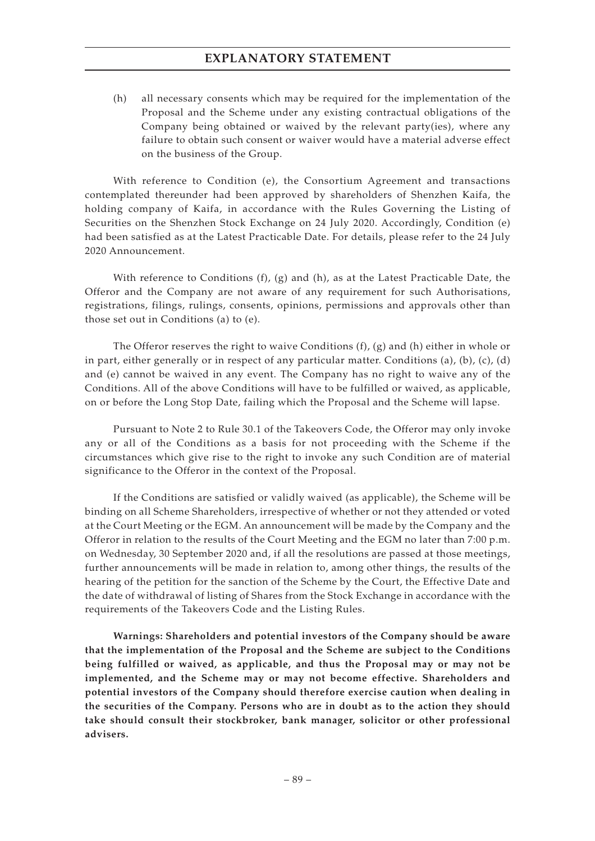(h) all necessary consents which may be required for the implementation of the Proposal and the Scheme under any existing contractual obligations of the Company being obtained or waived by the relevant party(ies), where any failure to obtain such consent or waiver would have a material adverse effect on the business of the Group.

With reference to Condition (e), the Consortium Agreement and transactions contemplated thereunder had been approved by shareholders of Shenzhen Kaifa, the holding company of Kaifa, in accordance with the Rules Governing the Listing of Securities on the Shenzhen Stock Exchange on 24 July 2020. Accordingly, Condition (e) had been satisfied as at the Latest Practicable Date. For details, please refer to the 24 July 2020 Announcement.

With reference to Conditions  $(f)$ ,  $(g)$  and  $(h)$ , as at the Latest Practicable Date, the Offeror and the Company are not aware of any requirement for such Authorisations, registrations, filings, rulings, consents, opinions, permissions and approvals other than those set out in Conditions (a) to (e).

The Offeror reserves the right to waive Conditions (f), (g) and (h) either in whole or in part, either generally or in respect of any particular matter. Conditions (a), (b), (c), (d) and (e) cannot be waived in any event. The Company has no right to waive any of the Conditions. All of the above Conditions will have to be fulfilled or waived, as applicable, on or before the Long Stop Date, failing which the Proposal and the Scheme will lapse.

Pursuant to Note 2 to Rule 30.1 of the Takeovers Code, the Offeror may only invoke any or all of the Conditions as a basis for not proceeding with the Scheme if the circumstances which give rise to the right to invoke any such Condition are of material significance to the Offeror in the context of the Proposal.

If the Conditions are satisfied or validly waived (as applicable), the Scheme will be binding on all Scheme Shareholders, irrespective of whether or not they attended or voted at the Court Meeting or the EGM. An announcement will be made by the Company and the Offeror in relation to the results of the Court Meeting and the EGM no later than 7:00 p.m. on Wednesday, 30 September 2020 and, if all the resolutions are passed at those meetings, further announcements will be made in relation to, among other things, the results of the hearing of the petition for the sanction of the Scheme by the Court, the Effective Date and the date of withdrawal of listing of Shares from the Stock Exchange in accordance with the requirements of the Takeovers Code and the Listing Rules.

**Warnings: Shareholders and potential investors of the Company should be aware that the implementation of the Proposal and the Scheme are subject to the Conditions being fulfilled or waived, as applicable, and thus the Proposal may or may not be implemented, and the Scheme may or may not become effective. Shareholders and potential investors of the Company should therefore exercise caution when dealing in the securities of the Company. Persons who are in doubt as to the action they should take should consult their stockbroker, bank manager, solicitor or other professional advisers.**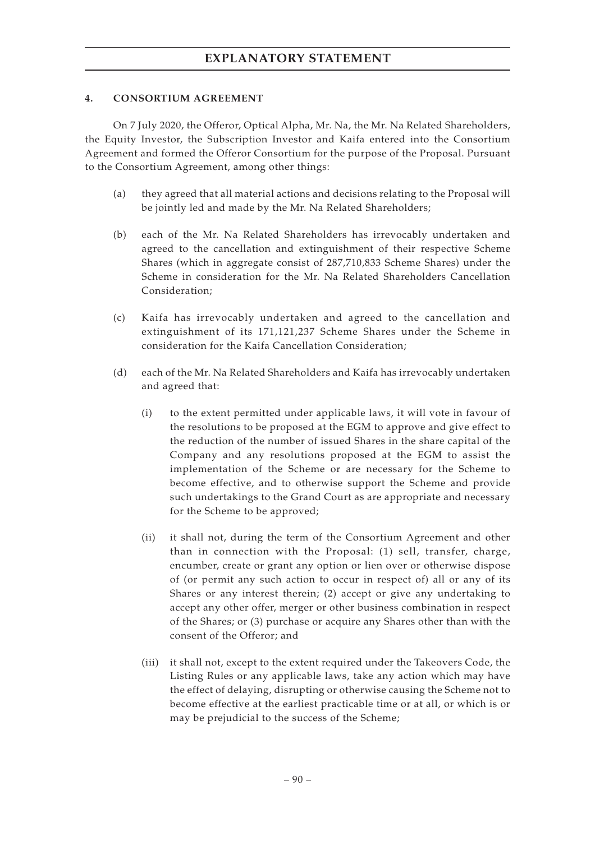### **4. CONSORTIUM AGREEMENT**

On 7 July 2020, the Offeror, Optical Alpha, Mr. Na, the Mr. Na Related Shareholders, the Equity Investor, the Subscription Investor and Kaifa entered into the Consortium Agreement and formed the Offeror Consortium for the purpose of the Proposal. Pursuant to the Consortium Agreement, among other things:

- (a) they agreed that all material actions and decisions relating to the Proposal will be jointly led and made by the Mr. Na Related Shareholders;
- (b) each of the Mr. Na Related Shareholders has irrevocably undertaken and agreed to the cancellation and extinguishment of their respective Scheme Shares (which in aggregate consist of 287,710,833 Scheme Shares) under the Scheme in consideration for the Mr. Na Related Shareholders Cancellation Consideration;
- (c) Kaifa has irrevocably undertaken and agreed to the cancellation and extinguishment of its 171,121,237 Scheme Shares under the Scheme in consideration for the Kaifa Cancellation Consideration;
- (d) each of the Mr. Na Related Shareholders and Kaifa has irrevocably undertaken and agreed that:
	- (i) to the extent permitted under applicable laws, it will vote in favour of the resolutions to be proposed at the EGM to approve and give effect to the reduction of the number of issued Shares in the share capital of the Company and any resolutions proposed at the EGM to assist the implementation of the Scheme or are necessary for the Scheme to become effective, and to otherwise support the Scheme and provide such undertakings to the Grand Court as are appropriate and necessary for the Scheme to be approved;
	- (ii) it shall not, during the term of the Consortium Agreement and other than in connection with the Proposal: (1) sell, transfer, charge, encumber, create or grant any option or lien over or otherwise dispose of (or permit any such action to occur in respect of) all or any of its Shares or any interest therein; (2) accept or give any undertaking to accept any other offer, merger or other business combination in respect of the Shares; or (3) purchase or acquire any Shares other than with the consent of the Offeror; and
	- (iii) it shall not, except to the extent required under the Takeovers Code, the Listing Rules or any applicable laws, take any action which may have the effect of delaying, disrupting or otherwise causing the Scheme not to become effective at the earliest practicable time or at all, or which is or may be prejudicial to the success of the Scheme;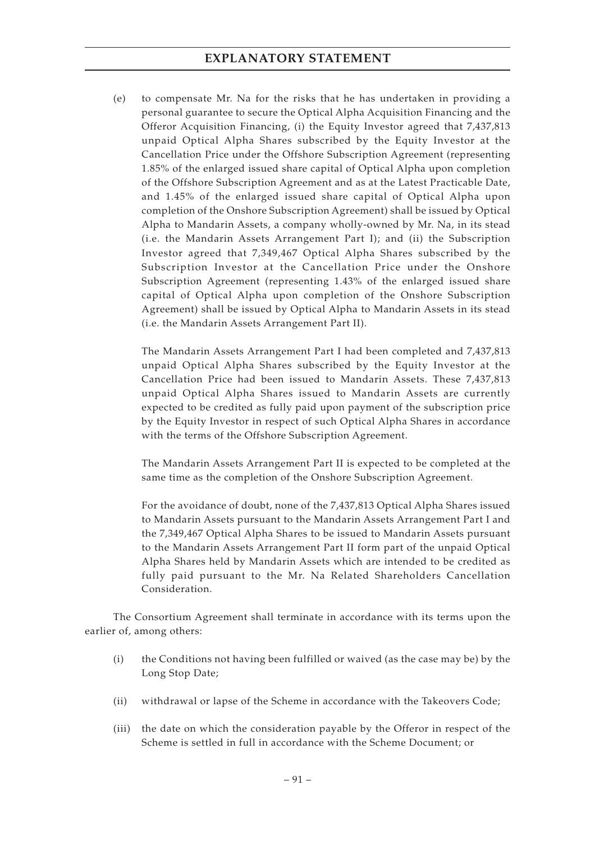(e) to compensate Mr. Na for the risks that he has undertaken in providing a personal guarantee to secure the Optical Alpha Acquisition Financing and the Offeror Acquisition Financing, (i) the Equity Investor agreed that 7,437,813 unpaid Optical Alpha Shares subscribed by the Equity Investor at the Cancellation Price under the Offshore Subscription Agreement (representing 1.85% of the enlarged issued share capital of Optical Alpha upon completion of the Offshore Subscription Agreement and as at the Latest Practicable Date, and 1.45% of the enlarged issued share capital of Optical Alpha upon completion of the Onshore Subscription Agreement) shall be issued by Optical Alpha to Mandarin Assets, a company wholly-owned by Mr. Na, in its stead (i.e. the Mandarin Assets Arrangement Part I); and (ii) the Subscription Investor agreed that 7,349,467 Optical Alpha Shares subscribed by the Subscription Investor at the Cancellation Price under the Onshore Subscription Agreement (representing 1.43% of the enlarged issued share capital of Optical Alpha upon completion of the Onshore Subscription Agreement) shall be issued by Optical Alpha to Mandarin Assets in its stead (i.e. the Mandarin Assets Arrangement Part II).

The Mandarin Assets Arrangement Part I had been completed and 7,437,813 unpaid Optical Alpha Shares subscribed by the Equity Investor at the Cancellation Price had been issued to Mandarin Assets. These 7,437,813 unpaid Optical Alpha Shares issued to Mandarin Assets are currently expected to be credited as fully paid upon payment of the subscription price by the Equity Investor in respect of such Optical Alpha Shares in accordance with the terms of the Offshore Subscription Agreement.

The Mandarin Assets Arrangement Part II is expected to be completed at the same time as the completion of the Onshore Subscription Agreement.

For the avoidance of doubt, none of the 7,437,813 Optical Alpha Shares issued to Mandarin Assets pursuant to the Mandarin Assets Arrangement Part I and the 7,349,467 Optical Alpha Shares to be issued to Mandarin Assets pursuant to the Mandarin Assets Arrangement Part II form part of the unpaid Optical Alpha Shares held by Mandarin Assets which are intended to be credited as fully paid pursuant to the Mr. Na Related Shareholders Cancellation Consideration.

The Consortium Agreement shall terminate in accordance with its terms upon the earlier of, among others:

- (i) the Conditions not having been fulfilled or waived (as the case may be) by the Long Stop Date;
- (ii) withdrawal or lapse of the Scheme in accordance with the Takeovers Code;
- (iii) the date on which the consideration payable by the Offeror in respect of the Scheme is settled in full in accordance with the Scheme Document; or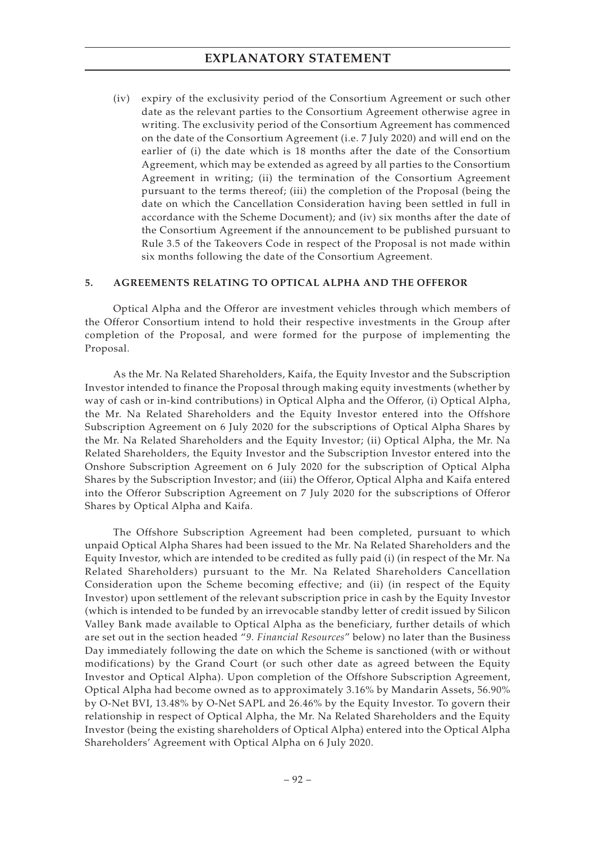(iv) expiry of the exclusivity period of the Consortium Agreement or such other date as the relevant parties to the Consortium Agreement otherwise agree in writing. The exclusivity period of the Consortium Agreement has commenced on the date of the Consortium Agreement (i.e. 7 July 2020) and will end on the earlier of (i) the date which is 18 months after the date of the Consortium Agreement, which may be extended as agreed by all parties to the Consortium Agreement in writing; (ii) the termination of the Consortium Agreement pursuant to the terms thereof; (iii) the completion of the Proposal (being the date on which the Cancellation Consideration having been settled in full in accordance with the Scheme Document); and (iv) six months after the date of the Consortium Agreement if the announcement to be published pursuant to Rule 3.5 of the Takeovers Code in respect of the Proposal is not made within six months following the date of the Consortium Agreement.

### **5. AGREEMENTS RELATING TO OPTICAL ALPHA AND THE OFFEROR**

Optical Alpha and the Offeror are investment vehicles through which members of the Offeror Consortium intend to hold their respective investments in the Group after completion of the Proposal, and were formed for the purpose of implementing the Proposal.

As the Mr. Na Related Shareholders, Kaifa, the Equity Investor and the Subscription Investor intended to finance the Proposal through making equity investments (whether by way of cash or in-kind contributions) in Optical Alpha and the Offeror, (i) Optical Alpha, the Mr. Na Related Shareholders and the Equity Investor entered into the Offshore Subscription Agreement on 6 July 2020 for the subscriptions of Optical Alpha Shares by the Mr. Na Related Shareholders and the Equity Investor; (ii) Optical Alpha, the Mr. Na Related Shareholders, the Equity Investor and the Subscription Investor entered into the Onshore Subscription Agreement on 6 July 2020 for the subscription of Optical Alpha Shares by the Subscription Investor; and (iii) the Offeror, Optical Alpha and Kaifa entered into the Offeror Subscription Agreement on 7 July 2020 for the subscriptions of Offeror Shares by Optical Alpha and Kaifa.

The Offshore Subscription Agreement had been completed, pursuant to which unpaid Optical Alpha Shares had been issued to the Mr. Na Related Shareholders and the Equity Investor, which are intended to be credited as fully paid (i) (in respect of the Mr. Na Related Shareholders) pursuant to the Mr. Na Related Shareholders Cancellation Consideration upon the Scheme becoming effective; and (ii) (in respect of the Equity Investor) upon settlement of the relevant subscription price in cash by the Equity Investor (which is intended to be funded by an irrevocable standby letter of credit issued by Silicon Valley Bank made available to Optical Alpha as the beneficiary, further details of which are set out in the section headed "*9. Financial Resources*" below) no later than the Business Day immediately following the date on which the Scheme is sanctioned (with or without modifications) by the Grand Court (or such other date as agreed between the Equity Investor and Optical Alpha). Upon completion of the Offshore Subscription Agreement, Optical Alpha had become owned as to approximately 3.16% by Mandarin Assets, 56.90% by O-Net BVI, 13.48% by O-Net SAPL and 26.46% by the Equity Investor. To govern their relationship in respect of Optical Alpha, the Mr. Na Related Shareholders and the Equity Investor (being the existing shareholders of Optical Alpha) entered into the Optical Alpha Shareholders' Agreement with Optical Alpha on 6 July 2020.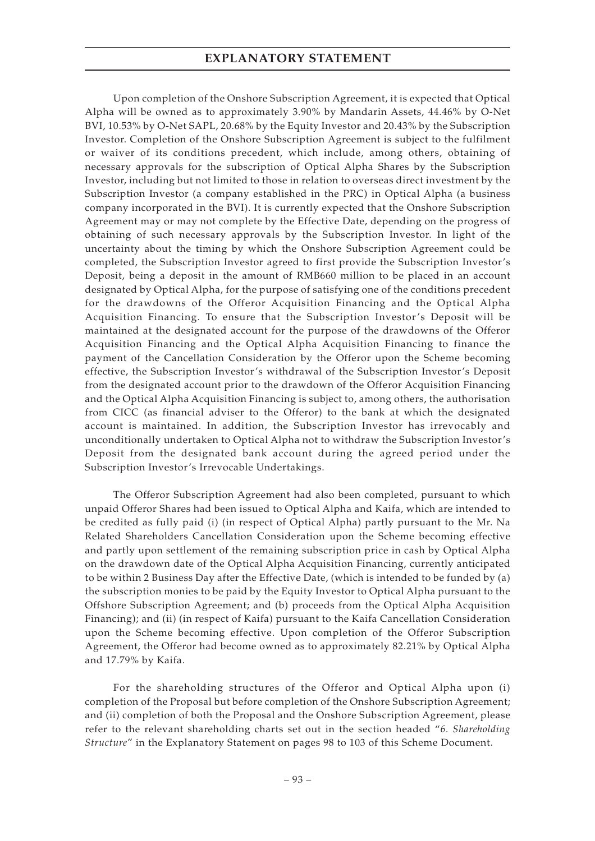Upon completion of the Onshore Subscription Agreement, it is expected that Optical Alpha will be owned as to approximately 3.90% by Mandarin Assets, 44.46% by O-Net BVI, 10.53% by O-Net SAPL, 20.68% by the Equity Investor and 20.43% by the Subscription Investor. Completion of the Onshore Subscription Agreement is subject to the fulfilment or waiver of its conditions precedent, which include, among others, obtaining of necessary approvals for the subscription of Optical Alpha Shares by the Subscription Investor, including but not limited to those in relation to overseas direct investment by the Subscription Investor (a company established in the PRC) in Optical Alpha (a business company incorporated in the BVI). It is currently expected that the Onshore Subscription Agreement may or may not complete by the Effective Date, depending on the progress of obtaining of such necessary approvals by the Subscription Investor. In light of the uncertainty about the timing by which the Onshore Subscription Agreement could be completed, the Subscription Investor agreed to first provide the Subscription Investor's Deposit, being a deposit in the amount of RMB660 million to be placed in an account designated by Optical Alpha, for the purpose of satisfying one of the conditions precedent for the drawdowns of the Offeror Acquisition Financing and the Optical Alpha Acquisition Financing. To ensure that the Subscription Investor 's Deposit will be maintained at the designated account for the purpose of the drawdowns of the Offeror Acquisition Financing and the Optical Alpha Acquisition Financing to finance the payment of the Cancellation Consideration by the Offeror upon the Scheme becoming effective, the Subscription Investor's withdrawal of the Subscription Investor's Deposit from the designated account prior to the drawdown of the Offeror Acquisition Financing and the Optical Alpha Acquisition Financing is subject to, among others, the authorisation from CICC (as financial adviser to the Offeror) to the bank at which the designated account is maintained. In addition, the Subscription Investor has irrevocably and unconditionally undertaken to Optical Alpha not to withdraw the Subscription Investor's Deposit from the designated bank account during the agreed period under the Subscription Investor's Irrevocable Undertakings.

The Offeror Subscription Agreement had also been completed, pursuant to which unpaid Offeror Shares had been issued to Optical Alpha and Kaifa, which are intended to be credited as fully paid (i) (in respect of Optical Alpha) partly pursuant to the Mr. Na Related Shareholders Cancellation Consideration upon the Scheme becoming effective and partly upon settlement of the remaining subscription price in cash by Optical Alpha on the drawdown date of the Optical Alpha Acquisition Financing, currently anticipated to be within 2 Business Day after the Effective Date, (which is intended to be funded by (a) the subscription monies to be paid by the Equity Investor to Optical Alpha pursuant to the Offshore Subscription Agreement; and (b) proceeds from the Optical Alpha Acquisition Financing); and (ii) (in respect of Kaifa) pursuant to the Kaifa Cancellation Consideration upon the Scheme becoming effective. Upon completion of the Offeror Subscription Agreement, the Offeror had become owned as to approximately 82.21% by Optical Alpha and 17.79% by Kaifa.

For the shareholding structures of the Offeror and Optical Alpha upon (i) completion of the Proposal but before completion of the Onshore Subscription Agreement; and (ii) completion of both the Proposal and the Onshore Subscription Agreement, please refer to the relevant shareholding charts set out in the section headed "*6. Shareholding Structure*" in the Explanatory Statement on pages 98 to 103 of this Scheme Document.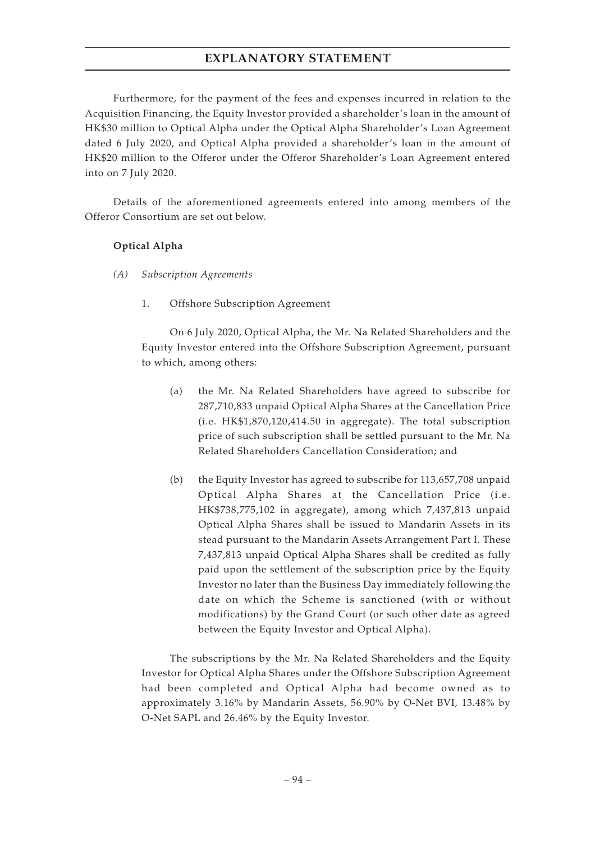Furthermore, for the payment of the fees and expenses incurred in relation to the Acquisition Financing, the Equity Investor provided a shareholder's loan in the amount of HK\$30 million to Optical Alpha under the Optical Alpha Shareholder's Loan Agreement dated 6 July 2020, and Optical Alpha provided a shareholder's loan in the amount of HK\$20 million to the Offeror under the Offeror Shareholder's Loan Agreement entered into on 7 July 2020.

Details of the aforementioned agreements entered into among members of the Offeror Consortium are set out below.

#### **Optical Alpha**

- *(A) Subscription Agreements*
	- 1. Offshore Subscription Agreement

On 6 July 2020, Optical Alpha, the Mr. Na Related Shareholders and the Equity Investor entered into the Offshore Subscription Agreement, pursuant to which, among others:

- (a) the Mr. Na Related Shareholders have agreed to subscribe for 287,710,833 unpaid Optical Alpha Shares at the Cancellation Price (i.e. HK\$1,870,120,414.50 in aggregate). The total subscription price of such subscription shall be settled pursuant to the Mr. Na Related Shareholders Cancellation Consideration; and
- (b) the Equity Investor has agreed to subscribe for 113,657,708 unpaid Optical Alpha Shares at the Cancellation Price (i.e. HK\$738,775,102 in aggregate), among which 7,437,813 unpaid Optical Alpha Shares shall be issued to Mandarin Assets in its stead pursuant to the Mandarin Assets Arrangement Part I. These 7,437,813 unpaid Optical Alpha Shares shall be credited as fully paid upon the settlement of the subscription price by the Equity Investor no later than the Business Day immediately following the date on which the Scheme is sanctioned (with or without modifications) by the Grand Court (or such other date as agreed between the Equity Investor and Optical Alpha).

The subscriptions by the Mr. Na Related Shareholders and the Equity Investor for Optical Alpha Shares under the Offshore Subscription Agreement had been completed and Optical Alpha had become owned as to approximately 3.16% by Mandarin Assets, 56.90% by O-Net BVI, 13.48% by O-Net SAPL and 26.46% by the Equity Investor.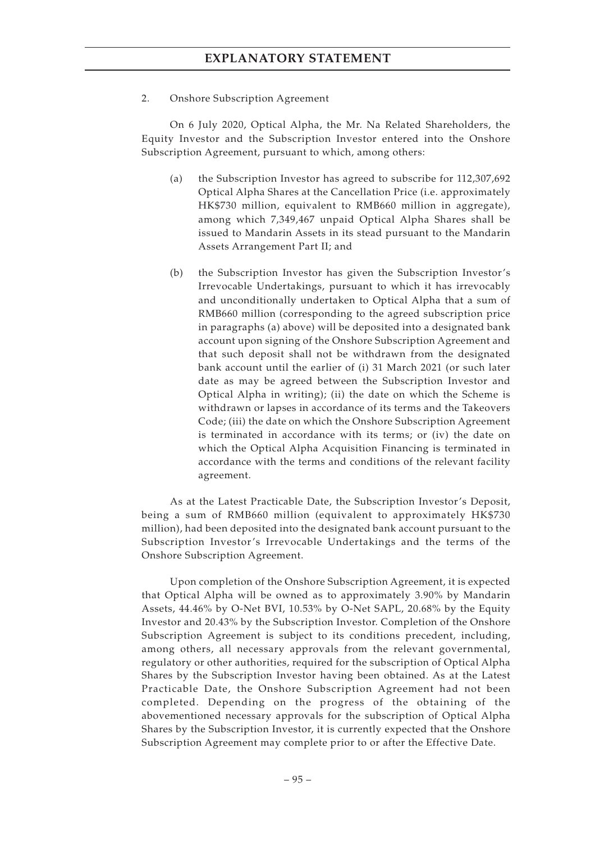2. Onshore Subscription Agreement

On 6 July 2020, Optical Alpha, the Mr. Na Related Shareholders, the Equity Investor and the Subscription Investor entered into the Onshore Subscription Agreement, pursuant to which, among others:

- (a) the Subscription Investor has agreed to subscribe for 112,307,692 Optical Alpha Shares at the Cancellation Price (i.e. approximately HK\$730 million, equivalent to RMB660 million in aggregate), among which 7,349,467 unpaid Optical Alpha Shares shall be issued to Mandarin Assets in its stead pursuant to the Mandarin Assets Arrangement Part II; and
- (b) the Subscription Investor has given the Subscription Investor's Irrevocable Undertakings, pursuant to which it has irrevocably and unconditionally undertaken to Optical Alpha that a sum of RMB660 million (corresponding to the agreed subscription price in paragraphs (a) above) will be deposited into a designated bank account upon signing of the Onshore Subscription Agreement and that such deposit shall not be withdrawn from the designated bank account until the earlier of (i) 31 March 2021 (or such later date as may be agreed between the Subscription Investor and Optical Alpha in writing); (ii) the date on which the Scheme is withdrawn or lapses in accordance of its terms and the Takeovers Code; (iii) the date on which the Onshore Subscription Agreement is terminated in accordance with its terms; or (iv) the date on which the Optical Alpha Acquisition Financing is terminated in accordance with the terms and conditions of the relevant facility agreement.

As at the Latest Practicable Date, the Subscription Investor's Deposit, being a sum of RMB660 million (equivalent to approximately HK\$730 million), had been deposited into the designated bank account pursuant to the Subscription Investor's Irrevocable Undertakings and the terms of the Onshore Subscription Agreement.

Upon completion of the Onshore Subscription Agreement, it is expected that Optical Alpha will be owned as to approximately 3.90% by Mandarin Assets, 44.46% by O-Net BVI, 10.53% by O-Net SAPL, 20.68% by the Equity Investor and 20.43% by the Subscription Investor. Completion of the Onshore Subscription Agreement is subject to its conditions precedent, including, among others, all necessary approvals from the relevant governmental, regulatory or other authorities, required for the subscription of Optical Alpha Shares by the Subscription Investor having been obtained. As at the Latest Practicable Date, the Onshore Subscription Agreement had not been completed. Depending on the progress of the obtaining of the abovementioned necessary approvals for the subscription of Optical Alpha Shares by the Subscription Investor, it is currently expected that the Onshore Subscription Agreement may complete prior to or after the Effective Date.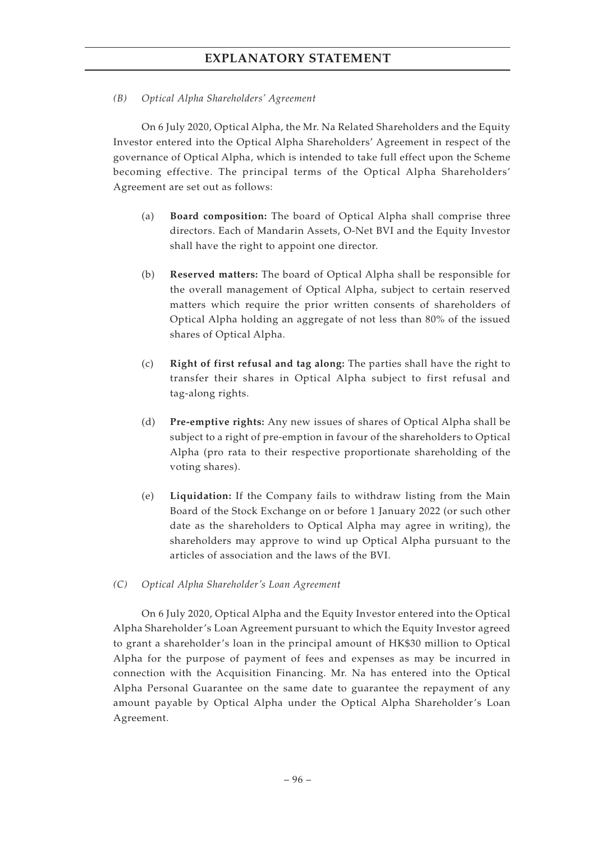### *(B) Optical Alpha Shareholders' Agreement*

On 6 July 2020, Optical Alpha, the Mr. Na Related Shareholders and the Equity Investor entered into the Optical Alpha Shareholders' Agreement in respect of the governance of Optical Alpha, which is intended to take full effect upon the Scheme becoming effective. The principal terms of the Optical Alpha Shareholders' Agreement are set out as follows:

- (a) **Board composition:** The board of Optical Alpha shall comprise three directors. Each of Mandarin Assets, O-Net BVI and the Equity Investor shall have the right to appoint one director.
- (b) **Reserved matters:** The board of Optical Alpha shall be responsible for the overall management of Optical Alpha, subject to certain reserved matters which require the prior written consents of shareholders of Optical Alpha holding an aggregate of not less than 80% of the issued shares of Optical Alpha.
- (c) **Right of first refusal and tag along:** The parties shall have the right to transfer their shares in Optical Alpha subject to first refusal and tag-along rights.
- (d) **Pre-emptive rights:** Any new issues of shares of Optical Alpha shall be subject to a right of pre-emption in favour of the shareholders to Optical Alpha (pro rata to their respective proportionate shareholding of the voting shares).
- (e) **Liquidation:** If the Company fails to withdraw listing from the Main Board of the Stock Exchange on or before 1 January 2022 (or such other date as the shareholders to Optical Alpha may agree in writing), the shareholders may approve to wind up Optical Alpha pursuant to the articles of association and the laws of the BVI.
- *(C) Optical Alpha Shareholder's Loan Agreement*

On 6 July 2020, Optical Alpha and the Equity Investor entered into the Optical Alpha Shareholder's Loan Agreement pursuant to which the Equity Investor agreed to grant a shareholder's loan in the principal amount of HK\$30 million to Optical Alpha for the purpose of payment of fees and expenses as may be incurred in connection with the Acquisition Financing. Mr. Na has entered into the Optical Alpha Personal Guarantee on the same date to guarantee the repayment of any amount payable by Optical Alpha under the Optical Alpha Shareholder's Loan Agreement.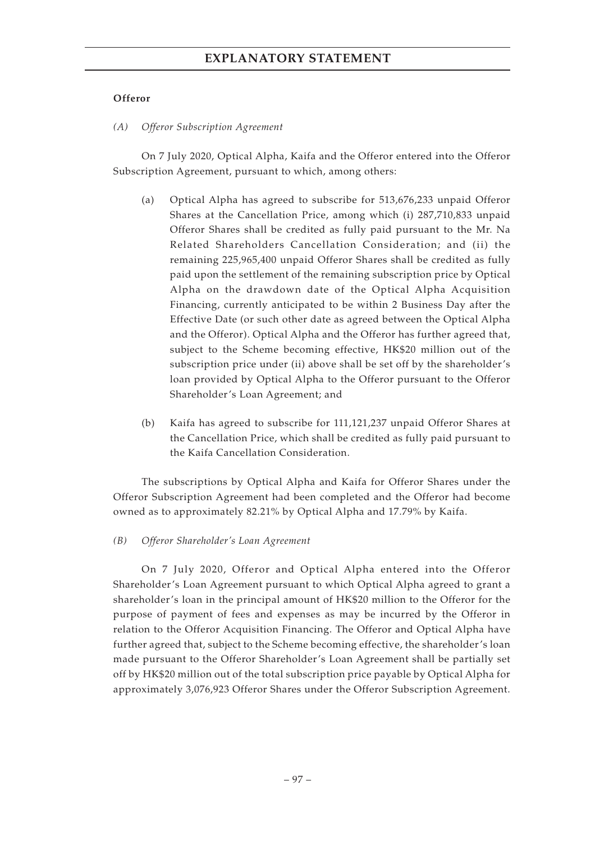### **Offeror**

*(A) Offeror Subscription Agreement*

On 7 July 2020, Optical Alpha, Kaifa and the Offeror entered into the Offeror Subscription Agreement, pursuant to which, among others:

- (a) Optical Alpha has agreed to subscribe for 513,676,233 unpaid Offeror Shares at the Cancellation Price, among which (i) 287,710,833 unpaid Offeror Shares shall be credited as fully paid pursuant to the Mr. Na Related Shareholders Cancellation Consideration; and (ii) the remaining 225,965,400 unpaid Offeror Shares shall be credited as fully paid upon the settlement of the remaining subscription price by Optical Alpha on the drawdown date of the Optical Alpha Acquisition Financing, currently anticipated to be within 2 Business Day after the Effective Date (or such other date as agreed between the Optical Alpha and the Offeror). Optical Alpha and the Offeror has further agreed that, subject to the Scheme becoming effective, HK\$20 million out of the subscription price under (ii) above shall be set off by the shareholder's loan provided by Optical Alpha to the Offeror pursuant to the Offeror Shareholder's Loan Agreement; and
- (b) Kaifa has agreed to subscribe for 111,121,237 unpaid Offeror Shares at the Cancellation Price, which shall be credited as fully paid pursuant to the Kaifa Cancellation Consideration.

The subscriptions by Optical Alpha and Kaifa for Offeror Shares under the Offeror Subscription Agreement had been completed and the Offeror had become owned as to approximately 82.21% by Optical Alpha and 17.79% by Kaifa.

### *(B) Offeror Shareholder's Loan Agreement*

On 7 July 2020, Offeror and Optical Alpha entered into the Offeror Shareholder's Loan Agreement pursuant to which Optical Alpha agreed to grant a shareholder's loan in the principal amount of HK\$20 million to the Offeror for the purpose of payment of fees and expenses as may be incurred by the Offeror in relation to the Offeror Acquisition Financing. The Offeror and Optical Alpha have further agreed that, subject to the Scheme becoming effective, the shareholder's loan made pursuant to the Offeror Shareholder's Loan Agreement shall be partially set off by HK\$20 million out of the total subscription price payable by Optical Alpha for approximately 3,076,923 Offeror Shares under the Offeror Subscription Agreement.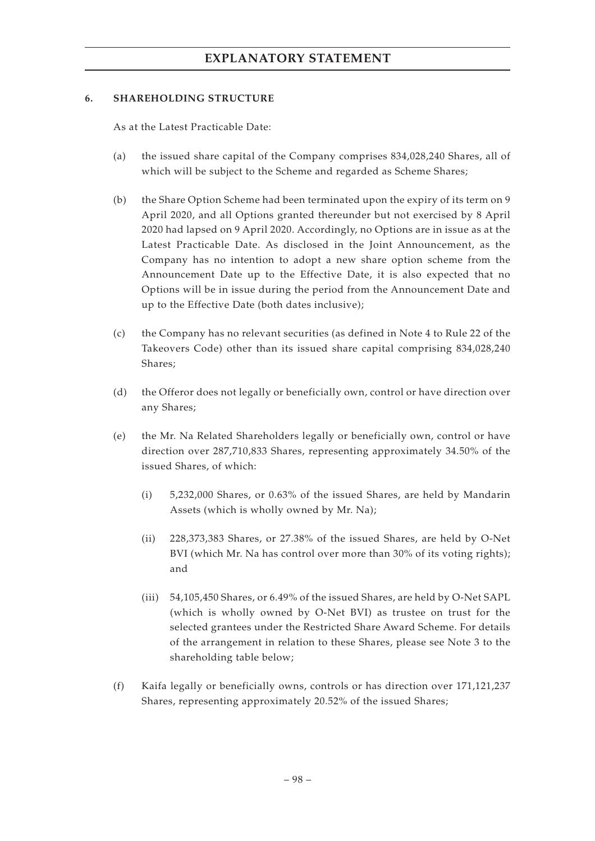#### **6. SHAREHOLDING STRUCTURE**

As at the Latest Practicable Date:

- (a) the issued share capital of the Company comprises 834,028,240 Shares, all of which will be subject to the Scheme and regarded as Scheme Shares;
- (b) the Share Option Scheme had been terminated upon the expiry of its term on 9 April 2020, and all Options granted thereunder but not exercised by 8 April 2020 had lapsed on 9 April 2020. Accordingly, no Options are in issue as at the Latest Practicable Date. As disclosed in the Joint Announcement, as the Company has no intention to adopt a new share option scheme from the Announcement Date up to the Effective Date, it is also expected that no Options will be in issue during the period from the Announcement Date and up to the Effective Date (both dates inclusive);
- (c) the Company has no relevant securities (as defined in Note 4 to Rule 22 of the Takeovers Code) other than its issued share capital comprising 834,028,240 Shares;
- (d) the Offeror does not legally or beneficially own, control or have direction over any Shares;
- (e) the Mr. Na Related Shareholders legally or beneficially own, control or have direction over 287,710,833 Shares, representing approximately 34.50% of the issued Shares, of which:
	- (i) 5,232,000 Shares, or 0.63% of the issued Shares, are held by Mandarin Assets (which is wholly owned by Mr. Na);
	- (ii) 228,373,383 Shares, or 27.38% of the issued Shares, are held by O-Net BVI (which Mr. Na has control over more than 30% of its voting rights); and
	- (iii) 54,105,450 Shares, or 6.49% of the issued Shares, are held by O-Net SAPL (which is wholly owned by O-Net BVI) as trustee on trust for the selected grantees under the Restricted Share Award Scheme. For details of the arrangement in relation to these Shares, please see Note 3 to the shareholding table below;
- (f) Kaifa legally or beneficially owns, controls or has direction over 171,121,237 Shares, representing approximately 20.52% of the issued Shares;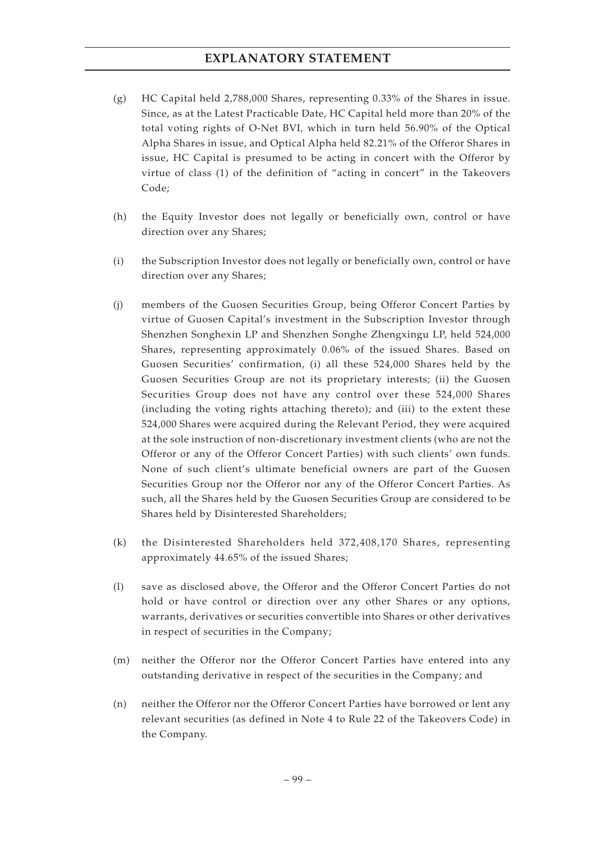- (g) HC Capital held 2,788,000 Shares, representing 0.33% of the Shares in issue. Since, as at the Latest Practicable Date, HC Capital held more than 20% of the total voting rights of O-Net BVI, which in turn held 56.90% of the Optical Alpha Shares in issue, and Optical Alpha held 82.21% of the Offeror Shares in issue, HC Capital is presumed to be acting in concert with the Offeror by virtue of class (1) of the definition of "acting in concert" in the Takeovers Code;
- (h) the Equity Investor does not legally or beneficially own, control or have direction over any Shares;
- (i) the Subscription Investor does not legally or beneficially own, control or have direction over any Shares;
- (j) members of the Guosen Securities Group, being Offeror Concert Parties by virtue of Guosen Capital's investment in the Subscription Investor through Shenzhen Songhexin LP and Shenzhen Songhe Zhengxingu LP, held 524,000 Shares, representing approximately 0.06% of the issued Shares. Based on Guosen Securities' confirmation, (i) all these 524,000 Shares held by the Guosen Securities Group are not its proprietary interests; (ii) the Guosen Securities Group does not have any control over these 524,000 Shares (including the voting rights attaching thereto); and (iii) to the extent these 524,000 Shares were acquired during the Relevant Period, they were acquired at the sole instruction of non-discretionary investment clients (who are not the Offeror or any of the Offeror Concert Parties) with such clients' own funds. None of such client's ultimate beneficial owners are part of the Guosen Securities Group nor the Offeror nor any of the Offeror Concert Parties. As such, all the Shares held by the Guosen Securities Group are considered to be Shares held by Disinterested Shareholders;
- (k) the Disinterested Shareholders held 372,408,170 Shares, representing approximately 44.65% of the issued Shares;
- (l) save as disclosed above, the Offeror and the Offeror Concert Parties do not hold or have control or direction over any other Shares or any options, warrants, derivatives or securities convertible into Shares or other derivatives in respect of securities in the Company;
- (m) neither the Offeror nor the Offeror Concert Parties have entered into any outstanding derivative in respect of the securities in the Company; and
- (n) neither the Offeror nor the Offeror Concert Parties have borrowed or lent any relevant securities (as defined in Note 4 to Rule 22 of the Takeovers Code) in the Company.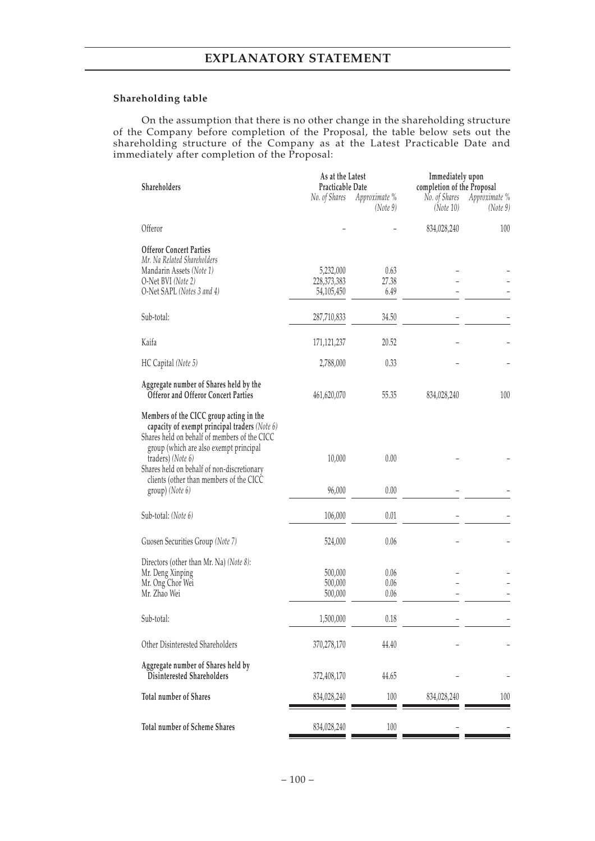#### **Shareholding table**

On the assumption that there is no other change in the shareholding structure of the Company before completion of the Proposal, the table below sets out the shareholding structure of the Company as at the Latest Practicable Date and immediately after completion of the Proposal:

|                                                                                                                                                                                    | As at the Latest |                           | Immediately upon           |                           |  |  |
|------------------------------------------------------------------------------------------------------------------------------------------------------------------------------------|------------------|---------------------------|----------------------------|---------------------------|--|--|
| Shareholders                                                                                                                                                                       | Practicable Date |                           | completion of the Proposal |                           |  |  |
|                                                                                                                                                                                    | No. of Shares    | Approximate %<br>(Note 9) | No. of Shares<br>(Note 10) | Approximate %<br>(Note 9) |  |  |
| Offeror                                                                                                                                                                            |                  |                           | 834,028,240                | 100                       |  |  |
| <b>Offeror Concert Parties</b>                                                                                                                                                     |                  |                           |                            |                           |  |  |
| Mr. Na Related Shareholders                                                                                                                                                        |                  |                           |                            |                           |  |  |
| Mandarin Assets (Note 1)                                                                                                                                                           | 5,232,000        | 0.63                      |                            |                           |  |  |
| O-Net BVI (Note 2)                                                                                                                                                                 | 228,373,383      | 27.38                     |                            |                           |  |  |
| O-Net SAPL (Notes 3 and 4)                                                                                                                                                         | 54,105,450       | 6.49                      |                            |                           |  |  |
| Sub-total:                                                                                                                                                                         | 287,710,833      | 34.50                     |                            |                           |  |  |
|                                                                                                                                                                                    |                  |                           |                            |                           |  |  |
| Kaifa                                                                                                                                                                              | 171, 121, 237    | 20.52                     |                            |                           |  |  |
| HC Capital (Note 5)                                                                                                                                                                | 2,788,000        | 0.33                      |                            |                           |  |  |
| Aggregate number of Shares held by the                                                                                                                                             |                  |                           |                            |                           |  |  |
| <b>Offeror and Offeror Concert Parties</b>                                                                                                                                         | 461,620,070      | 55.35                     | 834,028,240                | 100                       |  |  |
| Members of the CICC group acting in the<br>capacity of exempt principal traders (Note 6)<br>Shares held on behalf of members of the CICC<br>group (which are also exempt principal |                  |                           |                            |                           |  |  |
| traders) (Note 6)<br>Shares held on behalf of non-discretionary                                                                                                                    | 10,000           | 0.00                      |                            |                           |  |  |
| clients (other than members of the CICC<br>group) (Note 6)                                                                                                                         | 96,000           | 0.00                      |                            |                           |  |  |
|                                                                                                                                                                                    |                  |                           |                            |                           |  |  |
| Sub-total: (Note 6)                                                                                                                                                                | 106,000          | 0.01                      |                            |                           |  |  |
| Guosen Securities Group (Note 7)                                                                                                                                                   | 524,000          | 0.06                      |                            |                           |  |  |
| Directors (other than Mr. Na) (Note 8):                                                                                                                                            |                  |                           |                            |                           |  |  |
| Mr. Deng Xinping                                                                                                                                                                   | 500,000          | 0.06                      |                            |                           |  |  |
| Mr. Ong Chor Wei                                                                                                                                                                   | 500,000          | 0.06                      |                            |                           |  |  |
| Mr. Zhao Wei                                                                                                                                                                       | 500,000          | 0.06                      |                            |                           |  |  |
| Sub-total:                                                                                                                                                                         | 1,500,000        | 0.18                      |                            |                           |  |  |
| Other Disinterested Shareholders                                                                                                                                                   | 370,278,170      | 44.40                     |                            |                           |  |  |
| Aggregate number of Shares held by<br>Disinterested Shareholders                                                                                                                   | 372,408,170      | 44.65                     |                            |                           |  |  |
| <b>Total number of Shares</b>                                                                                                                                                      | 834,028,240      | 100                       | 834,028,240                | 100                       |  |  |
| <b>Total number of Scheme Shares</b>                                                                                                                                               | 834,028,240      | 100                       |                            |                           |  |  |
|                                                                                                                                                                                    |                  |                           |                            |                           |  |  |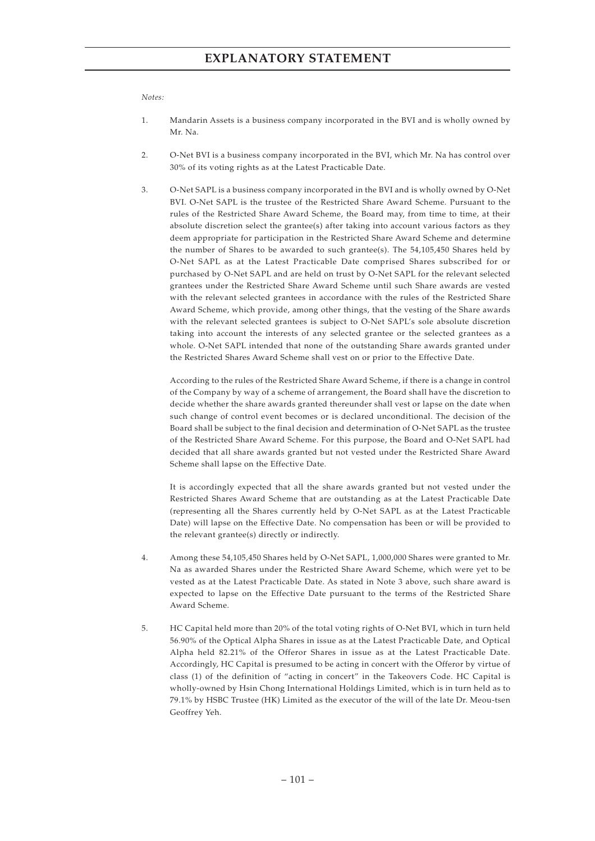#### *Notes:*

- 1. Mandarin Assets is a business company incorporated in the BVI and is wholly owned by Mr. Na.
- 2. O-Net BVI is a business company incorporated in the BVI, which Mr. Na has control over 30% of its voting rights as at the Latest Practicable Date.
- 3. O-Net SAPL is a business company incorporated in the BVI and is wholly owned by O-Net BVI. O-Net SAPL is the trustee of the Restricted Share Award Scheme. Pursuant to the rules of the Restricted Share Award Scheme, the Board may, from time to time, at their absolute discretion select the grantee(s) after taking into account various factors as they deem appropriate for participation in the Restricted Share Award Scheme and determine the number of Shares to be awarded to such grantee(s). The  $54,105,450$  Shares held by O-Net SAPL as at the Latest Practicable Date comprised Shares subscribed for or purchased by O-Net SAPL and are held on trust by O-Net SAPL for the relevant selected grantees under the Restricted Share Award Scheme until such Share awards are vested with the relevant selected grantees in accordance with the rules of the Restricted Share Award Scheme, which provide, among other things, that the vesting of the Share awards with the relevant selected grantees is subject to O-Net SAPL's sole absolute discretion taking into account the interests of any selected grantee or the selected grantees as a whole. O-Net SAPL intended that none of the outstanding Share awards granted under the Restricted Shares Award Scheme shall vest on or prior to the Effective Date.

According to the rules of the Restricted Share Award Scheme, if there is a change in control of the Company by way of a scheme of arrangement, the Board shall have the discretion to decide whether the share awards granted thereunder shall vest or lapse on the date when such change of control event becomes or is declared unconditional. The decision of the Board shall be subject to the final decision and determination of O-Net SAPL as the trustee of the Restricted Share Award Scheme. For this purpose, the Board and O-Net SAPL had decided that all share awards granted but not vested under the Restricted Share Award Scheme shall lapse on the Effective Date.

It is accordingly expected that all the share awards granted but not vested under the Restricted Shares Award Scheme that are outstanding as at the Latest Practicable Date (representing all the Shares currently held by O-Net SAPL as at the Latest Practicable Date) will lapse on the Effective Date. No compensation has been or will be provided to the relevant grantee(s) directly or indirectly.

- 4. Among these 54,105,450 Shares held by O-Net SAPL, 1,000,000 Shares were granted to Mr. Na as awarded Shares under the Restricted Share Award Scheme, which were yet to be vested as at the Latest Practicable Date. As stated in Note 3 above, such share award is expected to lapse on the Effective Date pursuant to the terms of the Restricted Share Award Scheme.
- 5. HC Capital held more than 20% of the total voting rights of O-Net BVI, which in turn held 56.90% of the Optical Alpha Shares in issue as at the Latest Practicable Date, and Optical Alpha held 82.21% of the Offeror Shares in issue as at the Latest Practicable Date. Accordingly, HC Capital is presumed to be acting in concert with the Offeror by virtue of class (1) of the definition of "acting in concert" in the Takeovers Code. HC Capital is wholly-owned by Hsin Chong International Holdings Limited, which is in turn held as to 79.1% by HSBC Trustee (HK) Limited as the executor of the will of the late Dr. Meou-tsen Geoffrey Yeh.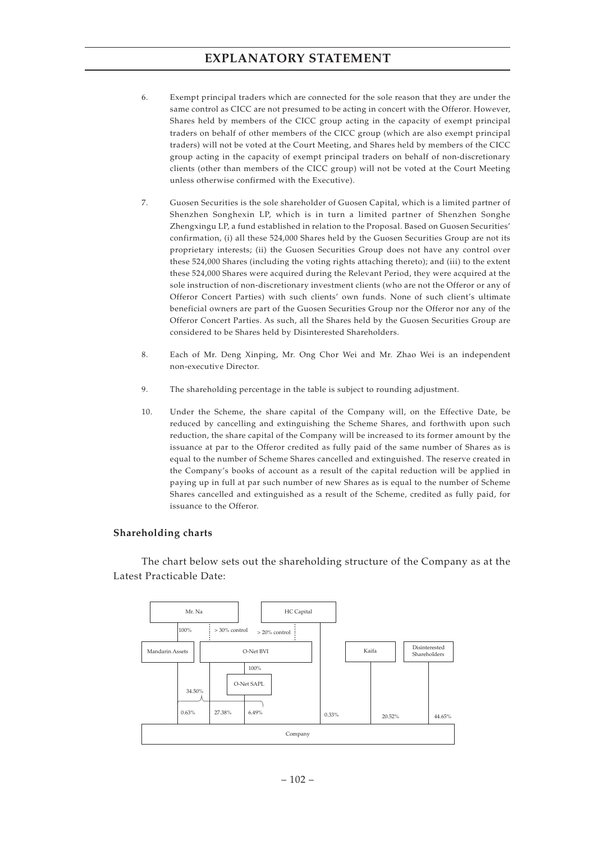- 6. Exempt principal traders which are connected for the sole reason that they are under the same control as CICC are not presumed to be acting in concert with the Offeror. However, Shares held by members of the CICC group acting in the capacity of exempt principal traders on behalf of other members of the CICC group (which are also exempt principal traders) will not be voted at the Court Meeting, and Shares held by members of the CICC group acting in the capacity of exempt principal traders on behalf of non-discretionary clients (other than members of the CICC group) will not be voted at the Court Meeting unless otherwise confirmed with the Executive).
- 7. Guosen Securities is the sole shareholder of Guosen Capital, which is a limited partner of Shenzhen Songhexin LP, which is in turn a limited partner of Shenzhen Songhe Zhengxingu LP, a fund established in relation to the Proposal. Based on Guosen Securities' confirmation, (i) all these 524,000 Shares held by the Guosen Securities Group are not its proprietary interests; (ii) the Guosen Securities Group does not have any control over these 524,000 Shares (including the voting rights attaching thereto); and (iii) to the extent these 524,000 Shares were acquired during the Relevant Period, they were acquired at the sole instruction of non-discretionary investment clients (who are not the Offeror or any of Offeror Concert Parties) with such clients' own funds. None of such client's ultimate beneficial owners are part of the Guosen Securities Group nor the Offeror nor any of the Offeror Concert Parties. As such, all the Shares held by the Guosen Securities Group are considered to be Shares held by Disinterested Shareholders.
- 8. Each of Mr. Deng Xinping, Mr. Ong Chor Wei and Mr. Zhao Wei is an independent non-executive Director.
- 9. The shareholding percentage in the table is subject to rounding adjustment.
- 10. Under the Scheme, the share capital of the Company will, on the Effective Date, be reduced by cancelling and extinguishing the Scheme Shares, and forthwith upon such reduction, the share capital of the Company will be increased to its former amount by the issuance at par to the Offeror credited as fully paid of the same number of Shares as is equal to the number of Scheme Shares cancelled and extinguished. The reserve created in the Company's books of account as a result of the capital reduction will be applied in paying up in full at par such number of new Shares as is equal to the number of Scheme Shares cancelled and extinguished as a result of the Scheme, credited as fully paid, for issuance to the Offeror.

#### **Shareholding charts**

The chart below sets out the shareholding structure of the Company as at the Latest Practicable Date:

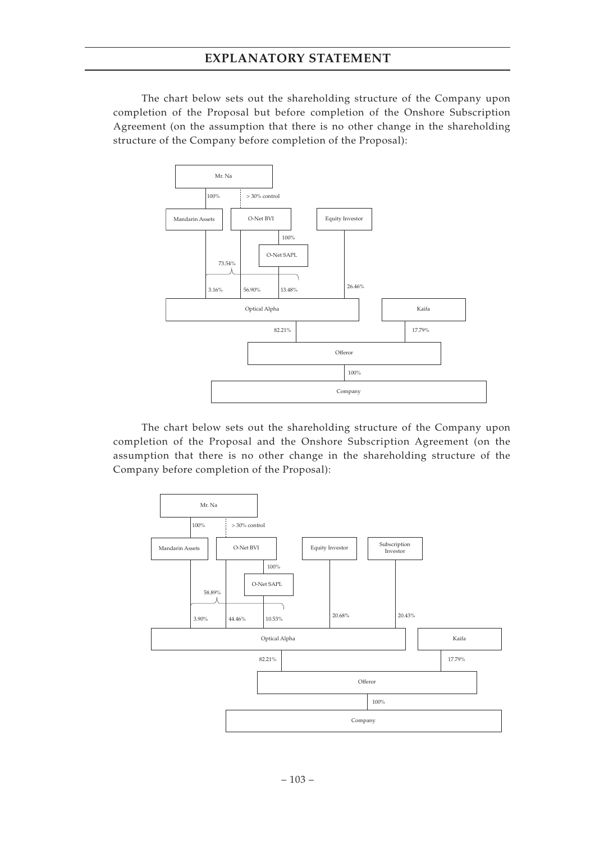The chart below sets out the shareholding structure of the Company upon completion of the Proposal but before completion of the Onshore Subscription Agreement (on the assumption that there is no other change in the shareholding structure of the Company before completion of the Proposal):



The chart below sets out the shareholding structure of the Company upon completion of the Proposal and the Onshore Subscription Agreement (on the assumption that there is no other change in the shareholding structure of the Company before completion of the Proposal):

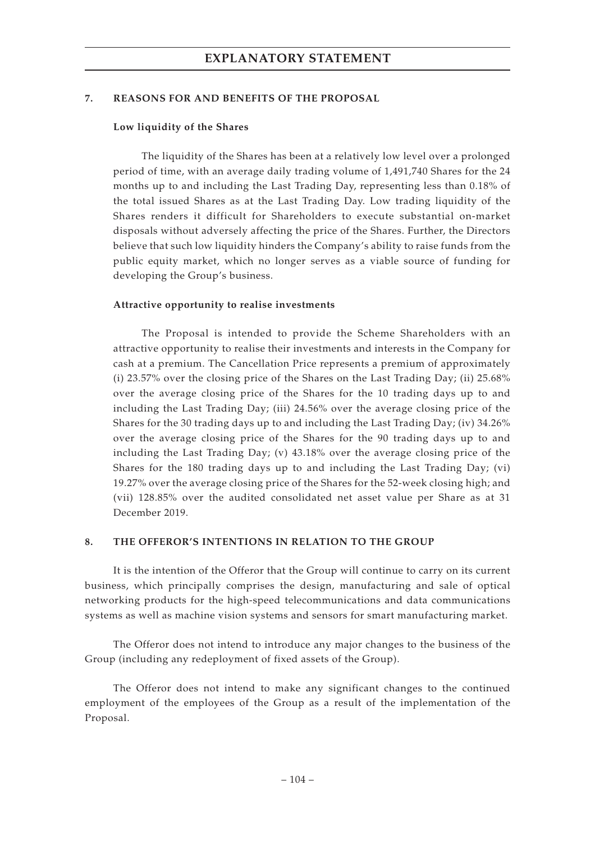#### **7. REASONS FOR AND BENEFITS OF THE PROPOSAL**

#### **Low liquidity of the Shares**

The liquidity of the Shares has been at a relatively low level over a prolonged period of time, with an average daily trading volume of 1,491,740 Shares for the 24 months up to and including the Last Trading Day, representing less than 0.18% of the total issued Shares as at the Last Trading Day. Low trading liquidity of the Shares renders it difficult for Shareholders to execute substantial on-market disposals without adversely affecting the price of the Shares. Further, the Directors believe that such low liquidity hinders the Company's ability to raise funds from the public equity market, which no longer serves as a viable source of funding for developing the Group's business.

#### **Attractive opportunity to realise investments**

The Proposal is intended to provide the Scheme Shareholders with an attractive opportunity to realise their investments and interests in the Company for cash at a premium. The Cancellation Price represents a premium of approximately (i) 23.57% over the closing price of the Shares on the Last Trading Day; (ii) 25.68% over the average closing price of the Shares for the 10 trading days up to and including the Last Trading Day; (iii) 24.56% over the average closing price of the Shares for the 30 trading days up to and including the Last Trading Day; (iv) 34.26% over the average closing price of the Shares for the 90 trading days up to and including the Last Trading Day; (v) 43.18% over the average closing price of the Shares for the 180 trading days up to and including the Last Trading Day; (vi) 19.27% over the average closing price of the Shares for the 52-week closing high; and (vii) 128.85% over the audited consolidated net asset value per Share as at 31 December 2019.

#### **8. THE OFFEROR'S INTENTIONS IN RELATION TO THE GROUP**

It is the intention of the Offeror that the Group will continue to carry on its current business, which principally comprises the design, manufacturing and sale of optical networking products for the high-speed telecommunications and data communications systems as well as machine vision systems and sensors for smart manufacturing market.

The Offeror does not intend to introduce any major changes to the business of the Group (including any redeployment of fixed assets of the Group).

The Offeror does not intend to make any significant changes to the continued employment of the employees of the Group as a result of the implementation of the Proposal.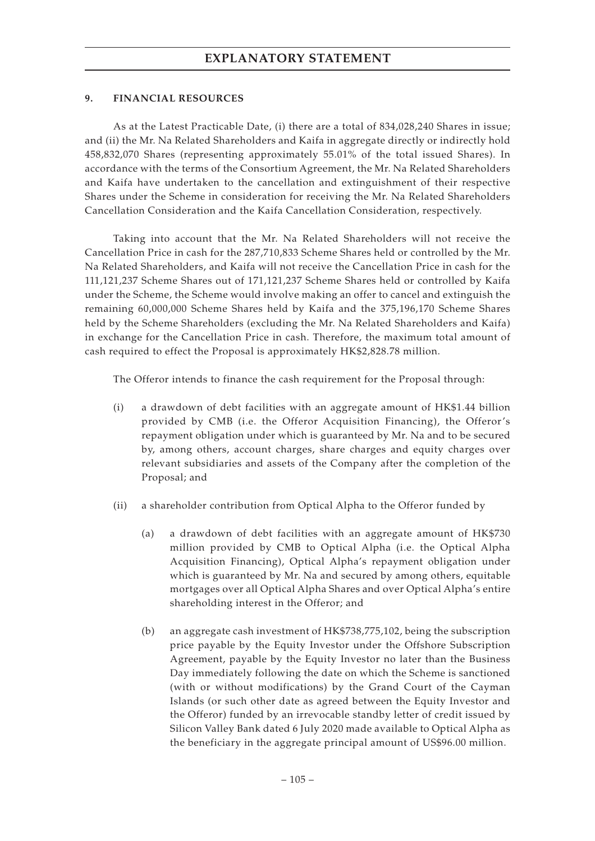### **9. FINANCIAL RESOURCES**

As at the Latest Practicable Date, (i) there are a total of 834,028,240 Shares in issue; and (ii) the Mr. Na Related Shareholders and Kaifa in aggregate directly or indirectly hold 458,832,070 Shares (representing approximately 55.01% of the total issued Shares). In accordance with the terms of the Consortium Agreement, the Mr. Na Related Shareholders and Kaifa have undertaken to the cancellation and extinguishment of their respective Shares under the Scheme in consideration for receiving the Mr. Na Related Shareholders Cancellation Consideration and the Kaifa Cancellation Consideration, respectively.

Taking into account that the Mr. Na Related Shareholders will not receive the Cancellation Price in cash for the 287,710,833 Scheme Shares held or controlled by the Mr. Na Related Shareholders, and Kaifa will not receive the Cancellation Price in cash for the 111,121,237 Scheme Shares out of 171,121,237 Scheme Shares held or controlled by Kaifa under the Scheme, the Scheme would involve making an offer to cancel and extinguish the remaining 60,000,000 Scheme Shares held by Kaifa and the 375,196,170 Scheme Shares held by the Scheme Shareholders (excluding the Mr. Na Related Shareholders and Kaifa) in exchange for the Cancellation Price in cash. Therefore, the maximum total amount of cash required to effect the Proposal is approximately HK\$2,828.78 million.

The Offeror intends to finance the cash requirement for the Proposal through:

- (i) a drawdown of debt facilities with an aggregate amount of HK\$1.44 billion provided by CMB (i.e. the Offeror Acquisition Financing), the Offeror's repayment obligation under which is guaranteed by Mr. Na and to be secured by, among others, account charges, share charges and equity charges over relevant subsidiaries and assets of the Company after the completion of the Proposal; and
- (ii) a shareholder contribution from Optical Alpha to the Offeror funded by
	- (a) a drawdown of debt facilities with an aggregate amount of HK\$730 million provided by CMB to Optical Alpha (i.e. the Optical Alpha Acquisition Financing), Optical Alpha's repayment obligation under which is guaranteed by Mr. Na and secured by among others, equitable mortgages over all Optical Alpha Shares and over Optical Alpha's entire shareholding interest in the Offeror; and
	- (b) an aggregate cash investment of HK\$738,775,102, being the subscription price payable by the Equity Investor under the Offshore Subscription Agreement, payable by the Equity Investor no later than the Business Day immediately following the date on which the Scheme is sanctioned (with or without modifications) by the Grand Court of the Cayman Islands (or such other date as agreed between the Equity Investor and the Offeror) funded by an irrevocable standby letter of credit issued by Silicon Valley Bank dated 6 July 2020 made available to Optical Alpha as the beneficiary in the aggregate principal amount of US\$96.00 million.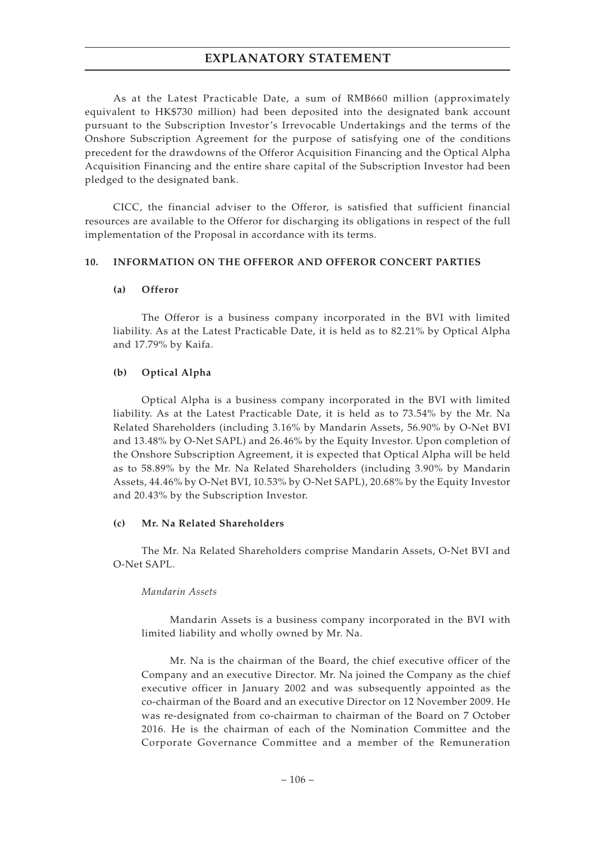As at the Latest Practicable Date, a sum of RMB660 million (approximately equivalent to HK\$730 million) had been deposited into the designated bank account pursuant to the Subscription Investor's Irrevocable Undertakings and the terms of the Onshore Subscription Agreement for the purpose of satisfying one of the conditions precedent for the drawdowns of the Offeror Acquisition Financing and the Optical Alpha Acquisition Financing and the entire share capital of the Subscription Investor had been pledged to the designated bank.

CICC, the financial adviser to the Offeror, is satisfied that sufficient financial resources are available to the Offeror for discharging its obligations in respect of the full implementation of the Proposal in accordance with its terms.

#### **10. INFORMATION ON THE OFFEROR AND OFFEROR CONCERT PARTIES**

#### **(a) Offeror**

The Offeror is a business company incorporated in the BVI with limited liability. As at the Latest Practicable Date, it is held as to 82.21% by Optical Alpha and 17.79% by Kaifa.

### **(b) Optical Alpha**

Optical Alpha is a business company incorporated in the BVI with limited liability. As at the Latest Practicable Date, it is held as to 73.54% by the Mr. Na Related Shareholders (including 3.16% by Mandarin Assets, 56.90% by O-Net BVI and 13.48% by O-Net SAPL) and 26.46% by the Equity Investor. Upon completion of the Onshore Subscription Agreement, it is expected that Optical Alpha will be held as to 58.89% by the Mr. Na Related Shareholders (including 3.90% by Mandarin Assets, 44.46% by O-Net BVI, 10.53% by O-Net SAPL), 20.68% by the Equity Investor and 20.43% by the Subscription Investor.

### **(c) Mr. Na Related Shareholders**

The Mr. Na Related Shareholders comprise Mandarin Assets, O-Net BVI and O-Net SAPL.

#### *Mandarin Assets*

Mandarin Assets is a business company incorporated in the BVI with limited liability and wholly owned by Mr. Na.

Mr. Na is the chairman of the Board, the chief executive officer of the Company and an executive Director. Mr. Na joined the Company as the chief executive officer in January 2002 and was subsequently appointed as the co-chairman of the Board and an executive Director on 12 November 2009. He was re-designated from co-chairman to chairman of the Board on 7 October 2016. He is the chairman of each of the Nomination Committee and the Corporate Governance Committee and a member of the Remuneration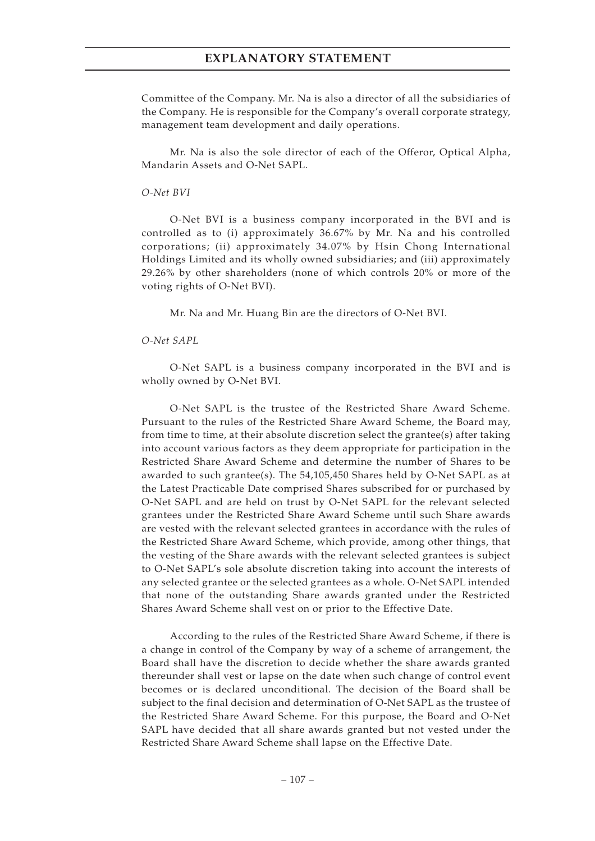Committee of the Company. Mr. Na is also a director of all the subsidiaries of the Company. He is responsible for the Company's overall corporate strategy, management team development and daily operations.

Mr. Na is also the sole director of each of the Offeror, Optical Alpha, Mandarin Assets and O-Net SAPL.

*O-Net BVI*

O-Net BVI is a business company incorporated in the BVI and is controlled as to (i) approximately 36.67% by Mr. Na and his controlled corporations; (ii) approximately 34.07% by Hsin Chong International Holdings Limited and its wholly owned subsidiaries; and (iii) approximately 29.26% by other shareholders (none of which controls 20% or more of the voting rights of O-Net BVI).

Mr. Na and Mr. Huang Bin are the directors of O-Net BVI.

*O-Net SAPL*

O-Net SAPL is a business company incorporated in the BVI and is wholly owned by O-Net BVI.

O-Net SAPL is the trustee of the Restricted Share Award Scheme. Pursuant to the rules of the Restricted Share Award Scheme, the Board may, from time to time, at their absolute discretion select the grantee(s) after taking into account various factors as they deem appropriate for participation in the Restricted Share Award Scheme and determine the number of Shares to be awarded to such grantee(s). The 54,105,450 Shares held by O-Net SAPL as at the Latest Practicable Date comprised Shares subscribed for or purchased by O-Net SAPL and are held on trust by O-Net SAPL for the relevant selected grantees under the Restricted Share Award Scheme until such Share awards are vested with the relevant selected grantees in accordance with the rules of the Restricted Share Award Scheme, which provide, among other things, that the vesting of the Share awards with the relevant selected grantees is subject to O-Net SAPL's sole absolute discretion taking into account the interests of any selected grantee or the selected grantees as a whole. O-Net SAPL intended that none of the outstanding Share awards granted under the Restricted Shares Award Scheme shall vest on or prior to the Effective Date.

According to the rules of the Restricted Share Award Scheme, if there is a change in control of the Company by way of a scheme of arrangement, the Board shall have the discretion to decide whether the share awards granted thereunder shall vest or lapse on the date when such change of control event becomes or is declared unconditional. The decision of the Board shall be subject to the final decision and determination of O-Net SAPL as the trustee of the Restricted Share Award Scheme. For this purpose, the Board and O-Net SAPL have decided that all share awards granted but not vested under the Restricted Share Award Scheme shall lapse on the Effective Date.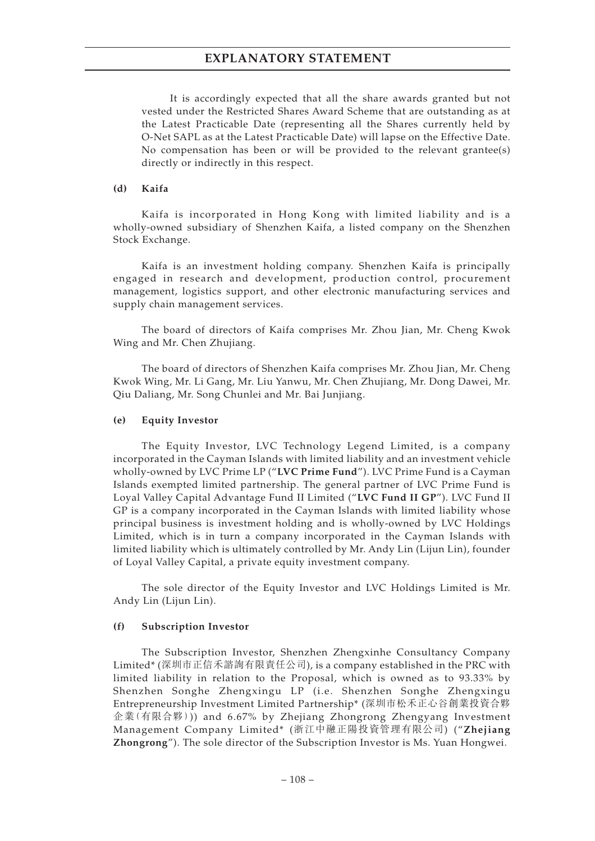It is accordingly expected that all the share awards granted but not vested under the Restricted Shares Award Scheme that are outstanding as at the Latest Practicable Date (representing all the Shares currently held by O-Net SAPL as at the Latest Practicable Date) will lapse on the Effective Date. No compensation has been or will be provided to the relevant grantee(s) directly or indirectly in this respect.

#### **(d) Kaifa**

Kaifa is incorporated in Hong Kong with limited liability and is a wholly-owned subsidiary of Shenzhen Kaifa, a listed company on the Shenzhen Stock Exchange.

Kaifa is an investment holding company. Shenzhen Kaifa is principally engaged in research and development, production control, procurement management, logistics support, and other electronic manufacturing services and supply chain management services.

The board of directors of Kaifa comprises Mr. Zhou Jian, Mr. Cheng Kwok Wing and Mr. Chen Zhujiang.

The board of directors of Shenzhen Kaifa comprises Mr. Zhou Jian, Mr. Cheng Kwok Wing, Mr. Li Gang, Mr. Liu Yanwu, Mr. Chen Zhujiang, Mr. Dong Dawei, Mr. Qiu Daliang, Mr. Song Chunlei and Mr. Bai Junjiang.

#### **(e) Equity Investor**

The Equity Investor, LVC Technology Legend Limited, is a company incorporated in the Cayman Islands with limited liability and an investment vehicle wholly-owned by LVC Prime LP ("**LVC Prime Fund**"). LVC Prime Fund is a Cayman Islands exempted limited partnership. The general partner of LVC Prime Fund is Loyal Valley Capital Advantage Fund II Limited ("**LVC Fund II GP**"). LVC Fund II GP is a company incorporated in the Cayman Islands with limited liability whose principal business is investment holding and is wholly-owned by LVC Holdings Limited, which is in turn a company incorporated in the Cayman Islands with limited liability which is ultimately controlled by Mr. Andy Lin (Lijun Lin), founder of Loyal Valley Capital, a private equity investment company.

The sole director of the Equity Investor and LVC Holdings Limited is Mr. Andy Lin (Lijun Lin).

#### **(f) Subscription Investor**

The Subscription Investor, Shenzhen Zhengxinhe Consultancy Company Limited\* (深圳市正信禾諮詢有限責任公司), is a company established in the PRC with limited liability in relation to the Proposal, which is owned as to 93.33% by Shenzhen Songhe Zhengxingu LP (i.e. Shenzhen Songhe Zhengxingu Entrepreneurship Investment Limited Partnership\* (深圳市松禾正心谷創業投資合夥 企業(有限合夥))) and 6.67% by Zhejiang Zhongrong Zhengyang Investment Management Company Limited\* (浙江中融正陽投資管理有限公司) ("**Zhejiang Zhongrong**"). The sole director of the Subscription Investor is Ms. Yuan Hongwei.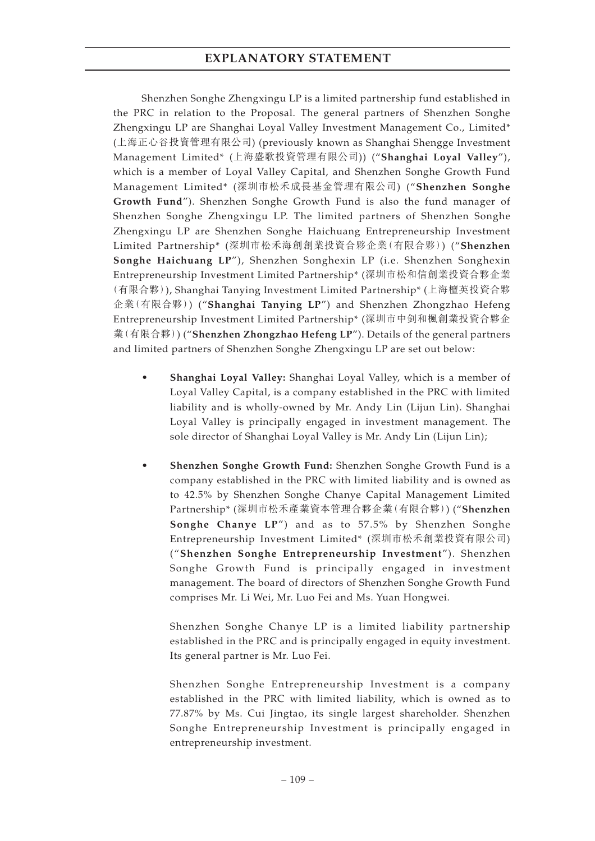Shenzhen Songhe Zhengxingu LP is a limited partnership fund established in the PRC in relation to the Proposal. The general partners of Shenzhen Songhe Zhengxingu LP are Shanghai Loyal Valley Investment Management Co., Limited\* (上海正心谷投資管理有限公司) (previously known as Shanghai Shengge Investment Management Limited\* (上海盛歌投資管理有限公司)) ("**Shanghai Loyal Valley**"), which is a member of Loyal Valley Capital, and Shenzhen Songhe Growth Fund Management Limited\* (深圳市松禾成長基金管理有限公司) ("**Shenzhen Songhe Growth Fund**"). Shenzhen Songhe Growth Fund is also the fund manager of Shenzhen Songhe Zhengxingu LP. The limited partners of Shenzhen Songhe Zhengxingu LP are Shenzhen Songhe Haichuang Entrepreneurship Investment Limited Partnership\* (深圳市松禾海創創業投資合夥企業(有限合夥)) ("**Shenzhen Songhe Haichuang LP**"), Shenzhen Songhexin LP (i.e. Shenzhen Songhexin Entrepreneurship Investment Limited Partnership\* (深圳市松和信創業投資合夥企業 (有限合夥)), Shanghai Tanying Investment Limited Partnership\* (上海檀英投資合夥 企業(有限合夥)) ("**Shanghai Tanying LP**") and Shenzhen Zhongzhao Hefeng Entrepreneurship Investment Limited Partnership\* (深圳市中釗和楓創業投資合夥企 業(有限合夥)) ("**Shenzhen Zhongzhao Hefeng LP**"). Details of the general partners and limited partners of Shenzhen Songhe Zhengxingu LP are set out below:

- **Shanghai Loyal Valley:** Shanghai Loyal Valley, which is a member of Loyal Valley Capital, is a company established in the PRC with limited liability and is wholly-owned by Mr. Andy Lin (Lijun Lin). Shanghai Loyal Valley is principally engaged in investment management. The sole director of Shanghai Loyal Valley is Mr. Andy Lin (Lijun Lin);
- **Shenzhen Songhe Growth Fund:** Shenzhen Songhe Growth Fund is a company established in the PRC with limited liability and is owned as to 42.5% by Shenzhen Songhe Chanye Capital Management Limited Partnership\* (深圳市松禾產業資本管理合夥企業(有限合夥)) ("**Shenzhen Songhe Chanye LP**") and as to 57.5% by Shenzhen Songhe Entrepreneurship Investment Limited\* (深圳市松禾創業投資有限公司) ("**Shenzhen Songhe Entrepreneurship Investment**"). Shenzhen Songhe Growth Fund is principally engaged in investment management. The board of directors of Shenzhen Songhe Growth Fund comprises Mr. Li Wei, Mr. Luo Fei and Ms. Yuan Hongwei.

Shenzhen Songhe Chanye LP is a limited liability partnership established in the PRC and is principally engaged in equity investment. Its general partner is Mr. Luo Fei.

Shenzhen Songhe Entrepreneurship Investment is a company established in the PRC with limited liability, which is owned as to 77.87% by Ms. Cui Jingtao, its single largest shareholder. Shenzhen Songhe Entrepreneurship Investment is principally engaged in entrepreneurship investment.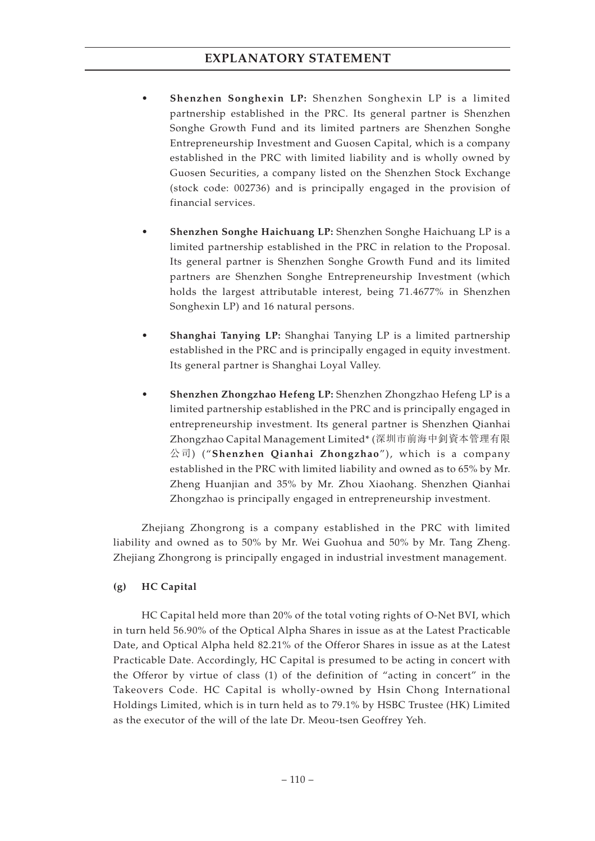- **Shenzhen Songhexin LP:** Shenzhen Songhexin LP is a limited partnership established in the PRC. Its general partner is Shenzhen Songhe Growth Fund and its limited partners are Shenzhen Songhe Entrepreneurship Investment and Guosen Capital, which is a company established in the PRC with limited liability and is wholly owned by Guosen Securities, a company listed on the Shenzhen Stock Exchange (stock code: 002736) and is principally engaged in the provision of financial services.
- **Shenzhen Songhe Haichuang LP:** Shenzhen Songhe Haichuang LP is a limited partnership established in the PRC in relation to the Proposal. Its general partner is Shenzhen Songhe Growth Fund and its limited partners are Shenzhen Songhe Entrepreneurship Investment (which holds the largest attributable interest, being 71.4677% in Shenzhen Songhexin LP) and 16 natural persons.
- **Shanghai Tanying LP:** Shanghai Tanying LP is a limited partnership established in the PRC and is principally engaged in equity investment. Its general partner is Shanghai Loyal Valley.
- **Shenzhen Zhongzhao Hefeng LP:** Shenzhen Zhongzhao Hefeng LP is a limited partnership established in the PRC and is principally engaged in entrepreneurship investment. Its general partner is Shenzhen Qianhai Zhongzhao Capital Management Limited\* (深圳市前海中釗資本管理有限 公司) ("**Shenzhen Qianhai Zhongzhao**"), which is a company established in the PRC with limited liability and owned as to 65% by Mr. Zheng Huanjian and 35% by Mr. Zhou Xiaohang. Shenzhen Qianhai Zhongzhao is principally engaged in entrepreneurship investment.

Zhejiang Zhongrong is a company established in the PRC with limited liability and owned as to 50% by Mr. Wei Guohua and 50% by Mr. Tang Zheng. Zhejiang Zhongrong is principally engaged in industrial investment management.

## **(g) HC Capital**

HC Capital held more than 20% of the total voting rights of O-Net BVI, which in turn held 56.90% of the Optical Alpha Shares in issue as at the Latest Practicable Date, and Optical Alpha held 82.21% of the Offeror Shares in issue as at the Latest Practicable Date. Accordingly, HC Capital is presumed to be acting in concert with the Offeror by virtue of class (1) of the definition of "acting in concert" in the Takeovers Code. HC Capital is wholly-owned by Hsin Chong International Holdings Limited, which is in turn held as to 79.1% by HSBC Trustee (HK) Limited as the executor of the will of the late Dr. Meou-tsen Geoffrey Yeh.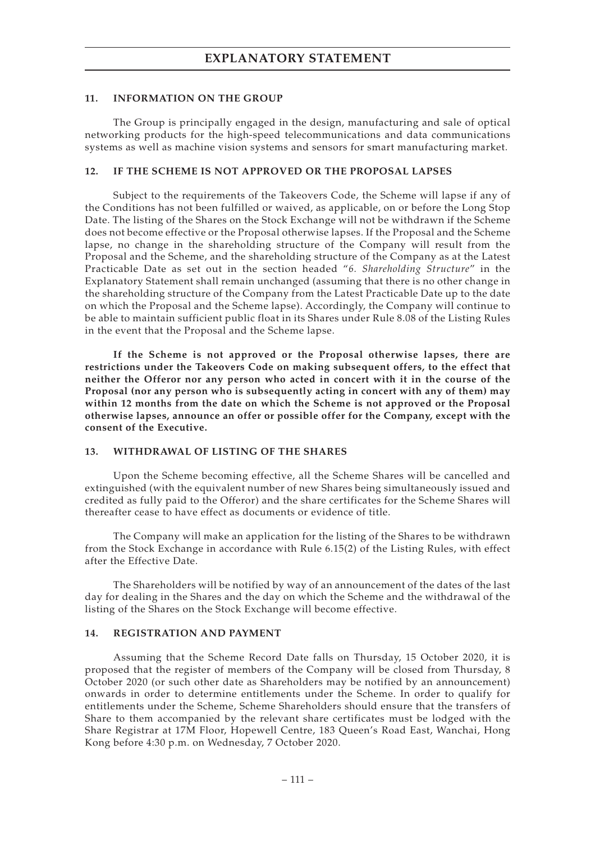#### **11. INFORMATION ON THE GROUP**

The Group is principally engaged in the design, manufacturing and sale of optical networking products for the high-speed telecommunications and data communications systems as well as machine vision systems and sensors for smart manufacturing market.

#### **12. IF THE SCHEME IS NOT APPROVED OR THE PROPOSAL LAPSES**

Subject to the requirements of the Takeovers Code, the Scheme will lapse if any of the Conditions has not been fulfilled or waived, as applicable, on or before the Long Stop Date. The listing of the Shares on the Stock Exchange will not be withdrawn if the Scheme does not become effective or the Proposal otherwise lapses. If the Proposal and the Scheme lapse, no change in the shareholding structure of the Company will result from the Proposal and the Scheme, and the shareholding structure of the Company as at the Latest Practicable Date as set out in the section headed "*6. Shareholding Structure*" in the Explanatory Statement shall remain unchanged (assuming that there is no other change in the shareholding structure of the Company from the Latest Practicable Date up to the date on which the Proposal and the Scheme lapse). Accordingly, the Company will continue to be able to maintain sufficient public float in its Shares under Rule 8.08 of the Listing Rules in the event that the Proposal and the Scheme lapse.

**If the Scheme is not approved or the Proposal otherwise lapses, there are restrictions under the Takeovers Code on making subsequent offers, to the effect that neither the Offeror nor any person who acted in concert with it in the course of the Proposal (nor any person who is subsequently acting in concert with any of them) may within 12 months from the date on which the Scheme is not approved or the Proposal otherwise lapses, announce an offer or possible offer for the Company, except with the consent of the Executive.**

#### **13. WITHDRAWAL OF LISTING OF THE SHARES**

Upon the Scheme becoming effective, all the Scheme Shares will be cancelled and extinguished (with the equivalent number of new Shares being simultaneously issued and credited as fully paid to the Offeror) and the share certificates for the Scheme Shares will thereafter cease to have effect as documents or evidence of title.

The Company will make an application for the listing of the Shares to be withdrawn from the Stock Exchange in accordance with Rule 6.15(2) of the Listing Rules, with effect after the Effective Date.

The Shareholders will be notified by way of an announcement of the dates of the last day for dealing in the Shares and the day on which the Scheme and the withdrawal of the listing of the Shares on the Stock Exchange will become effective.

#### **14. REGISTRATION AND PAYMENT**

Assuming that the Scheme Record Date falls on Thursday, 15 October 2020, it is proposed that the register of members of the Company will be closed from Thursday, 8 October 2020 (or such other date as Shareholders may be notified by an announcement) onwards in order to determine entitlements under the Scheme. In order to qualify for entitlements under the Scheme, Scheme Shareholders should ensure that the transfers of Share to them accompanied by the relevant share certificates must be lodged with the Share Registrar at 17M Floor, Hopewell Centre, 183 Queen's Road East, Wanchai, Hong Kong before 4:30 p.m. on Wednesday, 7 October 2020.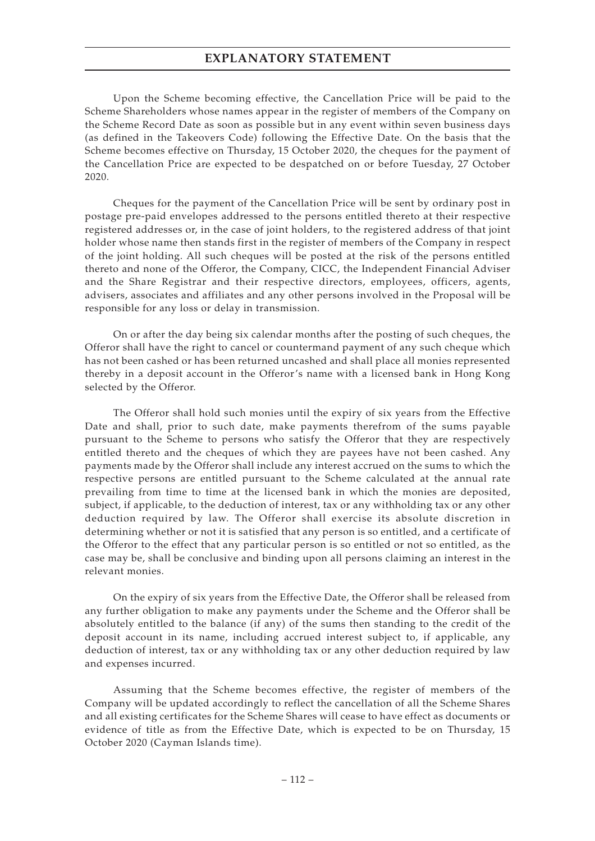Upon the Scheme becoming effective, the Cancellation Price will be paid to the Scheme Shareholders whose names appear in the register of members of the Company on the Scheme Record Date as soon as possible but in any event within seven business days (as defined in the Takeovers Code) following the Effective Date. On the basis that the Scheme becomes effective on Thursday, 15 October 2020, the cheques for the payment of the Cancellation Price are expected to be despatched on or before Tuesday, 27 October 2020.

Cheques for the payment of the Cancellation Price will be sent by ordinary post in postage pre-paid envelopes addressed to the persons entitled thereto at their respective registered addresses or, in the case of joint holders, to the registered address of that joint holder whose name then stands first in the register of members of the Company in respect of the joint holding. All such cheques will be posted at the risk of the persons entitled thereto and none of the Offeror, the Company, CICC, the Independent Financial Adviser and the Share Registrar and their respective directors, employees, officers, agents, advisers, associates and affiliates and any other persons involved in the Proposal will be responsible for any loss or delay in transmission.

On or after the day being six calendar months after the posting of such cheques, the Offeror shall have the right to cancel or countermand payment of any such cheque which has not been cashed or has been returned uncashed and shall place all monies represented thereby in a deposit account in the Offeror's name with a licensed bank in Hong Kong selected by the Offeror.

The Offeror shall hold such monies until the expiry of six years from the Effective Date and shall, prior to such date, make payments therefrom of the sums payable pursuant to the Scheme to persons who satisfy the Offeror that they are respectively entitled thereto and the cheques of which they are payees have not been cashed. Any payments made by the Offeror shall include any interest accrued on the sums to which the respective persons are entitled pursuant to the Scheme calculated at the annual rate prevailing from time to time at the licensed bank in which the monies are deposited, subject, if applicable, to the deduction of interest, tax or any withholding tax or any other deduction required by law. The Offeror shall exercise its absolute discretion in determining whether or not it is satisfied that any person is so entitled, and a certificate of the Offeror to the effect that any particular person is so entitled or not so entitled, as the case may be, shall be conclusive and binding upon all persons claiming an interest in the relevant monies.

On the expiry of six years from the Effective Date, the Offeror shall be released from any further obligation to make any payments under the Scheme and the Offeror shall be absolutely entitled to the balance (if any) of the sums then standing to the credit of the deposit account in its name, including accrued interest subject to, if applicable, any deduction of interest, tax or any withholding tax or any other deduction required by law and expenses incurred.

Assuming that the Scheme becomes effective, the register of members of the Company will be updated accordingly to reflect the cancellation of all the Scheme Shares and all existing certificates for the Scheme Shares will cease to have effect as documents or evidence of title as from the Effective Date, which is expected to be on Thursday, 15 October 2020 (Cayman Islands time).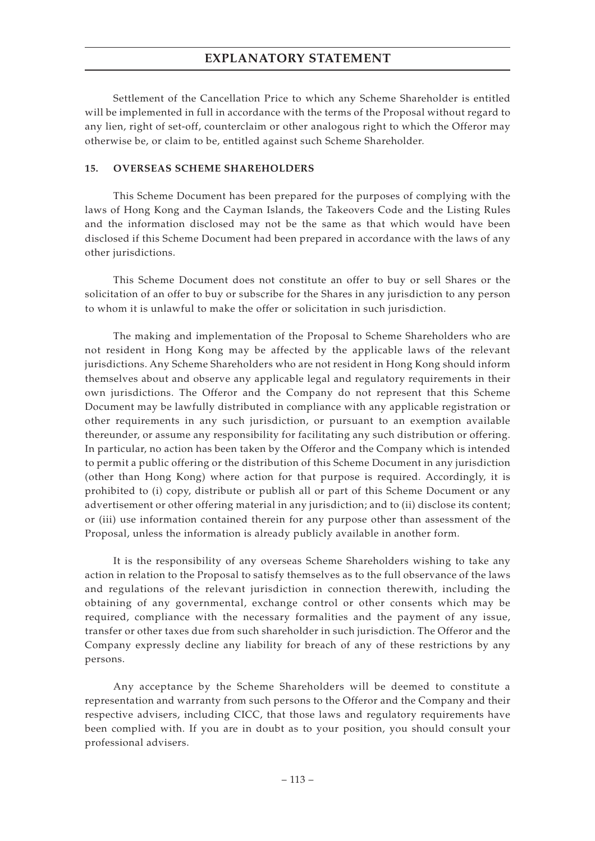Settlement of the Cancellation Price to which any Scheme Shareholder is entitled will be implemented in full in accordance with the terms of the Proposal without regard to any lien, right of set-off, counterclaim or other analogous right to which the Offeror may otherwise be, or claim to be, entitled against such Scheme Shareholder.

#### **15. OVERSEAS SCHEME SHAREHOLDERS**

This Scheme Document has been prepared for the purposes of complying with the laws of Hong Kong and the Cayman Islands, the Takeovers Code and the Listing Rules and the information disclosed may not be the same as that which would have been disclosed if this Scheme Document had been prepared in accordance with the laws of any other jurisdictions.

This Scheme Document does not constitute an offer to buy or sell Shares or the solicitation of an offer to buy or subscribe for the Shares in any jurisdiction to any person to whom it is unlawful to make the offer or solicitation in such jurisdiction.

The making and implementation of the Proposal to Scheme Shareholders who are not resident in Hong Kong may be affected by the applicable laws of the relevant jurisdictions. Any Scheme Shareholders who are not resident in Hong Kong should inform themselves about and observe any applicable legal and regulatory requirements in their own jurisdictions. The Offeror and the Company do not represent that this Scheme Document may be lawfully distributed in compliance with any applicable registration or other requirements in any such jurisdiction, or pursuant to an exemption available thereunder, or assume any responsibility for facilitating any such distribution or offering. In particular, no action has been taken by the Offeror and the Company which is intended to permit a public offering or the distribution of this Scheme Document in any jurisdiction (other than Hong Kong) where action for that purpose is required. Accordingly, it is prohibited to (i) copy, distribute or publish all or part of this Scheme Document or any advertisement or other offering material in any jurisdiction; and to (ii) disclose its content; or (iii) use information contained therein for any purpose other than assessment of the Proposal, unless the information is already publicly available in another form.

It is the responsibility of any overseas Scheme Shareholders wishing to take any action in relation to the Proposal to satisfy themselves as to the full observance of the laws and regulations of the relevant jurisdiction in connection therewith, including the obtaining of any governmental, exchange control or other consents which may be required, compliance with the necessary formalities and the payment of any issue, transfer or other taxes due from such shareholder in such jurisdiction. The Offeror and the Company expressly decline any liability for breach of any of these restrictions by any persons.

Any acceptance by the Scheme Shareholders will be deemed to constitute a representation and warranty from such persons to the Offeror and the Company and their respective advisers, including CICC, that those laws and regulatory requirements have been complied with. If you are in doubt as to your position, you should consult your professional advisers.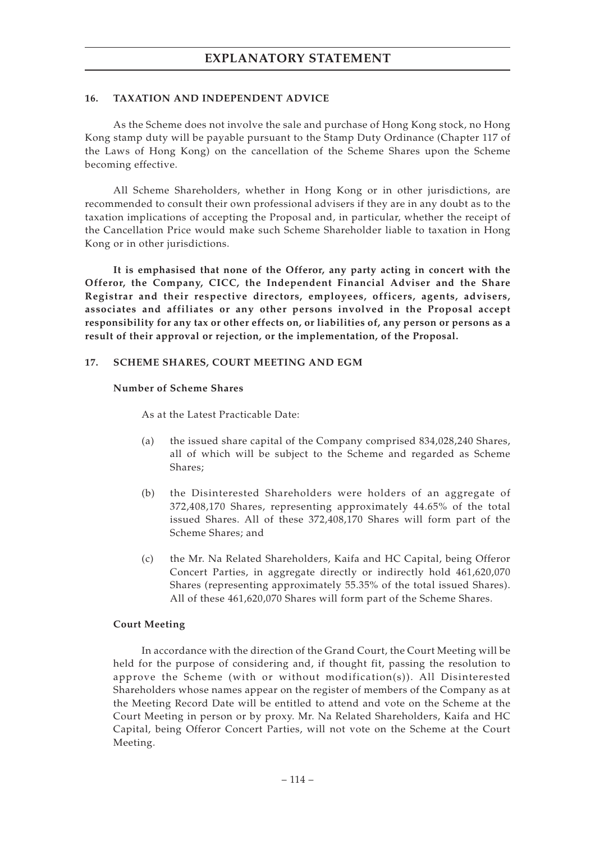#### **16. TAXATION AND INDEPENDENT ADVICE**

As the Scheme does not involve the sale and purchase of Hong Kong stock, no Hong Kong stamp duty will be payable pursuant to the Stamp Duty Ordinance (Chapter 117 of the Laws of Hong Kong) on the cancellation of the Scheme Shares upon the Scheme becoming effective.

All Scheme Shareholders, whether in Hong Kong or in other jurisdictions, are recommended to consult their own professional advisers if they are in any doubt as to the taxation implications of accepting the Proposal and, in particular, whether the receipt of the Cancellation Price would make such Scheme Shareholder liable to taxation in Hong Kong or in other jurisdictions.

**It is emphasised that none of the Offeror, any party acting in concert with the Offeror, the Company, CICC, the Independent Financial Adviser and the Share Registrar and their respective directors, employees, officers, agents, advisers, associates and affiliates or any other persons involved in the Proposal accept responsibility for any tax or other effects on, or liabilities of, any person or persons as a result of their approval or rejection, or the implementation, of the Proposal.**

#### **17. SCHEME SHARES, COURT MEETING AND EGM**

#### **Number of Scheme Shares**

As at the Latest Practicable Date:

- (a) the issued share capital of the Company comprised 834,028,240 Shares, all of which will be subject to the Scheme and regarded as Scheme Shares;
- (b) the Disinterested Shareholders were holders of an aggregate of 372,408,170 Shares, representing approximately 44.65% of the total issued Shares. All of these 372,408,170 Shares will form part of the Scheme Shares; and
- (c) the Mr. Na Related Shareholders, Kaifa and HC Capital, being Offeror Concert Parties, in aggregate directly or indirectly hold 461,620,070 Shares (representing approximately 55.35% of the total issued Shares). All of these 461,620,070 Shares will form part of the Scheme Shares.

#### **Court Meeting**

In accordance with the direction of the Grand Court, the Court Meeting will be held for the purpose of considering and, if thought fit, passing the resolution to approve the Scheme (with or without modification(s)). All Disinterested Shareholders whose names appear on the register of members of the Company as at the Meeting Record Date will be entitled to attend and vote on the Scheme at the Court Meeting in person or by proxy. Mr. Na Related Shareholders, Kaifa and HC Capital, being Offeror Concert Parties, will not vote on the Scheme at the Court Meeting.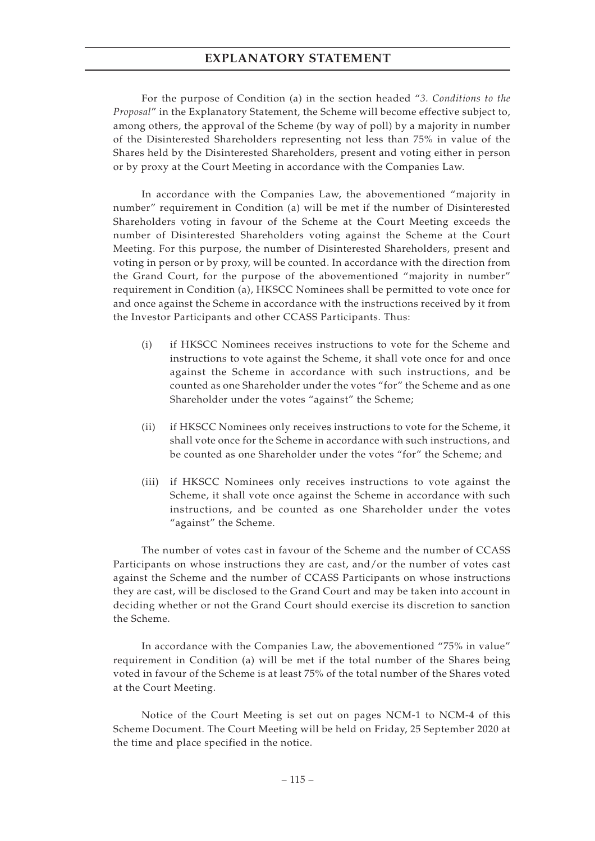For the purpose of Condition (a) in the section headed "*3. Conditions to the Proposal*" in the Explanatory Statement, the Scheme will become effective subject to, among others, the approval of the Scheme (by way of poll) by a majority in number of the Disinterested Shareholders representing not less than 75% in value of the Shares held by the Disinterested Shareholders, present and voting either in person or by proxy at the Court Meeting in accordance with the Companies Law.

In accordance with the Companies Law, the abovementioned "majority in number" requirement in Condition (a) will be met if the number of Disinterested Shareholders voting in favour of the Scheme at the Court Meeting exceeds the number of Disinterested Shareholders voting against the Scheme at the Court Meeting. For this purpose, the number of Disinterested Shareholders, present and voting in person or by proxy, will be counted. In accordance with the direction from the Grand Court, for the purpose of the abovementioned "majority in number" requirement in Condition (a), HKSCC Nominees shall be permitted to vote once for and once against the Scheme in accordance with the instructions received by it from the Investor Participants and other CCASS Participants. Thus:

- (i) if HKSCC Nominees receives instructions to vote for the Scheme and instructions to vote against the Scheme, it shall vote once for and once against the Scheme in accordance with such instructions, and be counted as one Shareholder under the votes "for" the Scheme and as one Shareholder under the votes "against" the Scheme;
- (ii) if HKSCC Nominees only receives instructions to vote for the Scheme, it shall vote once for the Scheme in accordance with such instructions, and be counted as one Shareholder under the votes "for" the Scheme; and
- (iii) if HKSCC Nominees only receives instructions to vote against the Scheme, it shall vote once against the Scheme in accordance with such instructions, and be counted as one Shareholder under the votes "against" the Scheme.

The number of votes cast in favour of the Scheme and the number of CCASS Participants on whose instructions they are cast, and/or the number of votes cast against the Scheme and the number of CCASS Participants on whose instructions they are cast, will be disclosed to the Grand Court and may be taken into account in deciding whether or not the Grand Court should exercise its discretion to sanction the Scheme.

In accordance with the Companies Law, the abovementioned "75% in value" requirement in Condition (a) will be met if the total number of the Shares being voted in favour of the Scheme is at least 75% of the total number of the Shares voted at the Court Meeting.

Notice of the Court Meeting is set out on pages NCM-1 to NCM-4 of this Scheme Document. The Court Meeting will be held on Friday, 25 September 2020 at the time and place specified in the notice.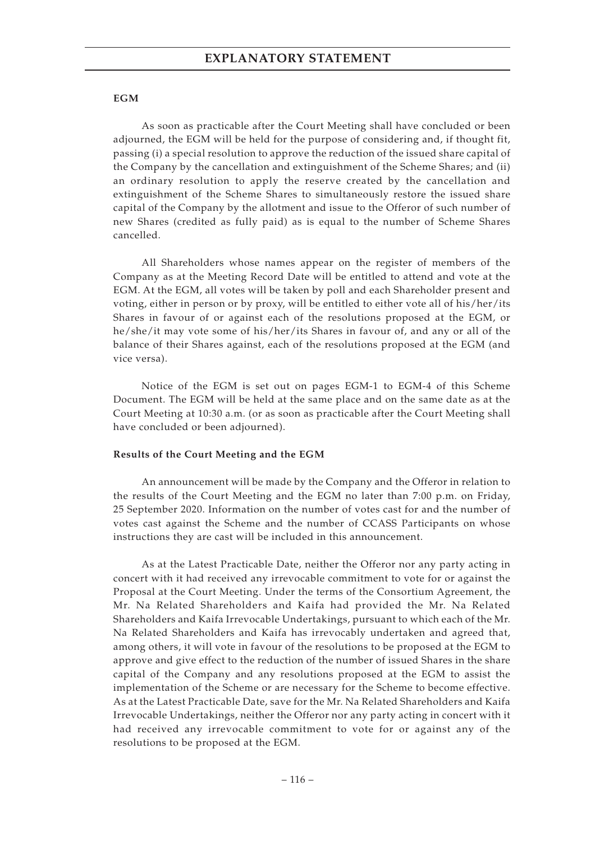#### **EGM**

As soon as practicable after the Court Meeting shall have concluded or been adjourned, the EGM will be held for the purpose of considering and, if thought fit, passing (i) a special resolution to approve the reduction of the issued share capital of the Company by the cancellation and extinguishment of the Scheme Shares; and (ii) an ordinary resolution to apply the reserve created by the cancellation and extinguishment of the Scheme Shares to simultaneously restore the issued share capital of the Company by the allotment and issue to the Offeror of such number of new Shares (credited as fully paid) as is equal to the number of Scheme Shares cancelled.

All Shareholders whose names appear on the register of members of the Company as at the Meeting Record Date will be entitled to attend and vote at the EGM. At the EGM, all votes will be taken by poll and each Shareholder present and voting, either in person or by proxy, will be entitled to either vote all of his/her/its Shares in favour of or against each of the resolutions proposed at the EGM, or he/she/it may vote some of his/her/its Shares in favour of, and any or all of the balance of their Shares against, each of the resolutions proposed at the EGM (and vice versa).

Notice of the EGM is set out on pages EGM-1 to EGM-4 of this Scheme Document. The EGM will be held at the same place and on the same date as at the Court Meeting at 10:30 a.m. (or as soon as practicable after the Court Meeting shall have concluded or been adjourned).

#### **Results of the Court Meeting and the EGM**

An announcement will be made by the Company and the Offeror in relation to the results of the Court Meeting and the EGM no later than 7:00 p.m. on Friday, 25 September 2020. Information on the number of votes cast for and the number of votes cast against the Scheme and the number of CCASS Participants on whose instructions they are cast will be included in this announcement.

As at the Latest Practicable Date, neither the Offeror nor any party acting in concert with it had received any irrevocable commitment to vote for or against the Proposal at the Court Meeting. Under the terms of the Consortium Agreement, the Mr. Na Related Shareholders and Kaifa had provided the Mr. Na Related Shareholders and Kaifa Irrevocable Undertakings, pursuant to which each of the Mr. Na Related Shareholders and Kaifa has irrevocably undertaken and agreed that, among others, it will vote in favour of the resolutions to be proposed at the EGM to approve and give effect to the reduction of the number of issued Shares in the share capital of the Company and any resolutions proposed at the EGM to assist the implementation of the Scheme or are necessary for the Scheme to become effective. As at the Latest Practicable Date, save for the Mr. Na Related Shareholders and Kaifa Irrevocable Undertakings, neither the Offeror nor any party acting in concert with it had received any irrevocable commitment to vote for or against any of the resolutions to be proposed at the EGM.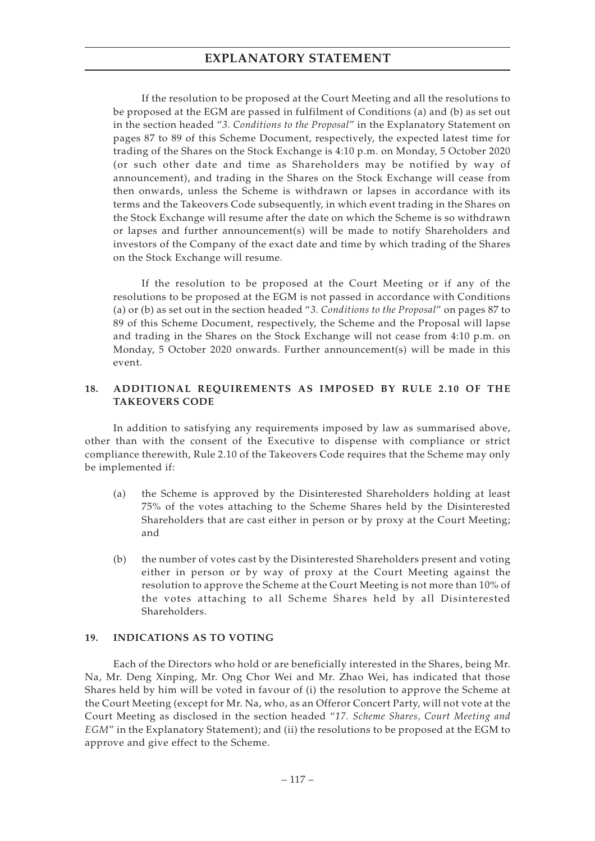If the resolution to be proposed at the Court Meeting and all the resolutions to be proposed at the EGM are passed in fulfilment of Conditions (a) and (b) as set out in the section headed "*3. Conditions to the Proposal*" in the Explanatory Statement on pages 87 to 89 of this Scheme Document, respectively, the expected latest time for trading of the Shares on the Stock Exchange is 4:10 p.m. on Monday, 5 October 2020 (or such other date and time as Shareholders may be notified by way of announcement), and trading in the Shares on the Stock Exchange will cease from then onwards, unless the Scheme is withdrawn or lapses in accordance with its terms and the Takeovers Code subsequently, in which event trading in the Shares on the Stock Exchange will resume after the date on which the Scheme is so withdrawn or lapses and further announcement(s) will be made to notify Shareholders and investors of the Company of the exact date and time by which trading of the Shares on the Stock Exchange will resume.

If the resolution to be proposed at the Court Meeting or if any of the resolutions to be proposed at the EGM is not passed in accordance with Conditions (a) or (b) as set out in the section headed "*3. Conditions to the Proposal*" on pages 87 to 89 of this Scheme Document, respectively, the Scheme and the Proposal will lapse and trading in the Shares on the Stock Exchange will not cease from 4:10 p.m. on Monday, 5 October 2020 onwards. Further announcement(s) will be made in this event.

### **18. ADDITIONAL REQUIREMENTS AS IMPOSED BY RULE 2.10 OF THE TAKEOVERS CODE**

In addition to satisfying any requirements imposed by law as summarised above, other than with the consent of the Executive to dispense with compliance or strict compliance therewith, Rule 2.10 of the Takeovers Code requires that the Scheme may only be implemented if:

- (a) the Scheme is approved by the Disinterested Shareholders holding at least 75% of the votes attaching to the Scheme Shares held by the Disinterested Shareholders that are cast either in person or by proxy at the Court Meeting; and
- (b) the number of votes cast by the Disinterested Shareholders present and voting either in person or by way of proxy at the Court Meeting against the resolution to approve the Scheme at the Court Meeting is not more than 10% of the votes attaching to all Scheme Shares held by all Disinterested Shareholders.

### **19. INDICATIONS AS TO VOTING**

Each of the Directors who hold or are beneficially interested in the Shares, being Mr. Na, Mr. Deng Xinping, Mr. Ong Chor Wei and Mr. Zhao Wei, has indicated that those Shares held by him will be voted in favour of (i) the resolution to approve the Scheme at the Court Meeting (except for Mr. Na, who, as an Offeror Concert Party, will not vote at the Court Meeting as disclosed in the section headed "*17. Scheme Shares, Court Meeting and EGM*" in the Explanatory Statement); and (ii) the resolutions to be proposed at the EGM to approve and give effect to the Scheme.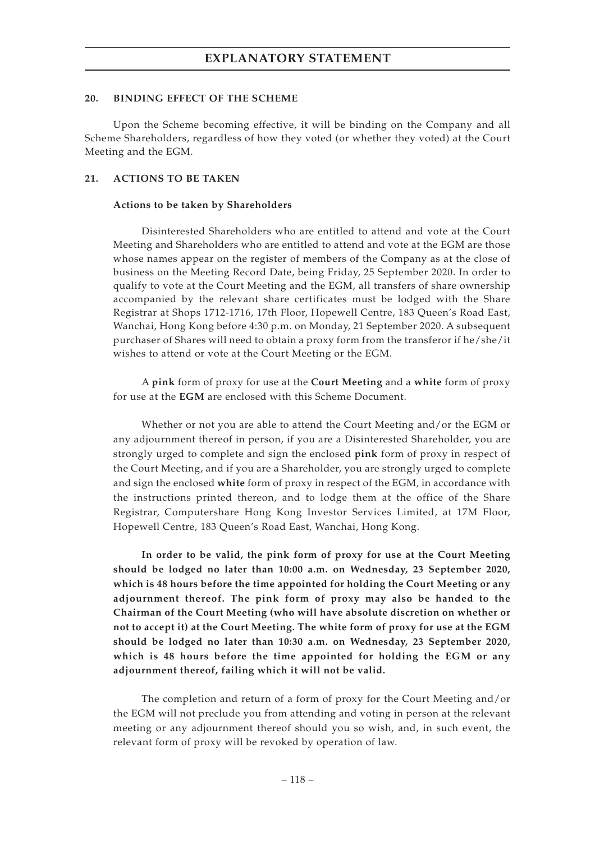#### **20. BINDING EFFECT OF THE SCHEME**

Upon the Scheme becoming effective, it will be binding on the Company and all Scheme Shareholders, regardless of how they voted (or whether they voted) at the Court Meeting and the EGM.

#### **21. ACTIONS TO BE TAKEN**

#### **Actions to be taken by Shareholders**

Disinterested Shareholders who are entitled to attend and vote at the Court Meeting and Shareholders who are entitled to attend and vote at the EGM are those whose names appear on the register of members of the Company as at the close of business on the Meeting Record Date, being Friday, 25 September 2020. In order to qualify to vote at the Court Meeting and the EGM, all transfers of share ownership accompanied by the relevant share certificates must be lodged with the Share Registrar at Shops 1712-1716, 17th Floor, Hopewell Centre, 183 Queen's Road East, Wanchai, Hong Kong before 4:30 p.m. on Monday, 21 September 2020. A subsequent purchaser of Shares will need to obtain a proxy form from the transferor if he/she/it wishes to attend or vote at the Court Meeting or the EGM.

A **pink** form of proxy for use at the **Court Meeting** and a **white** form of proxy for use at the **EGM** are enclosed with this Scheme Document.

Whether or not you are able to attend the Court Meeting and/or the EGM or any adjournment thereof in person, if you are a Disinterested Shareholder, you are strongly urged to complete and sign the enclosed **pink** form of proxy in respect of the Court Meeting, and if you are a Shareholder, you are strongly urged to complete and sign the enclosed **white** form of proxy in respect of the EGM, in accordance with the instructions printed thereon, and to lodge them at the office of the Share Registrar, Computershare Hong Kong Investor Services Limited, at 17M Floor, Hopewell Centre, 183 Queen's Road East, Wanchai, Hong Kong.

**In order to be valid, the pink form of proxy for use at the Court Meeting should be lodged no later than 10:00 a.m. on Wednesday, 23 September 2020, which is 48 hours before the time appointed for holding the Court Meeting or any adjournment thereof. The pink form of proxy may also be handed to the Chairman of the Court Meeting (who will have absolute discretion on whether or not to accept it) at the Court Meeting. The white form of proxy for use at the EGM should be lodged no later than 10:30 a.m. on Wednesday, 23 September 2020, which is 48 hours before the time appointed for holding the EGM or any adjournment thereof, failing which it will not be valid.**

The completion and return of a form of proxy for the Court Meeting and/or the EGM will not preclude you from attending and voting in person at the relevant meeting or any adjournment thereof should you so wish, and, in such event, the relevant form of proxy will be revoked by operation of law.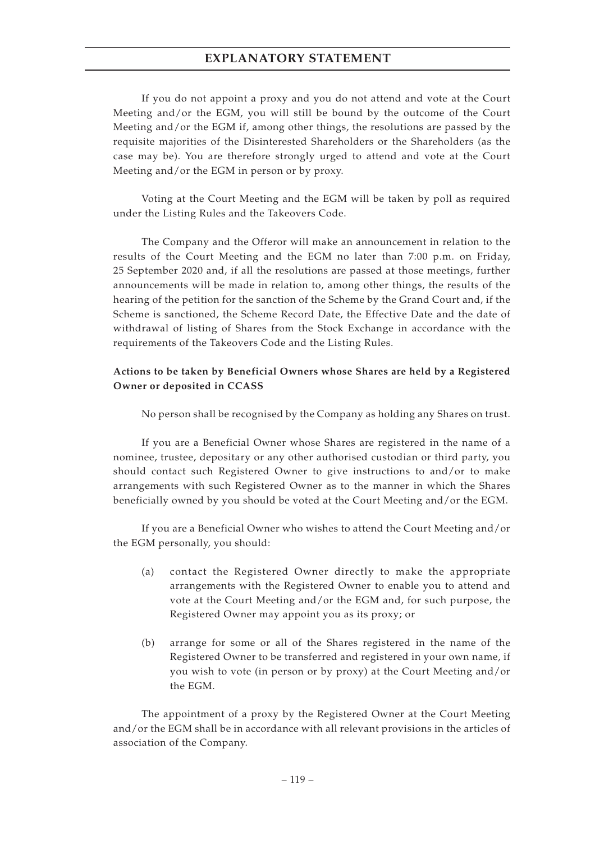If you do not appoint a proxy and you do not attend and vote at the Court Meeting and/or the EGM, you will still be bound by the outcome of the Court Meeting and/or the EGM if, among other things, the resolutions are passed by the requisite majorities of the Disinterested Shareholders or the Shareholders (as the case may be). You are therefore strongly urged to attend and vote at the Court Meeting and/or the EGM in person or by proxy.

Voting at the Court Meeting and the EGM will be taken by poll as required under the Listing Rules and the Takeovers Code.

The Company and the Offeror will make an announcement in relation to the results of the Court Meeting and the EGM no later than 7:00 p.m. on Friday, 25 September 2020 and, if all the resolutions are passed at those meetings, further announcements will be made in relation to, among other things, the results of the hearing of the petition for the sanction of the Scheme by the Grand Court and, if the Scheme is sanctioned, the Scheme Record Date, the Effective Date and the date of withdrawal of listing of Shares from the Stock Exchange in accordance with the requirements of the Takeovers Code and the Listing Rules.

### **Actions to be taken by Beneficial Owners whose Shares are held by a Registered Owner or deposited in CCASS**

No person shall be recognised by the Company as holding any Shares on trust.

If you are a Beneficial Owner whose Shares are registered in the name of a nominee, trustee, depositary or any other authorised custodian or third party, you should contact such Registered Owner to give instructions to and/or to make arrangements with such Registered Owner as to the manner in which the Shares beneficially owned by you should be voted at the Court Meeting and/or the EGM.

If you are a Beneficial Owner who wishes to attend the Court Meeting and/or the EGM personally, you should:

- (a) contact the Registered Owner directly to make the appropriate arrangements with the Registered Owner to enable you to attend and vote at the Court Meeting and/or the EGM and, for such purpose, the Registered Owner may appoint you as its proxy; or
- (b) arrange for some or all of the Shares registered in the name of the Registered Owner to be transferred and registered in your own name, if you wish to vote (in person or by proxy) at the Court Meeting and/or the EGM.

The appointment of a proxy by the Registered Owner at the Court Meeting and/or the EGM shall be in accordance with all relevant provisions in the articles of association of the Company.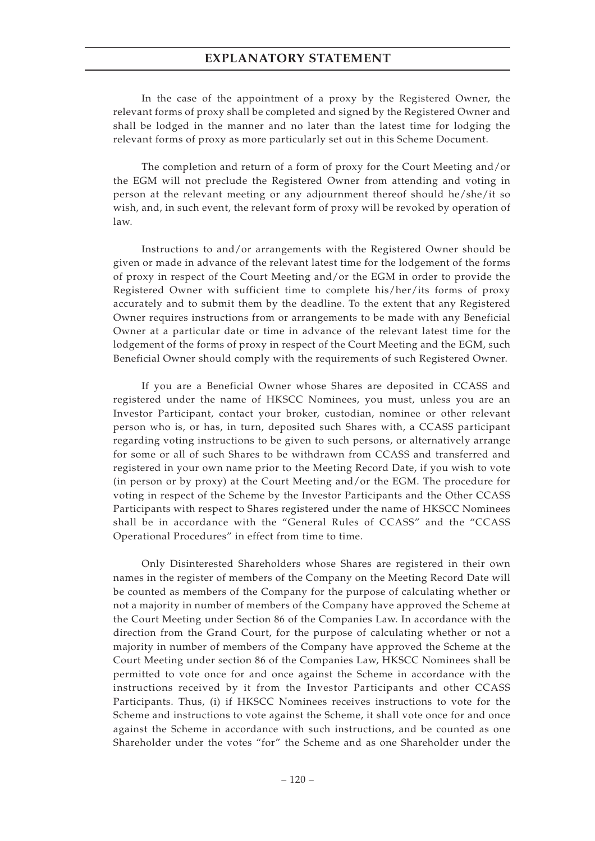In the case of the appointment of a proxy by the Registered Owner, the relevant forms of proxy shall be completed and signed by the Registered Owner and shall be lodged in the manner and no later than the latest time for lodging the relevant forms of proxy as more particularly set out in this Scheme Document.

The completion and return of a form of proxy for the Court Meeting and/or the EGM will not preclude the Registered Owner from attending and voting in person at the relevant meeting or any adjournment thereof should he/she/it so wish, and, in such event, the relevant form of proxy will be revoked by operation of law.

Instructions to and/or arrangements with the Registered Owner should be given or made in advance of the relevant latest time for the lodgement of the forms of proxy in respect of the Court Meeting and/or the EGM in order to provide the Registered Owner with sufficient time to complete his/her/its forms of proxy accurately and to submit them by the deadline. To the extent that any Registered Owner requires instructions from or arrangements to be made with any Beneficial Owner at a particular date or time in advance of the relevant latest time for the lodgement of the forms of proxy in respect of the Court Meeting and the EGM, such Beneficial Owner should comply with the requirements of such Registered Owner.

If you are a Beneficial Owner whose Shares are deposited in CCASS and registered under the name of HKSCC Nominees, you must, unless you are an Investor Participant, contact your broker, custodian, nominee or other relevant person who is, or has, in turn, deposited such Shares with, a CCASS participant regarding voting instructions to be given to such persons, or alternatively arrange for some or all of such Shares to be withdrawn from CCASS and transferred and registered in your own name prior to the Meeting Record Date, if you wish to vote (in person or by proxy) at the Court Meeting and/or the EGM. The procedure for voting in respect of the Scheme by the Investor Participants and the Other CCASS Participants with respect to Shares registered under the name of HKSCC Nominees shall be in accordance with the "General Rules of CCASS" and the "CCASS Operational Procedures" in effect from time to time.

Only Disinterested Shareholders whose Shares are registered in their own names in the register of members of the Company on the Meeting Record Date will be counted as members of the Company for the purpose of calculating whether or not a majority in number of members of the Company have approved the Scheme at the Court Meeting under Section 86 of the Companies Law. In accordance with the direction from the Grand Court, for the purpose of calculating whether or not a majority in number of members of the Company have approved the Scheme at the Court Meeting under section 86 of the Companies Law, HKSCC Nominees shall be permitted to vote once for and once against the Scheme in accordance with the instructions received by it from the Investor Participants and other CCASS Participants. Thus, (i) if HKSCC Nominees receives instructions to vote for the Scheme and instructions to vote against the Scheme, it shall vote once for and once against the Scheme in accordance with such instructions, and be counted as one Shareholder under the votes "for" the Scheme and as one Shareholder under the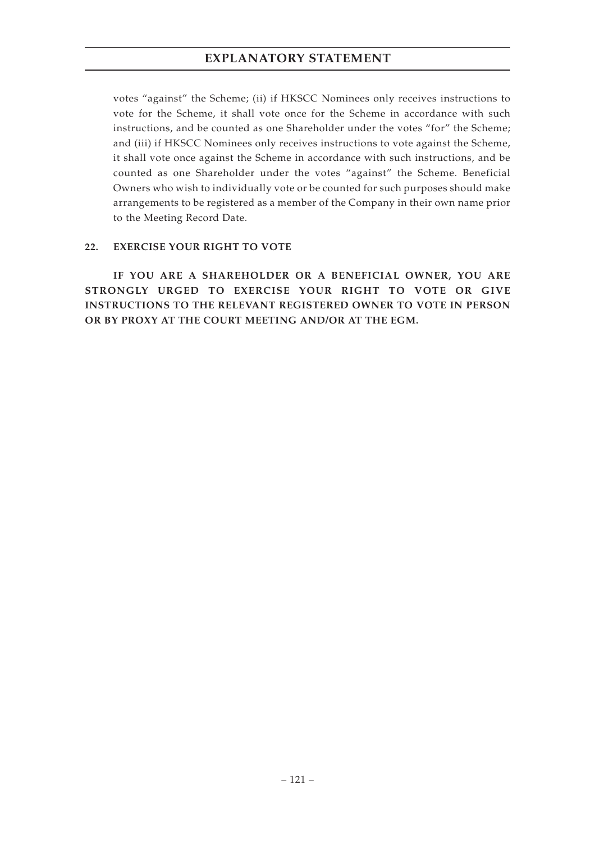votes "against" the Scheme; (ii) if HKSCC Nominees only receives instructions to vote for the Scheme, it shall vote once for the Scheme in accordance with such instructions, and be counted as one Shareholder under the votes "for" the Scheme; and (iii) if HKSCC Nominees only receives instructions to vote against the Scheme, it shall vote once against the Scheme in accordance with such instructions, and be counted as one Shareholder under the votes "against" the Scheme. Beneficial Owners who wish to individually vote or be counted for such purposes should make arrangements to be registered as a member of the Company in their own name prior to the Meeting Record Date.

### **22. EXERCISE YOUR RIGHT TO VOTE**

**IF YOU ARE A SHAREHOLDER OR A BENEFICIAL OWNER, YOU ARE STRONGLY URGED TO EXERCISE YOUR RIGHT TO VOTE OR GIVE INSTRUCTIONS TO THE RELEVANT REGISTERED OWNER TO VOTE IN PERSON OR BY PROXY AT THE COURT MEETING AND/OR AT THE EGM.**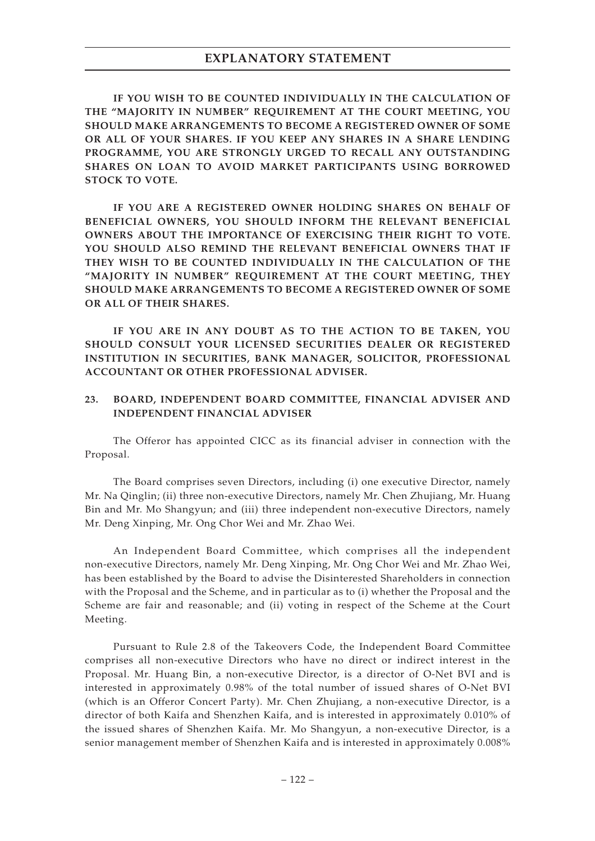**IF YOU WISH TO BE COUNTED INDIVIDUALLY IN THE CALCULATION OF THE "MAJORITY IN NUMBER" REQUIREMENT AT THE COURT MEETING, YOU SHOULD MAKE ARRANGEMENTS TO BECOME A REGISTERED OWNER OF SOME OR ALL OF YOUR SHARES. IF YOU KEEP ANY SHARES IN A SHARE LENDING PROGRAMME, YOU ARE STRONGLY URGED TO RECALL ANY OUTSTANDING SHARES ON LOAN TO AVOID MARKET PARTICIPANTS USING BORROWED STOCK TO VOTE.**

**IF YOU ARE A REGISTERED OWNER HOLDING SHARES ON BEHALF OF BENEFICIAL OWNERS, YOU SHOULD INFORM THE RELEVANT BENEFICIAL OWNERS ABOUT THE IMPORTANCE OF EXERCISING THEIR RIGHT TO VOTE. YOU SHOULD ALSO REMIND THE RELEVANT BENEFICIAL OWNERS THAT IF THEY WISH TO BE COUNTED INDIVIDUALLY IN THE CALCULATION OF THE "MAJORITY IN NUMBER" REQUIREMENT AT THE COURT MEETING, THEY SHOULD MAKE ARRANGEMENTS TO BECOME A REGISTERED OWNER OF SOME OR ALL OF THEIR SHARES.**

**IF YOU ARE IN ANY DOUBT AS TO THE ACTION TO BE TAKEN, YOU SHOULD CONSULT YOUR LICENSED SECURITIES DEALER OR REGISTERED INSTITUTION IN SECURITIES, BANK MANAGER, SOLICITOR, PROFESSIONAL ACCOUNTANT OR OTHER PROFESSIONAL ADVISER.**

#### **23. BOARD, INDEPENDENT BOARD COMMITTEE, FINANCIAL ADVISER AND INDEPENDENT FINANCIAL ADVISER**

The Offeror has appointed CICC as its financial adviser in connection with the Proposal.

The Board comprises seven Directors, including (i) one executive Director, namely Mr. Na Qinglin; (ii) three non-executive Directors, namely Mr. Chen Zhujiang, Mr. Huang Bin and Mr. Mo Shangyun; and (iii) three independent non-executive Directors, namely Mr. Deng Xinping, Mr. Ong Chor Wei and Mr. Zhao Wei.

An Independent Board Committee, which comprises all the independent non-executive Directors, namely Mr. Deng Xinping, Mr. Ong Chor Wei and Mr. Zhao Wei, has been established by the Board to advise the Disinterested Shareholders in connection with the Proposal and the Scheme, and in particular as to (i) whether the Proposal and the Scheme are fair and reasonable; and (ii) voting in respect of the Scheme at the Court Meeting.

Pursuant to Rule 2.8 of the Takeovers Code, the Independent Board Committee comprises all non-executive Directors who have no direct or indirect interest in the Proposal. Mr. Huang Bin, a non-executive Director, is a director of O-Net BVI and is interested in approximately 0.98% of the total number of issued shares of O-Net BVI (which is an Offeror Concert Party). Mr. Chen Zhujiang, a non-executive Director, is a director of both Kaifa and Shenzhen Kaifa, and is interested in approximately 0.010% of the issued shares of Shenzhen Kaifa. Mr. Mo Shangyun, a non-executive Director, is a senior management member of Shenzhen Kaifa and is interested in approximately 0.008%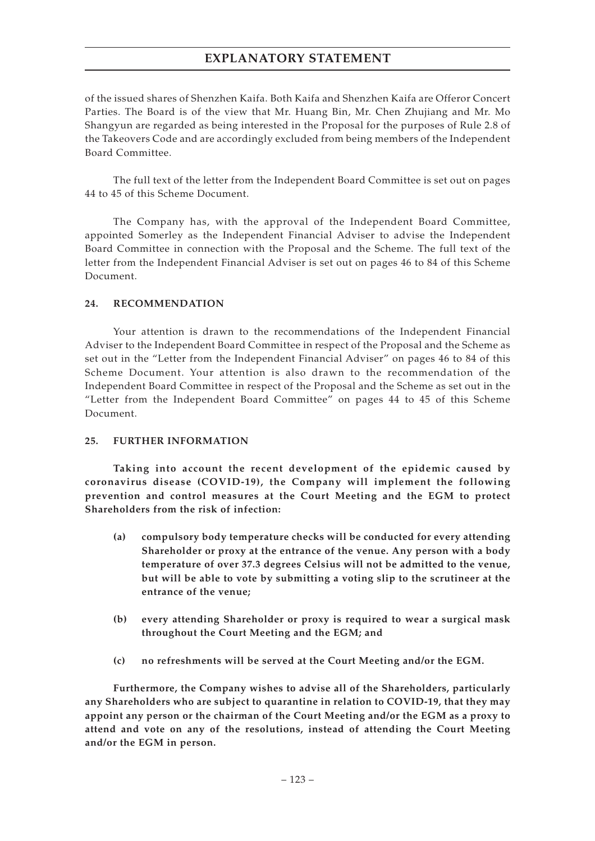of the issued shares of Shenzhen Kaifa. Both Kaifa and Shenzhen Kaifa are Offeror Concert Parties. The Board is of the view that Mr. Huang Bin, Mr. Chen Zhujiang and Mr. Mo Shangyun are regarded as being interested in the Proposal for the purposes of Rule 2.8 of the Takeovers Code and are accordingly excluded from being members of the Independent Board Committee.

The full text of the letter from the Independent Board Committee is set out on pages 44 to 45 of this Scheme Document.

The Company has, with the approval of the Independent Board Committee, appointed Somerley as the Independent Financial Adviser to advise the Independent Board Committee in connection with the Proposal and the Scheme. The full text of the letter from the Independent Financial Adviser is set out on pages 46 to 84 of this Scheme Document.

### **24. RECOMMENDATION**

Your attention is drawn to the recommendations of the Independent Financial Adviser to the Independent Board Committee in respect of the Proposal and the Scheme as set out in the "Letter from the Independent Financial Adviser" on pages 46 to 84 of this Scheme Document. Your attention is also drawn to the recommendation of the Independent Board Committee in respect of the Proposal and the Scheme as set out in the "Letter from the Independent Board Committee" on pages 44 to 45 of this Scheme Document.

### **25. FURTHER INFORMATION**

**Taking into account the recent development of the epidemic caused by coronavirus disease (COVID-19), the Company will implement the following prevention and control measures at the Court Meeting and the EGM to protect Shareholders from the risk of infection:**

- **(a) compulsory body temperature checks will be conducted for every attending Shareholder or proxy at the entrance of the venue. Any person with a body temperature of over 37.3 degrees Celsius will not be admitted to the venue, but will be able to vote by submitting a voting slip to the scrutineer at the entrance of the venue;**
- **(b) every attending Shareholder or proxy is required to wear a surgical mask throughout the Court Meeting and the EGM; and**
- **(c) no refreshments will be served at the Court Meeting and/or the EGM.**

**Furthermore, the Company wishes to advise all of the Shareholders, particularly any Shareholders who are subject to quarantine in relation to COVID-19, that they may appoint any person or the chairman of the Court Meeting and/or the EGM as a proxy to attend and vote on any of the resolutions, instead of attending the Court Meeting and/or the EGM in person.**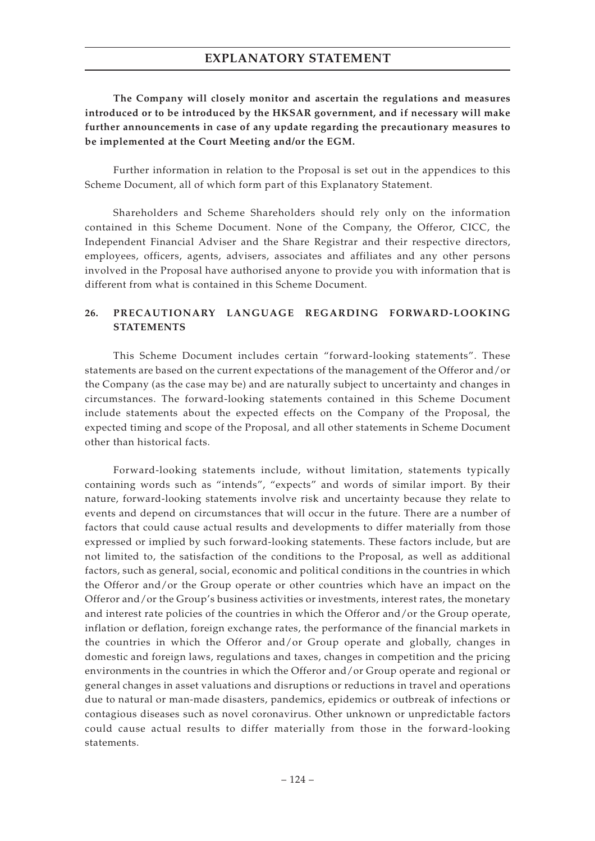**The Company will closely monitor and ascertain the regulations and measures introduced or to be introduced by the HKSAR government, and if necessary will make further announcements in case of any update regarding the precautionary measures to be implemented at the Court Meeting and/or the EGM.**

Further information in relation to the Proposal is set out in the appendices to this Scheme Document, all of which form part of this Explanatory Statement.

Shareholders and Scheme Shareholders should rely only on the information contained in this Scheme Document. None of the Company, the Offeror, CICC, the Independent Financial Adviser and the Share Registrar and their respective directors, employees, officers, agents, advisers, associates and affiliates and any other persons involved in the Proposal have authorised anyone to provide you with information that is different from what is contained in this Scheme Document.

## **26. PRECAUTIONARY LANGUAGE REGARDING FORWARD -LOOKING STATEMENTS**

This Scheme Document includes certain "forward-looking statements". These statements are based on the current expectations of the management of the Offeror and/or the Company (as the case may be) and are naturally subject to uncertainty and changes in circumstances. The forward-looking statements contained in this Scheme Document include statements about the expected effects on the Company of the Proposal, the expected timing and scope of the Proposal, and all other statements in Scheme Document other than historical facts.

Forward-looking statements include, without limitation, statements typically containing words such as "intends", "expects" and words of similar import. By their nature, forward-looking statements involve risk and uncertainty because they relate to events and depend on circumstances that will occur in the future. There are a number of factors that could cause actual results and developments to differ materially from those expressed or implied by such forward-looking statements. These factors include, but are not limited to, the satisfaction of the conditions to the Proposal, as well as additional factors, such as general, social, economic and political conditions in the countries in which the Offeror and/or the Group operate or other countries which have an impact on the Offeror and/or the Group's business activities or investments, interest rates, the monetary and interest rate policies of the countries in which the Offeror and/or the Group operate, inflation or deflation, foreign exchange rates, the performance of the financial markets in the countries in which the Offeror and/or Group operate and globally, changes in domestic and foreign laws, regulations and taxes, changes in competition and the pricing environments in the countries in which the Offeror and/or Group operate and regional or general changes in asset valuations and disruptions or reductions in travel and operations due to natural or man-made disasters, pandemics, epidemics or outbreak of infections or contagious diseases such as novel coronavirus. Other unknown or unpredictable factors could cause actual results to differ materially from those in the forward-looking statements.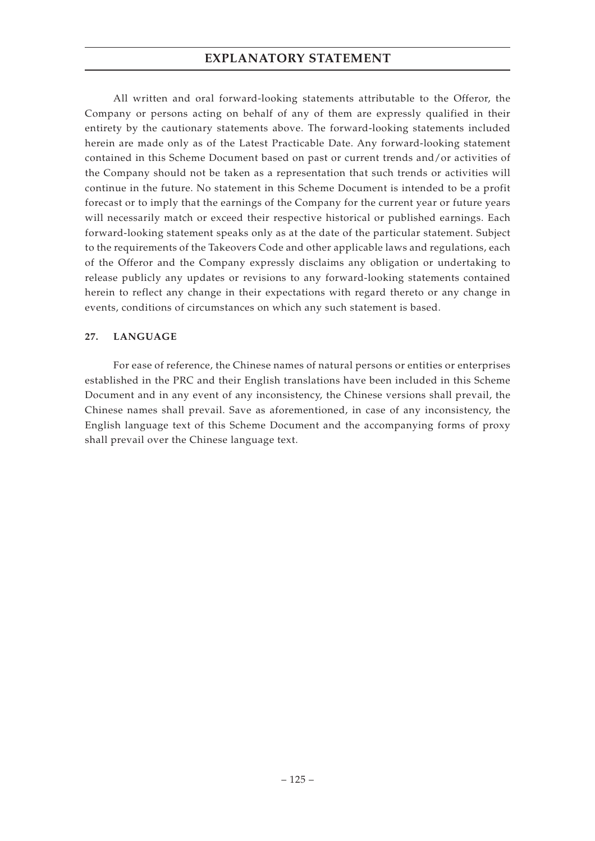All written and oral forward-looking statements attributable to the Offeror, the Company or persons acting on behalf of any of them are expressly qualified in their entirety by the cautionary statements above. The forward-looking statements included herein are made only as of the Latest Practicable Date. Any forward-looking statement contained in this Scheme Document based on past or current trends and/or activities of the Company should not be taken as a representation that such trends or activities will continue in the future. No statement in this Scheme Document is intended to be a profit forecast or to imply that the earnings of the Company for the current year or future years will necessarily match or exceed their respective historical or published earnings. Each forward-looking statement speaks only as at the date of the particular statement. Subject to the requirements of the Takeovers Code and other applicable laws and regulations, each of the Offeror and the Company expressly disclaims any obligation or undertaking to release publicly any updates or revisions to any forward-looking statements contained herein to reflect any change in their expectations with regard thereto or any change in events, conditions of circumstances on which any such statement is based.

### **27. LANGUAGE**

For ease of reference, the Chinese names of natural persons or entities or enterprises established in the PRC and their English translations have been included in this Scheme Document and in any event of any inconsistency, the Chinese versions shall prevail, the Chinese names shall prevail. Save as aforementioned, in case of any inconsistency, the English language text of this Scheme Document and the accompanying forms of proxy shall prevail over the Chinese language text.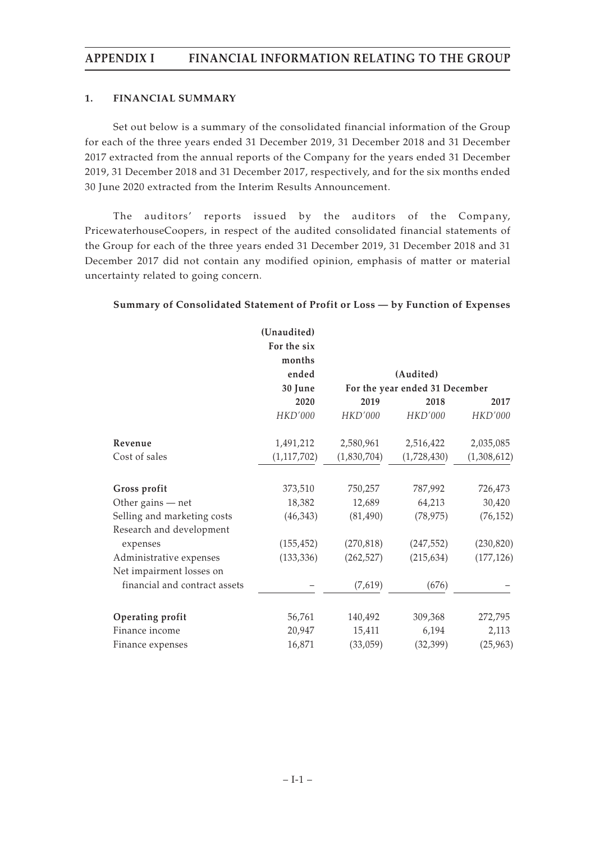### **1. FINANCIAL SUMMARY**

Set out below is a summary of the consolidated financial information of the Group for each of the three years ended 31 December 2019, 31 December 2018 and 31 December 2017 extracted from the annual reports of the Company for the years ended 31 December 2019, 31 December 2018 and 31 December 2017, respectively, and for the six months ended 30 June 2020 extracted from the Interim Results Announcement.

The auditors' reports issued by the auditors of the Company, PricewaterhouseCoopers, in respect of the audited consolidated financial statements of the Group for each of the three years ended 31 December 2019, 31 December 2018 and 31 December 2017 did not contain any modified opinion, emphasis of matter or material uncertainty related to going concern.

### **Summary of Consolidated Statement of Profit or Loss — by Function of Expenses**

|                               | (Unaudited)   |             |                                |             |
|-------------------------------|---------------|-------------|--------------------------------|-------------|
|                               | For the six   |             |                                |             |
|                               | months        |             |                                |             |
|                               | ended         |             | (Audited)                      |             |
|                               | 30 June       |             | For the year ended 31 December |             |
|                               | 2020          | 2019        | 2018                           | 2017        |
|                               | HKD'000       | HKD'000     | HKD'000                        | HKD'000     |
| Revenue                       | 1,491,212     | 2,580,961   | 2,516,422                      | 2,035,085   |
| Cost of sales                 | (1, 117, 702) | (1,830,704) | (1,728,430)                    | (1,308,612) |
| Gross profit                  | 373,510       | 750,257     | 787,992                        | 726,473     |
| Other gains $-$ net           | 18,382        | 12,689      | 64,213                         | 30,420      |
| Selling and marketing costs   | (46,343)      | (81, 490)   | (78, 975)                      | (76, 152)   |
| Research and development      |               |             |                                |             |
| expenses                      | (155, 452)    | (270, 818)  | (247, 552)                     | (230, 820)  |
| Administrative expenses       | (133, 336)    | (262, 527)  | (215, 634)                     | (177, 126)  |
| Net impairment losses on      |               |             |                                |             |
| financial and contract assets |               | (7,619)     | (676)                          |             |
| Operating profit              | 56,761        | 140,492     | 309,368                        | 272,795     |
| Finance income                | 20,947        | 15,411      | 6,194                          | 2,113       |
| Finance expenses              | 16,871        | (33,059)    | (32, 399)                      | (25,963)    |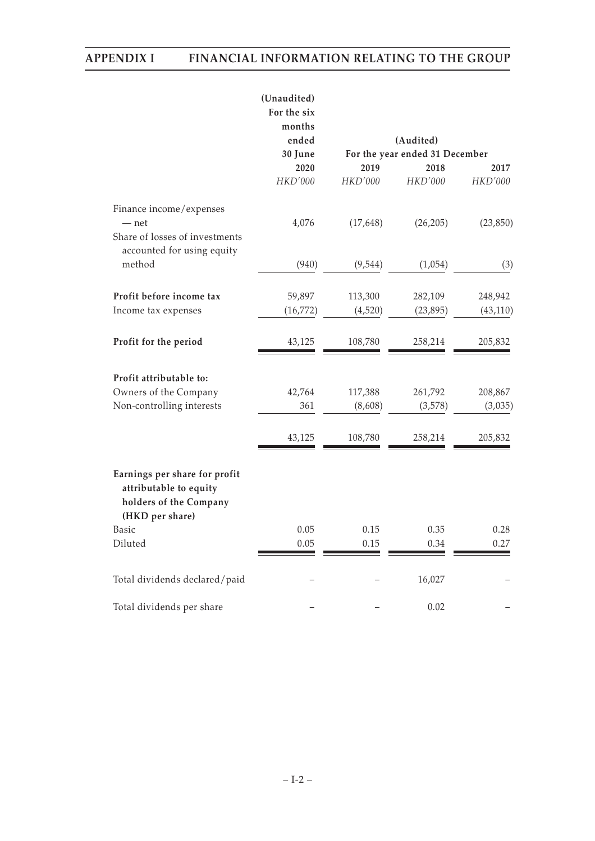|                                                                                                      | (Unaudited)<br>For the six<br>months<br>ended<br>30 June<br>2020<br>HKD'000 | 2019<br>HKD'000    | (Audited)<br>For the year ended 31 December<br>2018<br>HKD'000 | 2017<br>HKD'000      |
|------------------------------------------------------------------------------------------------------|-----------------------------------------------------------------------------|--------------------|----------------------------------------------------------------|----------------------|
|                                                                                                      |                                                                             |                    |                                                                |                      |
| Finance income/expenses<br>$-$ net<br>Share of losses of investments<br>accounted for using equity   | 4,076                                                                       | (17,648)           | (26, 205)                                                      | (23, 850)            |
| method                                                                                               | (940)                                                                       | (9, 544)           | (1,054)                                                        | (3)                  |
| Profit before income tax<br>Income tax expenses                                                      | 59,897<br>(16, 772)                                                         | 113,300<br>(4,520) | 282,109<br>(23, 895)                                           | 248,942<br>(43, 110) |
| Profit for the period                                                                                | 43,125                                                                      | 108,780            | 258,214                                                        | 205,832              |
| Profit attributable to:                                                                              |                                                                             |                    |                                                                |                      |
| Owners of the Company                                                                                | 42,764                                                                      | 117,388            | 261,792                                                        | 208,867              |
| Non-controlling interests                                                                            | 361                                                                         | (8,608)            | (3,578)                                                        | (3,035)              |
|                                                                                                      | 43,125                                                                      | 108,780            | 258,214                                                        | 205,832              |
| Earnings per share for profit<br>attributable to equity<br>holders of the Company<br>(HKD per share) |                                                                             |                    |                                                                |                      |
| <b>Basic</b>                                                                                         | 0.05                                                                        | 0.15               | 0.35                                                           | 0.28                 |
| Diluted                                                                                              | 0.05                                                                        | 0.15               | 0.34                                                           | 0.27                 |
| Total dividends declared/paid                                                                        |                                                                             |                    | 16,027                                                         |                      |
| Total dividends per share                                                                            |                                                                             |                    | 0.02                                                           |                      |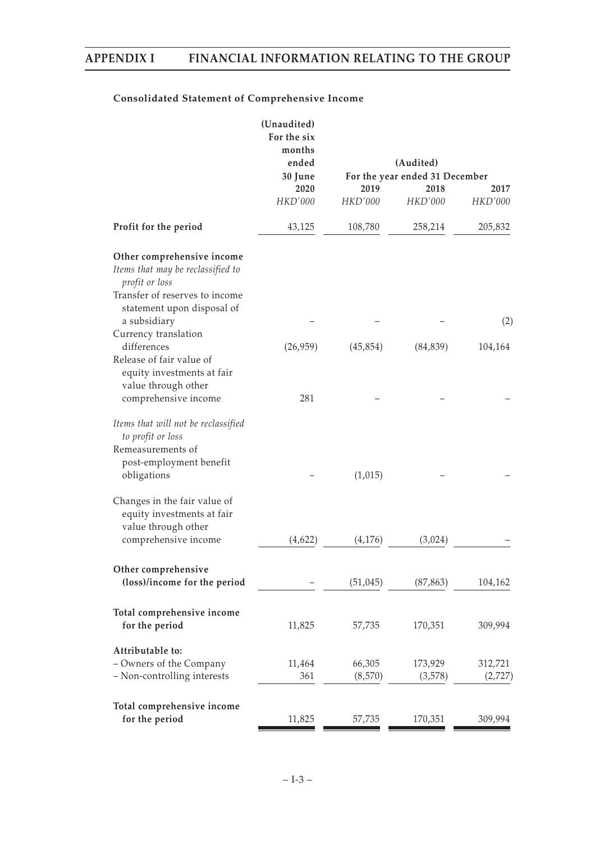## **Consolidated Statement of Comprehensive Income**

|                                                                                                                         | (Unaudited)<br>For the six<br>months<br>ended | (Audited)                      |                |         |
|-------------------------------------------------------------------------------------------------------------------------|-----------------------------------------------|--------------------------------|----------------|---------|
|                                                                                                                         | 30 June                                       | For the year ended 31 December |                |         |
|                                                                                                                         | 2020                                          | 2019                           | 2018           | 2017    |
|                                                                                                                         | <b>HKD'000</b>                                | <b>HKD'000</b>                 | <b>HKD'000</b> | HKD'000 |
| Profit for the period                                                                                                   | 43,125                                        | 108,780                        | 258,214        | 205,832 |
| Other comprehensive income<br>Items that may be reclassified to<br>profit or loss<br>Transfer of reserves to income     |                                               |                                |                |         |
| statement upon disposal of<br>a subsidiary                                                                              |                                               |                                |                | (2)     |
| Currency translation<br>differences<br>Release of fair value of<br>equity investments at fair                           | (26,959)                                      | (45, 854)                      | (84, 839)      | 104,164 |
| value through other<br>comprehensive income                                                                             | 281                                           |                                |                |         |
| Items that will not be reclassified<br>to profit or loss<br>Remeasurements of<br>post-employment benefit<br>obligations |                                               | (1,015)                        |                |         |
| Changes in the fair value of<br>equity investments at fair<br>value through other                                       |                                               |                                |                |         |
| comprehensive income                                                                                                    | (4,622)                                       | (4,176)                        | (3,024)        |         |
| Other comprehensive<br>(loss)/income for the period                                                                     |                                               | (51, 045)                      | (87, 863)      | 104,162 |
| Total comprehensive income<br>for the period                                                                            | 11,825                                        | 57,735                         | 170,351        | 309,994 |
| Attributable to:<br>- Owners of the Company                                                                             | 11,464                                        | 66,305                         | 173,929        | 312,721 |
| - Non-controlling interests                                                                                             | 361                                           | (8,570)                        | (3,578)        | (2,727) |
| Total comprehensive income<br>for the period                                                                            | 11,825                                        | 57,735                         | 170,351        | 309,994 |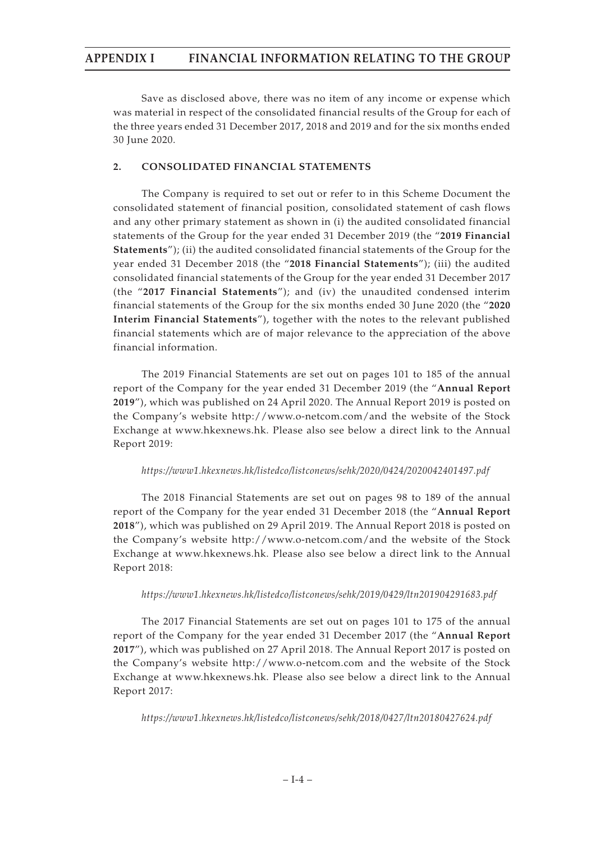Save as disclosed above, there was no item of any income or expense which was material in respect of the consolidated financial results of the Group for each of the three years ended 31 December 2017, 2018 and 2019 and for the six months ended 30 June 2020.

#### **2. CONSOLIDATED FINANCIAL STATEMENTS**

The Company is required to set out or refer to in this Scheme Document the consolidated statement of financial position, consolidated statement of cash flows and any other primary statement as shown in (i) the audited consolidated financial statements of the Group for the year ended 31 December 2019 (the "**2019 Financial Statements**"); (ii) the audited consolidated financial statements of the Group for the year ended 31 December 2018 (the "**2018 Financial Statements**"); (iii) the audited consolidated financial statements of the Group for the year ended 31 December 2017 (the "**2017 Financial Statements**"); and (iv) the unaudited condensed interim financial statements of the Group for the six months ended 30 June 2020 (the "**2020 Interim Financial Statements**"), together with the notes to the relevant published financial statements which are of major relevance to the appreciation of the above financial information.

The 2019 Financial Statements are set out on pages 101 to 185 of the annual report of the Company for the year ended 31 December 2019 (the "**Annual Report 2019**"), which was published on 24 April 2020. The Annual Report 2019 is posted on the Company's website http://www.o-netcom.com/and the website of the Stock Exchange at www.hkexnews.hk. Please also see below a direct link to the Annual Report 2019:

#### *https://www1.hkexnews.hk/listedco/listconews/sehk/2020/0424/2020042401497.pdf*

The 2018 Financial Statements are set out on pages 98 to 189 of the annual report of the Company for the year ended 31 December 2018 (the "**Annual Report 2018**"), which was published on 29 April 2019. The Annual Report 2018 is posted on the Company's website http://www.o-netcom.com/and the website of the Stock Exchange at www.hkexnews.hk. Please also see below a direct link to the Annual Report 2018:

#### *https://www1.hkexnews.hk/listedco/listconews/sehk/2019/0429/ltn201904291683.pdf*

The 2017 Financial Statements are set out on pages 101 to 175 of the annual report of the Company for the year ended 31 December 2017 (the "**Annual Report 2017**"), which was published on 27 April 2018. The Annual Report 2017 is posted on the Company's website http://www.o-netcom.com and the website of the Stock Exchange at www.hkexnews.hk. Please also see below a direct link to the Annual Report 2017:

*https://www1.hkexnews.hk/listedco/listconews/sehk/2018/0427/ltn20180427624.pdf*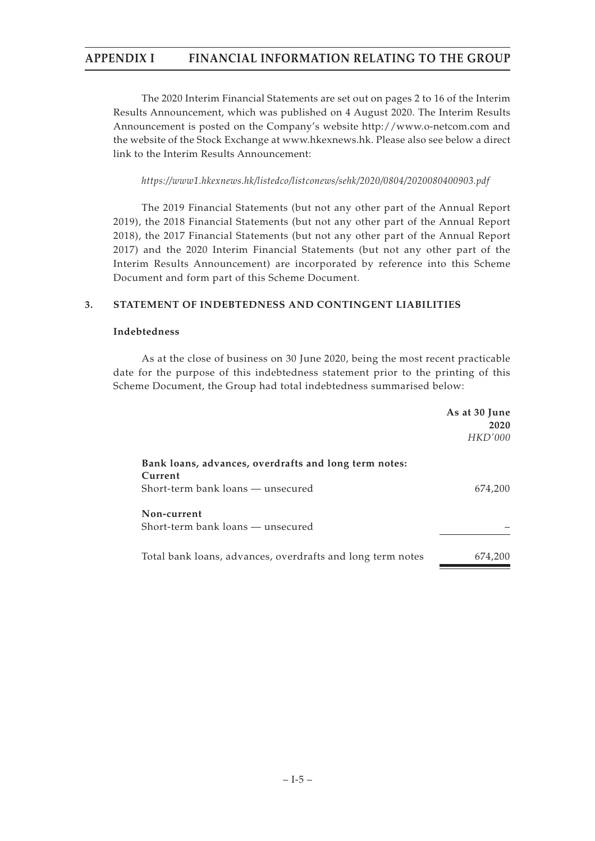The 2020 Interim Financial Statements are set out on pages 2 to 16 of the Interim Results Announcement, which was published on 4 August 2020. The Interim Results Announcement is posted on the Company's website http://www.o-netcom.com and the website of the Stock Exchange at www.hkexnews.hk. Please also see below a direct link to the Interim Results Announcement:

*https://www1.hkexnews.hk/listedco/listconews/sehk/2020/0804/2020080400903.pdf*

The 2019 Financial Statements (but not any other part of the Annual Report 2019), the 2018 Financial Statements (but not any other part of the Annual Report 2018), the 2017 Financial Statements (but not any other part of the Annual Report 2017) and the 2020 Interim Financial Statements (but not any other part of the Interim Results Announcement) are incorporated by reference into this Scheme Document and form part of this Scheme Document.

### **3. STATEMENT OF INDEBTEDNESS AND CONTINGENT LIABILITIES**

#### **Indebtedness**

As at the close of business on 30 June 2020, being the most recent practicable date for the purpose of this indebtedness statement prior to the printing of this Scheme Document, the Group had total indebtedness summarised below:

|                                                                  | As at 30 June<br>2020<br><i>HKD'000</i> |
|------------------------------------------------------------------|-----------------------------------------|
| Bank loans, advances, overdrafts and long term notes:<br>Current |                                         |
| Short-term bank loans — unsecured                                | 674,200                                 |
| Non-current<br>Short-term bank loans — unsecured                 |                                         |
| Total bank loans, advances, overdrafts and long term notes       | 674.200                                 |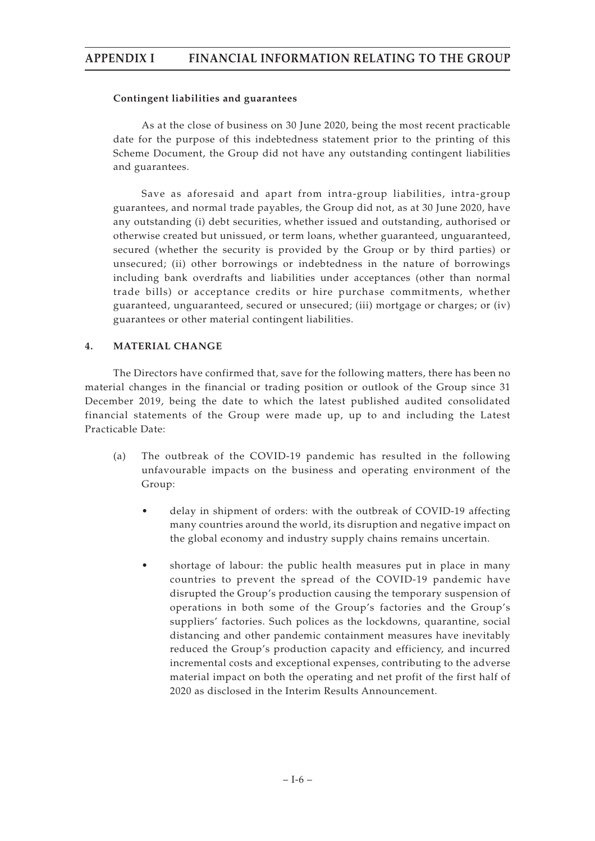#### **Contingent liabilities and guarantees**

As at the close of business on 30 June 2020, being the most recent practicable date for the purpose of this indebtedness statement prior to the printing of this Scheme Document, the Group did not have any outstanding contingent liabilities and guarantees.

Save as aforesaid and apart from intra-group liabilities, intra-group guarantees, and normal trade payables, the Group did not, as at 30 June 2020, have any outstanding (i) debt securities, whether issued and outstanding, authorised or otherwise created but unissued, or term loans, whether guaranteed, unguaranteed, secured (whether the security is provided by the Group or by third parties) or unsecured; (ii) other borrowings or indebtedness in the nature of borrowings including bank overdrafts and liabilities under acceptances (other than normal trade bills) or acceptance credits or hire purchase commitments, whether guaranteed, unguaranteed, secured or unsecured; (iii) mortgage or charges; or (iv) guarantees or other material contingent liabilities.

#### **4. MATERIAL CHANGE**

The Directors have confirmed that, save for the following matters, there has been no material changes in the financial or trading position or outlook of the Group since 31 December 2019, being the date to which the latest published audited consolidated financial statements of the Group were made up, up to and including the Latest Practicable Date:

- (a) The outbreak of the COVID-19 pandemic has resulted in the following unfavourable impacts on the business and operating environment of the Group:
	- delay in shipment of orders: with the outbreak of COVID-19 affecting many countries around the world, its disruption and negative impact on the global economy and industry supply chains remains uncertain.
	- shortage of labour: the public health measures put in place in many countries to prevent the spread of the COVID-19 pandemic have disrupted the Group's production causing the temporary suspension of operations in both some of the Group's factories and the Group's suppliers' factories. Such polices as the lockdowns, quarantine, social distancing and other pandemic containment measures have inevitably reduced the Group's production capacity and efficiency, and incurred incremental costs and exceptional expenses, contributing to the adverse material impact on both the operating and net profit of the first half of 2020 as disclosed in the Interim Results Announcement.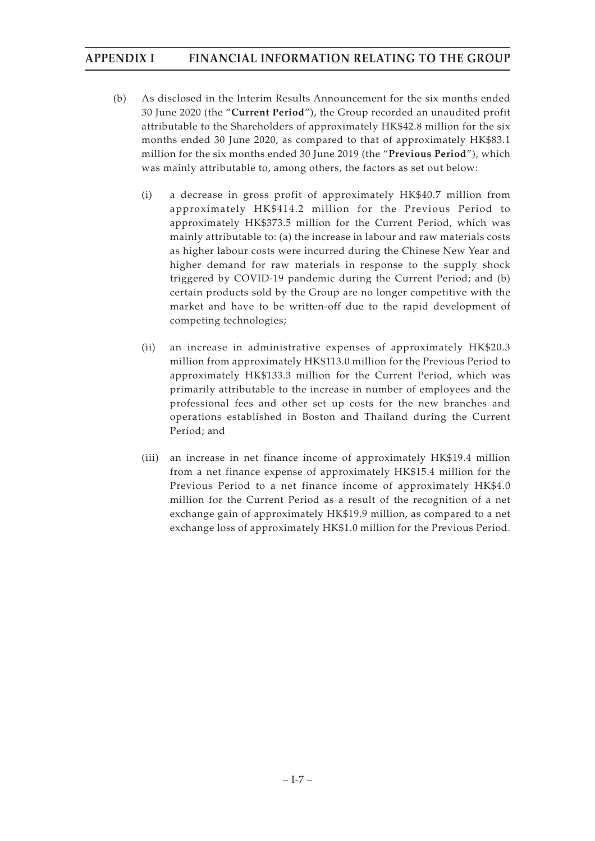- (b) As disclosed in the Interim Results Announcement for the six months ended 30 June 2020 (the "**Current Period**"), the Group recorded an unaudited profit attributable to the Shareholders of approximately HK\$42.8 million for the six months ended 30 June 2020, as compared to that of approximately HK\$83.1 million for the six months ended 30 June 2019 (the "**Previous Period**"), which was mainly attributable to, among others, the factors as set out below:
	- (i) a decrease in gross profit of approximately HK\$40.7 million from approximately HK\$414.2 million for the Previous Period to approximately HK\$373.5 million for the Current Period, which was mainly attributable to: (a) the increase in labour and raw materials costs as higher labour costs were incurred during the Chinese New Year and higher demand for raw materials in response to the supply shock triggered by COVID-19 pandemic during the Current Period; and (b) certain products sold by the Group are no longer competitive with the market and have to be written-off due to the rapid development of competing technologies;
	- (ii) an increase in administrative expenses of approximately HK\$20.3 million from approximately HK\$113.0 million for the Previous Period to approximately HK\$133.3 million for the Current Period, which was primarily attributable to the increase in number of employees and the professional fees and other set up costs for the new branches and operations established in Boston and Thailand during the Current Period; and
	- (iii) an increase in net finance income of approximately HK\$19.4 million from a net finance expense of approximately HK\$15.4 million for the Previous Period to a net finance income of approximately HK\$4.0 million for the Current Period as a result of the recognition of a net exchange gain of approximately HK\$19.9 million, as compared to a net exchange loss of approximately HK\$1.0 million for the Previous Period.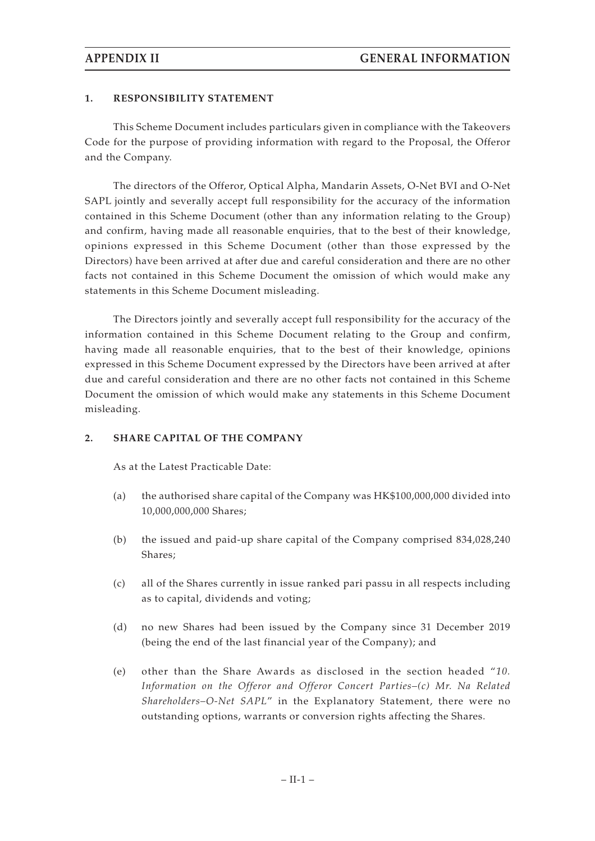#### **1. RESPONSIBILITY STATEMENT**

This Scheme Document includes particulars given in compliance with the Takeovers Code for the purpose of providing information with regard to the Proposal, the Offeror and the Company.

The directors of the Offeror, Optical Alpha, Mandarin Assets, O-Net BVI and O-Net SAPL jointly and severally accept full responsibility for the accuracy of the information contained in this Scheme Document (other than any information relating to the Group) and confirm, having made all reasonable enquiries, that to the best of their knowledge, opinions expressed in this Scheme Document (other than those expressed by the Directors) have been arrived at after due and careful consideration and there are no other facts not contained in this Scheme Document the omission of which would make any statements in this Scheme Document misleading.

The Directors jointly and severally accept full responsibility for the accuracy of the information contained in this Scheme Document relating to the Group and confirm, having made all reasonable enquiries, that to the best of their knowledge, opinions expressed in this Scheme Document expressed by the Directors have been arrived at after due and careful consideration and there are no other facts not contained in this Scheme Document the omission of which would make any statements in this Scheme Document misleading.

#### **2. SHARE CAPITAL OF THE COMPANY**

As at the Latest Practicable Date:

- (a) the authorised share capital of the Company was HK\$100,000,000 divided into 10,000,000,000 Shares;
- (b) the issued and paid-up share capital of the Company comprised 834,028,240 Shares;
- (c) all of the Shares currently in issue ranked pari passu in all respects including as to capital, dividends and voting;
- (d) no new Shares had been issued by the Company since 31 December 2019 (being the end of the last financial year of the Company); and
- (e) other than the Share Awards as disclosed in the section headed "*10. Information on the Offeror and Offeror Concert Parties–(c) Mr. Na Related Shareholders–O-Net SAPL*" in the Explanatory Statement, there were no outstanding options, warrants or conversion rights affecting the Shares.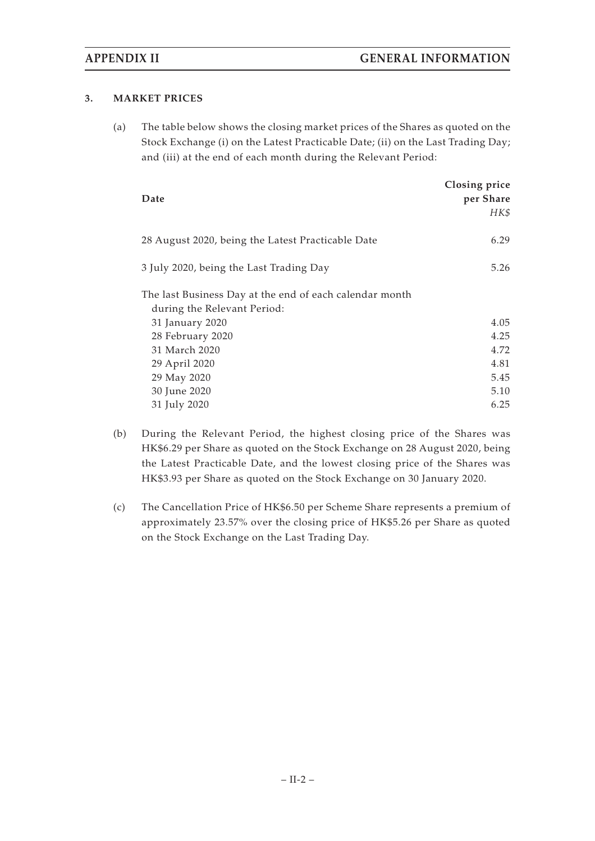### **3. MARKET PRICES**

(a) The table below shows the closing market prices of the Shares as quoted on the Stock Exchange (i) on the Latest Practicable Date; (ii) on the Last Trading Day; and (iii) at the end of each month during the Relevant Period:

| Date                                                                                   | Closing price<br>per Share<br>HK\$ |
|----------------------------------------------------------------------------------------|------------------------------------|
| 28 August 2020, being the Latest Practicable Date                                      | 6.29                               |
| 3 July 2020, being the Last Trading Day                                                | 5.26                               |
| The last Business Day at the end of each calendar month<br>during the Relevant Period: |                                    |
| 31 January 2020                                                                        | 4.05                               |
| 28 February 2020                                                                       | 4.25                               |
| 31 March 2020                                                                          | 4.72                               |
| 29 April 2020                                                                          | 4.81                               |
| 29 May 2020                                                                            | 5.45                               |
| 30 June 2020                                                                           | 5.10                               |
| 31 July 2020                                                                           | 6.25                               |

- (b) During the Relevant Period, the highest closing price of the Shares was HK\$6.29 per Share as quoted on the Stock Exchange on 28 August 2020, being the Latest Practicable Date, and the lowest closing price of the Shares was HK\$3.93 per Share as quoted on the Stock Exchange on 30 January 2020.
- (c) The Cancellation Price of HK\$6.50 per Scheme Share represents a premium of approximately 23.57% over the closing price of HK\$5.26 per Share as quoted on the Stock Exchange on the Last Trading Day.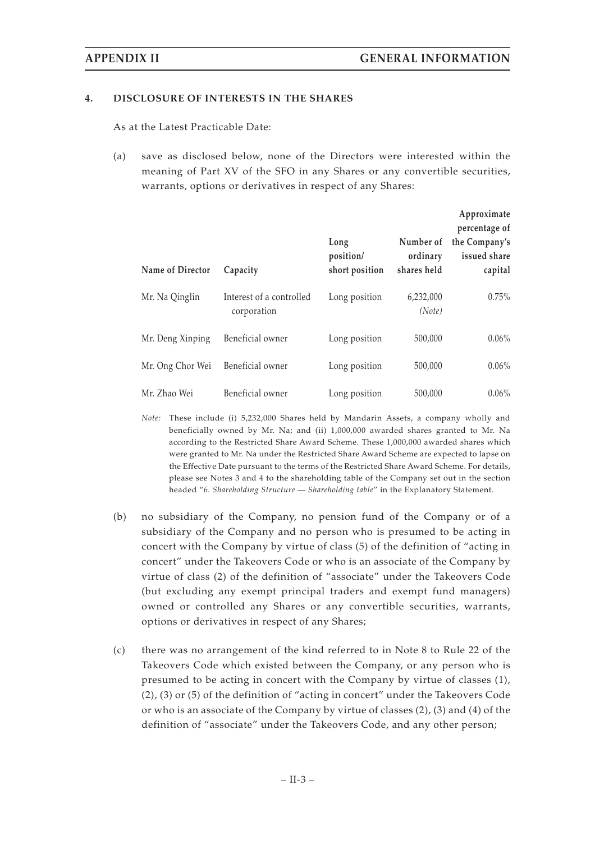#### **4. DISCLOSURE OF INTERESTS IN THE SHARES**

As at the Latest Practicable Date:

(a) save as disclosed below, none of the Directors were interested within the meaning of Part XV of the SFO in any Shares or any convertible securities, warrants, options or derivatives in respect of any Shares:

|                  |                                         |                                     |                                      | Approximate<br>percentage of             |
|------------------|-----------------------------------------|-------------------------------------|--------------------------------------|------------------------------------------|
| Name of Director | Capacity                                | Long<br>position/<br>short position | Number of<br>ordinary<br>shares held | the Company's<br>issued share<br>capital |
| Mr. Na Qinglin   | Interest of a controlled<br>corporation | Long position                       | 6,232,000<br>(Note)                  | 0.75%                                    |
| Mr. Deng Xinping | Beneficial owner                        | Long position                       | 500,000                              | $0.06\%$                                 |
| Mr. Ong Chor Wei | Beneficial owner                        | Long position                       | 500,000                              | $0.06\%$                                 |
| Mr. Zhao Wei     | Beneficial owner                        | Long position                       | 500,000                              | $0.06\%$                                 |

*Note:* These include (i) 5,232,000 Shares held by Mandarin Assets, a company wholly and beneficially owned by Mr. Na; and (ii) 1,000,000 awarded shares granted to Mr. Na according to the Restricted Share Award Scheme. These 1,000,000 awarded shares which were granted to Mr. Na under the Restricted Share Award Scheme are expected to lapse on the Effective Date pursuant to the terms of the Restricted Share Award Scheme. For details, please see Notes 3 and 4 to the shareholding table of the Company set out in the section headed "*6. Shareholding Structure — Shareholding table*" in the Explanatory Statement.

- (b) no subsidiary of the Company, no pension fund of the Company or of a subsidiary of the Company and no person who is presumed to be acting in concert with the Company by virtue of class (5) of the definition of "acting in concert" under the Takeovers Code or who is an associate of the Company by virtue of class (2) of the definition of "associate" under the Takeovers Code (but excluding any exempt principal traders and exempt fund managers) owned or controlled any Shares or any convertible securities, warrants, options or derivatives in respect of any Shares;
- (c) there was no arrangement of the kind referred to in Note 8 to Rule 22 of the Takeovers Code which existed between the Company, or any person who is presumed to be acting in concert with the Company by virtue of classes (1), (2), (3) or (5) of the definition of "acting in concert" under the Takeovers Code or who is an associate of the Company by virtue of classes (2), (3) and (4) of the definition of "associate" under the Takeovers Code, and any other person;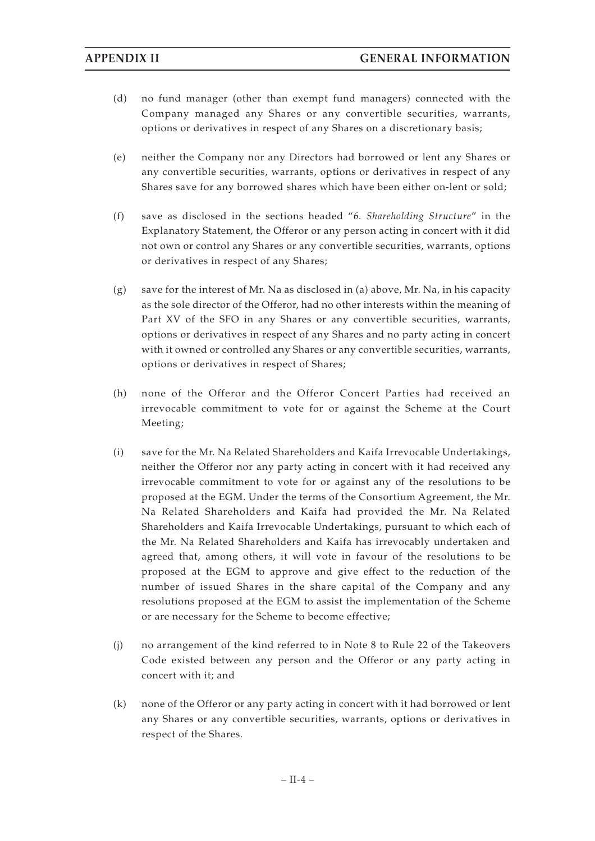- (d) no fund manager (other than exempt fund managers) connected with the Company managed any Shares or any convertible securities, warrants, options or derivatives in respect of any Shares on a discretionary basis;
- (e) neither the Company nor any Directors had borrowed or lent any Shares or any convertible securities, warrants, options or derivatives in respect of any Shares save for any borrowed shares which have been either on-lent or sold;
- (f) save as disclosed in the sections headed "*6. Shareholding Structure*" in the Explanatory Statement, the Offeror or any person acting in concert with it did not own or control any Shares or any convertible securities, warrants, options or derivatives in respect of any Shares;
- $(g)$  save for the interest of Mr. Na as disclosed in (a) above, Mr. Na, in his capacity as the sole director of the Offeror, had no other interests within the meaning of Part XV of the SFO in any Shares or any convertible securities, warrants, options or derivatives in respect of any Shares and no party acting in concert with it owned or controlled any Shares or any convertible securities, warrants, options or derivatives in respect of Shares;
- (h) none of the Offeror and the Offeror Concert Parties had received an irrevocable commitment to vote for or against the Scheme at the Court Meeting;
- (i) save for the Mr. Na Related Shareholders and Kaifa Irrevocable Undertakings, neither the Offeror nor any party acting in concert with it had received any irrevocable commitment to vote for or against any of the resolutions to be proposed at the EGM. Under the terms of the Consortium Agreement, the Mr. Na Related Shareholders and Kaifa had provided the Mr. Na Related Shareholders and Kaifa Irrevocable Undertakings, pursuant to which each of the Mr. Na Related Shareholders and Kaifa has irrevocably undertaken and agreed that, among others, it will vote in favour of the resolutions to be proposed at the EGM to approve and give effect to the reduction of the number of issued Shares in the share capital of the Company and any resolutions proposed at the EGM to assist the implementation of the Scheme or are necessary for the Scheme to become effective;
- (j) no arrangement of the kind referred to in Note 8 to Rule 22 of the Takeovers Code existed between any person and the Offeror or any party acting in concert with it; and
- (k) none of the Offeror or any party acting in concert with it had borrowed or lent any Shares or any convertible securities, warrants, options or derivatives in respect of the Shares.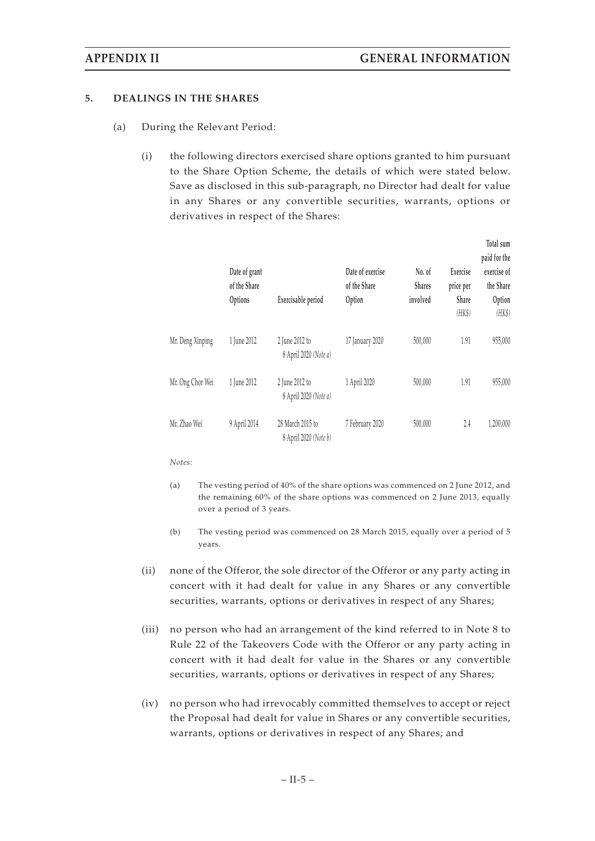#### **5. DEALINGS IN THE SHARES**

- (a) During the Relevant Period:
	- (i) the following directors exercised share options granted to him pursuant to the Share Option Scheme, the details of which were stated below. Save as disclosed in this sub-paragraph, no Director had dealt for value in any Shares or any convertible securities, warrants, options or derivatives in respect of the Shares:

|                  | Date of grant<br>of the Share<br>Options | Exercisable period                        | Date of exercise<br>of the Share<br>Option | No. of<br><b>Shares</b><br>involved | Exercise<br>price per<br>Share<br>(HK\$) | Total sum<br>paid for the<br>exercise of<br>the Share<br>Option<br>(HK\$) |
|------------------|------------------------------------------|-------------------------------------------|--------------------------------------------|-------------------------------------|------------------------------------------|---------------------------------------------------------------------------|
| Mr. Deng Xinping | 1 June 2012                              | 2 June 2012 to<br>8 April 2020 (Note a)   | 17 January 2020                            | 500,000                             | 1.91                                     | 955,000                                                                   |
| Mr. Ong Chor Wei | 1 June 2012                              | 2 June 2012 to<br>8 April 2020 (Note a)   | 1 April 2020                               | 500,000                             | 1.91                                     | 955,000                                                                   |
| Mr. Zhao Wei     | 9 April 2014                             | 28 March 2015 to<br>8 April 2020 (Note b) | 7 February 2020                            | 500,000                             | 2.4                                      | 1,200,000                                                                 |

*Notes:*

- (a) The vesting period of 40% of the share options was commenced on 2 June 2012, and the remaining 60% of the share options was commenced on 2 June 2013, equally over a period of 3 years.
- (b) The vesting period was commenced on 28 March 2015, equally over a period of 5 years.
- (ii) none of the Offeror, the sole director of the Offeror or any party acting in concert with it had dealt for value in any Shares or any convertible securities, warrants, options or derivatives in respect of any Shares;
- (iii) no person who had an arrangement of the kind referred to in Note 8 to Rule 22 of the Takeovers Code with the Offeror or any party acting in concert with it had dealt for value in the Shares or any convertible securities, warrants, options or derivatives in respect of any Shares;
- (iv) no person who had irrevocably committed themselves to accept or reject the Proposal had dealt for value in Shares or any convertible securities, warrants, options or derivatives in respect of any Shares; and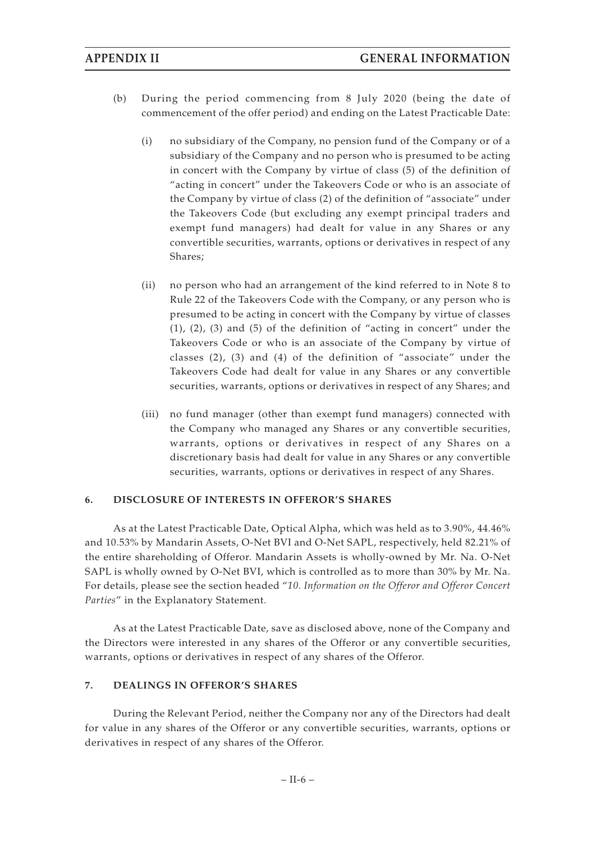- (b) During the period commencing from 8 July 2020 (being the date of commencement of the offer period) and ending on the Latest Practicable Date:
	- (i) no subsidiary of the Company, no pension fund of the Company or of a subsidiary of the Company and no person who is presumed to be acting in concert with the Company by virtue of class (5) of the definition of "acting in concert" under the Takeovers Code or who is an associate of the Company by virtue of class (2) of the definition of "associate" under the Takeovers Code (but excluding any exempt principal traders and exempt fund managers) had dealt for value in any Shares or any convertible securities, warrants, options or derivatives in respect of any Shares;
	- (ii) no person who had an arrangement of the kind referred to in Note 8 to Rule 22 of the Takeovers Code with the Company, or any person who is presumed to be acting in concert with the Company by virtue of classes  $(1)$ ,  $(2)$ ,  $(3)$  and  $(5)$  of the definition of "acting in concert" under the Takeovers Code or who is an associate of the Company by virtue of classes (2), (3) and (4) of the definition of "associate" under the Takeovers Code had dealt for value in any Shares or any convertible securities, warrants, options or derivatives in respect of any Shares; and
	- (iii) no fund manager (other than exempt fund managers) connected with the Company who managed any Shares or any convertible securities, warrants, options or derivatives in respect of any Shares on a discretionary basis had dealt for value in any Shares or any convertible securities, warrants, options or derivatives in respect of any Shares.

### **6. DISCLOSURE OF INTERESTS IN OFFEROR'S SHARES**

As at the Latest Practicable Date, Optical Alpha, which was held as to 3.90%, 44.46% and 10.53% by Mandarin Assets, O-Net BVI and O-Net SAPL, respectively, held 82.21% of the entire shareholding of Offeror. Mandarin Assets is wholly-owned by Mr. Na. O-Net SAPL is wholly owned by O-Net BVI, which is controlled as to more than 30% by Mr. Na. For details, please see the section headed "*10. Information on the Offeror and Offeror Concert Parties*" in the Explanatory Statement.

As at the Latest Practicable Date, save as disclosed above, none of the Company and the Directors were interested in any shares of the Offeror or any convertible securities, warrants, options or derivatives in respect of any shares of the Offeror.

### **7. DEALINGS IN OFFEROR'S SHARES**

During the Relevant Period, neither the Company nor any of the Directors had dealt for value in any shares of the Offeror or any convertible securities, warrants, options or derivatives in respect of any shares of the Offeror.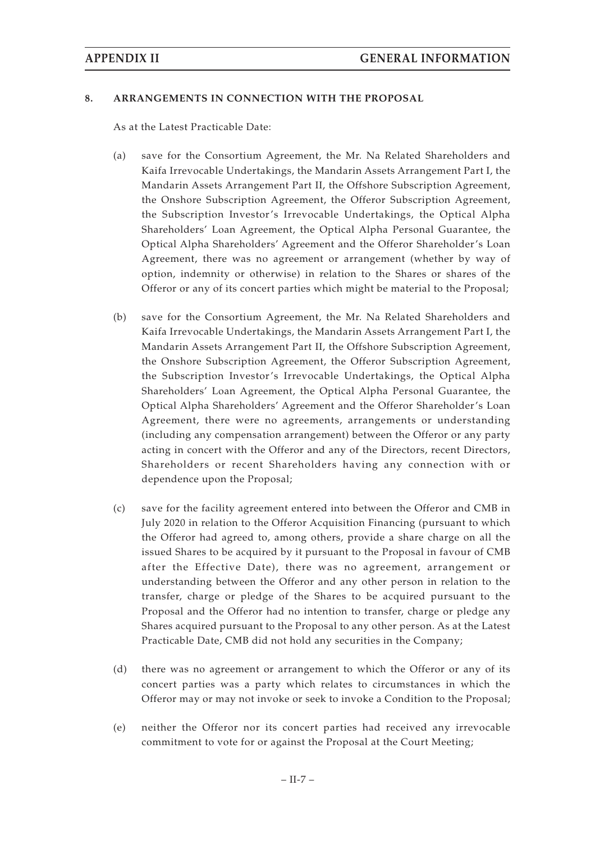#### **8. ARRANGEMENTS IN CONNECTION WITH THE PROPOSAL**

As at the Latest Practicable Date:

- (a) save for the Consortium Agreement, the Mr. Na Related Shareholders and Kaifa Irrevocable Undertakings, the Mandarin Assets Arrangement Part I, the Mandarin Assets Arrangement Part II, the Offshore Subscription Agreement, the Onshore Subscription Agreement, the Offeror Subscription Agreement, the Subscription Investor's Irrevocable Undertakings, the Optical Alpha Shareholders' Loan Agreement, the Optical Alpha Personal Guarantee, the Optical Alpha Shareholders' Agreement and the Offeror Shareholder's Loan Agreement, there was no agreement or arrangement (whether by way of option, indemnity or otherwise) in relation to the Shares or shares of the Offeror or any of its concert parties which might be material to the Proposal;
- (b) save for the Consortium Agreement, the Mr. Na Related Shareholders and Kaifa Irrevocable Undertakings, the Mandarin Assets Arrangement Part I, the Mandarin Assets Arrangement Part II, the Offshore Subscription Agreement, the Onshore Subscription Agreement, the Offeror Subscription Agreement, the Subscription Investor's Irrevocable Undertakings, the Optical Alpha Shareholders' Loan Agreement, the Optical Alpha Personal Guarantee, the Optical Alpha Shareholders' Agreement and the Offeror Shareholder's Loan Agreement, there were no agreements, arrangements or understanding (including any compensation arrangement) between the Offeror or any party acting in concert with the Offeror and any of the Directors, recent Directors, Shareholders or recent Shareholders having any connection with or dependence upon the Proposal;
- (c) save for the facility agreement entered into between the Offeror and CMB in July 2020 in relation to the Offeror Acquisition Financing (pursuant to which the Offeror had agreed to, among others, provide a share charge on all the issued Shares to be acquired by it pursuant to the Proposal in favour of CMB after the Effective Date), there was no agreement, arrangement or understanding between the Offeror and any other person in relation to the transfer, charge or pledge of the Shares to be acquired pursuant to the Proposal and the Offeror had no intention to transfer, charge or pledge any Shares acquired pursuant to the Proposal to any other person. As at the Latest Practicable Date, CMB did not hold any securities in the Company;
- (d) there was no agreement or arrangement to which the Offeror or any of its concert parties was a party which relates to circumstances in which the Offeror may or may not invoke or seek to invoke a Condition to the Proposal;
- (e) neither the Offeror nor its concert parties had received any irrevocable commitment to vote for or against the Proposal at the Court Meeting;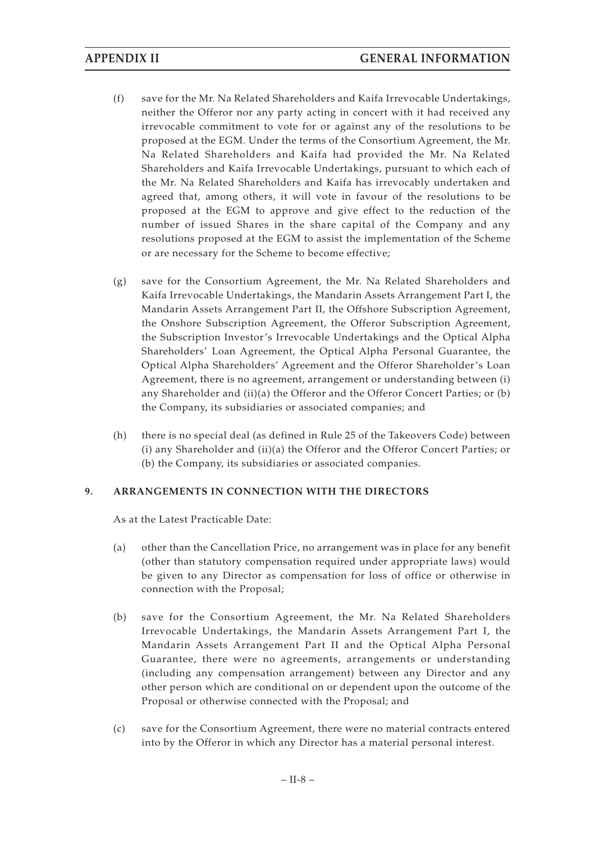- (f) save for the Mr. Na Related Shareholders and Kaifa Irrevocable Undertakings, neither the Offeror nor any party acting in concert with it had received any irrevocable commitment to vote for or against any of the resolutions to be proposed at the EGM. Under the terms of the Consortium Agreement, the Mr. Na Related Shareholders and Kaifa had provided the Mr. Na Related Shareholders and Kaifa Irrevocable Undertakings, pursuant to which each of the Mr. Na Related Shareholders and Kaifa has irrevocably undertaken and agreed that, among others, it will vote in favour of the resolutions to be proposed at the EGM to approve and give effect to the reduction of the number of issued Shares in the share capital of the Company and any resolutions proposed at the EGM to assist the implementation of the Scheme or are necessary for the Scheme to become effective;
- (g) save for the Consortium Agreement, the Mr. Na Related Shareholders and Kaifa Irrevocable Undertakings, the Mandarin Assets Arrangement Part I, the Mandarin Assets Arrangement Part II, the Offshore Subscription Agreement, the Onshore Subscription Agreement, the Offeror Subscription Agreement, the Subscription Investor's Irrevocable Undertakings and the Optical Alpha Shareholders' Loan Agreement, the Optical Alpha Personal Guarantee, the Optical Alpha Shareholders' Agreement and the Offeror Shareholder's Loan Agreement, there is no agreement, arrangement or understanding between (i) any Shareholder and (ii)(a) the Offeror and the Offeror Concert Parties; or (b) the Company, its subsidiaries or associated companies; and
- (h) there is no special deal (as defined in Rule 25 of the Takeovers Code) between (i) any Shareholder and (ii)(a) the Offeror and the Offeror Concert Parties; or (b) the Company, its subsidiaries or associated companies.

### **9. ARRANGEMENTS IN CONNECTION WITH THE DIRECTORS**

As at the Latest Practicable Date:

- (a) other than the Cancellation Price, no arrangement was in place for any benefit (other than statutory compensation required under appropriate laws) would be given to any Director as compensation for loss of office or otherwise in connection with the Proposal;
- (b) save for the Consortium Agreement, the Mr. Na Related Shareholders Irrevocable Undertakings, the Mandarin Assets Arrangement Part I, the Mandarin Assets Arrangement Part II and the Optical Alpha Personal Guarantee, there were no agreements, arrangements or understanding (including any compensation arrangement) between any Director and any other person which are conditional on or dependent upon the outcome of the Proposal or otherwise connected with the Proposal; and
- (c) save for the Consortium Agreement, there were no material contracts entered into by the Offeror in which any Director has a material personal interest.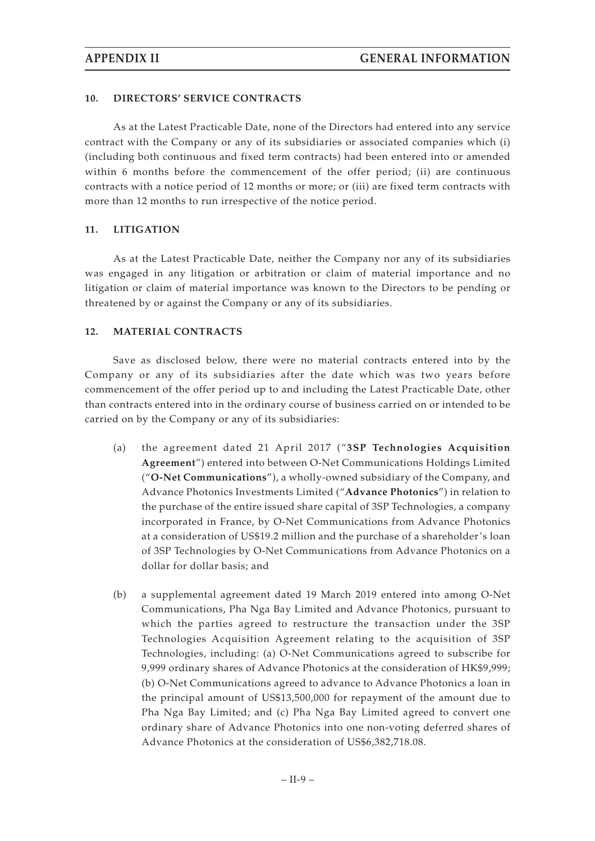### **10. DIRECTORS' SERVICE CONTRACTS**

As at the Latest Practicable Date, none of the Directors had entered into any service contract with the Company or any of its subsidiaries or associated companies which (i) (including both continuous and fixed term contracts) had been entered into or amended within 6 months before the commencement of the offer period; (ii) are continuous contracts with a notice period of 12 months or more; or (iii) are fixed term contracts with more than 12 months to run irrespective of the notice period.

### **11. LITIGATION**

As at the Latest Practicable Date, neither the Company nor any of its subsidiaries was engaged in any litigation or arbitration or claim of material importance and no litigation or claim of material importance was known to the Directors to be pending or threatened by or against the Company or any of its subsidiaries.

### **12. MATERIAL CONTRACTS**

Save as disclosed below, there were no material contracts entered into by the Company or any of its subsidiaries after the date which was two years before commencement of the offer period up to and including the Latest Practicable Date, other than contracts entered into in the ordinary course of business carried on or intended to be carried on by the Company or any of its subsidiaries:

- (a) the agreement dated 21 April 2017 ("3SP Technologies Acquisition **Agreement**") entered into between O-Net Communications Holdings Limited ("**O-Net Communications**"), a wholly-owned subsidiary of the Company, and Advance Photonics Investments Limited ("**Advance Photonics**") in relation to the purchase of the entire issued share capital of 3SP Technologies, a company incorporated in France, by O-Net Communications from Advance Photonics at a consideration of US\$19.2 million and the purchase of a shareholder's loan of 3SP Technologies by O-Net Communications from Advance Photonics on a dollar for dollar basis; and
- (b) a supplemental agreement dated 19 March 2019 entered into among O-Net Communications, Pha Nga Bay Limited and Advance Photonics, pursuant to which the parties agreed to restructure the transaction under the 3SP Technologies Acquisition Agreement relating to the acquisition of 3SP Technologies, including: (a) O-Net Communications agreed to subscribe for 9,999 ordinary shares of Advance Photonics at the consideration of HK\$9,999; (b) O-Net Communications agreed to advance to Advance Photonics a loan in the principal amount of US\$13,500,000 for repayment of the amount due to Pha Nga Bay Limited; and (c) Pha Nga Bay Limited agreed to convert one ordinary share of Advance Photonics into one non-voting deferred shares of Advance Photonics at the consideration of US\$6,382,718.08.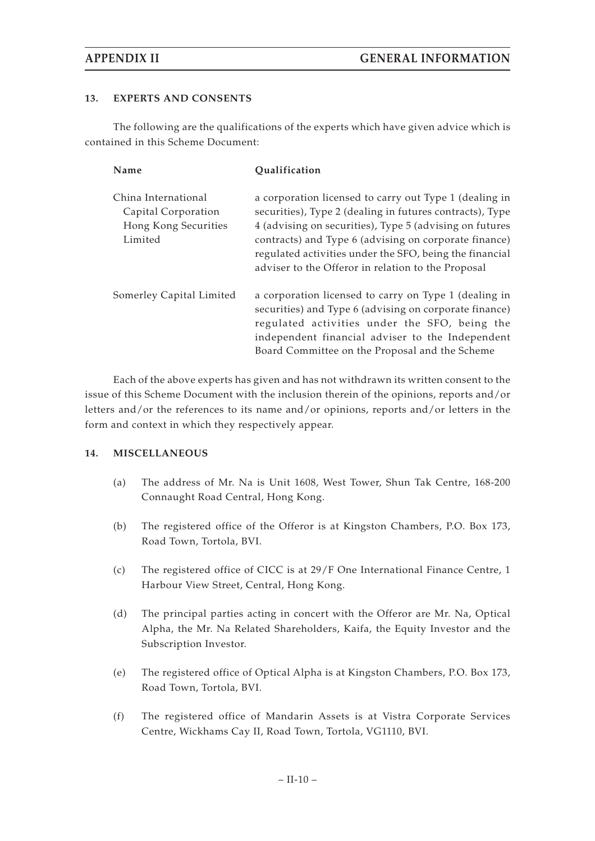## **13. EXPERTS AND CONSENTS**

The following are the qualifications of the experts which have given advice which is contained in this Scheme Document:

| Name                                                                          | Qualification                                                                                                                                                                                                                                                                                                                                           |
|-------------------------------------------------------------------------------|---------------------------------------------------------------------------------------------------------------------------------------------------------------------------------------------------------------------------------------------------------------------------------------------------------------------------------------------------------|
| China International<br>Capital Corporation<br>Hong Kong Securities<br>Limited | a corporation licensed to carry out Type 1 (dealing in<br>securities), Type 2 (dealing in futures contracts), Type<br>4 (advising on securities), Type 5 (advising on futures<br>contracts) and Type 6 (advising on corporate finance)<br>regulated activities under the SFO, being the financial<br>adviser to the Offeror in relation to the Proposal |
| Somerley Capital Limited                                                      | a corporation licensed to carry on Type 1 (dealing in<br>securities) and Type 6 (advising on corporate finance)<br>regulated activities under the SFO, being the<br>independent financial adviser to the Independent<br>Board Committee on the Proposal and the Scheme                                                                                  |

Each of the above experts has given and has not withdrawn its written consent to the issue of this Scheme Document with the inclusion therein of the opinions, reports and/or letters and/or the references to its name and/or opinions, reports and/or letters in the form and context in which they respectively appear.

### **14. MISCELLANEOUS**

- (a) The address of Mr. Na is Unit 1608, West Tower, Shun Tak Centre, 168-200 Connaught Road Central, Hong Kong.
- (b) The registered office of the Offeror is at Kingston Chambers, P.O. Box 173, Road Town, Tortola, BVI.
- (c) The registered office of CICC is at 29/F One International Finance Centre, 1 Harbour View Street, Central, Hong Kong.
- (d) The principal parties acting in concert with the Offeror are Mr. Na, Optical Alpha, the Mr. Na Related Shareholders, Kaifa, the Equity Investor and the Subscription Investor.
- (e) The registered office of Optical Alpha is at Kingston Chambers, P.O. Box 173, Road Town, Tortola, BVI.
- (f) The registered office of Mandarin Assets is at Vistra Corporate Services Centre, Wickhams Cay II, Road Town, Tortola, VG1110, BVI.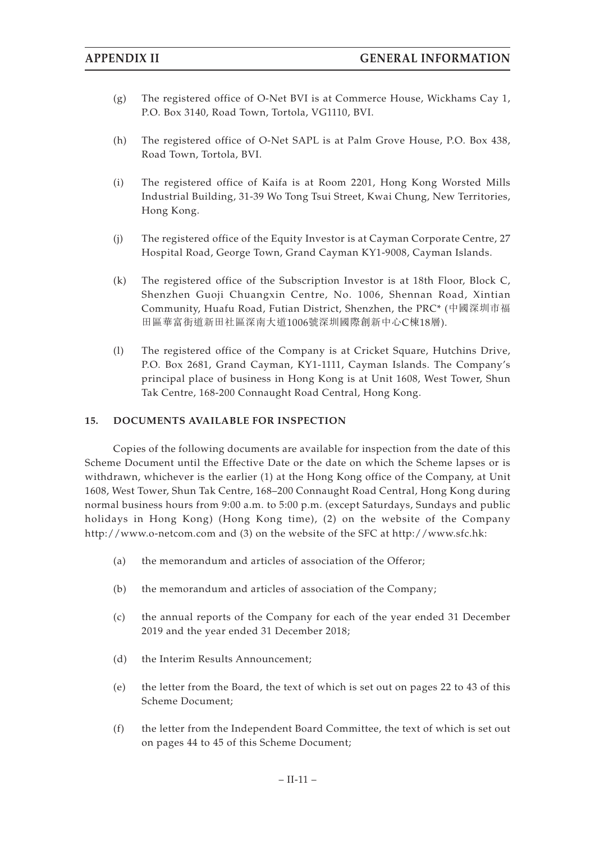- (g) The registered office of O-Net BVI is at Commerce House, Wickhams Cay 1, P.O. Box 3140, Road Town, Tortola, VG1110, BVI.
- (h) The registered office of O-Net SAPL is at Palm Grove House, P.O. Box 438, Road Town, Tortola, BVI.
- (i) The registered office of Kaifa is at Room 2201, Hong Kong Worsted Mills Industrial Building, 31-39 Wo Tong Tsui Street, Kwai Chung, New Territories, Hong Kong.
- (j) The registered office of the Equity Investor is at Cayman Corporate Centre, 27 Hospital Road, George Town, Grand Cayman KY1-9008, Cayman Islands.
- (k) The registered office of the Subscription Investor is at 18th Floor, Block C, Shenzhen Guoji Chuangxin Centre, No. 1006, Shennan Road, Xintian Community, Huafu Road, Futian District, Shenzhen, the PRC\* (中國深圳市福 田區華富街道新田社區深南大道1006號深圳國際創新中心C棟18層).
- (l) The registered office of the Company is at Cricket Square, Hutchins Drive, P.O. Box 2681, Grand Cayman, KY1-1111, Cayman Islands. The Company's principal place of business in Hong Kong is at Unit 1608, West Tower, Shun Tak Centre, 168-200 Connaught Road Central, Hong Kong.

### **15. DOCUMENTS AVAILABLE FOR INSPECTION**

Copies of the following documents are available for inspection from the date of this Scheme Document until the Effective Date or the date on which the Scheme lapses or is withdrawn, whichever is the earlier (1) at the Hong Kong office of the Company, at Unit 1608, West Tower, Shun Tak Centre, 168–200 Connaught Road Central, Hong Kong during normal business hours from 9:00 a.m. to 5:00 p.m. (except Saturdays, Sundays and public holidays in Hong Kong) (Hong Kong time), (2) on the website of the Company http://www.o-netcom.com and (3) on the website of the SFC at http://www.sfc.hk:

- (a) the memorandum and articles of association of the Offeror;
- (b) the memorandum and articles of association of the Company;
- (c) the annual reports of the Company for each of the year ended 31 December 2019 and the year ended 31 December 2018;
- (d) the Interim Results Announcement;
- (e) the letter from the Board, the text of which is set out on pages 22 to 43 of this Scheme Document;
- (f) the letter from the Independent Board Committee, the text of which is set out on pages 44 to 45 of this Scheme Document;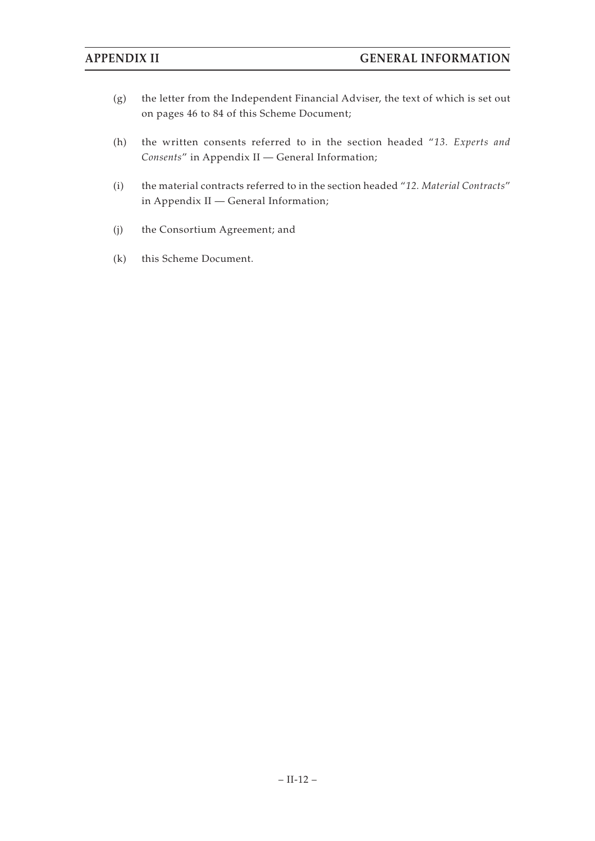- (g) the letter from the Independent Financial Adviser, the text of which is set out on pages 46 to 84 of this Scheme Document;
- (h) the written consents referred to in the section headed "*13. Experts and Consents*" in Appendix II — General Information;
- (i) the material contracts referred to in the section headed "*12. Material Contracts*" in Appendix II — General Information;
- (j) the Consortium Agreement; and
- (k) this Scheme Document.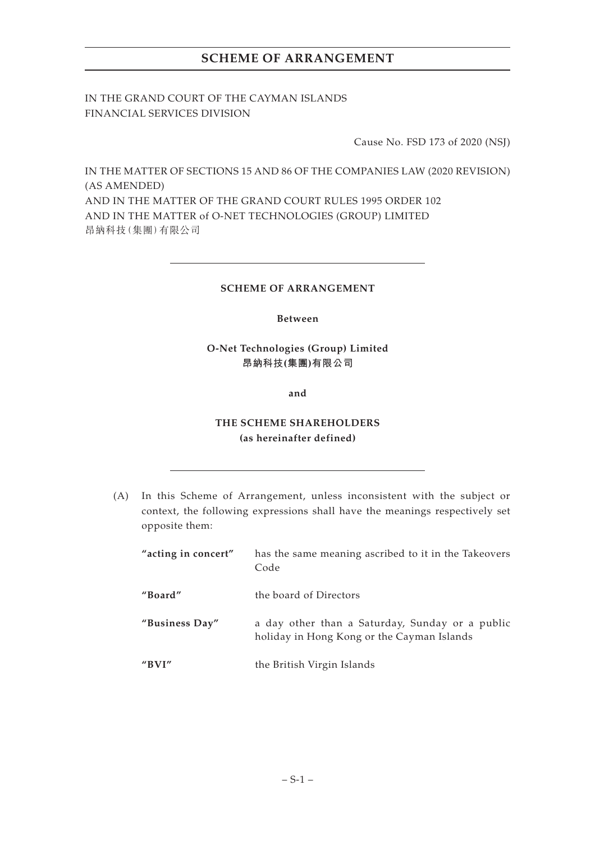IN THE GRAND COURT OF THE CAYMAN ISLANDS FINANCIAL SERVICES DIVISION

Cause No. FSD 173 of 2020 (NSJ)

IN THE MATTER OF SECTIONS 15 AND 86 OF THE COMPANIES LAW (2020 REVISION) (AS AMENDED) AND IN THE MATTER OF THE GRAND COURT RULES 1995 ORDER 102 AND IN THE MATTER of O-NET TECHNOLOGIES (GROUP) LIMITED 昂納科技(集團)有限公司

## **SCHEME OF ARRANGEMENT**

## **Between**

## **O-Net Technologies (Group) Limited 昂納科技(集團)有限公司**

**and**

## **THE SCHEME SHAREHOLDERS (as hereinafter defined)**

(A) In this Scheme of Arrangement, unless inconsistent with the subject or context, the following expressions shall have the meanings respectively set opposite them:

| "acting in concert" | has the same meaning ascribed to it in the Takeovers<br>Code                                  |
|---------------------|-----------------------------------------------------------------------------------------------|
| "Board"             | the board of Directors                                                                        |
| "Business Day"      | a day other than a Saturday, Sunday or a public<br>holiday in Hong Kong or the Cayman Islands |
| " $BVI"$            | the British Virgin Islands                                                                    |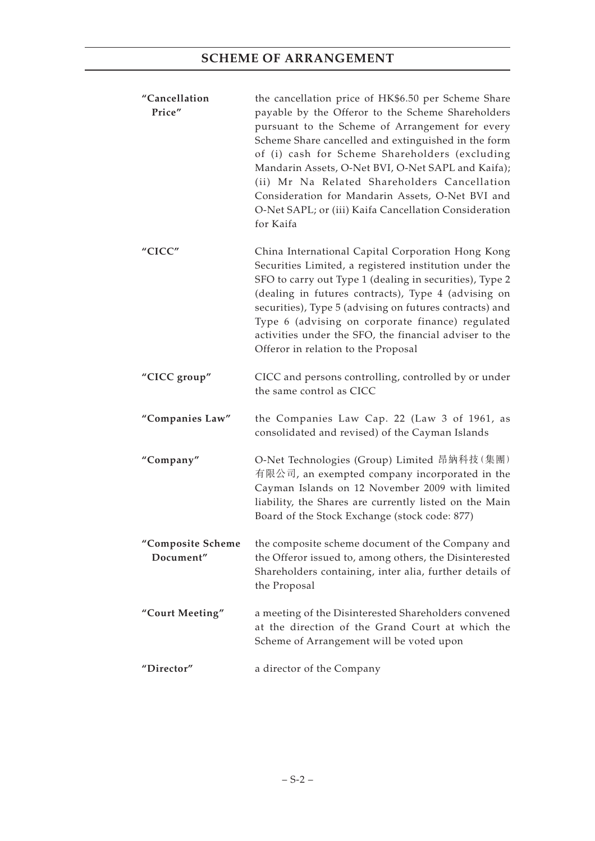| "Cancellation<br>Price"        | the cancellation price of HK\$6.50 per Scheme Share<br>payable by the Offeror to the Scheme Shareholders<br>pursuant to the Scheme of Arrangement for every<br>Scheme Share cancelled and extinguished in the form<br>of (i) cash for Scheme Shareholders (excluding<br>Mandarin Assets, O-Net BVI, O-Net SAPL and Kaifa);<br>(ii) Mr Na Related Shareholders Cancellation<br>Consideration for Mandarin Assets, O-Net BVI and<br>O-Net SAPL; or (iii) Kaifa Cancellation Consideration<br>for Kaifa |
|--------------------------------|------------------------------------------------------------------------------------------------------------------------------------------------------------------------------------------------------------------------------------------------------------------------------------------------------------------------------------------------------------------------------------------------------------------------------------------------------------------------------------------------------|
| "CICC"                         | China International Capital Corporation Hong Kong<br>Securities Limited, a registered institution under the<br>SFO to carry out Type 1 (dealing in securities), Type 2<br>(dealing in futures contracts), Type 4 (advising on<br>securities), Type 5 (advising on futures contracts) and<br>Type 6 (advising on corporate finance) regulated<br>activities under the SFO, the financial adviser to the<br>Offeror in relation to the Proposal                                                        |
| "CICC group"                   | CICC and persons controlling, controlled by or under<br>the same control as CICC                                                                                                                                                                                                                                                                                                                                                                                                                     |
| "Companies Law"                | the Companies Law Cap. 22 (Law 3 of 1961, as<br>consolidated and revised) of the Cayman Islands                                                                                                                                                                                                                                                                                                                                                                                                      |
| "Company"                      | O-Net Technologies (Group) Limited 昂納科技 (集團)<br>有限公司, an exempted company incorporated in the<br>Cayman Islands on 12 November 2009 with limited<br>liability, the Shares are currently listed on the Main<br>Board of the Stock Exchange (stock code: 877)                                                                                                                                                                                                                                          |
| "Composite Scheme<br>Document" | the composite scheme document of the Company and<br>the Offeror issued to, among others, the Disinterested<br>Shareholders containing, inter alia, further details of<br>the Proposal                                                                                                                                                                                                                                                                                                                |
| "Court Meeting"                | a meeting of the Disinterested Shareholders convened<br>at the direction of the Grand Court at which the<br>Scheme of Arrangement will be voted upon                                                                                                                                                                                                                                                                                                                                                 |
| "Director"                     | a director of the Company                                                                                                                                                                                                                                                                                                                                                                                                                                                                            |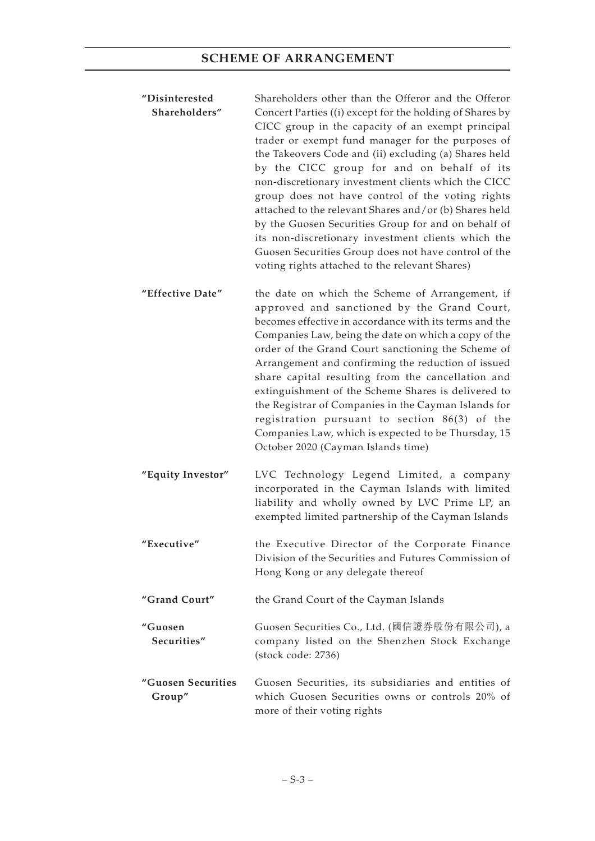- **"Disinterested Shareholders"** Shareholders other than the Offeror and the Offeror Concert Parties ((i) except for the holding of Shares by CICC group in the capacity of an exempt principal trader or exempt fund manager for the purposes of the Takeovers Code and (ii) excluding (a) Shares held by the CICC group for and on behalf of its non-discretionary investment clients which the CICC group does not have control of the voting rights attached to the relevant Shares and/or (b) Shares held by the Guosen Securities Group for and on behalf of its non-discretionary investment clients which the Guosen Securities Group does not have control of the voting rights attached to the relevant Shares)
- **"Effective Date"** the date on which the Scheme of Arrangement, if approved and sanctioned by the Grand Court, becomes effective in accordance with its terms and the Companies Law, being the date on which a copy of the order of the Grand Court sanctioning the Scheme of Arrangement and confirming the reduction of issued share capital resulting from the cancellation and extinguishment of the Scheme Shares is delivered to the Registrar of Companies in the Cayman Islands for registration pursuant to section 86(3) of the Companies Law, which is expected to be Thursday, 15 October 2020 (Cayman Islands time)
- **"Equity Investor"** LVC Technology Legend Limited, a company incorporated in the Cayman Islands with limited liability and wholly owned by LVC Prime LP, an exempted limited partnership of the Cayman Islands
- **"Executive"** the Executive Director of the Corporate Finance Division of the Securities and Futures Commission of Hong Kong or any delegate thereof
- **"Grand Court"** the Grand Court of the Cayman Islands
- **"Guosen Securities"** Guosen Securities Co., Ltd. (國信證券股份有限公司), a company listed on the Shenzhen Stock Exchange (stock code: 2736)
- **"Guosen Securities Group"** Guosen Securities, its subsidiaries and entities of which Guosen Securities owns or controls 20% of more of their voting rights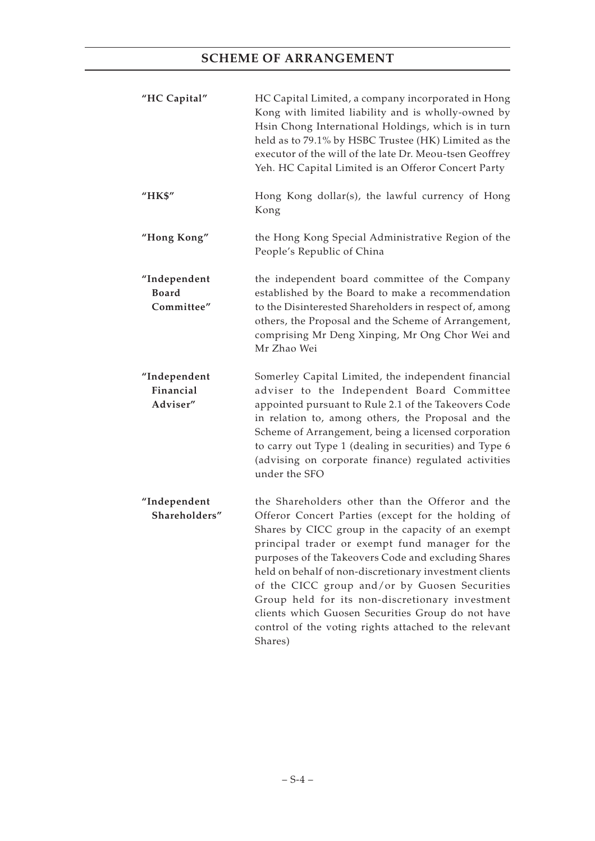| "HC Capital"                               | HC Capital Limited, a company incorporated in Hong<br>Kong with limited liability and is wholly-owned by<br>Hsin Chong International Holdings, which is in turn<br>held as to 79.1% by HSBC Trustee (HK) Limited as the<br>executor of the will of the late Dr. Meou-tsen Geoffrey<br>Yeh. HC Capital Limited is an Offeror Concert Party                                                                                                                                                                                                                   |
|--------------------------------------------|-------------------------------------------------------------------------------------------------------------------------------------------------------------------------------------------------------------------------------------------------------------------------------------------------------------------------------------------------------------------------------------------------------------------------------------------------------------------------------------------------------------------------------------------------------------|
| "HK\$"                                     | Hong Kong dollar(s), the lawful currency of Hong<br>Kong                                                                                                                                                                                                                                                                                                                                                                                                                                                                                                    |
| "Hong Kong"                                | the Hong Kong Special Administrative Region of the<br>People's Republic of China                                                                                                                                                                                                                                                                                                                                                                                                                                                                            |
| "Independent<br><b>Board</b><br>Committee" | the independent board committee of the Company<br>established by the Board to make a recommendation<br>to the Disinterested Shareholders in respect of, among<br>others, the Proposal and the Scheme of Arrangement,<br>comprising Mr Deng Xinping, Mr Ong Chor Wei and<br>Mr Zhao Wei                                                                                                                                                                                                                                                                      |
| "Independent<br>Financial<br>Adviser"      | Somerley Capital Limited, the independent financial<br>adviser to the Independent Board Committee<br>appointed pursuant to Rule 2.1 of the Takeovers Code<br>in relation to, among others, the Proposal and the<br>Scheme of Arrangement, being a licensed corporation<br>to carry out Type 1 (dealing in securities) and Type 6<br>(advising on corporate finance) regulated activities<br>under the SFO                                                                                                                                                   |
| "Independent<br>Shareholders"              | the Shareholders other than the Offeror and the<br>Offeror Concert Parties (except for the holding of<br>Shares by CICC group in the capacity of an exempt<br>principal trader or exempt fund manager for the<br>purposes of the Takeovers Code and excluding Shares<br>held on behalf of non-discretionary investment clients<br>of the CICC group and/or by Guosen Securities<br>Group held for its non-discretionary investment<br>clients which Guosen Securities Group do not have<br>control of the voting rights attached to the relevant<br>Shares) |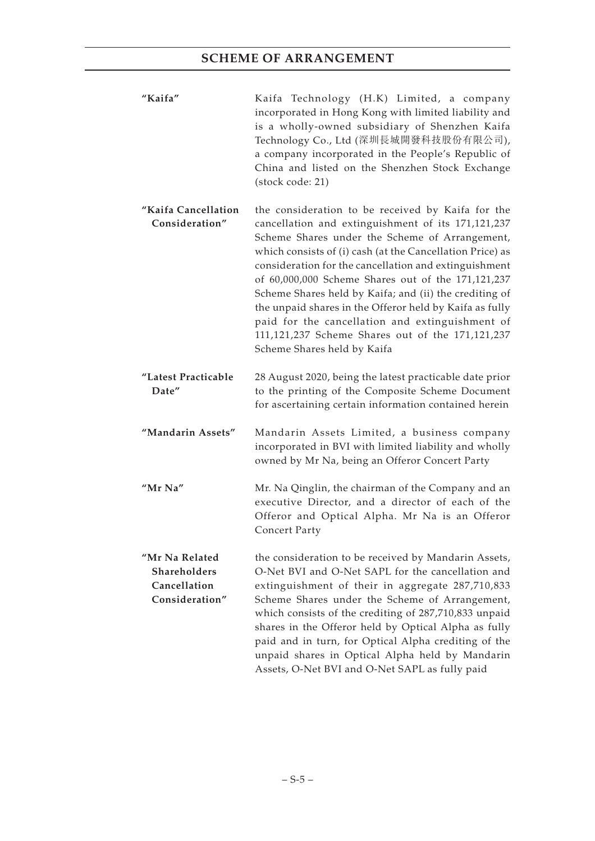| "Kaifa" | Kaifa Technology (H.K) Limited, a company            |
|---------|------------------------------------------------------|
|         | incorporated in Hong Kong with limited liability and |
|         | is a wholly-owned subsidiary of Shenzhen Kaifa       |
|         | Technology Co., Ltd (深圳長城開發科技股份有限公司),                |
|         | a company incorporated in the People's Republic of   |
|         | China and listed on the Shenzhen Stock Exchange      |
|         | (stock code: 21)                                     |

- **"Kaifa Cancellation Consideration"** the consideration to be received by Kaifa for the cancellation and extinguishment of its 171,121,237 Scheme Shares under the Scheme of Arrangement, which consists of (i) cash (at the Cancellation Price) as consideration for the cancellation and extinguishment of 60,000,000 Scheme Shares out of the 171,121,237 Scheme Shares held by Kaifa; and (ii) the crediting of the unpaid shares in the Offeror held by Kaifa as fully paid for the cancellation and extinguishment of 111,121,237 Scheme Shares out of the 171,121,237 Scheme Shares held by Kaifa
- **"Latest Practicable Date"** 28 August 2020, being the latest practicable date prior to the printing of the Composite Scheme Document for ascertaining certain information contained herein
- **"Mandarin Assets"** Mandarin Assets Limited, a business company incorporated in BVI with limited liability and wholly owned by Mr Na, being an Offeror Concert Party
- **"Mr Na"** Mr. Na Qinglin, the chairman of the Company and an executive Director, and a director of each of the Offeror and Optical Alpha. Mr Na is an Offeror Concert Party
- **"Mr Na Related Shareholders Cancellation Consideration"** the consideration to be received by Mandarin Assets, O-Net BVI and O-Net SAPL for the cancellation and extinguishment of their in aggregate 287,710,833 Scheme Shares under the Scheme of Arrangement, which consists of the crediting of 287,710,833 unpaid shares in the Offeror held by Optical Alpha as fully paid and in turn, for Optical Alpha crediting of the unpaid shares in Optical Alpha held by Mandarin Assets, O-Net BVI and O-Net SAPL as fully paid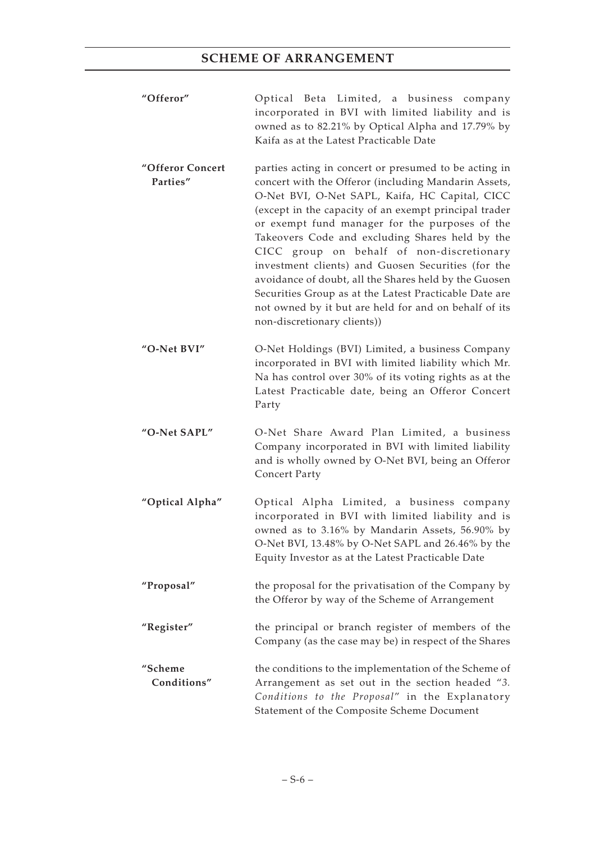- **"Offeror"** Optical Beta Limited, a business company incorporated in BVI with limited liability and is owned as to 82.21% by Optical Alpha and 17.79% by Kaifa as at the Latest Practicable Date
- **"Offeror Concert Parties"** parties acting in concert or presumed to be acting in concert with the Offeror (including Mandarin Assets, O-Net BVI, O-Net SAPL, Kaifa, HC Capital, CICC (except in the capacity of an exempt principal trader or exempt fund manager for the purposes of the Takeovers Code and excluding Shares held by the CICC group on behalf of non-discretionary investment clients) and Guosen Securities (for the avoidance of doubt, all the Shares held by the Guosen Securities Group as at the Latest Practicable Date are not owned by it but are held for and on behalf of its non-discretionary clients))
- **"O-Net BVI"** O-Net Holdings (BVI) Limited, a business Company incorporated in BVI with limited liability which Mr. Na has control over 30% of its voting rights as at the Latest Practicable date, being an Offeror Concert Party
- **"O-Net SAPL"** O-Net Share Award Plan Limited, a business Company incorporated in BVI with limited liability and is wholly owned by O-Net BVI, being an Offeror Concert Party
- **"Optical Alpha"** Optical Alpha Limited, a business company incorporated in BVI with limited liability and is owned as to 3.16% by Mandarin Assets, 56.90% by O-Net BVI, 13.48% by O-Net SAPL and 26.46% by the Equity Investor as at the Latest Practicable Date
- **"Proposal"** the proposal for the privatisation of the Company by the Offeror by way of the Scheme of Arrangement
- **"Register"** the principal or branch register of members of the Company (as the case may be) in respect of the Shares
- **"Scheme Conditions"** the conditions to the implementation of the Scheme of Arrangement as set out in the section headed "*3. Conditions to the Proposal*" in the Explanatory Statement of the Composite Scheme Document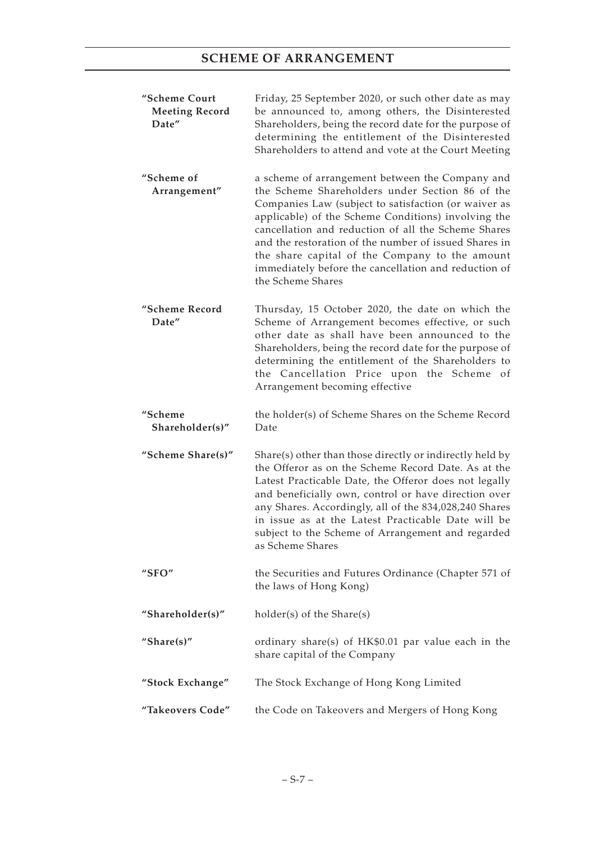| "Scheme Court<br><b>Meeting Record</b><br>Date" | Friday, 25 September 2020, or such other date as may<br>be announced to, among others, the Disinterested<br>Shareholders, being the record date for the purpose of<br>determining the entitlement of the Disinterested<br>Shareholders to attend and vote at the Court Meeting                                                                                                                                                                                   |
|-------------------------------------------------|------------------------------------------------------------------------------------------------------------------------------------------------------------------------------------------------------------------------------------------------------------------------------------------------------------------------------------------------------------------------------------------------------------------------------------------------------------------|
| "Scheme of<br>Arrangement"                      | a scheme of arrangement between the Company and<br>the Scheme Shareholders under Section 86 of the<br>Companies Law (subject to satisfaction (or waiver as<br>applicable) of the Scheme Conditions) involving the<br>cancellation and reduction of all the Scheme Shares<br>and the restoration of the number of issued Shares in<br>the share capital of the Company to the amount<br>immediately before the cancellation and reduction of<br>the Scheme Shares |
| "Scheme Record<br>Date"                         | Thursday, 15 October 2020, the date on which the<br>Scheme of Arrangement becomes effective, or such<br>other date as shall have been announced to the<br>Shareholders, being the record date for the purpose of<br>determining the entitlement of the Shareholders to<br>the Cancellation Price upon the Scheme of<br>Arrangement becoming effective                                                                                                            |
| "Scheme                                         | the holder(s) of Scheme Shares on the Scheme Record                                                                                                                                                                                                                                                                                                                                                                                                              |
| Shareholder(s)"                                 | Date                                                                                                                                                                                                                                                                                                                                                                                                                                                             |
| "Scheme Share(s)"                               | Share(s) other than those directly or indirectly held by<br>the Offeror as on the Scheme Record Date. As at the<br>Latest Practicable Date, the Offeror does not legally<br>and beneficially own, control or have direction over<br>any Shares. Accordingly, all of the 834,028,240 Shares<br>in issue as at the Latest Practicable Date will be<br>subject to the Scheme of Arrangement and regarded<br>as Scheme Shares                                        |
| " $SFO"$                                        | the Securities and Futures Ordinance (Chapter 571 of<br>the laws of Hong Kong)                                                                                                                                                                                                                                                                                                                                                                                   |
| "Shareholder(s)"                                | holder(s) of the Share(s)                                                                                                                                                                                                                                                                                                                                                                                                                                        |
| "Share $(s)$ "                                  | ordinary share(s) of HK\$0.01 par value each in the<br>share capital of the Company                                                                                                                                                                                                                                                                                                                                                                              |
| "Stock Exchange"                                | The Stock Exchange of Hong Kong Limited                                                                                                                                                                                                                                                                                                                                                                                                                          |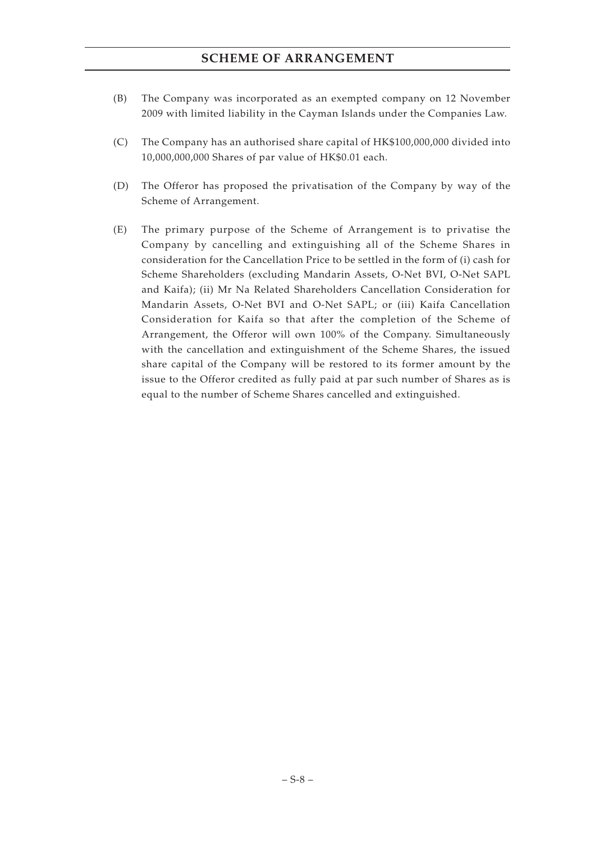- (B) The Company was incorporated as an exempted company on 12 November 2009 with limited liability in the Cayman Islands under the Companies Law.
- (C) The Company has an authorised share capital of HK\$100,000,000 divided into 10,000,000,000 Shares of par value of HK\$0.01 each.
- (D) The Offeror has proposed the privatisation of the Company by way of the Scheme of Arrangement.
- (E) The primary purpose of the Scheme of Arrangement is to privatise the Company by cancelling and extinguishing all of the Scheme Shares in consideration for the Cancellation Price to be settled in the form of (i) cash for Scheme Shareholders (excluding Mandarin Assets, O-Net BVI, O-Net SAPL and Kaifa); (ii) Mr Na Related Shareholders Cancellation Consideration for Mandarin Assets, O-Net BVI and O-Net SAPL; or (iii) Kaifa Cancellation Consideration for Kaifa so that after the completion of the Scheme of Arrangement, the Offeror will own 100% of the Company. Simultaneously with the cancellation and extinguishment of the Scheme Shares, the issued share capital of the Company will be restored to its former amount by the issue to the Offeror credited as fully paid at par such number of Shares as is equal to the number of Scheme Shares cancelled and extinguished.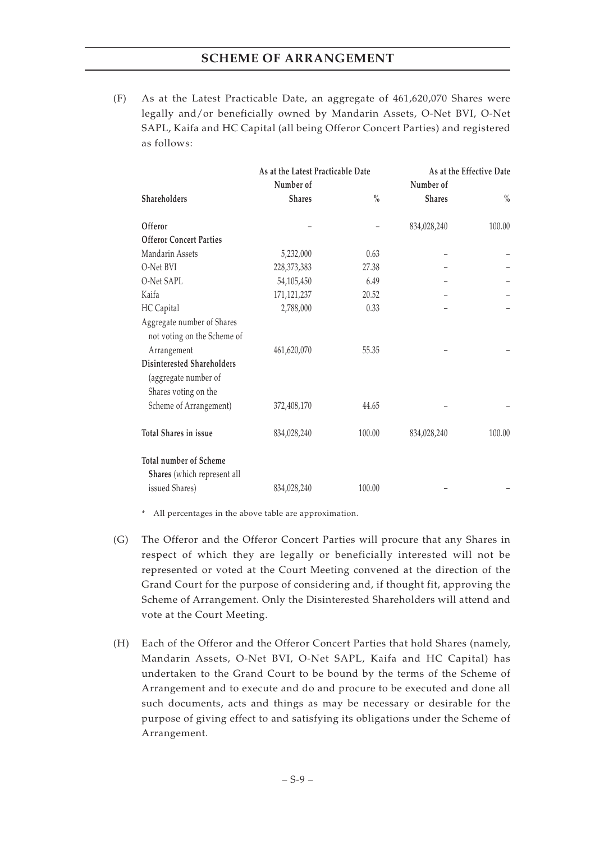(F) As at the Latest Practicable Date, an aggregate of 461,620,070 Shares were legally and/or beneficially owned by Mandarin Assets, O-Net BVI, O-Net SAPL, Kaifa and HC Capital (all being Offeror Concert Parties) and registered as follows:

|                                                                            | As at the Latest Practicable Date |               | As at the Effective Date |               |
|----------------------------------------------------------------------------|-----------------------------------|---------------|--------------------------|---------------|
|                                                                            | Number of                         |               | Number of                |               |
| Shareholders                                                               | <b>Shares</b>                     | $\frac{0}{0}$ | <b>Shares</b>            | $\frac{0}{0}$ |
| Offeror                                                                    |                                   |               | 834,028,240              | 100.00        |
| <b>Offeror Concert Parties</b>                                             |                                   |               |                          |               |
| Mandarin Assets                                                            | 5,232,000                         | 0.63          |                          |               |
| O-Net BVI                                                                  | 228,373,383                       | 27.38         |                          |               |
| O-Net SAPL                                                                 | 54,105,450                        | 6.49          |                          |               |
| Kaifa                                                                      | 171, 121, 237                     | 20.52         |                          |               |
| HC Capital                                                                 | 2,788,000                         | 0.33          |                          |               |
| Aggregate number of Shares<br>not voting on the Scheme of                  |                                   |               |                          |               |
| Arrangement                                                                | 461,620,070                       | 55.35         |                          |               |
| Disinterested Shareholders<br>(aggregate number of<br>Shares voting on the |                                   |               |                          |               |
| Scheme of Arrangement)                                                     | 372,408,170                       | 44.65         |                          |               |
| Total Shares in issue                                                      | 834,028,240                       | 100.00        | 834,028,240              | 100.00        |
| <b>Total number of Scheme</b>                                              |                                   |               |                          |               |
| Shares (which represent all                                                |                                   |               |                          |               |
| issued Shares)                                                             | 834,028,240                       | 100.00        |                          |               |

\* All percentages in the above table are approximation.

- (G) The Offeror and the Offeror Concert Parties will procure that any Shares in respect of which they are legally or beneficially interested will not be represented or voted at the Court Meeting convened at the direction of the Grand Court for the purpose of considering and, if thought fit, approving the Scheme of Arrangement. Only the Disinterested Shareholders will attend and vote at the Court Meeting.
- (H) Each of the Offeror and the Offeror Concert Parties that hold Shares (namely, Mandarin Assets, O-Net BVI, O-Net SAPL, Kaifa and HC Capital) has undertaken to the Grand Court to be bound by the terms of the Scheme of Arrangement and to execute and do and procure to be executed and done all such documents, acts and things as may be necessary or desirable for the purpose of giving effect to and satisfying its obligations under the Scheme of Arrangement.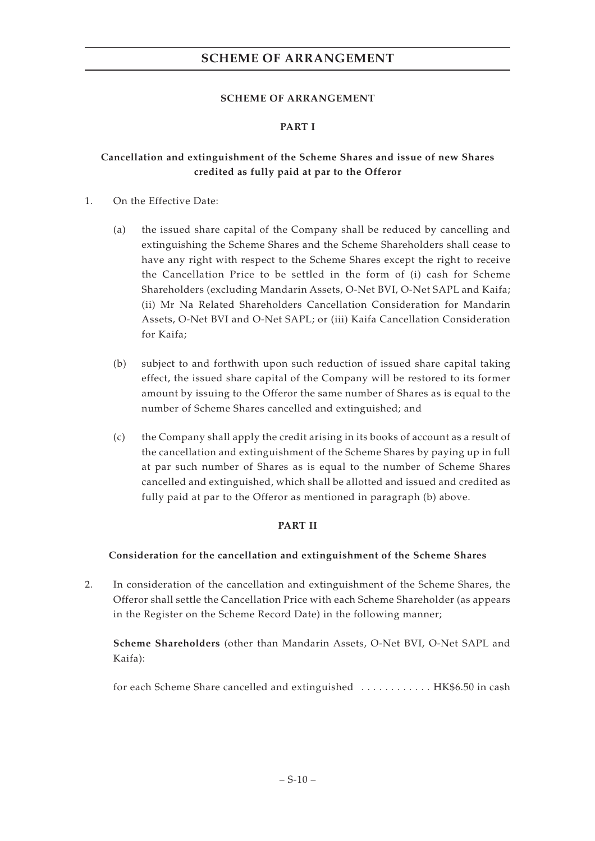## **SCHEME OF ARRANGEMENT**

## **PART I**

## **Cancellation and extinguishment of the Scheme Shares and issue of new Shares credited as fully paid at par to the Offeror**

- 1. On the Effective Date:
	- (a) the issued share capital of the Company shall be reduced by cancelling and extinguishing the Scheme Shares and the Scheme Shareholders shall cease to have any right with respect to the Scheme Shares except the right to receive the Cancellation Price to be settled in the form of (i) cash for Scheme Shareholders (excluding Mandarin Assets, O-Net BVI, O-Net SAPL and Kaifa; (ii) Mr Na Related Shareholders Cancellation Consideration for Mandarin Assets, O-Net BVI and O-Net SAPL; or (iii) Kaifa Cancellation Consideration for Kaifa;
	- (b) subject to and forthwith upon such reduction of issued share capital taking effect, the issued share capital of the Company will be restored to its former amount by issuing to the Offeror the same number of Shares as is equal to the number of Scheme Shares cancelled and extinguished; and
	- (c) the Company shall apply the credit arising in its books of account as a result of the cancellation and extinguishment of the Scheme Shares by paying up in full at par such number of Shares as is equal to the number of Scheme Shares cancelled and extinguished, which shall be allotted and issued and credited as fully paid at par to the Offeror as mentioned in paragraph (b) above.

## **PART II**

## **Consideration for the cancellation and extinguishment of the Scheme Shares**

2. In consideration of the cancellation and extinguishment of the Scheme Shares, the Offeror shall settle the Cancellation Price with each Scheme Shareholder (as appears in the Register on the Scheme Record Date) in the following manner;

**Scheme Shareholders** (other than Mandarin Assets, O-Net BVI, O-Net SAPL and Kaifa):

for each Scheme Share cancelled and extinguished .............. HK\$6.50 in cash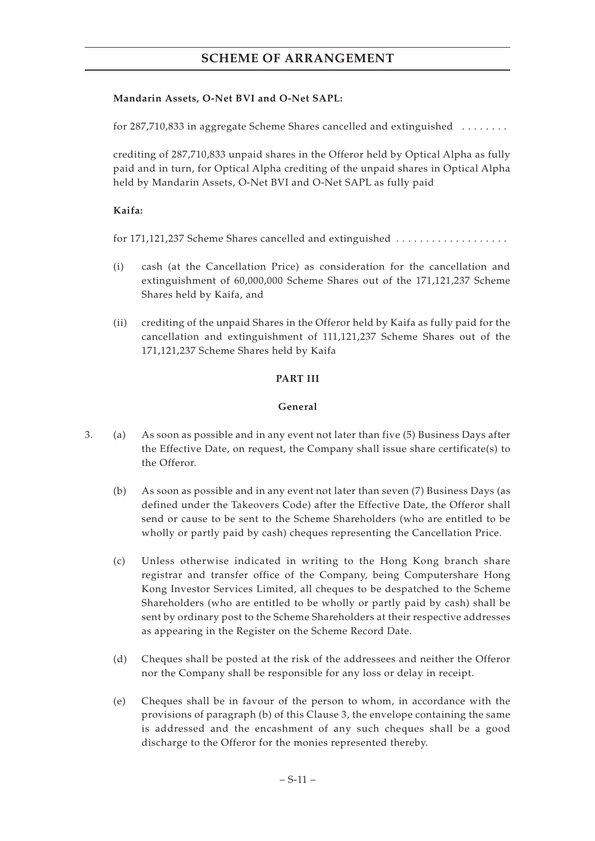## **Mandarin Assets, O-Net BVI and O-Net SAPL:**

for 287,710,833 in aggregate Scheme Shares cancelled and extinguished ........

crediting of 287,710,833 unpaid shares in the Offeror held by Optical Alpha as fully paid and in turn, for Optical Alpha crediting of the unpaid shares in Optical Alpha held by Mandarin Assets, O-Net BVI and O-Net SAPL as fully paid

## **Kaifa:**

for 171,121,237 Scheme Shares cancelled and extinguished .....................

- (i) cash (at the Cancellation Price) as consideration for the cancellation and extinguishment of 60,000,000 Scheme Shares out of the 171,121,237 Scheme Shares held by Kaifa, and
- (ii) crediting of the unpaid Shares in the Offeror held by Kaifa as fully paid for the cancellation and extinguishment of 111,121,237 Scheme Shares out of the 171,121,237 Scheme Shares held by Kaifa

## **PART III**

## **General**

- 3. (a) As soon as possible and in any event not later than five (5) Business Days after the Effective Date, on request, the Company shall issue share certificate(s) to the Offeror.
	- (b) As soon as possible and in any event not later than seven (7) Business Days (as defined under the Takeovers Code) after the Effective Date, the Offeror shall send or cause to be sent to the Scheme Shareholders (who are entitled to be wholly or partly paid by cash) cheques representing the Cancellation Price.
	- (c) Unless otherwise indicated in writing to the Hong Kong branch share registrar and transfer office of the Company, being Computershare Hong Kong Investor Services Limited, all cheques to be despatched to the Scheme Shareholders (who are entitled to be wholly or partly paid by cash) shall be sent by ordinary post to the Scheme Shareholders at their respective addresses as appearing in the Register on the Scheme Record Date.
	- (d) Cheques shall be posted at the risk of the addressees and neither the Offeror nor the Company shall be responsible for any loss or delay in receipt.
	- (e) Cheques shall be in favour of the person to whom, in accordance with the provisions of paragraph (b) of this Clause 3, the envelope containing the same is addressed and the encashment of any such cheques shall be a good discharge to the Offeror for the monies represented thereby.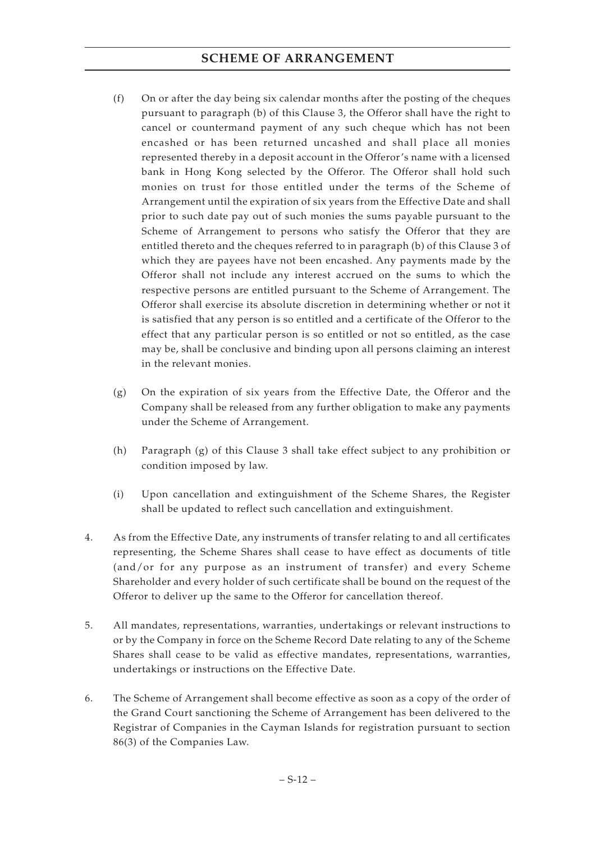- (f) On or after the day being six calendar months after the posting of the cheques pursuant to paragraph (b) of this Clause 3, the Offeror shall have the right to cancel or countermand payment of any such cheque which has not been encashed or has been returned uncashed and shall place all monies represented thereby in a deposit account in the Offeror's name with a licensed bank in Hong Kong selected by the Offeror. The Offeror shall hold such monies on trust for those entitled under the terms of the Scheme of Arrangement until the expiration of six years from the Effective Date and shall prior to such date pay out of such monies the sums payable pursuant to the Scheme of Arrangement to persons who satisfy the Offeror that they are entitled thereto and the cheques referred to in paragraph (b) of this Clause 3 of which they are payees have not been encashed. Any payments made by the Offeror shall not include any interest accrued on the sums to which the respective persons are entitled pursuant to the Scheme of Arrangement. The Offeror shall exercise its absolute discretion in determining whether or not it is satisfied that any person is so entitled and a certificate of the Offeror to the effect that any particular person is so entitled or not so entitled, as the case may be, shall be conclusive and binding upon all persons claiming an interest in the relevant monies.
- (g) On the expiration of six years from the Effective Date, the Offeror and the Company shall be released from any further obligation to make any payments under the Scheme of Arrangement.
- (h) Paragraph (g) of this Clause 3 shall take effect subject to any prohibition or condition imposed by law.
- (i) Upon cancellation and extinguishment of the Scheme Shares, the Register shall be updated to reflect such cancellation and extinguishment.
- 4. As from the Effective Date, any instruments of transfer relating to and all certificates representing, the Scheme Shares shall cease to have effect as documents of title (and/or for any purpose as an instrument of transfer) and every Scheme Shareholder and every holder of such certificate shall be bound on the request of the Offeror to deliver up the same to the Offeror for cancellation thereof.
- 5. All mandates, representations, warranties, undertakings or relevant instructions to or by the Company in force on the Scheme Record Date relating to any of the Scheme Shares shall cease to be valid as effective mandates, representations, warranties, undertakings or instructions on the Effective Date.
- 6. The Scheme of Arrangement shall become effective as soon as a copy of the order of the Grand Court sanctioning the Scheme of Arrangement has been delivered to the Registrar of Companies in the Cayman Islands for registration pursuant to section 86(3) of the Companies Law.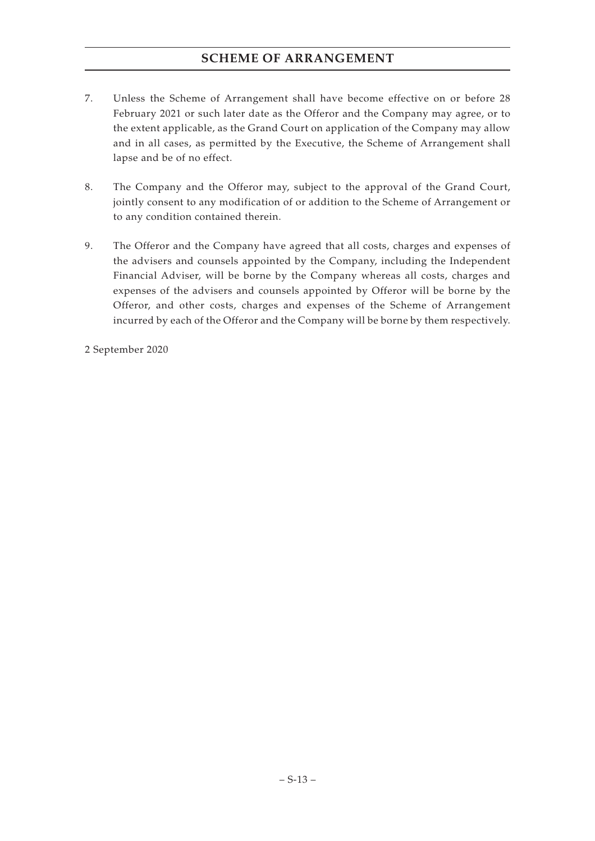- 7. Unless the Scheme of Arrangement shall have become effective on or before 28 February 2021 or such later date as the Offeror and the Company may agree, or to the extent applicable, as the Grand Court on application of the Company may allow and in all cases, as permitted by the Executive, the Scheme of Arrangement shall lapse and be of no effect.
- 8. The Company and the Offeror may, subject to the approval of the Grand Court, jointly consent to any modification of or addition to the Scheme of Arrangement or to any condition contained therein.
- 9. The Offeror and the Company have agreed that all costs, charges and expenses of the advisers and counsels appointed by the Company, including the Independent Financial Adviser, will be borne by the Company whereas all costs, charges and expenses of the advisers and counsels appointed by Offeror will be borne by the Offeror, and other costs, charges and expenses of the Scheme of Arrangement incurred by each of the Offeror and the Company will be borne by them respectively.

2 September 2020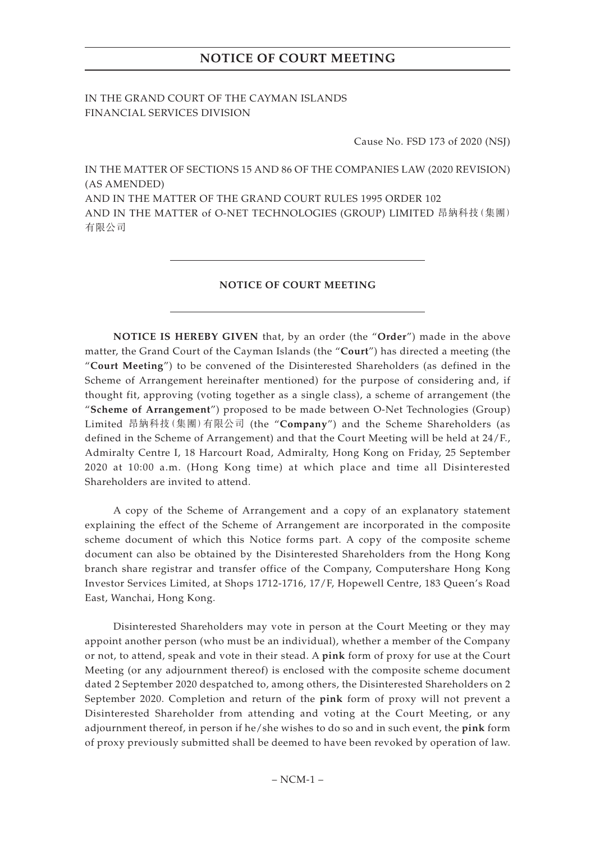# **NOTICE OF COURT MEETING**

IN THE GRAND COURT OF THE CAYMAN ISLANDS FINANCIAL SERVICES DIVISION

Cause No. FSD 173 of 2020 (NSJ)

IN THE MATTER OF SECTIONS 15 AND 86 OF THE COMPANIES LAW (2020 REVISION) (AS AMENDED)

AND IN THE MATTER OF THE GRAND COURT RULES 1995 ORDER 102 AND IN THE MATTER of O-NET TECHNOLOGIES (GROUP) LIMITED 昂納科技(集團) 有限公司

#### **NOTICE OF COURT MEETING**

**NOTICE IS HEREBY GIVEN** that, by an order (the "**Order**") made in the above matter, the Grand Court of the Cayman Islands (the "**Court**") has directed a meeting (the "**Court Meeting**") to be convened of the Disinterested Shareholders (as defined in the Scheme of Arrangement hereinafter mentioned) for the purpose of considering and, if thought fit, approving (voting together as a single class), a scheme of arrangement (the "**Scheme of Arrangement**") proposed to be made between O-Net Technologies (Group) Limited 昂納科技(集團)有限公司 (the "**Company**") and the Scheme Shareholders (as defined in the Scheme of Arrangement) and that the Court Meeting will be held at 24/F., Admiralty Centre I, 18 Harcourt Road, Admiralty, Hong Kong on Friday, 25 September 2020 at 10:00 a.m. (Hong Kong time) at which place and time all Disinterested Shareholders are invited to attend.

A copy of the Scheme of Arrangement and a copy of an explanatory statement explaining the effect of the Scheme of Arrangement are incorporated in the composite scheme document of which this Notice forms part. A copy of the composite scheme document can also be obtained by the Disinterested Shareholders from the Hong Kong branch share registrar and transfer office of the Company, Computershare Hong Kong Investor Services Limited, at Shops 1712-1716, 17/F, Hopewell Centre, 183 Queen's Road East, Wanchai, Hong Kong.

Disinterested Shareholders may vote in person at the Court Meeting or they may appoint another person (who must be an individual), whether a member of the Company or not, to attend, speak and vote in their stead. A **pink** form of proxy for use at the Court Meeting (or any adjournment thereof) is enclosed with the composite scheme document dated 2 September 2020 despatched to, among others, the Disinterested Shareholders on 2 September 2020. Completion and return of the **pink** form of proxy will not prevent a Disinterested Shareholder from attending and voting at the Court Meeting, or any adjournment thereof, in person if he/she wishes to do so and in such event, the **pink** form of proxy previously submitted shall be deemed to have been revoked by operation of law.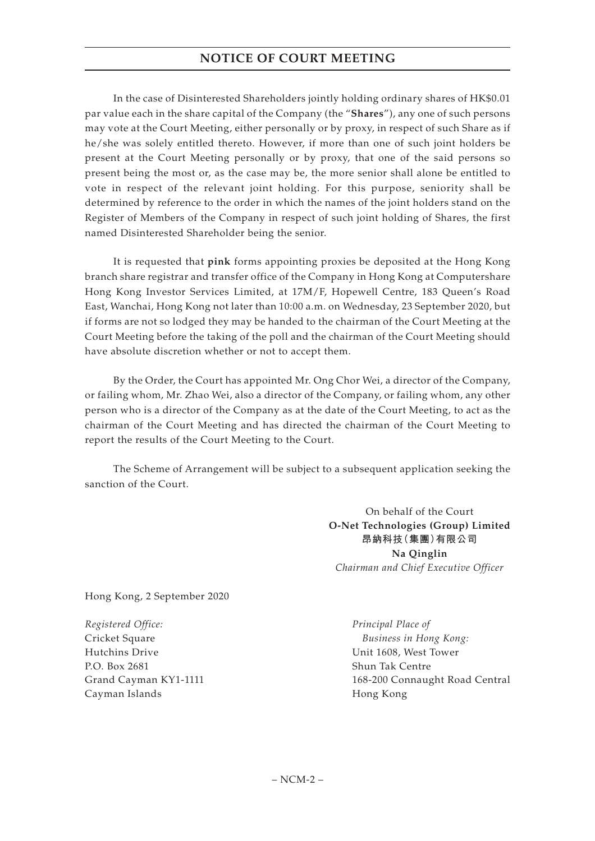# **NOTICE OF COURT MEETING**

In the case of Disinterested Shareholders jointly holding ordinary shares of HK\$0.01 par value each in the share capital of the Company (the "**Shares**"), any one of such persons may vote at the Court Meeting, either personally or by proxy, in respect of such Share as if he/she was solely entitled thereto. However, if more than one of such joint holders be present at the Court Meeting personally or by proxy, that one of the said persons so present being the most or, as the case may be, the more senior shall alone be entitled to vote in respect of the relevant joint holding. For this purpose, seniority shall be determined by reference to the order in which the names of the joint holders stand on the Register of Members of the Company in respect of such joint holding of Shares, the first named Disinterested Shareholder being the senior.

It is requested that **pink** forms appointing proxies be deposited at the Hong Kong branch share registrar and transfer office of the Company in Hong Kong at Computershare Hong Kong Investor Services Limited, at 17M/F, Hopewell Centre, 183 Queen's Road East, Wanchai, Hong Kong not later than 10:00 a.m. on Wednesday, 23 September 2020, but if forms are not so lodged they may be handed to the chairman of the Court Meeting at the Court Meeting before the taking of the poll and the chairman of the Court Meeting should have absolute discretion whether or not to accept them.

By the Order, the Court has appointed Mr. Ong Chor Wei, a director of the Company, or failing whom, Mr. Zhao Wei, also a director of the Company, or failing whom, any other person who is a director of the Company as at the date of the Court Meeting, to act as the chairman of the Court Meeting and has directed the chairman of the Court Meeting to report the results of the Court Meeting to the Court.

The Scheme of Arrangement will be subject to a subsequent application seeking the sanction of the Court.

> On behalf of the Court **O-Net Technologies (Group) Limited 昂納科技(集團)有限公司 Na Qinglin** *Chairman and Chief Executive Officer*

Hong Kong, 2 September 2020

*Registered Office:* Cricket Square Hutchins Drive P.O. Box 2681 Grand Cayman KY1-1111 Cayman Islands

*Principal Place of Business in Hong Kong:* Unit 1608, West Tower Shun Tak Centre 168-200 Connaught Road Central Hong Kong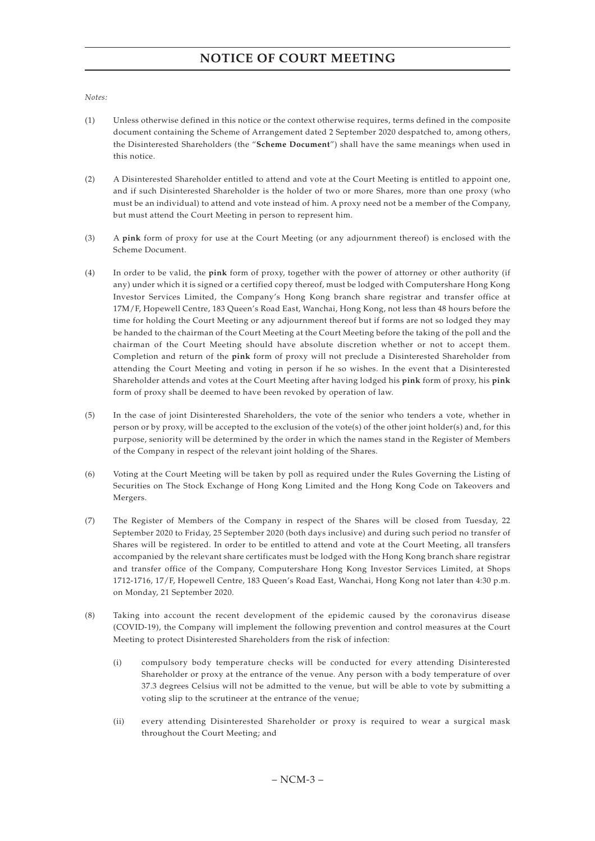#### *Notes:*

- (1) Unless otherwise defined in this notice or the context otherwise requires, terms defined in the composite document containing the Scheme of Arrangement dated 2 September 2020 despatched to, among others, the Disinterested Shareholders (the "**Scheme Document**") shall have the same meanings when used in this notice.
- (2) A Disinterested Shareholder entitled to attend and vote at the Court Meeting is entitled to appoint one, and if such Disinterested Shareholder is the holder of two or more Shares, more than one proxy (who must be an individual) to attend and vote instead of him. A proxy need not be a member of the Company, but must attend the Court Meeting in person to represent him.
- (3) A **pink** form of proxy for use at the Court Meeting (or any adjournment thereof) is enclosed with the Scheme Document.
- (4) In order to be valid, the **pink** form of proxy, together with the power of attorney or other authority (if any) under which it is signed or a certified copy thereof, must be lodged with Computershare Hong Kong Investor Services Limited, the Company's Hong Kong branch share registrar and transfer office at 17M/F, Hopewell Centre, 183 Queen's Road East, Wanchai, Hong Kong, not less than 48 hours before the time for holding the Court Meeting or any adjournment thereof but if forms are not so lodged they may be handed to the chairman of the Court Meeting at the Court Meeting before the taking of the poll and the chairman of the Court Meeting should have absolute discretion whether or not to accept them. Completion and return of the **pink** form of proxy will not preclude a Disinterested Shareholder from attending the Court Meeting and voting in person if he so wishes. In the event that a Disinterested Shareholder attends and votes at the Court Meeting after having lodged his **pink** form of proxy, his **pink** form of proxy shall be deemed to have been revoked by operation of law.
- (5) In the case of joint Disinterested Shareholders, the vote of the senior who tenders a vote, whether in person or by proxy, will be accepted to the exclusion of the vote(s) of the other joint holder(s) and, for this purpose, seniority will be determined by the order in which the names stand in the Register of Members of the Company in respect of the relevant joint holding of the Shares.
- (6) Voting at the Court Meeting will be taken by poll as required under the Rules Governing the Listing of Securities on The Stock Exchange of Hong Kong Limited and the Hong Kong Code on Takeovers and Mergers.
- (7) The Register of Members of the Company in respect of the Shares will be closed from Tuesday, 22 September 2020 to Friday, 25 September 2020 (both days inclusive) and during such period no transfer of Shares will be registered. In order to be entitled to attend and vote at the Court Meeting, all transfers accompanied by the relevant share certificates must be lodged with the Hong Kong branch share registrar and transfer office of the Company, Computershare Hong Kong Investor Services Limited, at Shops 1712-1716, 17/F, Hopewell Centre, 183 Queen's Road East, Wanchai, Hong Kong not later than 4:30 p.m. on Monday, 21 September 2020.
- (8) Taking into account the recent development of the epidemic caused by the coronavirus disease (COVID-19), the Company will implement the following prevention and control measures at the Court Meeting to protect Disinterested Shareholders from the risk of infection:
	- (i) compulsory body temperature checks will be conducted for every attending Disinterested Shareholder or proxy at the entrance of the venue. Any person with a body temperature of over 37.3 degrees Celsius will not be admitted to the venue, but will be able to vote by submitting a voting slip to the scrutineer at the entrance of the venue;
	- (ii) every attending Disinterested Shareholder or proxy is required to wear a surgical mask throughout the Court Meeting; and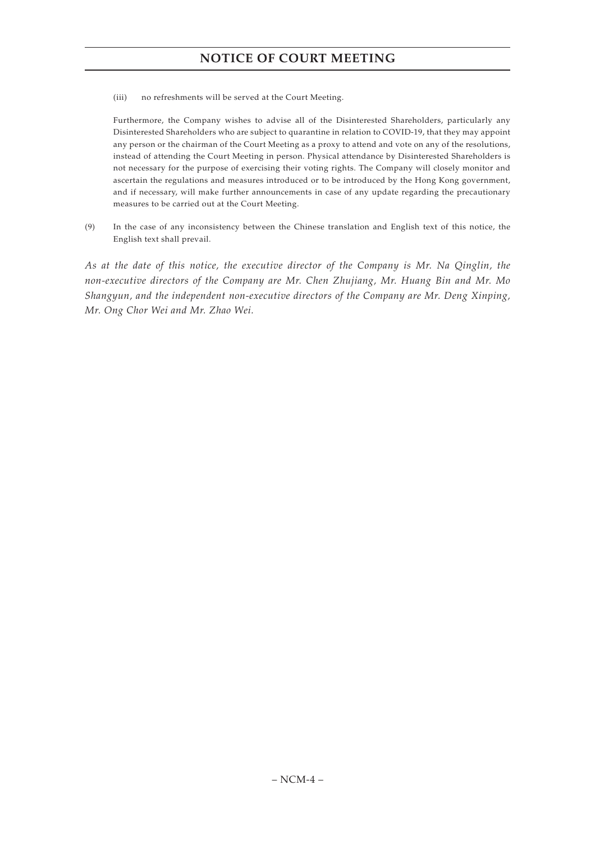# **NOTICE OF COURT MEETING**

(iii) no refreshments will be served at the Court Meeting.

Furthermore, the Company wishes to advise all of the Disinterested Shareholders, particularly any Disinterested Shareholders who are subject to quarantine in relation to COVID-19, that they may appoint any person or the chairman of the Court Meeting as a proxy to attend and vote on any of the resolutions, instead of attending the Court Meeting in person. Physical attendance by Disinterested Shareholders is not necessary for the purpose of exercising their voting rights. The Company will closely monitor and ascertain the regulations and measures introduced or to be introduced by the Hong Kong government, and if necessary, will make further announcements in case of any update regarding the precautionary measures to be carried out at the Court Meeting.

(9) In the case of any inconsistency between the Chinese translation and English text of this notice, the English text shall prevail.

*As at the date of this notice, the executive director of the Company is Mr. Na Qinglin, the non-executive directors of the Company are Mr. Chen Zhujiang, Mr. Huang Bin and Mr. Mo Shangyun, and the independent non-executive directors of the Company are Mr. Deng Xinping, Mr. Ong Chor Wei and Mr. Zhao Wei.*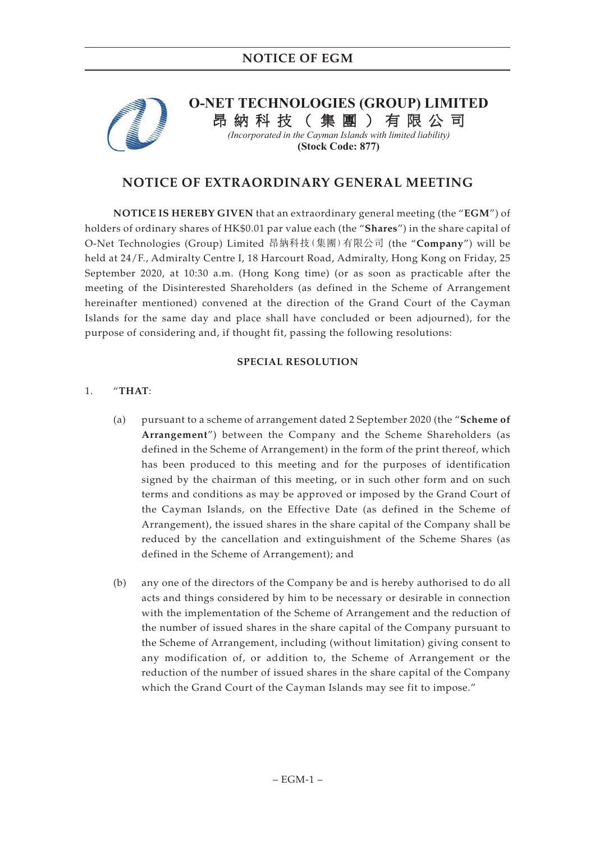

# **O-NET TECHNOLOGIES (GROUP) LIMITED**

納科技(集團)有限公司

*(Incorporated in the Cayman Islands with limited liability)*  **(Stock Code: 877)**

# **NOTICE OF EXTRAORDINARY GENERAL MEETING**

**NOTICE IS HEREBY GIVEN** that an extraordinary general meeting (the "**EGM**") of holders of ordinary shares of HK\$0.01 par value each (the "**Shares**") in the share capital of O-Net Technologies (Group) Limited 昂納科技(集團)有限公司 (the "**Company**") will be held at 24/F., Admiralty Centre I, 18 Harcourt Road, Admiralty, Hong Kong on Friday, 25 September 2020, at 10:30 a.m. (Hong Kong time) (or as soon as practicable after the meeting of the Disinterested Shareholders (as defined in the Scheme of Arrangement hereinafter mentioned) convened at the direction of the Grand Court of the Cayman Islands for the same day and place shall have concluded or been adjourned), for the purpose of considering and, if thought fit, passing the following resolutions:

## **SPECIAL RESOLUTION**

## 1. "**THAT**:

- (a) pursuant to a scheme of arrangement dated 2 September 2020 (the "**Scheme of Arrangement**") between the Company and the Scheme Shareholders (as defined in the Scheme of Arrangement) in the form of the print thereof, which has been produced to this meeting and for the purposes of identification signed by the chairman of this meeting, or in such other form and on such terms and conditions as may be approved or imposed by the Grand Court of the Cayman Islands, on the Effective Date (as defined in the Scheme of Arrangement), the issued shares in the share capital of the Company shall be reduced by the cancellation and extinguishment of the Scheme Shares (as defined in the Scheme of Arrangement); and
- (b) any one of the directors of the Company be and is hereby authorised to do all acts and things considered by him to be necessary or desirable in connection with the implementation of the Scheme of Arrangement and the reduction of the number of issued shares in the share capital of the Company pursuant to the Scheme of Arrangement, including (without limitation) giving consent to any modification of, or addition to, the Scheme of Arrangement or the reduction of the number of issued shares in the share capital of the Company which the Grand Court of the Cayman Islands may see fit to impose."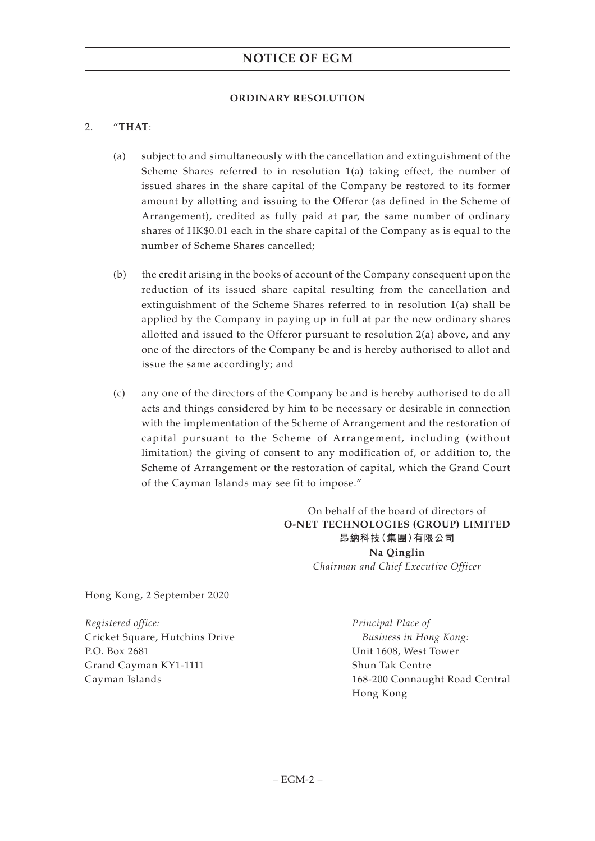### **ORDINARY RESOLUTION**

## 2. "**THAT**:

- (a) subject to and simultaneously with the cancellation and extinguishment of the Scheme Shares referred to in resolution 1(a) taking effect, the number of issued shares in the share capital of the Company be restored to its former amount by allotting and issuing to the Offeror (as defined in the Scheme of Arrangement), credited as fully paid at par, the same number of ordinary shares of HK\$0.01 each in the share capital of the Company as is equal to the number of Scheme Shares cancelled;
- (b) the credit arising in the books of account of the Company consequent upon the reduction of its issued share capital resulting from the cancellation and extinguishment of the Scheme Shares referred to in resolution 1(a) shall be applied by the Company in paying up in full at par the new ordinary shares allotted and issued to the Offeror pursuant to resolution 2(a) above, and any one of the directors of the Company be and is hereby authorised to allot and issue the same accordingly; and
- (c) any one of the directors of the Company be and is hereby authorised to do all acts and things considered by him to be necessary or desirable in connection with the implementation of the Scheme of Arrangement and the restoration of capital pursuant to the Scheme of Arrangement, including (without limitation) the giving of consent to any modification of, or addition to, the Scheme of Arrangement or the restoration of capital, which the Grand Court of the Cayman Islands may see fit to impose."

On behalf of the board of directors of **O-NET TECHNOLOGIES (GROUP) LIMITED 昂納科技(集團)有限公司 Na Qinglin** *Chairman and Chief Executive Officer*

Hong Kong, 2 September 2020

*Registered office:* Cricket Square, Hutchins Drive P.O. Box 2681 Grand Cayman KY1-1111 Cayman Islands

*Principal Place of Business in Hong Kong:* Unit 1608, West Tower Shun Tak Centre 168-200 Connaught Road Central Hong Kong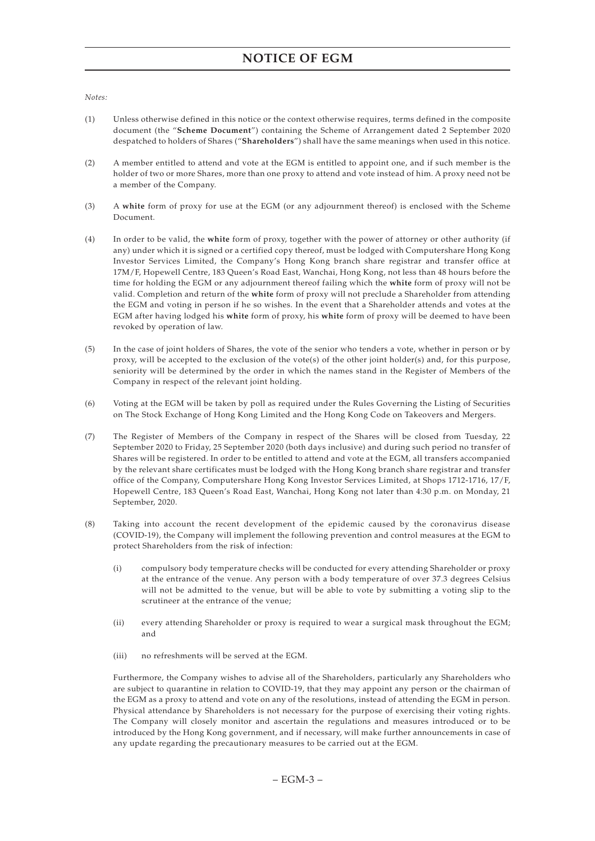*Notes:*

- (1) Unless otherwise defined in this notice or the context otherwise requires, terms defined in the composite document (the "**Scheme Document**") containing the Scheme of Arrangement dated 2 September 2020 despatched to holders of Shares ("**Shareholders**") shall have the same meanings when used in this notice.
- (2) A member entitled to attend and vote at the EGM is entitled to appoint one, and if such member is the holder of two or more Shares, more than one proxy to attend and vote instead of him. A proxy need not be a member of the Company.
- (3) A **white** form of proxy for use at the EGM (or any adjournment thereof) is enclosed with the Scheme Document.
- (4) In order to be valid, the **white** form of proxy, together with the power of attorney or other authority (if any) under which it is signed or a certified copy thereof, must be lodged with Computershare Hong Kong Investor Services Limited, the Company's Hong Kong branch share registrar and transfer office at 17M/F, Hopewell Centre, 183 Queen's Road East, Wanchai, Hong Kong, not less than 48 hours before the time for holding the EGM or any adjournment thereof failing which the **white** form of proxy will not be valid. Completion and return of the **white** form of proxy will not preclude a Shareholder from attending the EGM and voting in person if he so wishes. In the event that a Shareholder attends and votes at the EGM after having lodged his **white** form of proxy, his **white** form of proxy will be deemed to have been revoked by operation of law.
- (5) In the case of joint holders of Shares, the vote of the senior who tenders a vote, whether in person or by proxy, will be accepted to the exclusion of the vote(s) of the other joint holder(s) and, for this purpose, seniority will be determined by the order in which the names stand in the Register of Members of the Company in respect of the relevant joint holding.
- (6) Voting at the EGM will be taken by poll as required under the Rules Governing the Listing of Securities on The Stock Exchange of Hong Kong Limited and the Hong Kong Code on Takeovers and Mergers.
- (7) The Register of Members of the Company in respect of the Shares will be closed from Tuesday, 22 September 2020 to Friday, 25 September 2020 (both days inclusive) and during such period no transfer of Shares will be registered. In order to be entitled to attend and vote at the EGM, all transfers accompanied by the relevant share certificates must be lodged with the Hong Kong branch share registrar and transfer office of the Company, Computershare Hong Kong Investor Services Limited, at Shops 1712-1716, 17/F, Hopewell Centre, 183 Queen's Road East, Wanchai, Hong Kong not later than 4:30 p.m. on Monday, 21 September, 2020.
- (8) Taking into account the recent development of the epidemic caused by the coronavirus disease (COVID-19), the Company will implement the following prevention and control measures at the EGM to protect Shareholders from the risk of infection:
	- (i) compulsory body temperature checks will be conducted for every attending Shareholder or proxy at the entrance of the venue. Any person with a body temperature of over 37.3 degrees Celsius will not be admitted to the venue, but will be able to vote by submitting a voting slip to the scrutineer at the entrance of the venue;
	- (ii) every attending Shareholder or proxy is required to wear a surgical mask throughout the EGM; and
	- (iii) no refreshments will be served at the EGM.

Furthermore, the Company wishes to advise all of the Shareholders, particularly any Shareholders who are subject to quarantine in relation to COVID-19, that they may appoint any person or the chairman of the EGM as a proxy to attend and vote on any of the resolutions, instead of attending the EGM in person. Physical attendance by Shareholders is not necessary for the purpose of exercising their voting rights. The Company will closely monitor and ascertain the regulations and measures introduced or to be introduced by the Hong Kong government, and if necessary, will make further announcements in case of any update regarding the precautionary measures to be carried out at the EGM.